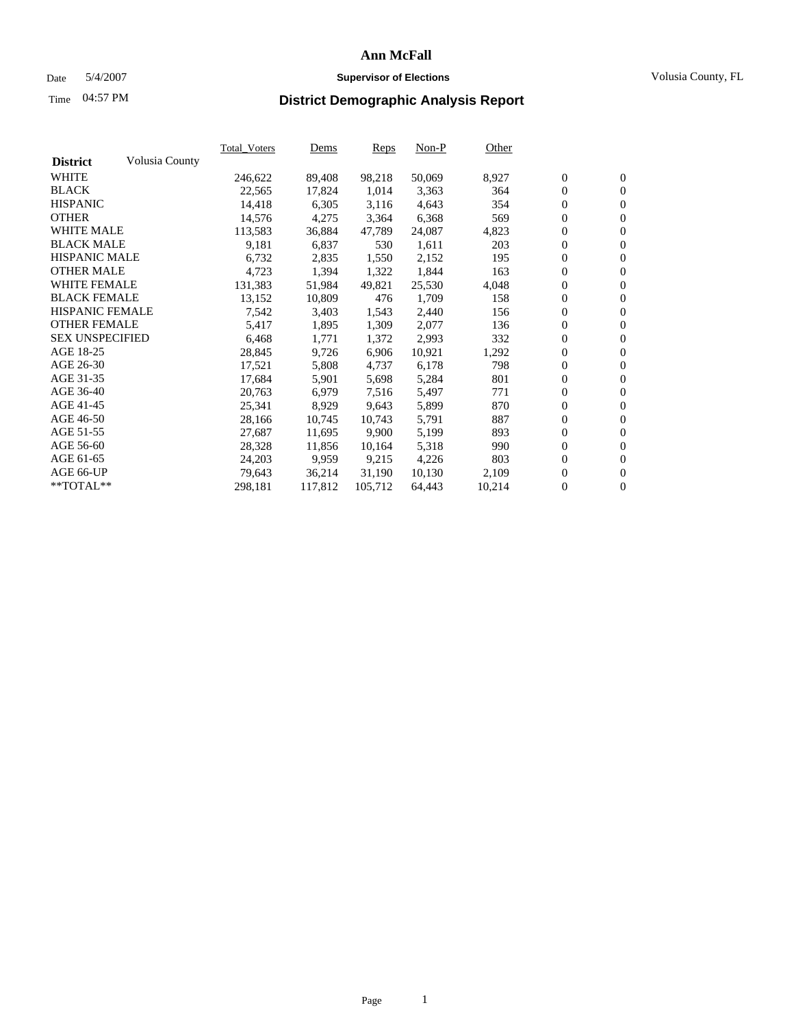### Date 5/4/2007 **Supervisor of Elections** Volusia County, FL

# Time **District Demographic Analysis Report** 04:57 PM

|                        |                | <b>Total Voters</b> | Dems    | Reps    | $Non-P$ | Other  |                  |                  |  |
|------------------------|----------------|---------------------|---------|---------|---------|--------|------------------|------------------|--|
| <b>District</b>        | Volusia County |                     |         |         |         |        |                  |                  |  |
| <b>WHITE</b>           |                | 246,622             | 89,408  | 98,218  | 50,069  | 8,927  | $\boldsymbol{0}$ | $\mathbf{0}$     |  |
| <b>BLACK</b>           |                | 22,565              | 17,824  | 1,014   | 3,363   | 364    | $\mathbf{0}$     | $\mathbf{0}$     |  |
| <b>HISPANIC</b>        |                | 14,418              | 6,305   | 3,116   | 4,643   | 354    | $\mathbf{0}$     | $\mathbf{0}$     |  |
| <b>OTHER</b>           |                | 14,576              | 4,275   | 3,364   | 6,368   | 569    | $\boldsymbol{0}$ | $\boldsymbol{0}$ |  |
| <b>WHITE MALE</b>      |                | 113,583             | 36,884  | 47,789  | 24,087  | 4,823  | 0                | $\mathbf{0}$     |  |
| <b>BLACK MALE</b>      |                | 9,181               | 6,837   | 530     | 1,611   | 203    | $\boldsymbol{0}$ | $\mathbf{0}$     |  |
| <b>HISPANIC MALE</b>   |                | 6,732               | 2,835   | 1,550   | 2,152   | 195    | 0                | $\overline{0}$   |  |
| <b>OTHER MALE</b>      |                | 4,723               | 1,394   | 1,322   | 1,844   | 163    | $\boldsymbol{0}$ | $\mathbf{0}$     |  |
| <b>WHITE FEMALE</b>    |                | 131,383             | 51,984  | 49,821  | 25,530  | 4,048  | 0                | $\mathbf{0}$     |  |
| <b>BLACK FEMALE</b>    |                | 13,152              | 10,809  | 476     | 1,709   | 158    | $\mathbf{0}$     | $\mathbf{0}$     |  |
| <b>HISPANIC FEMALE</b> |                | 7,542               | 3,403   | 1,543   | 2,440   | 156    | $\boldsymbol{0}$ | $\boldsymbol{0}$ |  |
| <b>OTHER FEMALE</b>    |                | 5,417               | 1,895   | 1,309   | 2,077   | 136    | 0                | $\mathbf{0}$     |  |
| <b>SEX UNSPECIFIED</b> |                | 6,468               | 1,771   | 1,372   | 2,993   | 332    | $\overline{0}$   | $\mathbf{0}$     |  |
| AGE 18-25              |                | 28,845              | 9,726   | 6,906   | 10,921  | 1,292  | 0                | $\mathbf{0}$     |  |
| AGE 26-30              |                | 17,521              | 5,808   | 4,737   | 6,178   | 798    | $\boldsymbol{0}$ | $\mathbf{0}$     |  |
| AGE 31-35              |                | 17,684              | 5,901   | 5,698   | 5,284   | 801    | 0                | $\boldsymbol{0}$ |  |
| AGE 36-40              |                | 20,763              | 6,979   | 7,516   | 5,497   | 771    | $\mathbf{0}$     | $\mathbf{0}$     |  |
| AGE 41-45              |                | 25,341              | 8,929   | 9,643   | 5,899   | 870    | 0                | $\boldsymbol{0}$ |  |
| AGE 46-50              |                | 28,166              | 10,745  | 10,743  | 5,791   | 887    | 0                | $\overline{0}$   |  |
| AGE 51-55              |                | 27,687              | 11,695  | 9,900   | 5,199   | 893    | $\boldsymbol{0}$ | $\mathbf{0}$     |  |
| AGE 56-60              |                | 28,328              | 11,856  | 10,164  | 5,318   | 990    | 0                | $\mathbf{0}$     |  |
| AGE 61-65              |                | 24,203              | 9,959   | 9,215   | 4,226   | 803    | $\mathbf{0}$     | $\boldsymbol{0}$ |  |
| AGE 66-UP              |                | 79,643              | 36,214  | 31,190  | 10,130  | 2,109  | 0                | $\boldsymbol{0}$ |  |
| **TOTAL**              |                | 298,181             | 117,812 | 105,712 | 64,443  | 10,214 | 0                | $\mathbf{0}$     |  |
|                        |                |                     |         |         |         |        |                  |                  |  |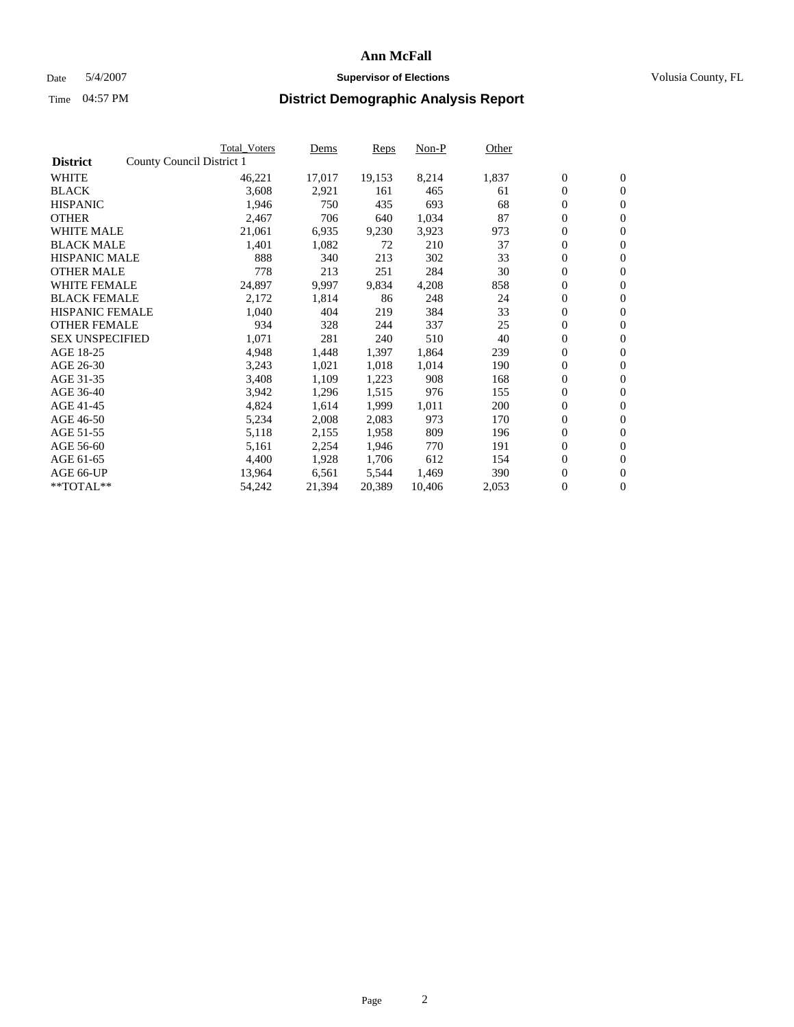#### Date 5/4/2007 **Supervisor of Elections Supervisor of Elections** Volusia County, FL

|                        | <b>Total_Voters</b>       | Dems   | <b>Reps</b> | Non-P  | Other |                  |                  |  |
|------------------------|---------------------------|--------|-------------|--------|-------|------------------|------------------|--|
| <b>District</b>        | County Council District 1 |        |             |        |       |                  |                  |  |
| <b>WHITE</b>           | 46,221                    | 17,017 | 19,153      | 8,214  | 1,837 | $\boldsymbol{0}$ | $\mathbf{0}$     |  |
| <b>BLACK</b>           | 3,608                     | 2,921  | 161         | 465    | 61    | $\boldsymbol{0}$ | $\overline{0}$   |  |
| <b>HISPANIC</b>        | 1,946                     | 750    | 435         | 693    | 68    | 0                | $\overline{0}$   |  |
| <b>OTHER</b>           | 2,467                     | 706    | 640         | 1,034  | 87    | 0                | $\mathbf{0}$     |  |
| <b>WHITE MALE</b>      | 21,061                    | 6,935  | 9,230       | 3,923  | 973   | 0                | $\mathbf{0}$     |  |
| <b>BLACK MALE</b>      | 1,401                     | 1,082  | 72          | 210    | 37    | $\boldsymbol{0}$ | $\boldsymbol{0}$ |  |
| <b>HISPANIC MALE</b>   | 888                       | 340    | 213         | 302    | 33    | 0                | $\mathbf{0}$     |  |
| <b>OTHER MALE</b>      | 778                       | 213    | 251         | 284    | 30    | $\boldsymbol{0}$ | $\mathbf{0}$     |  |
| <b>WHITE FEMALE</b>    | 24,897                    | 9,997  | 9,834       | 4,208  | 858   | $\overline{0}$   | $\overline{0}$   |  |
| <b>BLACK FEMALE</b>    | 2,172                     | 1,814  | 86          | 248    | 24    | 0                | $\mathbf{0}$     |  |
| <b>HISPANIC FEMALE</b> | 1,040                     | 404    | 219         | 384    | 33    | $\boldsymbol{0}$ | $\boldsymbol{0}$ |  |
| <b>OTHER FEMALE</b>    | 934                       | 328    | 244         | 337    | 25    | 0                | $\overline{0}$   |  |
| <b>SEX UNSPECIFIED</b> | 1,071                     | 281    | 240         | 510    | 40    | 0                | $\mathbf{0}$     |  |
| AGE 18-25              | 4,948                     | 1,448  | 1,397       | 1,864  | 239   | 0                | $\mathbf{0}$     |  |
| AGE 26-30              | 3,243                     | 1,021  | 1,018       | 1,014  | 190   | $\overline{0}$   | $\mathbf{0}$     |  |
| AGE 31-35              | 3,408                     | 1,109  | 1,223       | 908    | 168   | 0                | $\overline{0}$   |  |
| AGE 36-40              | 3,942                     | 1,296  | 1,515       | 976    | 155   | 0                | $\boldsymbol{0}$ |  |
| AGE 41-45              | 4,824                     | 1,614  | 1,999       | 1,011  | 200   | 0                | $\mathbf{0}$     |  |
| AGE 46-50              | 5,234                     | 2,008  | 2,083       | 973    | 170   | 0                | $\overline{0}$   |  |
| AGE 51-55              | 5,118                     | 2,155  | 1,958       | 809    | 196   | $\boldsymbol{0}$ | $\boldsymbol{0}$ |  |
| AGE 56-60              | 5,161                     | 2,254  | 1,946       | 770    | 191   | $\overline{0}$   | $\mathbf{0}$     |  |
| AGE 61-65              | 4,400                     | 1,928  | 1,706       | 612    | 154   | $\boldsymbol{0}$ | $\boldsymbol{0}$ |  |
| AGE 66-UP              | 13,964                    | 6,561  | 5,544       | 1,469  | 390   | $\boldsymbol{0}$ | $\boldsymbol{0}$ |  |
| **TOTAL**              | 54,242                    | 21,394 | 20,389      | 10,406 | 2,053 | 0                | $\overline{0}$   |  |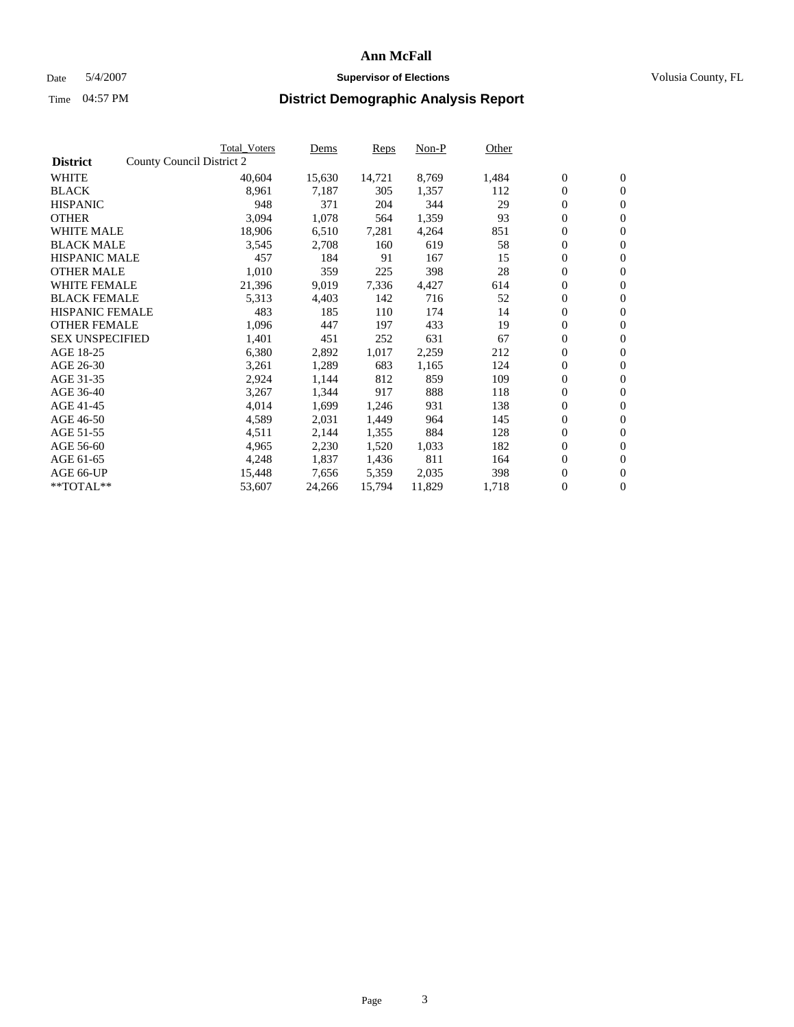#### Date 5/4/2007 **Supervisor of Elections Supervisor of Elections** Volusia County, FL

|                        | Total_Voters              | Dems             | <b>Reps</b> | Non-P  | Other |                  |                  |  |
|------------------------|---------------------------|------------------|-------------|--------|-------|------------------|------------------|--|
| <b>District</b>        | County Council District 2 |                  |             |        |       |                  |                  |  |
| <b>WHITE</b>           |                           | 40,604<br>15,630 | 14,721      | 8,769  | 1,484 | $\boldsymbol{0}$ | $\mathbf{0}$     |  |
| <b>BLACK</b>           |                           | 8,961<br>7,187   | 305         | 1,357  | 112   | $\boldsymbol{0}$ | $\mathbf{0}$     |  |
| <b>HISPANIC</b>        |                           | 948              | 371<br>204  | 344    | 29    | $\boldsymbol{0}$ | $\mathbf{0}$     |  |
| <b>OTHER</b>           |                           | 3,094<br>1,078   | 564         | 1,359  | 93    | $\boldsymbol{0}$ | $\mathbf{0}$     |  |
| <b>WHITE MALE</b>      |                           | 18,906<br>6,510  | 7,281       | 4,264  | 851   | 0                | $\mathbf{0}$     |  |
| <b>BLACK MALE</b>      |                           | 3,545<br>2,708   | 160         | 619    | 58    | $\boldsymbol{0}$ | $\mathbf{0}$     |  |
| <b>HISPANIC MALE</b>   |                           | 457              | 184<br>91   | 167    | 15    | $\overline{0}$   | $\mathbf{0}$     |  |
| <b>OTHER MALE</b>      |                           | 1,010            | 225<br>359  | 398    | 28    | $\overline{0}$   | $\mathbf{0}$     |  |
| <b>WHITE FEMALE</b>    |                           | 21,396<br>9,019  | 7,336       | 4,427  | 614   | $\mathbf{0}$     | $\mathbf{0}$     |  |
| <b>BLACK FEMALE</b>    |                           | 5,313<br>4,403   | 142         | 716    | 52    | $\boldsymbol{0}$ | $\mathbf{0}$     |  |
| <b>HISPANIC FEMALE</b> |                           | 483              | 185<br>110  | 174    | 14    | $\boldsymbol{0}$ | $\mathbf{0}$     |  |
| <b>OTHER FEMALE</b>    |                           | 1,096            | 447<br>197  | 433    | 19    | 0                | $\mathbf{0}$     |  |
| <b>SEX UNSPECIFIED</b> |                           | 1,401            | 451<br>252  | 631    | 67    | $\boldsymbol{0}$ | $\mathbf{0}$     |  |
| AGE 18-25              |                           | 6,380<br>2,892   | 1,017       | 2,259  | 212   | $\boldsymbol{0}$ | $\mathbf{0}$     |  |
| AGE 26-30              |                           | 1,289<br>3,261   | 683         | 1,165  | 124   | $\overline{0}$   | $\mathbf{0}$     |  |
| AGE 31-35              |                           | 2,924<br>1,144   | 812         | 859    | 109   | $\boldsymbol{0}$ | $\mathbf{0}$     |  |
| AGE 36-40              |                           | 3,267<br>1,344   | 917         | 888    | 118   | $\boldsymbol{0}$ | $\mathbf{0}$     |  |
| AGE 41-45              |                           | 4,014<br>1,699   | 1,246       | 931    | 138   | $\boldsymbol{0}$ | $\mathbf{0}$     |  |
| AGE 46-50              |                           | 4,589<br>2,031   | 1,449       | 964    | 145   | $\boldsymbol{0}$ | $\mathbf{0}$     |  |
| AGE 51-55              |                           | 4,511<br>2,144   | 1,355       | 884    | 128   | $\boldsymbol{0}$ | $\mathbf{0}$     |  |
| AGE 56-60              |                           | 2,230<br>4,965   | 1,520       | 1,033  | 182   | $\boldsymbol{0}$ | $\mathbf{0}$     |  |
| AGE 61-65              |                           | 1,837<br>4,248   | 1,436       | 811    | 164   | $\boldsymbol{0}$ | $\boldsymbol{0}$ |  |
| AGE 66-UP              |                           | 15,448<br>7,656  | 5,359       | 2,035  | 398   | $\boldsymbol{0}$ | $\boldsymbol{0}$ |  |
| **TOTAL**              |                           | 53,607<br>24,266 | 15,794      | 11,829 | 1,718 | $\boldsymbol{0}$ | $\overline{0}$   |  |
|                        |                           |                  |             |        |       |                  |                  |  |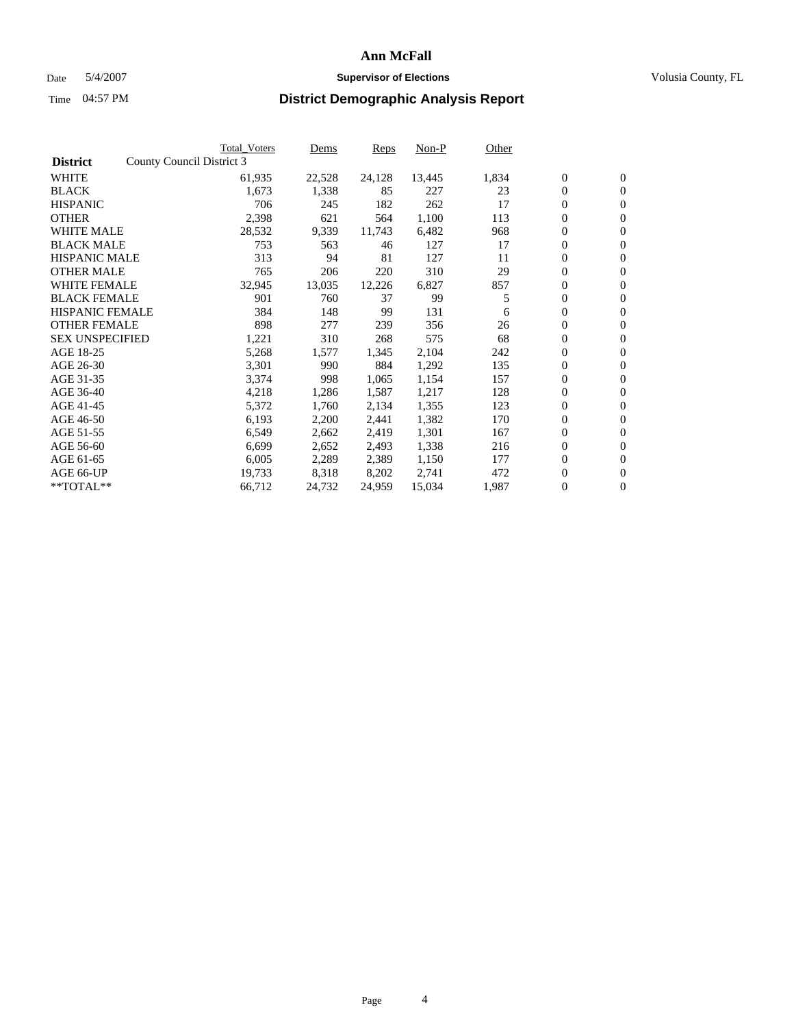### Date 5/4/2007 **Supervisor of Elections Supervisor of Elections** Volusia County, FL

|                        | <b>Total_Voters</b>       | Dems   | <b>Reps</b> | Non-P  | Other |                  |                  |  |
|------------------------|---------------------------|--------|-------------|--------|-------|------------------|------------------|--|
| <b>District</b>        | County Council District 3 |        |             |        |       |                  |                  |  |
| <b>WHITE</b>           | 61,935                    | 22,528 | 24,128      | 13,445 | 1,834 | $\boldsymbol{0}$ | $\mathbf{0}$     |  |
| <b>BLACK</b>           | 1,673                     | 1,338  | 85          | 227    | 23    | $\overline{0}$   | $\mathbf{0}$     |  |
| <b>HISPANIC</b>        | 706                       | 245    | 182         | 262    | 17    | $\overline{0}$   | $\mathbf{0}$     |  |
| <b>OTHER</b>           | 2,398                     | 621    | 564         | 1,100  | 113   | $\overline{0}$   | $\overline{0}$   |  |
| <b>WHITE MALE</b>      | 28,532                    | 9,339  | 11,743      | 6,482  | 968   | $\overline{0}$   | $\mathbf{0}$     |  |
| <b>BLACK MALE</b>      | 753                       | 563    | 46          | 127    | 17    | $\boldsymbol{0}$ | $\boldsymbol{0}$ |  |
| <b>HISPANIC MALE</b>   | 313                       | 94     | 81          | 127    | 11    | 0                | $\mathbf{0}$     |  |
| <b>OTHER MALE</b>      | 765                       | 206    | 220         | 310    | 29    | 0                | $\boldsymbol{0}$ |  |
| <b>WHITE FEMALE</b>    | 32,945                    | 13,035 | 12,226      | 6,827  | 857   | 0                | $\mathbf{0}$     |  |
| <b>BLACK FEMALE</b>    | 901                       | 760    | 37          | 99     | 5     | $\overline{0}$   | $\mathbf{0}$     |  |
| <b>HISPANIC FEMALE</b> | 384                       | 148    | 99          | 131    | 6     | $\overline{0}$   | $\mathbf{0}$     |  |
| <b>OTHER FEMALE</b>    | 898                       | 277    | 239         | 356    | 26    | $\overline{0}$   | $\mathbf{0}$     |  |
| <b>SEX UNSPECIFIED</b> | 1,221                     | 310    | 268         | 575    | 68    | $\boldsymbol{0}$ | $\boldsymbol{0}$ |  |
| AGE 18-25              | 5,268                     | 1,577  | 1,345       | 2,104  | 242   | $\overline{0}$   | $\mathbf{0}$     |  |
| AGE 26-30              | 3,301                     | 990    | 884         | 1,292  | 135   | $\boldsymbol{0}$ | $\mathbf{0}$     |  |
| AGE 31-35              | 3,374                     | 998    | 1,065       | 1,154  | 157   | $\boldsymbol{0}$ | $\mathbf{0}$     |  |
| AGE 36-40              | 4,218                     | 1,286  | 1,587       | 1,217  | 128   | $\boldsymbol{0}$ | $\mathbf{0}$     |  |
| AGE 41-45              | 5,372                     | 1,760  | 2,134       | 1,355  | 123   | 0                | $\mathbf{0}$     |  |
| AGE 46-50              | 6,193                     | 2,200  | 2,441       | 1,382  | 170   | $\overline{0}$   | $\mathbf{0}$     |  |
| AGE 51-55              | 6,549                     | 2,662  | 2,419       | 1,301  | 167   | 0                | $\mathbf{0}$     |  |
| AGE 56-60              | 6,699                     | 2,652  | 2,493       | 1,338  | 216   | $\boldsymbol{0}$ | $\mathbf{0}$     |  |
| AGE 61-65              | 6,005                     | 2,289  | 2,389       | 1,150  | 177   | 0                | $\boldsymbol{0}$ |  |
| AGE 66-UP              | 19,733                    | 8,318  | 8,202       | 2,741  | 472   | 0                | $\bf{0}$         |  |
| $*$ TOTAL $**$         | 66,712                    | 24,732 | 24,959      | 15,034 | 1,987 | 0                | $\boldsymbol{0}$ |  |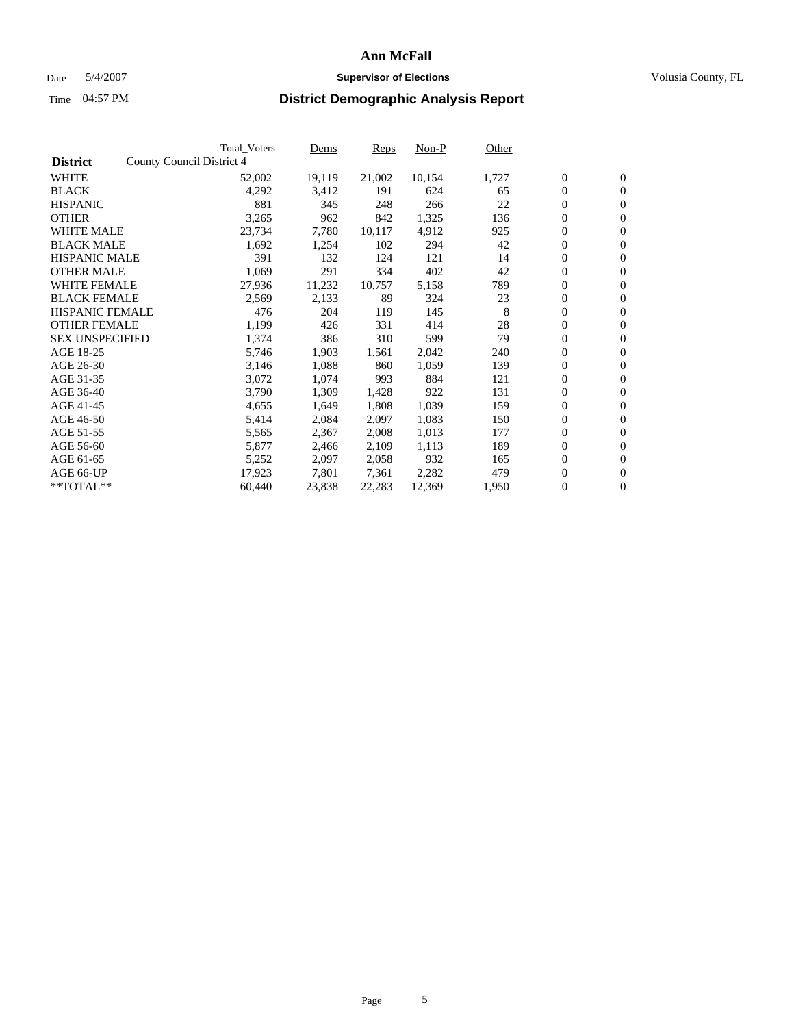#### Date 5/4/2007 **Supervisor of Elections Supervisor of Elections** Volusia County, FL

|                        | <b>Total_Voters</b>       | Dems   | <b>Reps</b> | Non-P  | Other |                  |                  |  |
|------------------------|---------------------------|--------|-------------|--------|-------|------------------|------------------|--|
| <b>District</b>        | County Council District 4 |        |             |        |       |                  |                  |  |
| <b>WHITE</b>           | 52,002                    | 19,119 | 21,002      | 10,154 | 1,727 | $\boldsymbol{0}$ | $\mathbf{0}$     |  |
| <b>BLACK</b>           | 4,292                     | 3,412  | 191         | 624    | 65    | $\boldsymbol{0}$ | $\overline{0}$   |  |
| <b>HISPANIC</b>        | 881                       | 345    | 248         | 266    | 22    | $\boldsymbol{0}$ | $\overline{0}$   |  |
| <b>OTHER</b>           | 3,265                     | 962    | 842         | 1,325  | 136   | 0                | $\mathbf{0}$     |  |
| <b>WHITE MALE</b>      | 23,734                    | 7,780  | 10,117      | 4,912  | 925   | 0                | $\mathbf{0}$     |  |
| <b>BLACK MALE</b>      | 1,692                     | 1,254  | 102         | 294    | 42    | $\boldsymbol{0}$ | $\boldsymbol{0}$ |  |
| <b>HISPANIC MALE</b>   | 391                       | 132    | 124         | 121    | 14    | 0                | $\mathbf{0}$     |  |
| <b>OTHER MALE</b>      | 1,069                     | 291    | 334         | 402    | 42    | $\boldsymbol{0}$ | $\mathbf{0}$     |  |
| <b>WHITE FEMALE</b>    | 27,936                    | 11,232 | 10,757      | 5,158  | 789   | $\overline{0}$   | $\overline{0}$   |  |
| <b>BLACK FEMALE</b>    | 2,569                     | 2,133  | 89          | 324    | 23    | 0                | $\mathbf{0}$     |  |
| <b>HISPANIC FEMALE</b> | 476                       | 204    | 119         | 145    | 8     | $\boldsymbol{0}$ | $\boldsymbol{0}$ |  |
| <b>OTHER FEMALE</b>    | 1,199                     | 426    | 331         | 414    | 28    | 0                | $\overline{0}$   |  |
| <b>SEX UNSPECIFIED</b> | 1,374                     | 386    | 310         | 599    | 79    | 0                | $\mathbf{0}$     |  |
| AGE 18-25              | 5,746                     | 1,903  | 1,561       | 2,042  | 240   | 0                | $\mathbf{0}$     |  |
| AGE 26-30              | 3,146                     | 1,088  | 860         | 1,059  | 139   | $\overline{0}$   | $\mathbf{0}$     |  |
| AGE 31-35              | 3,072                     | 1,074  | 993         | 884    | 121   | $\boldsymbol{0}$ | $\overline{0}$   |  |
| AGE 36-40              | 3,790                     | 1,309  | 1,428       | 922    | 131   | 0                | $\boldsymbol{0}$ |  |
| AGE 41-45              | 4,655                     | 1,649  | 1,808       | 1,039  | 159   | 0                | $\mathbf{0}$     |  |
| AGE 46-50              | 5,414                     | 2,084  | 2,097       | 1,083  | 150   | 0                | $\mathbf{0}$     |  |
| AGE 51-55              | 5,565                     | 2,367  | 2,008       | 1,013  | 177   | $\boldsymbol{0}$ | $\mathbf{0}$     |  |
| AGE 56-60              | 5,877                     | 2,466  | 2,109       | 1,113  | 189   | $\overline{0}$   | $\mathbf{0}$     |  |
| AGE 61-65              | 5,252                     | 2,097  | 2,058       | 932    | 165   | $\overline{0}$   | $\mathbf{0}$     |  |
| AGE 66-UP              | 17,923                    | 7,801  | 7,361       | 2,282  | 479   | $\boldsymbol{0}$ | $\mathbf{0}$     |  |
| **TOTAL**              | 60,440                    | 23,838 | 22,283      | 12,369 | 1,950 | 0                | $\overline{0}$   |  |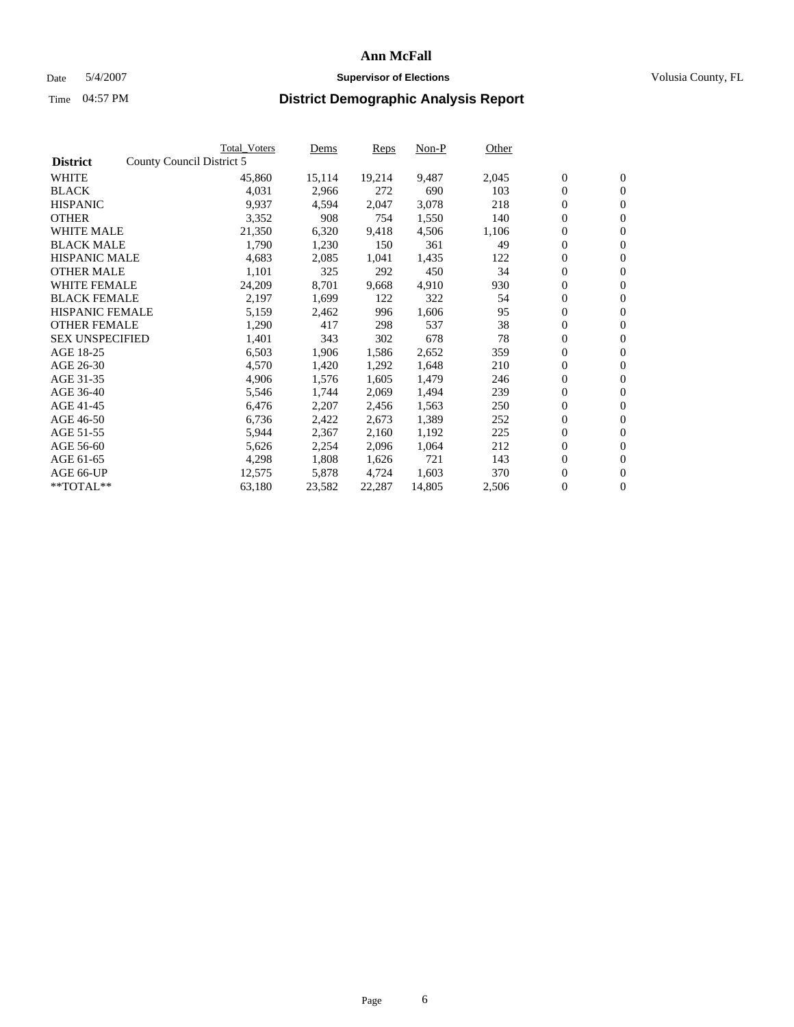#### Date 5/4/2007 **Supervisor of Elections Supervisor of Elections** Volusia County, FL

|                        | <b>Total_Voters</b>       | Dems   | <b>Reps</b> | Non-P  | Other |                  |                  |  |
|------------------------|---------------------------|--------|-------------|--------|-------|------------------|------------------|--|
| <b>District</b>        | County Council District 5 |        |             |        |       |                  |                  |  |
| <b>WHITE</b>           | 45,860                    | 15,114 | 19,214      | 9,487  | 2,045 | $\boldsymbol{0}$ | $\mathbf{0}$     |  |
| <b>BLACK</b>           | 4,031                     | 2,966  | 272         | 690    | 103   | $\boldsymbol{0}$ | $\overline{0}$   |  |
| <b>HISPANIC</b>        | 9,937                     | 4,594  | 2,047       | 3,078  | 218   | $\boldsymbol{0}$ | $\overline{0}$   |  |
| <b>OTHER</b>           | 3,352                     | 908    | 754         | 1,550  | 140   | 0                | $\mathbf{0}$     |  |
| <b>WHITE MALE</b>      | 21,350                    | 6,320  | 9,418       | 4,506  | 1,106 | 0                | $\mathbf{0}$     |  |
| <b>BLACK MALE</b>      | 1,790                     | 1,230  | 150         | 361    | 49    | $\boldsymbol{0}$ | $\mathbf{0}$     |  |
| <b>HISPANIC MALE</b>   | 4,683                     | 2,085  | 1,041       | 1,435  | 122   | 0                | $\mathbf{0}$     |  |
| <b>OTHER MALE</b>      | 1,101                     | 325    | 292         | 450    | 34    | $\boldsymbol{0}$ | $\mathbf{0}$     |  |
| <b>WHITE FEMALE</b>    | 24,209                    | 8,701  | 9,668       | 4,910  | 930   | $\overline{0}$   | $\overline{0}$   |  |
| <b>BLACK FEMALE</b>    | 2,197                     | 1,699  | 122         | 322    | 54    | $\boldsymbol{0}$ | $\mathbf{0}$     |  |
| <b>HISPANIC FEMALE</b> | 5,159                     | 2,462  | 996         | 1,606  | 95    | $\boldsymbol{0}$ | $\boldsymbol{0}$ |  |
| <b>OTHER FEMALE</b>    | 1,290                     | 417    | 298         | 537    | 38    | 0                | $\overline{0}$   |  |
| <b>SEX UNSPECIFIED</b> | 1,401                     | 343    | 302         | 678    | 78    | 0                | $\mathbf{0}$     |  |
| AGE 18-25              | 6,503                     | 1,906  | 1,586       | 2,652  | 359   | 0                | $\mathbf{0}$     |  |
| AGE 26-30              | 4,570                     | 1,420  | 1,292       | 1,648  | 210   | $\overline{0}$   | $\mathbf{0}$     |  |
| AGE 31-35              | 4,906                     | 1,576  | 1,605       | 1,479  | 246   | 0                | $\overline{0}$   |  |
| AGE 36-40              | 5,546                     | 1,744  | 2,069       | 1,494  | 239   | $\boldsymbol{0}$ | $\boldsymbol{0}$ |  |
| AGE 41-45              | 6,476                     | 2,207  | 2,456       | 1,563  | 250   | $\boldsymbol{0}$ | $\mathbf{0}$     |  |
| AGE 46-50              | 6,736                     | 2,422  | 2,673       | 1,389  | 252   | 0                | $\mathbf{0}$     |  |
| AGE 51-55              | 5,944                     | 2,367  | 2,160       | 1,192  | 225   | $\boldsymbol{0}$ | $\boldsymbol{0}$ |  |
| AGE 56-60              | 5,626                     | 2,254  | 2,096       | 1,064  | 212   | $\boldsymbol{0}$ | $\mathbf{0}$     |  |
| AGE 61-65              | 4,298                     | 1,808  | 1,626       | 721    | 143   | $\boldsymbol{0}$ | $\boldsymbol{0}$ |  |
| AGE 66-UP              | 12,575                    | 5,878  | 4,724       | 1,603  | 370   | $\boldsymbol{0}$ | $\boldsymbol{0}$ |  |
| **TOTAL**              | 63,180                    | 23,582 | 22,287      | 14,805 | 2,506 | 0                | $\overline{0}$   |  |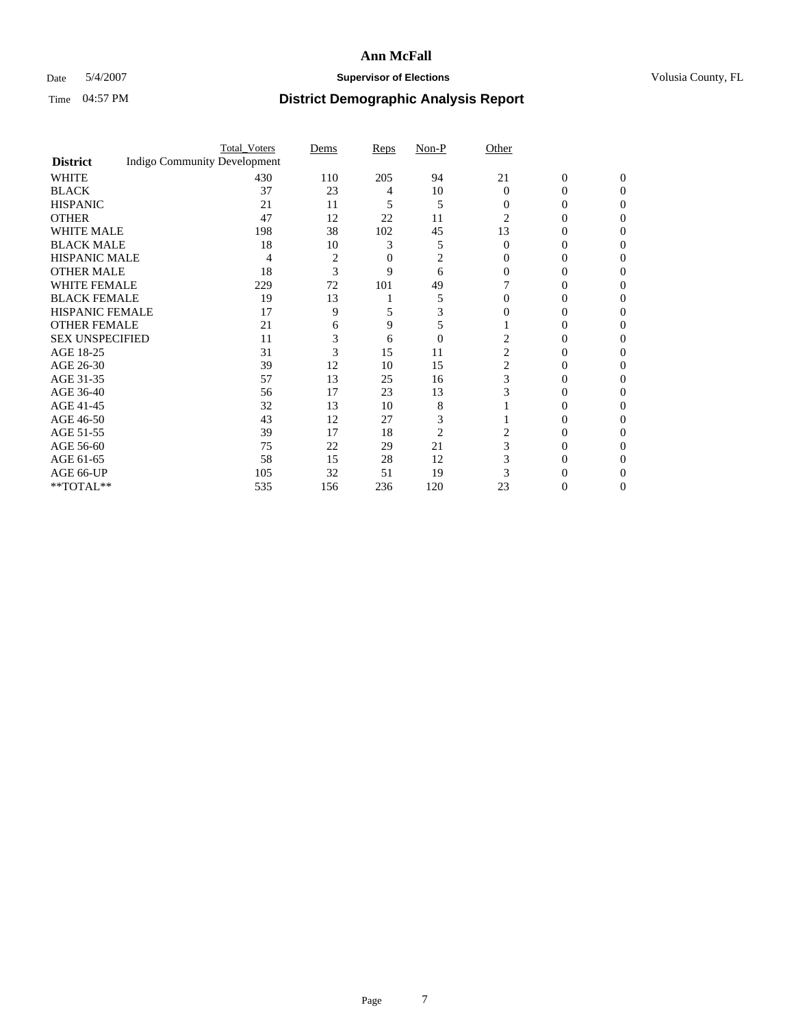### Date 5/4/2007 **Supervisor of Elections Supervisor of Elections** Volusia County, FL

|                        | <b>Total_Voters</b>                 |     | Dems | Reps | Non-P    | Other    |                  |              |
|------------------------|-------------------------------------|-----|------|------|----------|----------|------------------|--------------|
| <b>District</b>        | <b>Indigo Community Development</b> |     |      |      |          |          |                  |              |
| <b>WHITE</b>           |                                     | 430 | 110  | 205  | 94       | 21       | $\boldsymbol{0}$ | $\mathbf{0}$ |
| <b>BLACK</b>           |                                     | 37  | 23   | 4    | 10       | $\Omega$ | 0                | 0            |
| <b>HISPANIC</b>        |                                     | 21  | 11   | 5    | 5        | $\Omega$ | 0                | 0            |
| <b>OTHER</b>           |                                     | 47  | 12   | 22   | 11       | 2        |                  |              |
| <b>WHITE MALE</b>      |                                     | 198 | 38   | 102  | 45       | 13       | 0                |              |
| <b>BLACK MALE</b>      |                                     | 18  | 10   | 3    | 5        | $\Omega$ | 0                |              |
| HISPANIC MALE          |                                     | 4   | 2    | 0    | 2        |          |                  |              |
| <b>OTHER MALE</b>      |                                     | 18  | 3    | 9    | 6        |          | 0                |              |
| WHITE FEMALE           |                                     | 229 | 72   | 101  | 49       |          |                  | 0            |
| <b>BLACK FEMALE</b>    |                                     | 19  | 13   |      | 5        |          | 0                | 0            |
| <b>HISPANIC FEMALE</b> |                                     | 17  | 9    |      |          |          |                  | 0            |
| <b>OTHER FEMALE</b>    |                                     | 21  | 6    | 9    |          |          |                  |              |
| <b>SEX UNSPECIFIED</b> |                                     | 11  | 3    | 6    | $\theta$ |          |                  |              |
| AGE 18-25              |                                     | 31  | 3    | 15   | 11       | 2        | $_{0}$           |              |
| AGE 26-30              |                                     | 39  | 12   | 10   | 15       | 2        | 0                |              |
| AGE 31-35              |                                     | 57  | 13   | 25   | 16       | 3        | 0                |              |
| AGE 36-40              |                                     | 56  | 17   | 23   | 13       | 3        | 0                | 0            |
| AGE 41-45              |                                     | 32  | 13   | 10   | 8        |          |                  | 0            |
| AGE 46-50              |                                     | 43  | 12   | 27   | 3        |          | 0                | 0            |
| AGE 51-55              |                                     | 39  | 17   | 18   | 2        |          |                  |              |
| AGE 56-60              |                                     | 75  | 22   | 29   | 21       | 3        | 0                |              |
| AGE 61-65              |                                     | 58  | 15   | 28   | 12       |          |                  |              |
| AGE 66-UP              |                                     | 105 | 32   | 51   | 19       |          |                  |              |
| **TOTAL**              |                                     | 535 | 156  | 236  | 120      | 23       | 0                | 0            |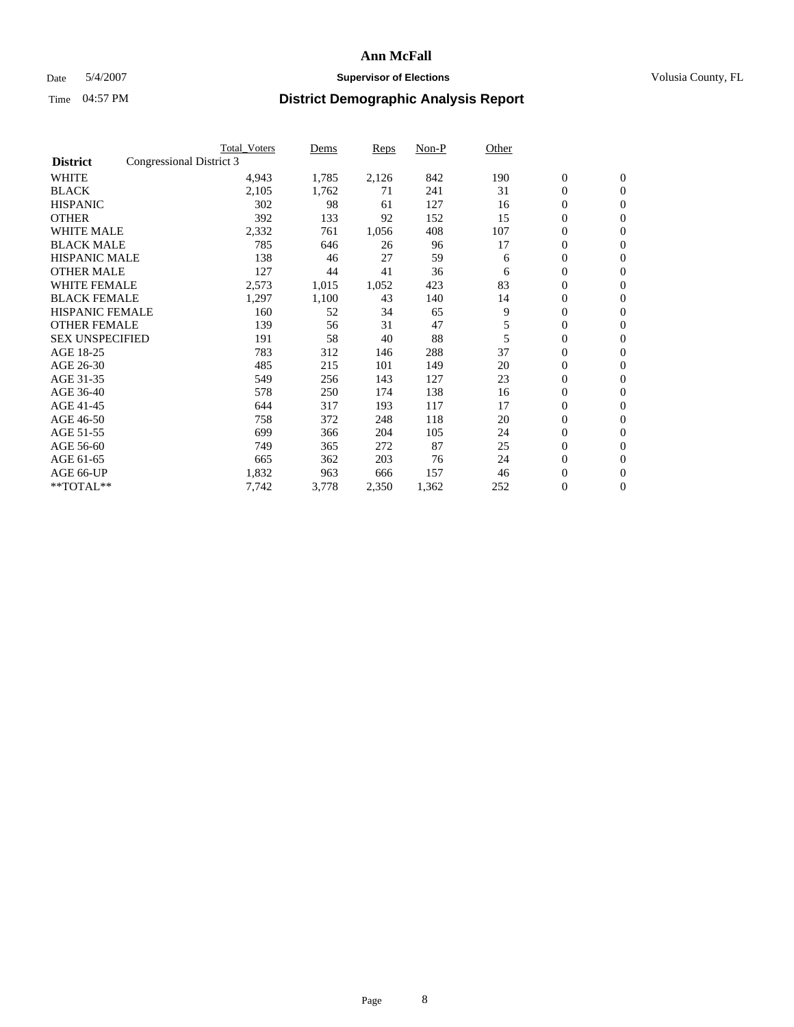### Date 5/4/2007 **Supervisor of Elections Supervisor of Elections** Volusia County, FL

|                        |                          | <b>Total_Voters</b> | Dems  | <b>Reps</b> | Non-P | Other |                  |                  |  |
|------------------------|--------------------------|---------------------|-------|-------------|-------|-------|------------------|------------------|--|
| <b>District</b>        | Congressional District 3 |                     |       |             |       |       |                  |                  |  |
| <b>WHITE</b>           |                          | 4,943               | 1,785 | 2,126       | 842   | 190   | $\boldsymbol{0}$ | $\mathbf{0}$     |  |
| <b>BLACK</b>           |                          | 2,105               | 1,762 | 71          | 241   | 31    | $\overline{0}$   | $\mathbf{0}$     |  |
| <b>HISPANIC</b>        |                          | 302                 | 98    | 61          | 127   | 16    | $\overline{0}$   | $\mathbf{0}$     |  |
| <b>OTHER</b>           |                          | 392                 | 133   | 92          | 152   | 15    | 0                | $\mathbf{0}$     |  |
| <b>WHITE MALE</b>      |                          | 2,332               | 761   | 1,056       | 408   | 107   | $\overline{0}$   | $\mathbf{0}$     |  |
| <b>BLACK MALE</b>      |                          | 785                 | 646   | 26          | 96    | 17    | 0                | $\boldsymbol{0}$ |  |
| <b>HISPANIC MALE</b>   |                          | 138                 | 46    | 27          | 59    | 6     | 0                | $\mathbf{0}$     |  |
| <b>OTHER MALE</b>      |                          | 127                 | 44    | 41          | 36    | 6     | $\boldsymbol{0}$ | $\mathbf{0}$     |  |
| <b>WHITE FEMALE</b>    |                          | 2,573               | 1,015 | 1,052       | 423   | 83    | $\overline{0}$   | $\mathbf{0}$     |  |
| <b>BLACK FEMALE</b>    |                          | 1,297               | 1,100 | 43          | 140   | 14    | $\overline{0}$   | $\mathbf{0}$     |  |
| <b>HISPANIC FEMALE</b> |                          | 160                 | 52    | 34          | 65    | 9     | 0                | $\mathbf{0}$     |  |
| <b>OTHER FEMALE</b>    |                          | 139                 | 56    | 31          | 47    | 5     | $\overline{0}$   | $\mathbf{0}$     |  |
| <b>SEX UNSPECIFIED</b> |                          | 191                 | 58    | 40          | 88    | 5     | $\boldsymbol{0}$ | $\mathbf{0}$     |  |
| AGE 18-25              |                          | 783                 | 312   | 146         | 288   | 37    | 0                | $\mathbf{0}$     |  |
| AGE 26-30              |                          | 485                 | 215   | 101         | 149   | 20    | 0                | $\mathbf{0}$     |  |
| AGE 31-35              |                          | 549                 | 256   | 143         | 127   | 23    | 0                | $\mathbf{0}$     |  |
| AGE 36-40              |                          | 578                 | 250   | 174         | 138   | 16    | $\boldsymbol{0}$ | $\mathbf{0}$     |  |
| AGE 41-45              |                          | 644                 | 317   | 193         | 117   | 17    | $\mathbf{0}$     | $\mathbf{0}$     |  |
| AGE 46-50              |                          | 758                 | 372   | 248         | 118   | 20    | $\overline{0}$   | $\mathbf{0}$     |  |
| AGE 51-55              |                          | 699                 | 366   | 204         | 105   | 24    | 0                | $\mathbf{0}$     |  |
| AGE 56-60              |                          | 749                 | 365   | 272         | 87    | 25    | $\boldsymbol{0}$ | $\mathbf{0}$     |  |
| AGE 61-65              |                          | 665                 | 362   | 203         | 76    | 24    | 0                | $\mathbf{0}$     |  |
| AGE 66-UP              |                          | 1,832               | 963   | 666         | 157   | 46    | 0                | $\bf{0}$         |  |
| $*$ TOTAL $**$         |                          | 7,742               | 3,778 | 2,350       | 1,362 | 252   | 0                | $\boldsymbol{0}$ |  |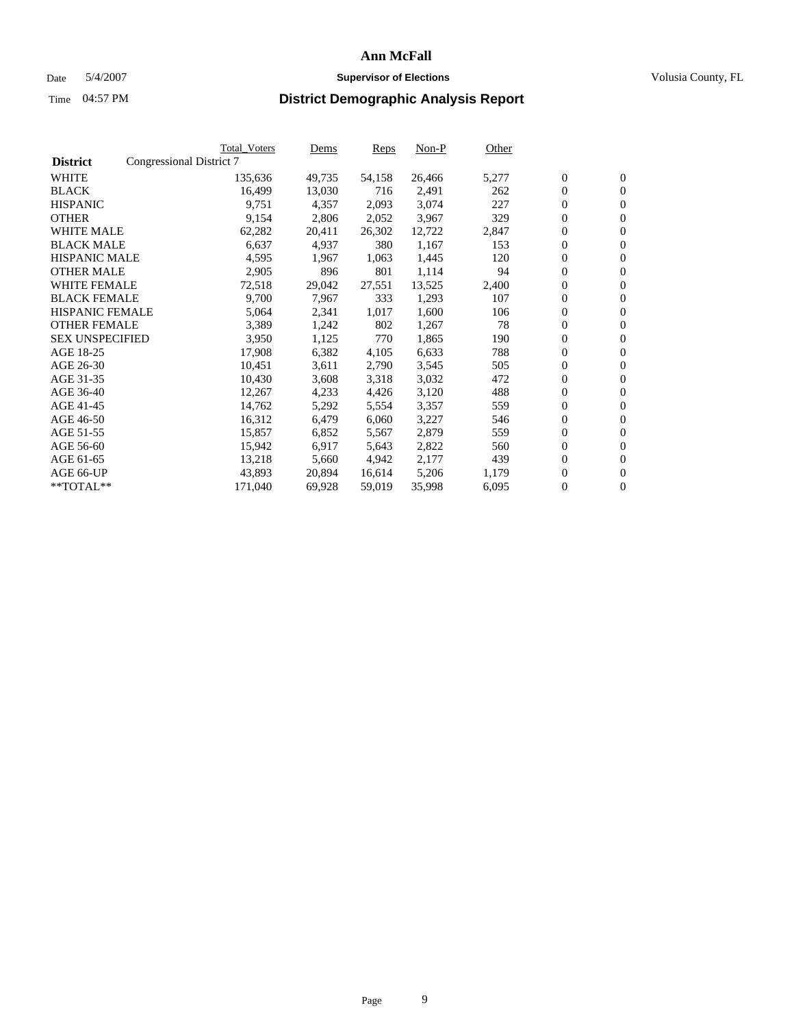#### Date 5/4/2007 **Supervisor of Elections Supervisor of Elections** Volusia County, FL

|                        |                          | Total_Voters | Dems   | <b>Reps</b> | Non-P  | Other |                  |                  |  |
|------------------------|--------------------------|--------------|--------|-------------|--------|-------|------------------|------------------|--|
| <b>District</b>        | Congressional District 7 |              |        |             |        |       |                  |                  |  |
| <b>WHITE</b>           |                          | 135,636      | 49,735 | 54,158      | 26,466 | 5,277 | $\boldsymbol{0}$ | $\mathbf{0}$     |  |
| <b>BLACK</b>           |                          | 16,499       | 13,030 | 716         | 2,491  | 262   | $\boldsymbol{0}$ | $\mathbf{0}$     |  |
| <b>HISPANIC</b>        |                          | 9,751        | 4,357  | 2,093       | 3,074  | 227   | $\boldsymbol{0}$ | $\mathbf{0}$     |  |
| <b>OTHER</b>           |                          | 9,154        | 2,806  | 2,052       | 3,967  | 329   | $\boldsymbol{0}$ | $\mathbf{0}$     |  |
| <b>WHITE MALE</b>      |                          | 62,282       | 20,411 | 26,302      | 12,722 | 2,847 | 0                | $\mathbf{0}$     |  |
| <b>BLACK MALE</b>      |                          | 6,637        | 4,937  | 380         | 1,167  | 153   | $\boldsymbol{0}$ | $\mathbf{0}$     |  |
| <b>HISPANIC MALE</b>   |                          | 4,595        | 1,967  | 1,063       | 1,445  | 120   | $\overline{0}$   | $\mathbf{0}$     |  |
| <b>OTHER MALE</b>      |                          | 2,905        | 896    | 801         | 1,114  | 94    | $\overline{0}$   | $\mathbf{0}$     |  |
| <b>WHITE FEMALE</b>    |                          | 72,518       | 29,042 | 27,551      | 13,525 | 2,400 | $\mathbf{0}$     | $\mathbf{0}$     |  |
| <b>BLACK FEMALE</b>    |                          | 9,700        | 7,967  | 333         | 1,293  | 107   | $\boldsymbol{0}$ | $\mathbf{0}$     |  |
| HISPANIC FEMALE        |                          | 5,064        | 2,341  | 1,017       | 1,600  | 106   | $\boldsymbol{0}$ | $\mathbf{0}$     |  |
| <b>OTHER FEMALE</b>    |                          | 3,389        | 1,242  | 802         | 1,267  | 78    | 0                | $\mathbf{0}$     |  |
| <b>SEX UNSPECIFIED</b> |                          | 3,950        | 1,125  | 770         | 1,865  | 190   | $\boldsymbol{0}$ | $\mathbf{0}$     |  |
| AGE 18-25              |                          | 17,908       | 6,382  | 4,105       | 6,633  | 788   | $\boldsymbol{0}$ | $\mathbf{0}$     |  |
| AGE 26-30              |                          | 10,451       | 3,611  | 2,790       | 3,545  | 505   | $\overline{0}$   | $\mathbf{0}$     |  |
| AGE 31-35              |                          | 10,430       | 3,608  | 3,318       | 3,032  | 472   | $\overline{0}$   | $\mathbf{0}$     |  |
| AGE 36-40              |                          | 12,267       | 4,233  | 4,426       | 3,120  | 488   | $\boldsymbol{0}$ | $\mathbf{0}$     |  |
| AGE 41-45              |                          | 14,762       | 5,292  | 5,554       | 3,357  | 559   | $\boldsymbol{0}$ | $\mathbf{0}$     |  |
| AGE 46-50              |                          | 16,312       | 6,479  | 6,060       | 3,227  | 546   | 0                | $\mathbf{0}$     |  |
| AGE 51-55              |                          | 15,857       | 6,852  | 5,567       | 2,879  | 559   | $\boldsymbol{0}$ | $\mathbf{0}$     |  |
| AGE 56-60              |                          | 15,942       | 6,917  | 5,643       | 2,822  | 560   | $\overline{0}$   | $\mathbf{0}$     |  |
| AGE 61-65              |                          | 13,218       | 5,660  | 4,942       | 2,177  | 439   | $\mathbf{0}$     | $\boldsymbol{0}$ |  |
| AGE 66-UP              |                          | 43,893       | 20,894 | 16,614      | 5,206  | 1,179 | $\boldsymbol{0}$ | $\mathbf{0}$     |  |
| **TOTAL**              |                          | 171,040      | 69,928 | 59,019      | 35,998 | 6,095 | $\boldsymbol{0}$ | $\overline{0}$   |  |
|                        |                          |              |        |             |        |       |                  |                  |  |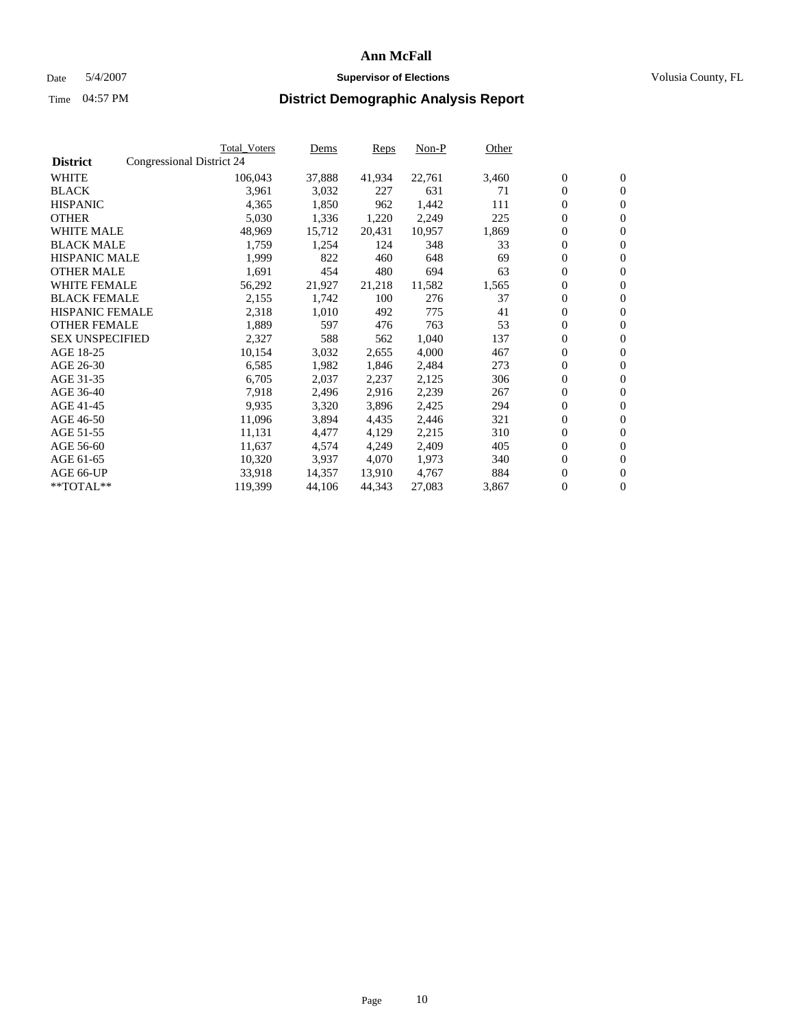#### Date 5/4/2007 **Supervisor of Elections Supervisor of Elections** Volusia County, FL

|                        |                           | Total_Voters | Dems   | <b>Reps</b> | Non-P  | Other |                  |                  |  |
|------------------------|---------------------------|--------------|--------|-------------|--------|-------|------------------|------------------|--|
| <b>District</b>        | Congressional District 24 |              |        |             |        |       |                  |                  |  |
| <b>WHITE</b>           |                           | 106,043      | 37,888 | 41,934      | 22,761 | 3,460 | $\boldsymbol{0}$ | $\boldsymbol{0}$ |  |
| <b>BLACK</b>           |                           | 3,961        | 3,032  | 227         | 631    | 71    | $\overline{0}$   | $\mathbf{0}$     |  |
| <b>HISPANIC</b>        |                           | 4,365        | 1,850  | 962         | 1,442  | 111   | $\overline{0}$   | $\mathbf{0}$     |  |
| <b>OTHER</b>           |                           | 5,030        | 1,336  | 1,220       | 2,249  | 225   | $\boldsymbol{0}$ | $\mathbf{0}$     |  |
| <b>WHITE MALE</b>      |                           | 48,969       | 15,712 | 20,431      | 10,957 | 1,869 | 0                | $\mathbf{0}$     |  |
| <b>BLACK MALE</b>      |                           | 1,759        | 1,254  | 124         | 348    | 33    | $\boldsymbol{0}$ | $\mathbf{0}$     |  |
| <b>HISPANIC MALE</b>   |                           | 1,999        | 822    | 460         | 648    | 69    | $\overline{0}$   | $\mathbf{0}$     |  |
| <b>OTHER MALE</b>      |                           | 1,691        | 454    | 480         | 694    | 63    | $\overline{0}$   | $\mathbf{0}$     |  |
| <b>WHITE FEMALE</b>    |                           | 56,292       | 21,927 | 21,218      | 11,582 | 1,565 | $\boldsymbol{0}$ | $\boldsymbol{0}$ |  |
| <b>BLACK FEMALE</b>    |                           | 2,155        | 1,742  | 100         | 276    | 37    | $\boldsymbol{0}$ | $\mathbf{0}$     |  |
| <b>HISPANIC FEMALE</b> |                           | 2,318        | 1,010  | 492         | 775    | 41    | $\boldsymbol{0}$ | $\mathbf{0}$     |  |
| <b>OTHER FEMALE</b>    |                           | 1,889        | 597    | 476         | 763    | 53    | $\overline{0}$   | $\mathbf{0}$     |  |
| <b>SEX UNSPECIFIED</b> |                           | 2,327        | 588    | 562         | 1,040  | 137   | $\boldsymbol{0}$ | $\mathbf{0}$     |  |
| AGE 18-25              |                           | 10,154       | 3,032  | 2,655       | 4,000  | 467   | $\boldsymbol{0}$ | $\mathbf{0}$     |  |
| AGE 26-30              |                           | 6,585        | 1,982  | 1,846       | 2,484  | 273   | $\mathbf{0}$     | $\mathbf{0}$     |  |
| AGE 31-35              |                           | 6,705        | 2,037  | 2,237       | 2,125  | 306   | $\boldsymbol{0}$ | $\mathbf{0}$     |  |
| AGE 36-40              |                           | 7,918        | 2,496  | 2,916       | 2,239  | 267   | 0                | $\mathbf{0}$     |  |
| AGE 41-45              |                           | 9,935        | 3,320  | 3,896       | 2,425  | 294   | $\boldsymbol{0}$ | $\mathbf{0}$     |  |
| AGE 46-50              |                           | 11,096       | 3,894  | 4,435       | 2,446  | 321   | $\overline{0}$   | $\mathbf{0}$     |  |
| AGE 51-55              |                           | 11,131       | 4,477  | 4,129       | 2,215  | 310   | $\overline{0}$   | $\mathbf{0}$     |  |
| AGE 56-60              |                           | 11,637       | 4,574  | 4,249       | 2,409  | 405   | $\overline{0}$   | $\mathbf{0}$     |  |
| AGE 61-65              |                           | 10,320       | 3,937  | 4,070       | 1,973  | 340   | $\boldsymbol{0}$ | $\mathbf{0}$     |  |
| AGE 66-UP              |                           | 33,918       | 14,357 | 13,910      | 4,767  | 884   | $\boldsymbol{0}$ | $\mathbf{0}$     |  |
| $*$ TOTAL $**$         |                           | 119,399      | 44,106 | 44,343      | 27,083 | 3,867 | $\overline{0}$   | $\mathbf{0}$     |  |
|                        |                           |              |        |             |        |       |                  |                  |  |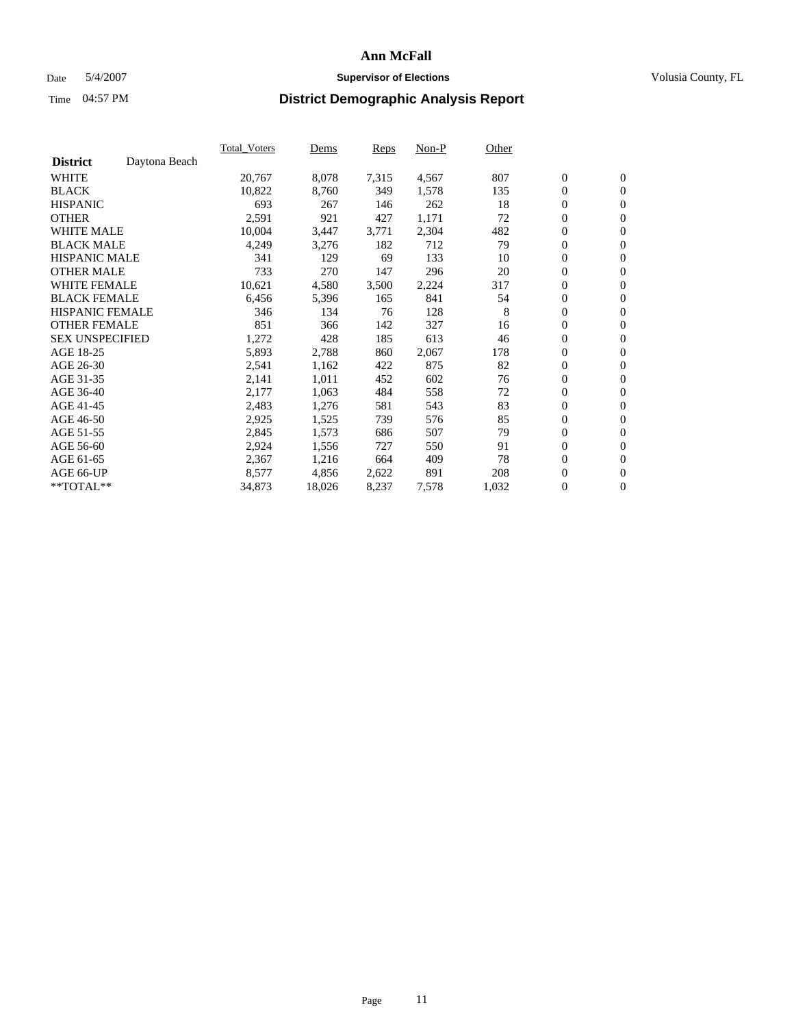#### Date 5/4/2007 **Supervisor of Elections Supervisor of Elections** Volusia County, FL

|                        |               | Total Voters | Dems   | <b>Reps</b> | Non-P | Other |                  |                  |  |
|------------------------|---------------|--------------|--------|-------------|-------|-------|------------------|------------------|--|
| <b>District</b>        | Daytona Beach |              |        |             |       |       |                  |                  |  |
| <b>WHITE</b>           |               | 20,767       | 8,078  | 7,315       | 4,567 | 807   | $\boldsymbol{0}$ | $\mathbf{0}$     |  |
| <b>BLACK</b>           |               | 10,822       | 8,760  | 349         | 1,578 | 135   | $\boldsymbol{0}$ | $\mathbf{0}$     |  |
| <b>HISPANIC</b>        |               | 693          | 267    | 146         | 262   | 18    | $\boldsymbol{0}$ | $\mathbf{0}$     |  |
| <b>OTHER</b>           |               | 2,591        | 921    | 427         | 1,171 | 72    | $\boldsymbol{0}$ | $\mathbf{0}$     |  |
| <b>WHITE MALE</b>      |               | 10,004       | 3,447  | 3,771       | 2,304 | 482   | 0                | $\mathbf{0}$     |  |
| <b>BLACK MALE</b>      |               | 4,249        | 3,276  | 182         | 712   | 79    | $\boldsymbol{0}$ | $\mathbf{0}$     |  |
| <b>HISPANIC MALE</b>   |               | 341          | 129    | 69          | 133   | 10    | $\overline{0}$   | $\mathbf{0}$     |  |
| <b>OTHER MALE</b>      |               | 733          | 270    | 147         | 296   | 20    | $\overline{0}$   | $\mathbf{0}$     |  |
| <b>WHITE FEMALE</b>    |               | 10,621       | 4,580  | 3,500       | 2,224 | 317   | $\mathbf{0}$     | $\mathbf{0}$     |  |
| <b>BLACK FEMALE</b>    |               | 6,456        | 5,396  | 165         | 841   | 54    | $\boldsymbol{0}$ | $\mathbf{0}$     |  |
| <b>HISPANIC FEMALE</b> |               | 346          | 134    | 76          | 128   | 8     | $\boldsymbol{0}$ | $\mathbf{0}$     |  |
| <b>OTHER FEMALE</b>    |               | 851          | 366    | 142         | 327   | 16    | 0                | $\mathbf{0}$     |  |
| <b>SEX UNSPECIFIED</b> |               | 1,272        | 428    | 185         | 613   | 46    | $\boldsymbol{0}$ | $\mathbf{0}$     |  |
| AGE 18-25              |               | 5,893        | 2,788  | 860         | 2,067 | 178   | $\boldsymbol{0}$ | $\mathbf{0}$     |  |
| AGE 26-30              |               | 2,541        | 1,162  | 422         | 875   | 82    | $\overline{0}$   | $\mathbf{0}$     |  |
| AGE 31-35              |               | 2,141        | 1,011  | 452         | 602   | 76    | $\boldsymbol{0}$ | $\mathbf{0}$     |  |
| AGE 36-40              |               | 2,177        | 1,063  | 484         | 558   | 72    | $\boldsymbol{0}$ | $\mathbf{0}$     |  |
| AGE 41-45              |               | 2,483        | 1,276  | 581         | 543   | 83    | $\boldsymbol{0}$ | $\mathbf{0}$     |  |
| AGE 46-50              |               | 2,925        | 1,525  | 739         | 576   | 85    | $\boldsymbol{0}$ | $\mathbf{0}$     |  |
| AGE 51-55              |               | 2,845        | 1,573  | 686         | 507   | 79    | $\boldsymbol{0}$ | $\mathbf{0}$     |  |
| AGE 56-60              |               | 2,924        | 1,556  | 727         | 550   | 91    | $\overline{0}$   | $\mathbf{0}$     |  |
| AGE 61-65              |               | 2,367        | 1,216  | 664         | 409   | 78    | $\mathbf{0}$     | $\boldsymbol{0}$ |  |
| AGE 66-UP              |               | 8,577        | 4,856  | 2,622       | 891   | 208   | $\boldsymbol{0}$ | $\mathbf{0}$     |  |
| **TOTAL**              |               | 34,873       | 18,026 | 8,237       | 7,578 | 1,032 | $\boldsymbol{0}$ | $\overline{0}$   |  |
|                        |               |              |        |             |       |       |                  |                  |  |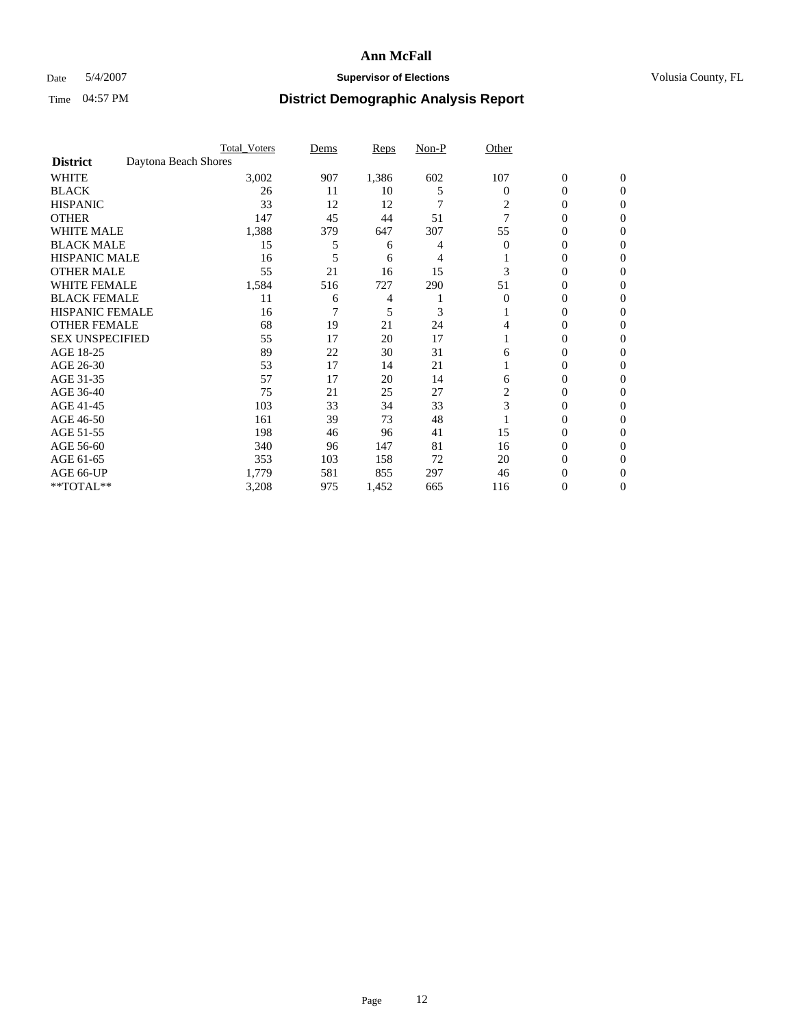### Date 5/4/2007 **Supervisor of Elections Supervisor of Elections** Volusia County, FL

|                        |                      | <b>Total_Voters</b> | Dems | <b>Reps</b> | Non-P | Other    |                  |              |  |
|------------------------|----------------------|---------------------|------|-------------|-------|----------|------------------|--------------|--|
| <b>District</b>        | Daytona Beach Shores |                     |      |             |       |          |                  |              |  |
| <b>WHITE</b>           |                      | 3,002               | 907  | 1,386       | 602   | 107      | $\boldsymbol{0}$ | $\mathbf{0}$ |  |
| <b>BLACK</b>           |                      | 26                  | 11   | 10          | 5     | 0        | 0                | $\mathbf{0}$ |  |
| <b>HISPANIC</b>        |                      | 33                  | 12   | 12          | 7     | 2        | 0                | $\Omega$     |  |
| <b>OTHER</b>           |                      | 147                 | 45   | 44          | 51    |          | 0                | $\Omega$     |  |
| <b>WHITE MALE</b>      |                      | 1,388               | 379  | 647         | 307   | 55       | 0                | 0            |  |
| <b>BLACK MALE</b>      |                      | 15                  | 5    | 6           |       | $\Omega$ | 0                | 0            |  |
| <b>HISPANIC MALE</b>   |                      | 16                  |      | 6           |       |          | 0                | 0            |  |
| <b>OTHER MALE</b>      |                      | 55                  | 21   | 16          | 15    |          | 0                | 0            |  |
| WHITE FEMALE           |                      | 1,584               | 516  | 727         | 290   | 51       | 0                | 0            |  |
| <b>BLACK FEMALE</b>    |                      | 11                  | 6    | 4           |       | $\Omega$ | 0                | 0            |  |
| <b>HISPANIC FEMALE</b> |                      | 16                  |      | 5           | 3     |          | 0                | 0            |  |
| <b>OTHER FEMALE</b>    |                      | 68                  | 19   | 21          | 24    |          | 0                | 0            |  |
| <b>SEX UNSPECIFIED</b> |                      | 55                  | 17   | 20          | 17    |          | 0                | $\Omega$     |  |
| AGE 18-25              |                      | 89                  | 22   | 30          | 31    | 6        | 0                | $_{0}$       |  |
| AGE 26-30              |                      | 53                  | 17   | 14          | 21    |          | 0                | 0            |  |
| AGE 31-35              |                      | 57                  | 17   | 20          | 14    | 6        | 0                | 0            |  |
| AGE 36-40              |                      | 75                  | 21   | 25          | 27    |          | 0                | 0            |  |
| AGE 41-45              |                      | 103                 | 33   | 34          | 33    | 3        | 0                | 0            |  |
| AGE 46-50              |                      | 161                 | 39   | 73          | 48    |          | 0                | $\Omega$     |  |
| AGE 51-55              |                      | 198                 | 46   | 96          | 41    | 15       | 0                | $\Omega$     |  |
| AGE 56-60              |                      | 340                 | 96   | 147         | 81    | 16       | 0                | $\Omega$     |  |
| AGE 61-65              |                      | 353                 | 103  | 158         | 72    | 20       | 0                | 0            |  |
| AGE 66-UP              |                      | 1,779               | 581  | 855         | 297   | 46       | 0                |              |  |
| **TOTAL**              |                      | 3,208               | 975  | 1,452       | 665   | 116      | 0                | 0            |  |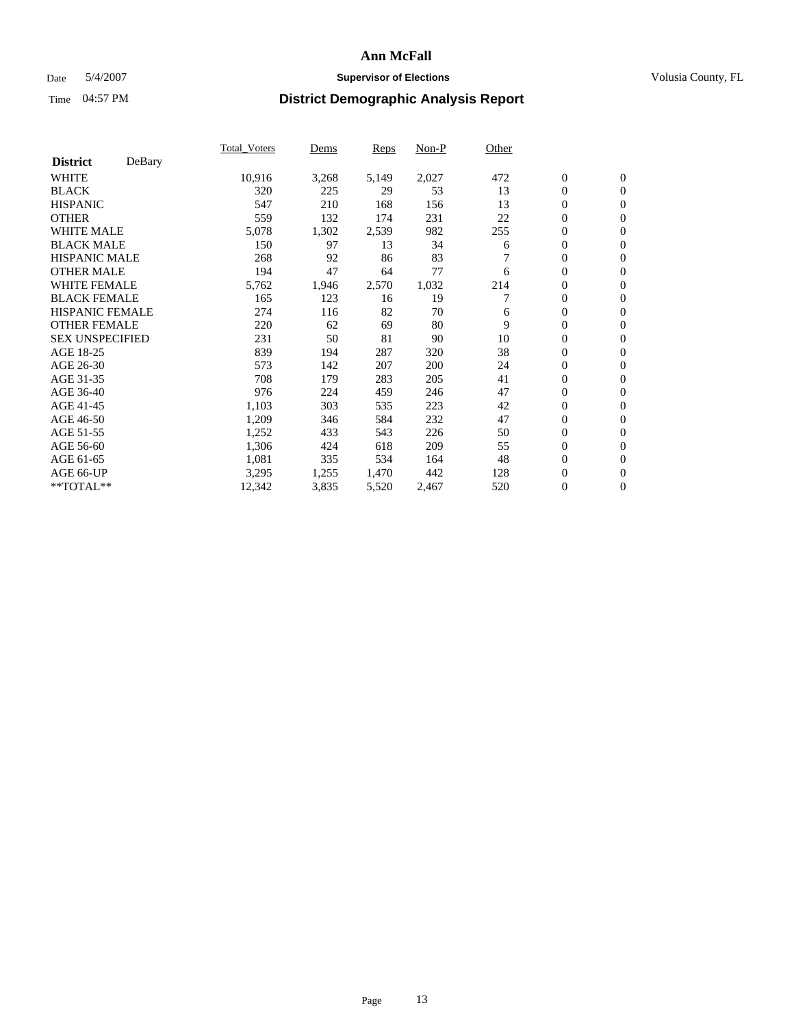### Date 5/4/2007 **Supervisor of Elections Supervisor of Elections** Volusia County, FL

|                        |        | Total_Voters | Dems  | <b>Reps</b> | Non-P | Other |                  |                  |  |
|------------------------|--------|--------------|-------|-------------|-------|-------|------------------|------------------|--|
| <b>District</b>        | DeBary |              |       |             |       |       |                  |                  |  |
| <b>WHITE</b>           |        | 10,916       | 3,268 | 5,149       | 2,027 | 472   | $\boldsymbol{0}$ | $\mathbf{0}$     |  |
| <b>BLACK</b>           |        | 320          | 225   | 29          | 53    | 13    | $\overline{0}$   | $\mathbf{0}$     |  |
| <b>HISPANIC</b>        |        | 547          | 210   | 168         | 156   | 13    | $\overline{0}$   | $\mathbf{0}$     |  |
| <b>OTHER</b>           |        | 559          | 132   | 174         | 231   | 22    | $\overline{0}$   | $\mathbf{0}$     |  |
| <b>WHITE MALE</b>      |        | 5,078        | 1,302 | 2,539       | 982   | 255   | $\overline{0}$   | $\mathbf{0}$     |  |
| <b>BLACK MALE</b>      |        | 150          | 97    | 13          | 34    | 6     | $\boldsymbol{0}$ | $\mathbf{0}$     |  |
| <b>HISPANIC MALE</b>   |        | 268          | 92    | 86          | 83    |       | 0                | $\mathbf{0}$     |  |
| <b>OTHER MALE</b>      |        | 194          | 47    | 64          | 77    | 6     | $\boldsymbol{0}$ | $\mathbf{0}$     |  |
| <b>WHITE FEMALE</b>    |        | 5,762        | 1,946 | 2,570       | 1,032 | 214   | 0                | $\mathbf{0}$     |  |
| <b>BLACK FEMALE</b>    |        | 165          | 123   | 16          | 19    |       | $\overline{0}$   | $\mathbf{0}$     |  |
| <b>HISPANIC FEMALE</b> |        | 274          | 116   | 82          | 70    | 6     | $\overline{0}$   | $\mathbf{0}$     |  |
| <b>OTHER FEMALE</b>    |        | 220          | 62    | 69          | 80    | 9     | $\mathbf{0}$     | $\mathbf{0}$     |  |
| <b>SEX UNSPECIFIED</b> |        | 231          | 50    | 81          | 90    | 10    | $\boldsymbol{0}$ | $\mathbf{0}$     |  |
| AGE 18-25              |        | 839          | 194   | 287         | 320   | 38    | $\overline{0}$   | $\mathbf{0}$     |  |
| AGE 26-30              |        | 573          | 142   | 207         | 200   | 24    | $\boldsymbol{0}$ | $\mathbf{0}$     |  |
| AGE 31-35              |        | 708          | 179   | 283         | 205   | 41    | 0                | $\mathbf{0}$     |  |
| AGE 36-40              |        | 976          | 224   | 459         | 246   | 47    | $\boldsymbol{0}$ | $\mathbf{0}$     |  |
| AGE 41-45              |        | 1,103        | 303   | 535         | 223   | 42    | $\mathbf{0}$     | $\mathbf{0}$     |  |
| AGE 46-50              |        | 1,209        | 346   | 584         | 232   | 47    | $\overline{0}$   | $\mathbf{0}$     |  |
| AGE 51-55              |        | 1,252        | 433   | 543         | 226   | 50    | $\mathbf{0}$     | $\mathbf{0}$     |  |
| AGE 56-60              |        | 1,306        | 424   | 618         | 209   | 55    | $\boldsymbol{0}$ | $\mathbf{0}$     |  |
| AGE 61-65              |        | 1,081        | 335   | 534         | 164   | 48    | $\boldsymbol{0}$ | $\mathbf{0}$     |  |
| AGE 66-UP              |        | 3,295        | 1,255 | 1,470       | 442   | 128   | 0                | $\bf{0}$         |  |
| $*$ TOTAL $**$         |        | 12,342       | 3,835 | 5,520       | 2,467 | 520   | 0                | $\boldsymbol{0}$ |  |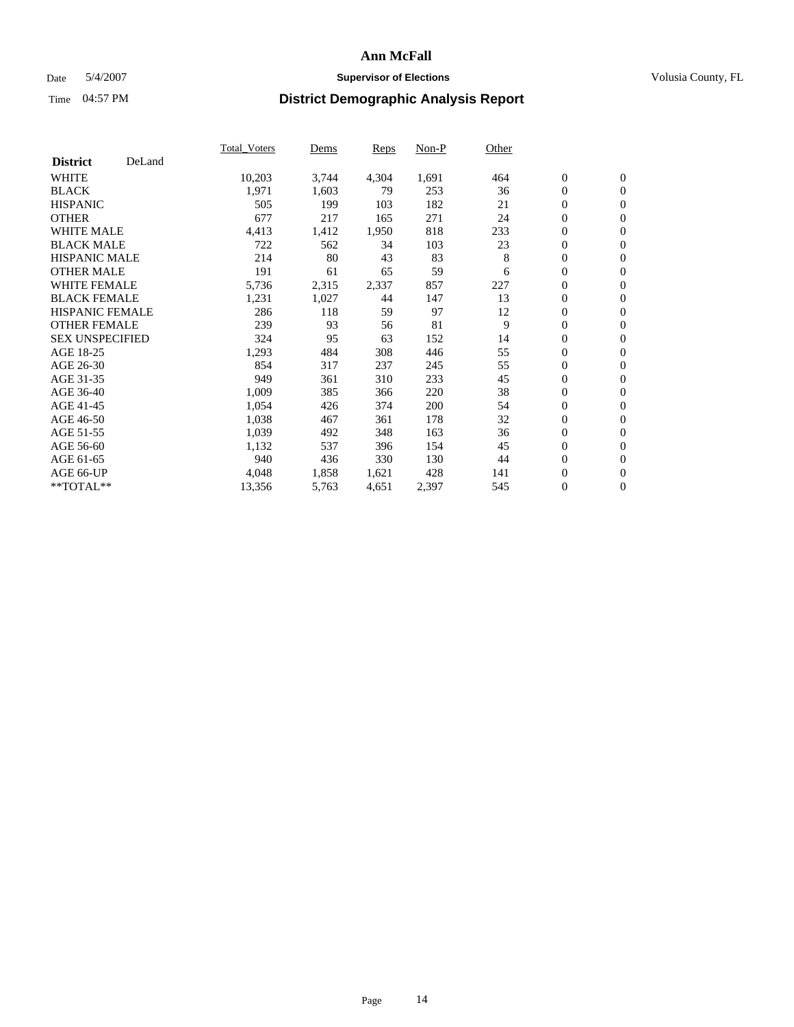### Date 5/4/2007 **Supervisor of Elections Supervisor of Elections** Volusia County, FL

|                        |        | Total_Voters | Dems  | <b>Reps</b> | Non-P | Other |                  |                  |  |
|------------------------|--------|--------------|-------|-------------|-------|-------|------------------|------------------|--|
| <b>District</b>        | DeLand |              |       |             |       |       |                  |                  |  |
| <b>WHITE</b>           |        | 10,203       | 3,744 | 4,304       | 1,691 | 464   | $\overline{0}$   | $\mathbf{0}$     |  |
| <b>BLACK</b>           |        | 1,971        | 1,603 | 79          | 253   | 36    | $\overline{0}$   | $\mathbf{0}$     |  |
| <b>HISPANIC</b>        |        | 505          | 199   | 103         | 182   | 21    | $\boldsymbol{0}$ | $\mathbf{0}$     |  |
| <b>OTHER</b>           |        | 677          | 217   | 165         | 271   | 24    | $\boldsymbol{0}$ | $\mathbf{0}$     |  |
| <b>WHITE MALE</b>      |        | 4,413        | 1,412 | 1,950       | 818   | 233   | 0                | $\mathbf{0}$     |  |
| <b>BLACK MALE</b>      |        | 722          | 562   | 34          | 103   | 23    | $\boldsymbol{0}$ | $\boldsymbol{0}$ |  |
| <b>HISPANIC MALE</b>   |        | 214          | 80    | 43          | 83    | 8     | $\overline{0}$   | $\mathbf{0}$     |  |
| <b>OTHER MALE</b>      |        | 191          | 61    | 65          | 59    | 6     | $\overline{0}$   | $\mathbf{0}$     |  |
| <b>WHITE FEMALE</b>    |        | 5,736        | 2,315 | 2,337       | 857   | 227   | $\mathbf{0}$     | $\mathbf{0}$     |  |
| <b>BLACK FEMALE</b>    |        | 1,231        | 1,027 | 44          | 147   | 13    | $\overline{0}$   | $\mathbf{0}$     |  |
| <b>HISPANIC FEMALE</b> |        | 286          | 118   | 59          | 97    | 12    | $\boldsymbol{0}$ | $\boldsymbol{0}$ |  |
| <b>OTHER FEMALE</b>    |        | 239          | 93    | 56          | 81    | 9     | 0                | $\mathbf{0}$     |  |
| <b>SEX UNSPECIFIED</b> |        | 324          | 95    | 63          | 152   | 14    | $\boldsymbol{0}$ | $\mathbf{0}$     |  |
| AGE 18-25              |        | 1,293        | 484   | 308         | 446   | 55    | $\boldsymbol{0}$ | $\mathbf{0}$     |  |
| AGE 26-30              |        | 854          | 317   | 237         | 245   | 55    | $\overline{0}$   | $\mathbf{0}$     |  |
| AGE 31-35              |        | 949          | 361   | 310         | 233   | 45    | $\boldsymbol{0}$ | $\mathbf{0}$     |  |
| AGE 36-40              |        | 1,009        | 385   | 366         | 220   | 38    | $\boldsymbol{0}$ | $\mathbf{0}$     |  |
| AGE 41-45              |        | 1,054        | 426   | 374         | 200   | 54    | $\boldsymbol{0}$ | $\mathbf{0}$     |  |
| AGE 46-50              |        | 1,038        | 467   | 361         | 178   | 32    | 0                | $\mathbf{0}$     |  |
| AGE 51-55              |        | 1,039        | 492   | 348         | 163   | 36    | $\boldsymbol{0}$ | $\boldsymbol{0}$ |  |
| AGE 56-60              |        | 1,132        | 537   | 396         | 154   | 45    | $\overline{0}$   | $\mathbf{0}$     |  |
| AGE 61-65              |        | 940          | 436   | 330         | 130   | 44    | $\mathbf{0}$     | $\mathbf{0}$     |  |
| AGE 66-UP              |        | 4,048        | 1,858 | 1,621       | 428   | 141   | $\boldsymbol{0}$ | $\boldsymbol{0}$ |  |
| **TOTAL**              |        | 13,356       | 5,763 | 4,651       | 2,397 | 545   | 0                | $\overline{0}$   |  |
|                        |        |              |       |             |       |       |                  |                  |  |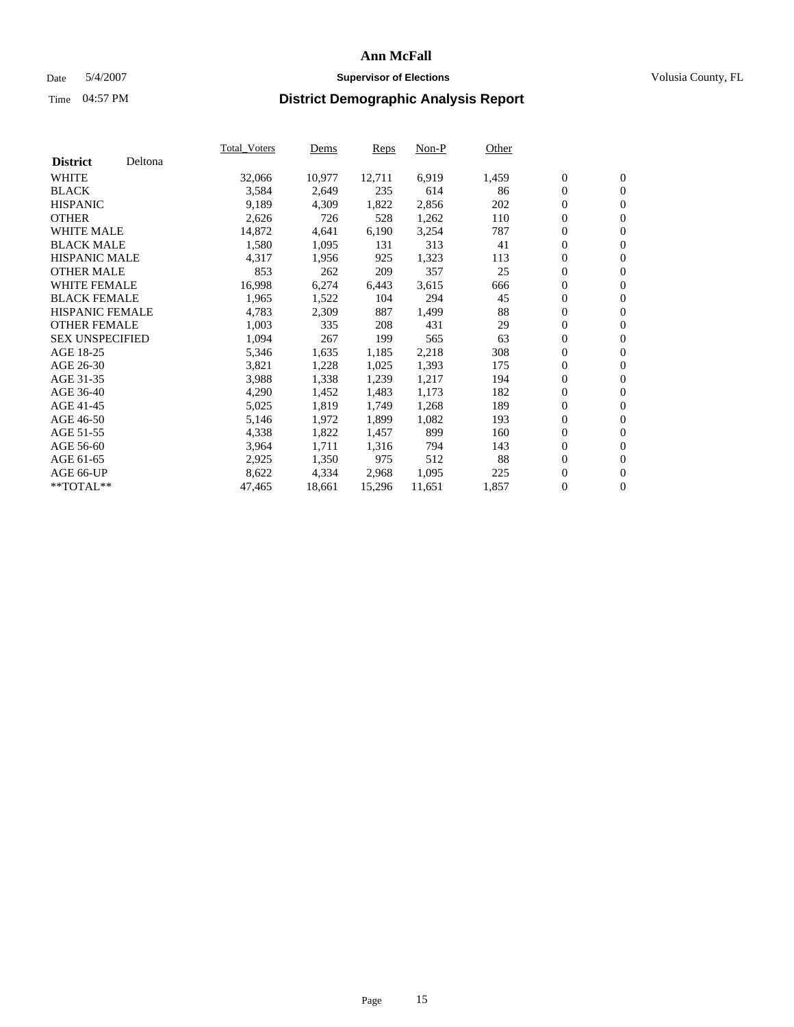#### Date 5/4/2007 **Supervisor of Elections Supervisor of Elections** Volusia County, FL

|                        |         | Total_Voters | Dems   | <b>Reps</b> | Non-P  | Other |                  |                  |  |
|------------------------|---------|--------------|--------|-------------|--------|-------|------------------|------------------|--|
| <b>District</b>        | Deltona |              |        |             |        |       |                  |                  |  |
| <b>WHITE</b>           |         | 32,066       | 10,977 | 12,711      | 6,919  | 1,459 | $\overline{0}$   | $\mathbf{0}$     |  |
| <b>BLACK</b>           |         | 3,584        | 2,649  | 235         | 614    | 86    | $\overline{0}$   | $\mathbf{0}$     |  |
| <b>HISPANIC</b>        |         | 9,189        | 4,309  | 1,822       | 2,856  | 202   | $\boldsymbol{0}$ | $\mathbf{0}$     |  |
| <b>OTHER</b>           |         | 2,626        | 726    | 528         | 1,262  | 110   | $\boldsymbol{0}$ | $\mathbf{0}$     |  |
| <b>WHITE MALE</b>      |         | 14,872       | 4,641  | 6,190       | 3,254  | 787   | $\boldsymbol{0}$ | $\mathbf{0}$     |  |
| <b>BLACK MALE</b>      |         | 1,580        | 1,095  | 131         | 313    | 41    | $\boldsymbol{0}$ | $\boldsymbol{0}$ |  |
| <b>HISPANIC MALE</b>   |         | 4,317        | 1,956  | 925         | 1,323  | 113   | $\overline{0}$   | $\mathbf{0}$     |  |
| <b>OTHER MALE</b>      |         | 853          | 262    | 209         | 357    | 25    | $\overline{0}$   | $\mathbf{0}$     |  |
| WHITE FEMALE           |         | 16,998       | 6,274  | 6,443       | 3,615  | 666   | $\mathbf{0}$     | $\mathbf{0}$     |  |
| <b>BLACK FEMALE</b>    |         | 1,965        | 1,522  | 104         | 294    | 45    | $\boldsymbol{0}$ | $\mathbf{0}$     |  |
| HISPANIC FEMALE        |         | 4,783        | 2,309  | 887         | 1,499  | 88    | $\boldsymbol{0}$ | $\mathbf{0}$     |  |
| <b>OTHER FEMALE</b>    |         | 1,003        | 335    | 208         | 431    | 29    | 0                | $\mathbf{0}$     |  |
| <b>SEX UNSPECIFIED</b> |         | 1,094        | 267    | 199         | 565    | 63    | $\boldsymbol{0}$ | $\mathbf{0}$     |  |
| AGE 18-25              |         | 5,346        | 1,635  | 1,185       | 2,218  | 308   | $\boldsymbol{0}$ | $\mathbf{0}$     |  |
| AGE 26-30              |         | 3,821        | 1,228  | 1,025       | 1,393  | 175   | $\overline{0}$   | $\mathbf{0}$     |  |
| AGE 31-35              |         | 3,988        | 1,338  | 1,239       | 1,217  | 194   | $\overline{0}$   | $\mathbf{0}$     |  |
| AGE 36-40              |         | 4,290        | 1,452  | 1,483       | 1,173  | 182   | $\boldsymbol{0}$ | $\mathbf{0}$     |  |
| AGE 41-45              |         | 5,025        | 1,819  | 1,749       | 1,268  | 189   | $\boldsymbol{0}$ | $\mathbf{0}$     |  |
| AGE 46-50              |         | 5,146        | 1,972  | 1,899       | 1,082  | 193   | 0                | $\mathbf{0}$     |  |
| AGE 51-55              |         | 4,338        | 1,822  | 1,457       | 899    | 160   | $\boldsymbol{0}$ | $\mathbf{0}$     |  |
| AGE 56-60              |         | 3,964        | 1,711  | 1,316       | 794    | 143   | $\overline{0}$   | $\mathbf{0}$     |  |
| AGE 61-65              |         | 2,925        | 1,350  | 975         | 512    | 88    | $\mathbf{0}$     | $\boldsymbol{0}$ |  |
| AGE 66-UP              |         | 8,622        | 4,334  | 2,968       | 1,095  | 225   | $\boldsymbol{0}$ | $\mathbf{0}$     |  |
| **TOTAL**              |         | 47,465       | 18,661 | 15,296      | 11,651 | 1,857 | $\boldsymbol{0}$ | $\overline{0}$   |  |
|                        |         |              |        |             |        |       |                  |                  |  |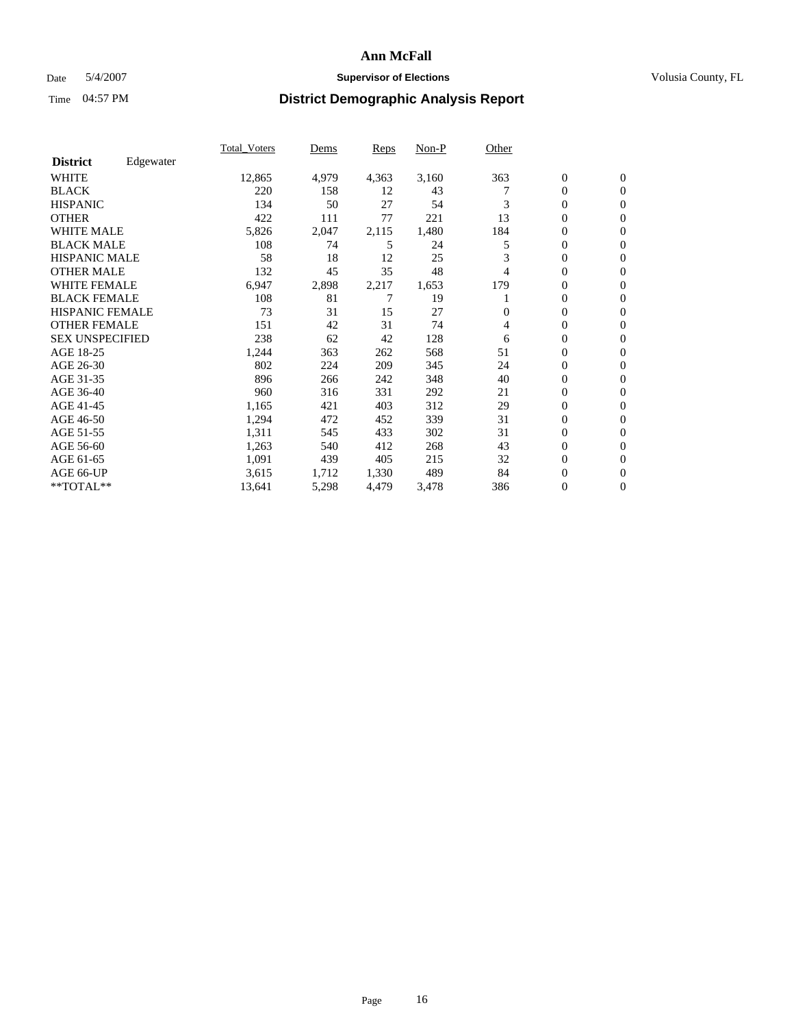### Date 5/4/2007 **Supervisor of Elections Supervisor of Elections** Volusia County, FL

|                        |           | Total Voters | Dems  | <b>Reps</b> | Non-P | Other |                  |                  |  |
|------------------------|-----------|--------------|-------|-------------|-------|-------|------------------|------------------|--|
| <b>District</b>        | Edgewater |              |       |             |       |       |                  |                  |  |
| <b>WHITE</b>           |           | 12,865       | 4,979 | 4,363       | 3,160 | 363   | $\boldsymbol{0}$ | $\mathbf{0}$     |  |
| <b>BLACK</b>           |           | 220          | 158   | 12          | 43    |       | $\overline{0}$   | $\mathbf{0}$     |  |
| <b>HISPANIC</b>        |           | 134          | 50    | 27          | 54    | 3     | $\overline{0}$   | $\mathbf{0}$     |  |
| <b>OTHER</b>           |           | 422          | 111   | 77          | 221   | 13    | 0                | $\mathbf{0}$     |  |
| <b>WHITE MALE</b>      |           | 5,826        | 2,047 | 2,115       | 1,480 | 184   | 0                | $\mathbf{0}$     |  |
| <b>BLACK MALE</b>      |           | 108          | 74    | 5           | 24    | 5     | $\boldsymbol{0}$ | $\mathbf{0}$     |  |
| <b>HISPANIC MALE</b>   |           | 58           | 18    | 12          | 25    | 3     | 0                | $\Omega$         |  |
| <b>OTHER MALE</b>      |           | 132          | 45    | 35          | 48    | 4     | 0                | $\mathbf{0}$     |  |
| <b>WHITE FEMALE</b>    |           | 6,947        | 2,898 | 2,217       | 1,653 | 179   | 0                | $\Omega$         |  |
| <b>BLACK FEMALE</b>    |           | 108          | 81    |             | 19    |       | $\overline{0}$   | $\mathbf{0}$     |  |
| <b>HISPANIC FEMALE</b> |           | 73           | 31    | 15          | 27    | 0     | 0                | $\mathbf{0}$     |  |
| <b>OTHER FEMALE</b>    |           | 151          | 42    | 31          | 74    | 4     | 0                | $\mathbf{0}$     |  |
| <b>SEX UNSPECIFIED</b> |           | 238          | 62    | 42          | 128   | 6     | $\boldsymbol{0}$ | $\mathbf{0}$     |  |
| AGE 18-25              |           | 1,244        | 363   | 262         | 568   | 51    | $\overline{0}$   | $\mathbf{0}$     |  |
| AGE 26-30              |           | 802          | 224   | 209         | 345   | 24    | 0                | $\mathbf{0}$     |  |
| AGE 31-35              |           | 896          | 266   | 242         | 348   | 40    | 0                | $\mathbf{0}$     |  |
| AGE 36-40              |           | 960          | 316   | 331         | 292   | 21    | $\boldsymbol{0}$ | $\mathbf{0}$     |  |
| AGE 41-45              |           | 1,165        | 421   | 403         | 312   | 29    | 0                | $\mathbf{0}$     |  |
| AGE 46-50              |           | 1,294        | 472   | 452         | 339   | 31    | $\overline{0}$   | $\mathbf{0}$     |  |
| AGE 51-55              |           | 1,311        | 545   | 433         | 302   | 31    | 0                | $\mathbf{0}$     |  |
| AGE 56-60              |           | 1,263        | 540   | 412         | 268   | 43    | $\boldsymbol{0}$ | $\mathbf{0}$     |  |
| AGE 61-65              |           | 1,091        | 439   | 405         | 215   | 32    | 0                | $\mathbf{0}$     |  |
| AGE 66-UP              |           | 3,615        | 1,712 | 1,330       | 489   | 84    | 0                | 0                |  |
| $*$ TOTAL $**$         |           | 13,641       | 5,298 | 4,479       | 3,478 | 386   | 0                | $\boldsymbol{0}$ |  |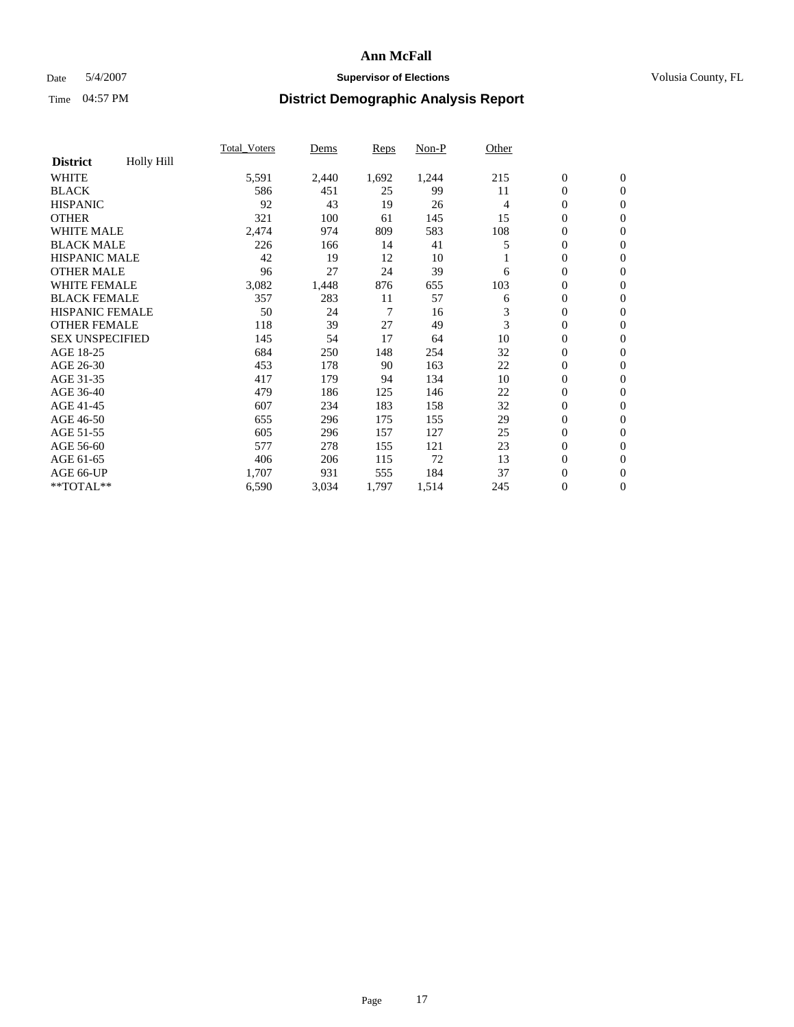### Date 5/4/2007 **Supervisor of Elections Supervisor of Elections** Volusia County, FL

|                        |            | Total Voters | Dems  | <b>Reps</b> | Non-P | Other |                  |                  |  |
|------------------------|------------|--------------|-------|-------------|-------|-------|------------------|------------------|--|
| <b>District</b>        | Holly Hill |              |       |             |       |       |                  |                  |  |
| <b>WHITE</b>           |            | 5,591        | 2,440 | 1,692       | 1,244 | 215   | $\boldsymbol{0}$ | $\mathbf{0}$     |  |
| <b>BLACK</b>           |            | 586          | 451   | 25          | 99    | 11    | $\overline{0}$   | $\mathbf{0}$     |  |
| <b>HISPANIC</b>        |            | 92           | 43    | 19          | 26    | 4     | $\overline{0}$   | $\mathbf{0}$     |  |
| <b>OTHER</b>           |            | 321          | 100   | 61          | 145   | 15    | $\overline{0}$   | $\mathbf{0}$     |  |
| <b>WHITE MALE</b>      |            | 2,474        | 974   | 809         | 583   | 108   | $\overline{0}$   | $\mathbf{0}$     |  |
| <b>BLACK MALE</b>      |            | 226          | 166   | 14          | 41    | 5     | $\boldsymbol{0}$ | $\boldsymbol{0}$ |  |
| <b>HISPANIC MALE</b>   |            | 42           | 19    | 12          | 10    |       | 0                | $\mathbf{0}$     |  |
| <b>OTHER MALE</b>      |            | 96           | 27    | 24          | 39    | 6     | $\boldsymbol{0}$ | $\mathbf{0}$     |  |
| <b>WHITE FEMALE</b>    |            | 3,082        | 1,448 | 876         | 655   | 103   | 0                | $\mathbf{0}$     |  |
| <b>BLACK FEMALE</b>    |            | 357          | 283   | 11          | 57    | 6     | $\boldsymbol{0}$ | $\mathbf{0}$     |  |
| <b>HISPANIC FEMALE</b> |            | 50           | 24    | 7           | 16    | 3     | 0                | $\mathbf{0}$     |  |
| <b>OTHER FEMALE</b>    |            | 118          | 39    | 27          | 49    | 3     | $\overline{0}$   | $\mathbf{0}$     |  |
| <b>SEX UNSPECIFIED</b> |            | 145          | 54    | 17          | 64    | 10    | $\boldsymbol{0}$ | $\mathbf{0}$     |  |
| AGE 18-25              |            | 684          | 250   | 148         | 254   | 32    | $\overline{0}$   | $\mathbf{0}$     |  |
| AGE 26-30              |            | 453          | 178   | 90          | 163   | 22    | $\boldsymbol{0}$ | $\mathbf{0}$     |  |
| AGE 31-35              |            | 417          | 179   | 94          | 134   | 10    | 0                | $\mathbf{0}$     |  |
| AGE 36-40              |            | 479          | 186   | 125         | 146   | 22    | $\boldsymbol{0}$ | $\mathbf{0}$     |  |
| AGE 41-45              |            | 607          | 234   | 183         | 158   | 32    | $\mathbf{0}$     | $\mathbf{0}$     |  |
| AGE 46-50              |            | 655          | 296   | 175         | 155   | 29    | $\overline{0}$   | $\mathbf{0}$     |  |
| AGE 51-55              |            | 605          | 296   | 157         | 127   | 25    | $\overline{0}$   | $\mathbf{0}$     |  |
| AGE 56-60              |            | 577          | 278   | 155         | 121   | 23    | $\boldsymbol{0}$ | $\mathbf{0}$     |  |
| AGE 61-65              |            | 406          | 206   | 115         | 72    | 13    | $\boldsymbol{0}$ | $\mathbf{0}$     |  |
| AGE 66-UP              |            | 1,707        | 931   | 555         | 184   | 37    | 0                | $\bf{0}$         |  |
| $*$ TOTAL $**$         |            | 6,590        | 3,034 | 1,797       | 1,514 | 245   | $\boldsymbol{0}$ | $\boldsymbol{0}$ |  |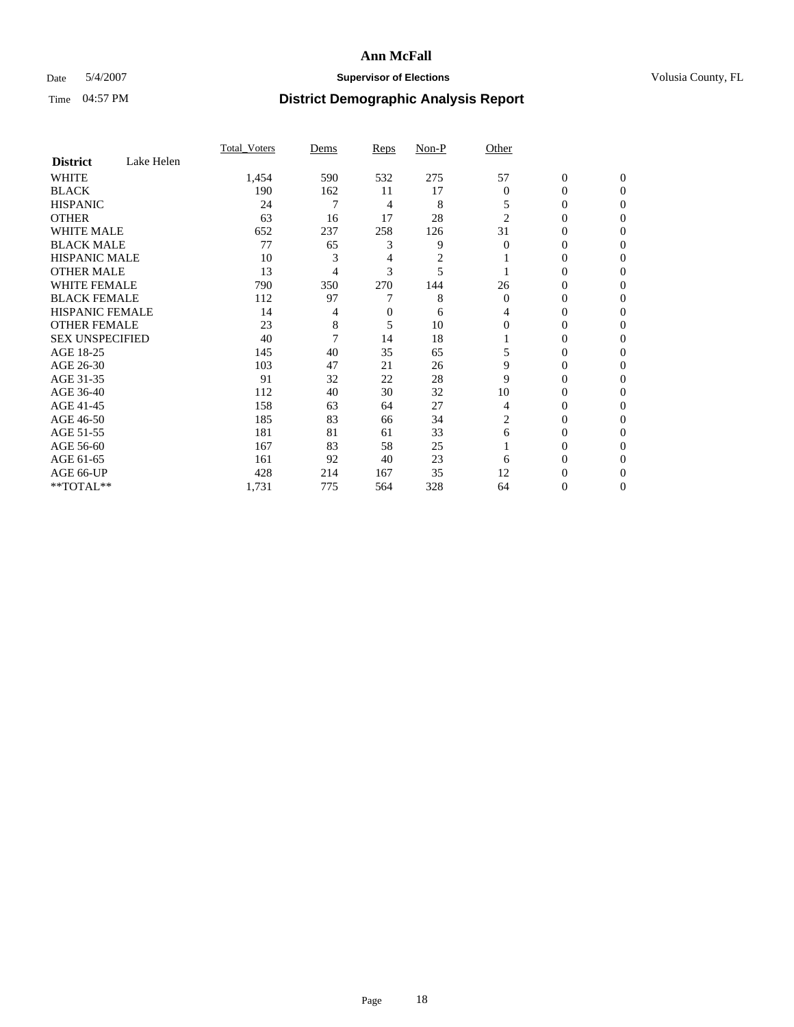### Date 5/4/2007 **Supervisor of Elections Supervisor of Elections** Volusia County, FL

|                        |            | <b>Total Voters</b> | Dems | Reps | Non-P | Other          |                  |              |  |
|------------------------|------------|---------------------|------|------|-------|----------------|------------------|--------------|--|
| <b>District</b>        | Lake Helen |                     |      |      |       |                |                  |              |  |
| <b>WHITE</b>           |            | 1,454               | 590  | 532  | 275   | 57             | $\boldsymbol{0}$ | $\mathbf{0}$ |  |
| <b>BLACK</b>           |            | 190                 | 162  | 11   | 17    | $\theta$       | 0                | $\mathbf{0}$ |  |
| <b>HISPANIC</b>        |            | 24                  | 7    | 4    | 8     | 5              | 0                | $\Omega$     |  |
| <b>OTHER</b>           |            | 63                  | 16   | 17   | 28    | $\overline{2}$ | $\overline{0}$   | $\theta$     |  |
| <b>WHITE MALE</b>      |            | 652                 | 237  | 258  | 126   | 31             | 0                | $\theta$     |  |
| <b>BLACK MALE</b>      |            | 77                  | 65   | 3    | 9     | $\theta$       | 0                | 0            |  |
| <b>HISPANIC MALE</b>   |            | 10                  | 3    | 4    | 2     |                | 0                | 0            |  |
| <b>OTHER MALE</b>      |            | 13                  | 4    | 3    | 5     |                | 0                | 0            |  |
| <b>WHITE FEMALE</b>    |            | 790                 | 350  | 270  | 144   | 26             | 0                | 0            |  |
| <b>BLACK FEMALE</b>    |            | 112                 | 97   |      | 8     | $\Omega$       | 0                | 0            |  |
| <b>HISPANIC FEMALE</b> |            | 14                  | 4    | 0    | 6     | 4              | 0                | $\Omega$     |  |
| <b>OTHER FEMALE</b>    |            | 23                  | 8    | 5    | 10    | $\Omega$       | 0                | $\theta$     |  |
| <b>SEX UNSPECIFIED</b> |            | 40                  | 7    | 14   | 18    |                | 0                | $\theta$     |  |
| AGE 18-25              |            | 145                 | 40   | 35   | 65    | 5              | 0                | $_{0}$       |  |
| AGE 26-30              |            | 103                 | 47   | 21   | 26    | 9              | 0                | 0            |  |
| AGE 31-35              |            | 91                  | 32   | 22   | 28    | 9              | 0                | 0            |  |
| AGE 36-40              |            | 112                 | 40   | 30   | 32    | 10             | 0                | 0            |  |
| AGE 41-45              |            | 158                 | 63   | 64   | 27    | 4              | 0                | 0            |  |
| AGE 46-50              |            | 185                 | 83   | 66   | 34    | $\overline{c}$ | 0                | $\Omega$     |  |
| AGE 51-55              |            | 181                 | 81   | 61   | 33    | 6              | 0                | $\Omega$     |  |
| AGE 56-60              |            | 167                 | 83   | 58   | 25    |                | 0                | $\theta$     |  |
| AGE 61-65              |            | 161                 | 92   | 40   | 23    | 6              | 0                | 0            |  |
| AGE 66-UP              |            | 428                 | 214  | 167  | 35    | 12             | 0                |              |  |
| **TOTAL**              |            | 1,731               | 775  | 564  | 328   | 64             | 0                | 0            |  |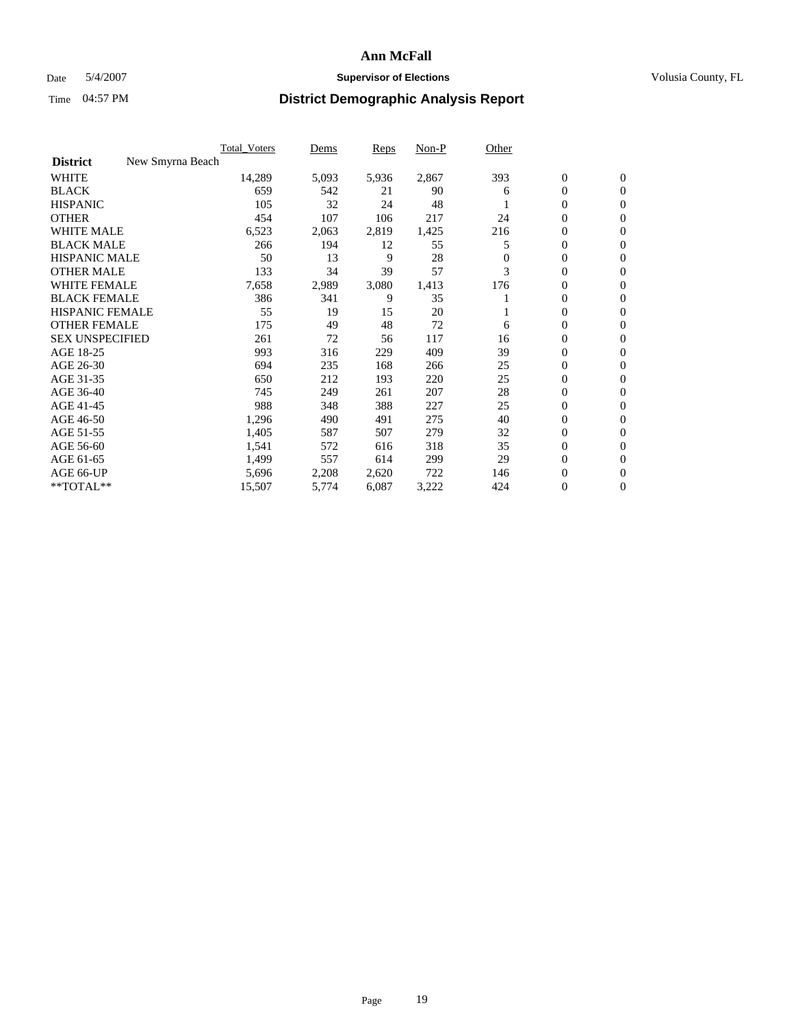### Date 5/4/2007 **Supervisor of Elections Supervisor of Elections** Volusia County, FL

|                                     | <b>Total Voters</b> | Dems  | Reps  | Non-P | Other    |                  |                  |  |
|-------------------------------------|---------------------|-------|-------|-------|----------|------------------|------------------|--|
| <b>District</b><br>New Smyrna Beach |                     |       |       |       |          |                  |                  |  |
| <b>WHITE</b>                        | 14,289              | 5,093 | 5,936 | 2,867 | 393      | $\boldsymbol{0}$ | $\mathbf{0}$     |  |
| <b>BLACK</b>                        | 659                 | 542   | 21    | 90    | 6        | $\mathbf{0}$     | $\mathbf{0}$     |  |
| <b>HISPANIC</b>                     | 105                 | 32    | 24    | 48    |          | $\mathbf{0}$     | $\mathbf{0}$     |  |
| <b>OTHER</b>                        | 454                 | 107   | 106   | 217   | 24       | 0                | $\overline{0}$   |  |
| <b>WHITE MALE</b>                   | 6,523               | 2,063 | 2,819 | 1,425 | 216      | 0                | $\mathbf{0}$     |  |
| <b>BLACK MALE</b>                   | 266                 | 194   | 12    | 55    | 5        | 0                | 0                |  |
| <b>HISPANIC MALE</b>                | 50                  | 13    | 9     | 28    | $\Omega$ | 0                | $\mathbf{0}$     |  |
| <b>OTHER MALE</b>                   | 133                 | 34    | 39    | 57    | 3        | 0                | $\mathbf{0}$     |  |
| <b>WHITE FEMALE</b>                 | 7,658               | 2,989 | 3,080 | 1,413 | 176      | 0                | $\mathbf{0}$     |  |
| <b>BLACK FEMALE</b>                 | 386                 | 341   | 9     | 35    |          | $\mathbf{0}$     | $\mathbf{0}$     |  |
| <b>HISPANIC FEMALE</b>              | 55                  | 19    | 15    | 20    |          | 0                | $\mathbf{0}$     |  |
| <b>OTHER FEMALE</b>                 | 175                 | 49    | 48    | 72    | 6        | 0                | $\mathbf{0}$     |  |
| <b>SEX UNSPECIFIED</b>              | 261                 | 72    | 56    | 117   | 16       | $\boldsymbol{0}$ | $\mathbf{0}$     |  |
| AGE 18-25                           | 993                 | 316   | 229   | 409   | 39       | 0                | $\mathbf{0}$     |  |
| AGE 26-30                           | 694                 | 235   | 168   | 266   | 25       | 0                | $\mathbf{0}$     |  |
| AGE 31-35                           | 650                 | 212   | 193   | 220   | 25       | 0                | $\mathbf{0}$     |  |
| AGE 36-40                           | 745                 | 249   | 261   | 207   | 28       | $\boldsymbol{0}$ | $\mathbf{0}$     |  |
| AGE 41-45                           | 988                 | 348   | 388   | 227   | 25       | 0                | $\mathbf{0}$     |  |
| AGE 46-50                           | 1,296               | 490   | 491   | 275   | 40       | $\mathbf{0}$     | $\mathbf{0}$     |  |
| AGE 51-55                           | 1,405               | 587   | 507   | 279   | 32       | $\overline{0}$   | $\mathbf{0}$     |  |
| AGE 56-60                           | 1,541               | 572   | 616   | 318   | 35       | $\boldsymbol{0}$ | $\mathbf{0}$     |  |
| AGE 61-65                           | 1,499               | 557   | 614   | 299   | 29       | 0                | $\mathbf{0}$     |  |
| AGE 66-UP                           | 5,696               | 2,208 | 2,620 | 722   | 146      | 0                | 0                |  |
| **TOTAL**                           | 15,507              | 5,774 | 6,087 | 3,222 | 424      | 0                | $\boldsymbol{0}$ |  |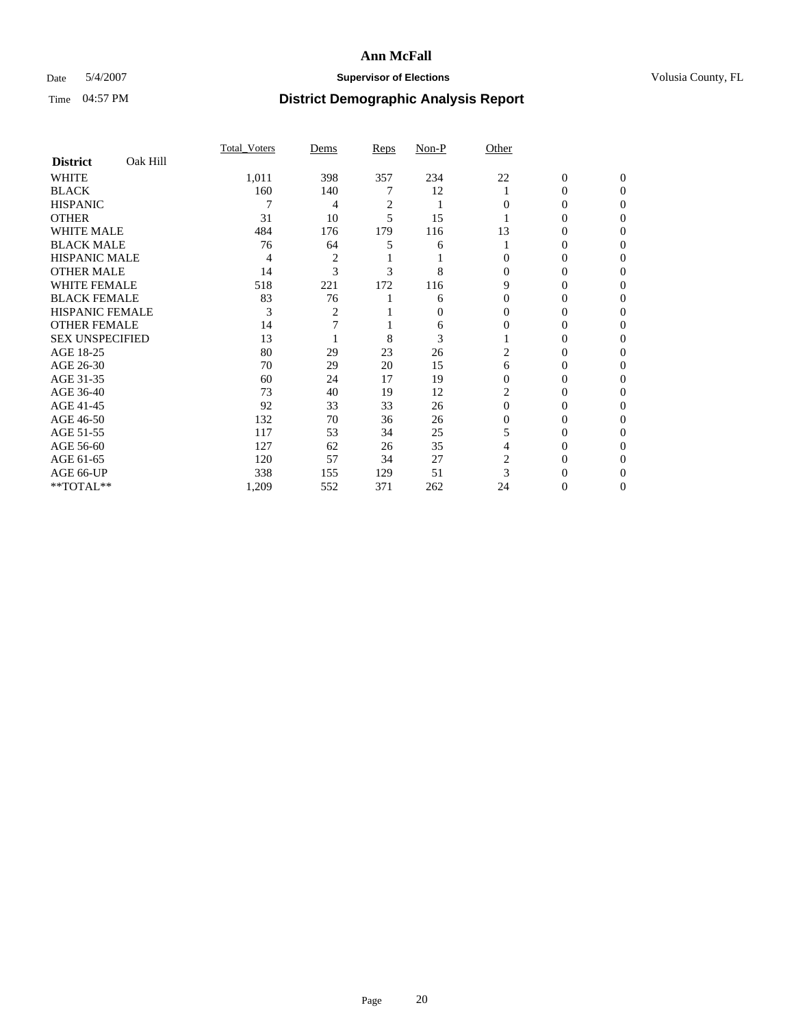### Date 5/4/2007 **Supervisor of Elections Supervisor of Elections** Volusia County, FL

|                        |          | <b>Total Voters</b> | Dems           | Reps           | Non-P | Other    |              |              |  |
|------------------------|----------|---------------------|----------------|----------------|-------|----------|--------------|--------------|--|
| <b>District</b>        | Oak Hill |                     |                |                |       |          |              |              |  |
| <b>WHITE</b>           |          | 1,011               | 398            | 357            | 234   | 22       | $\mathbf{0}$ | $\mathbf{0}$ |  |
| <b>BLACK</b>           |          | 160                 | 140            |                | 12    |          | 0            | $\Omega$     |  |
| <b>HISPANIC</b>        |          |                     | 4              | $\overline{c}$ |       | 0        | 0            | $\theta$     |  |
| <b>OTHER</b>           |          | 31                  | 10             | 5              | 15    |          | 0            | 0            |  |
| <b>WHITE MALE</b>      |          | 484                 | 176            | 179            | 116   | 13       | 0            |              |  |
| <b>BLACK MALE</b>      |          | 76                  | 64             | 5              | 6     |          | 0            | 0            |  |
| <b>HISPANIC MALE</b>   |          | 4                   | $\overline{c}$ |                |       |          | 0            |              |  |
| <b>OTHER MALE</b>      |          | 14                  | $\mathcal{R}$  | 3              | 8     | 0        | 0            | 0            |  |
| <b>WHITE FEMALE</b>    |          | 518                 | 221            | 172            | 116   | 9        | 0            | 0            |  |
| <b>BLACK FEMALE</b>    |          | 83                  | 76             |                | 6     | $\Omega$ | 0            | 0            |  |
| <b>HISPANIC FEMALE</b> |          | 3                   | 2              |                | 0     | 0        | 0            | 0            |  |
| <b>OTHER FEMALE</b>    |          | 14                  |                |                | 6     | $\Omega$ | 0            | 0            |  |
| <b>SEX UNSPECIFIED</b> |          | 13                  |                | 8              | 3     |          | 0            | 0            |  |
| AGE 18-25              |          | 80                  | 29             | 23             | 26    | 2        | 0            |              |  |
| AGE 26-30              |          | 70                  | 29             | 20             | 15    | 6        | 0            |              |  |
| AGE 31-35              |          | 60                  | 24             | 17             | 19    | 0        | 0            |              |  |
| AGE 36-40              |          | 73                  | 40             | 19             | 12    |          | 0            | 0            |  |
| AGE 41-45              |          | 92                  | 33             | 33             | 26    | $\Omega$ | 0            | 0            |  |
| AGE 46-50              |          | 132                 | 70             | 36             | 26    | 0        | 0            | 0            |  |
| AGE 51-55              |          | 117                 | 53             | 34             | 25    | 5        | 0            | $\theta$     |  |
| AGE 56-60              |          | 127                 | 62             | 26             | 35    | 4        | 0            | 0            |  |
| AGE 61-65              |          | 120                 | 57             | 34             | 27    | 2        | 0            |              |  |
| AGE 66-UP              |          | 338                 | 155            | 129            | 51    |          |              |              |  |
| **TOTAL**              |          | 1,209               | 552            | 371            | 262   | 24       | 0            | 0            |  |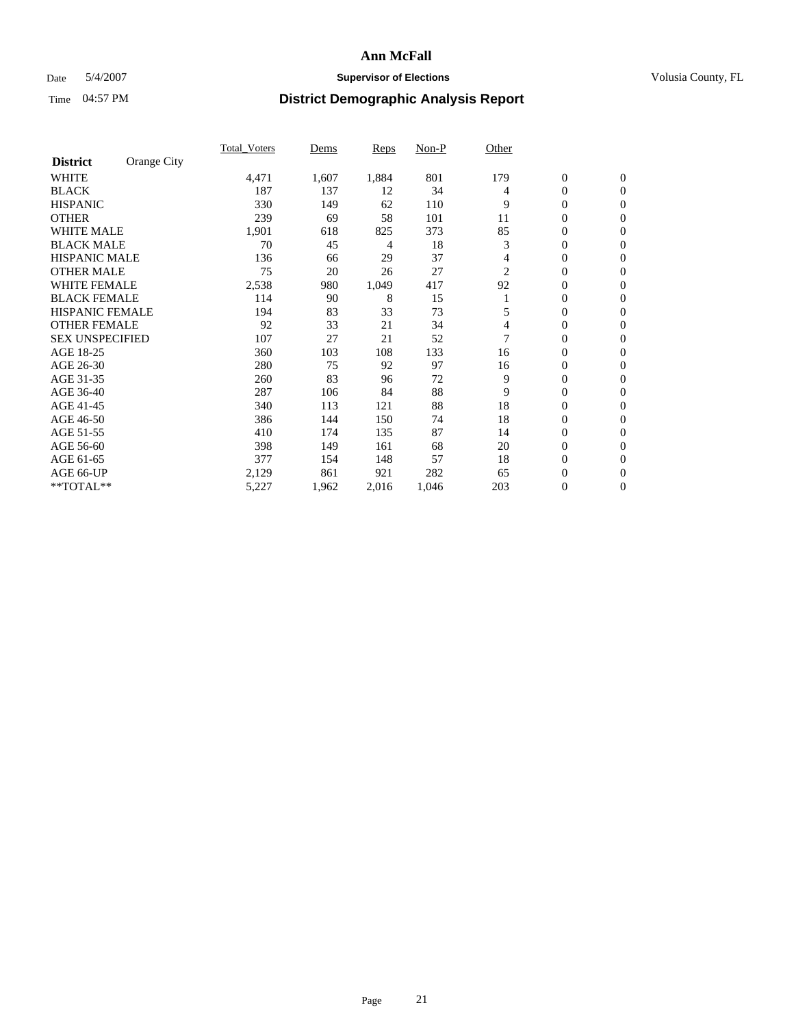### Date 5/4/2007 **Supervisor of Elections Supervisor of Elections** Volusia County, FL

|                        |             | <b>Total Voters</b> | Dems  | Reps  | Non-P | Other |                  |                  |  |
|------------------------|-------------|---------------------|-------|-------|-------|-------|------------------|------------------|--|
| <b>District</b>        | Orange City |                     |       |       |       |       |                  |                  |  |
| <b>WHITE</b>           |             | 4,471               | 1,607 | 1,884 | 801   | 179   | $\boldsymbol{0}$ | $\mathbf{0}$     |  |
| <b>BLACK</b>           |             | 187                 | 137   | 12    | 34    | 4     | 0                | $\mathbf{0}$     |  |
| <b>HISPANIC</b>        |             | 330                 | 149   | 62    | 110   | 9     | 0                | $\mathbf{0}$     |  |
| <b>OTHER</b>           |             | 239                 | 69    | 58    | 101   | 11    | 0                | $\mathbf{0}$     |  |
| <b>WHITE MALE</b>      |             | 1,901               | 618   | 825   | 373   | 85    | 0                | $\mathbf{0}$     |  |
| <b>BLACK MALE</b>      |             | 70                  | 45    | 4     | 18    | 3     | 0                | $\mathbf{0}$     |  |
| <b>HISPANIC MALE</b>   |             | 136                 | 66    | 29    | 37    | 4     | 0                | $\mathbf{0}$     |  |
| <b>OTHER MALE</b>      |             | 75                  | 20    | 26    | 27    | 2     | $\mathbf{0}$     | $\mathbf{0}$     |  |
| <b>WHITE FEMALE</b>    |             | 2,538               | 980   | 1,049 | 417   | 92    | 0                | $\mathbf{0}$     |  |
| <b>BLACK FEMALE</b>    |             | 114                 | 90    | 8     | 15    |       | $\mathbf{0}$     | $\mathbf{0}$     |  |
| <b>HISPANIC FEMALE</b> |             | 194                 | 83    | 33    | 73    | 5     | 0                | $\mathbf{0}$     |  |
| <b>OTHER FEMALE</b>    |             | 92                  | 33    | 21    | 34    | 4     | 0                | $\mathbf{0}$     |  |
| <b>SEX UNSPECIFIED</b> |             | 107                 | 27    | 21    | 52    |       | 0                | $\mathbf{0}$     |  |
| AGE 18-25              |             | 360                 | 103   | 108   | 133   | 16    | 0                | $\Omega$         |  |
| AGE 26-30              |             | 280                 | 75    | 92    | 97    | 16    | $\mathbf{0}$     | $\mathbf{0}$     |  |
| AGE 31-35              |             | 260                 | 83    | 96    | 72    | 9     | 0                | $\mathbf{0}$     |  |
| AGE 36-40              |             | 287                 | 106   | 84    | 88    | 9     | 0                | $\mathbf{0}$     |  |
| AGE 41-45              |             | 340                 | 113   | 121   | 88    | 18    | 0                | $\mathbf{0}$     |  |
| AGE 46-50              |             | 386                 | 144   | 150   | 74    | 18    | 0                | $\Omega$         |  |
| AGE 51-55              |             | 410                 | 174   | 135   | 87    | 14    | $\boldsymbol{0}$ | $\mathbf{0}$     |  |
| AGE 56-60              |             | 398                 | 149   | 161   | 68    | 20    | 0                | $\mathbf{0}$     |  |
| AGE 61-65              |             | 377                 | 154   | 148   | 57    | 18    | $\mathbf{0}$     | $\mathbf{0}$     |  |
| AGE 66-UP              |             | 2,129               | 861   | 921   | 282   | 65    | $\boldsymbol{0}$ | $\mathbf{0}$     |  |
| **TOTAL**              |             | 5,227               | 1,962 | 2,016 | 1,046 | 203   | 0                | $\boldsymbol{0}$ |  |
|                        |             |                     |       |       |       |       |                  |                  |  |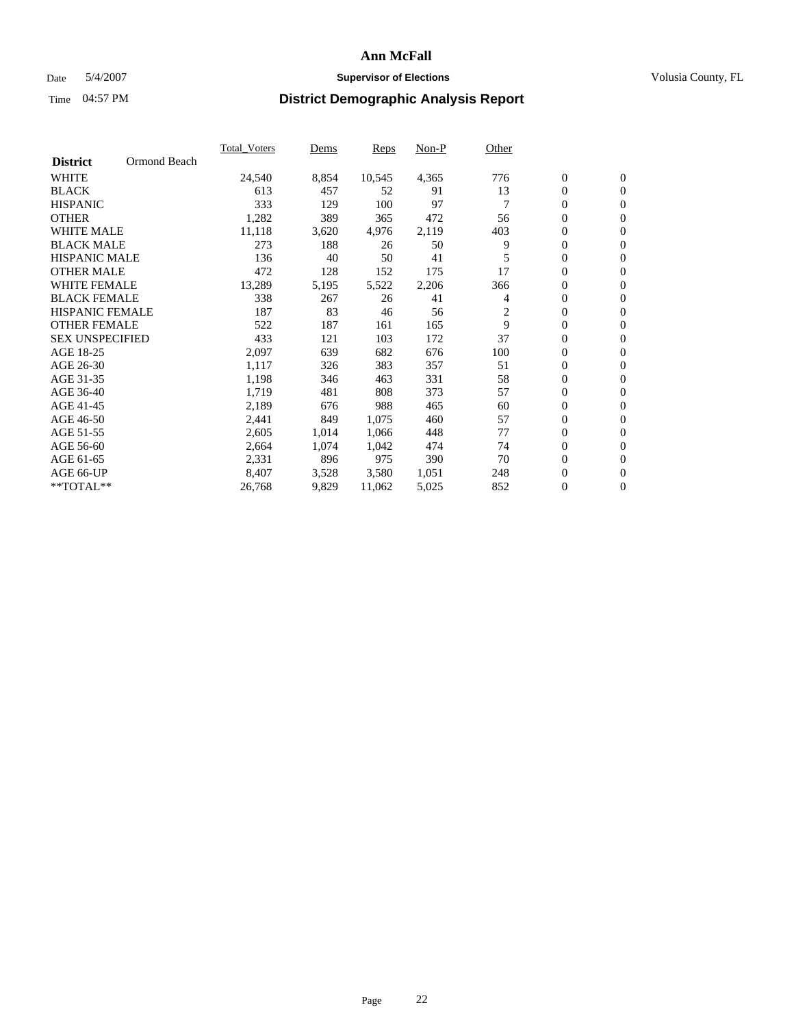### Date 5/4/2007 **Supervisor of Elections Supervisor of Elections** Volusia County, FL

|                                 | <b>Total Voters</b> | Dems  | Reps   | Non-P | Other          |                  |                |  |
|---------------------------------|---------------------|-------|--------|-------|----------------|------------------|----------------|--|
| Ormond Beach<br><b>District</b> |                     |       |        |       |                |                  |                |  |
| <b>WHITE</b>                    | 24,540              | 8,854 | 10,545 | 4,365 | 776            | $\mathbf{0}$     | $\mathbf{0}$   |  |
| <b>BLACK</b>                    | 613                 | 457   | 52     | 91    | 13             | $\mathbf{0}$     | $\mathbf{0}$   |  |
| <b>HISPANIC</b>                 | 333                 | 129   | 100    | 97    | $\overline{7}$ | 0                | $\overline{0}$ |  |
| <b>OTHER</b>                    | 1,282               | 389   | 365    | 472   | 56             | 0                | $\mathbf{0}$   |  |
| <b>WHITE MALE</b>               | 11,118              | 3,620 | 4,976  | 2,119 | 403            | 0                | $\mathbf{0}$   |  |
| <b>BLACK MALE</b>               | 273                 | 188   | 26     | 50    | 9              | 0                | $\mathbf{0}$   |  |
| <b>HISPANIC MALE</b>            | 136                 | 40    | 50     | 41    | 5              | 0                | $\mathbf{0}$   |  |
| <b>OTHER MALE</b>               | 472                 | 128   | 152    | 175   | 17             | $\mathbf{0}$     | $\mathbf{0}$   |  |
| <b>WHITE FEMALE</b>             | 13,289              | 5,195 | 5,522  | 2,206 | 366            | 0                | $\mathbf{0}$   |  |
| <b>BLACK FEMALE</b>             | 338                 | 267   | 26     | 41    | 4              | $\mathbf{0}$     | $\mathbf{0}$   |  |
| <b>HISPANIC FEMALE</b>          | 187                 | 83    | 46     | 56    | 2              | 0                | $\mathbf{0}$   |  |
| <b>OTHER FEMALE</b>             | 522                 | 187   | 161    | 165   | 9              | 0                | $\mathbf{0}$   |  |
| <b>SEX UNSPECIFIED</b>          | 433                 | 121   | 103    | 172   | 37             | 0                | $\mathbf{0}$   |  |
| AGE 18-25                       | 2,097               | 639   | 682    | 676   | 100            | 0                | $\mathbf{0}$   |  |
| AGE 26-30                       | 1,117               | 326   | 383    | 357   | 51             | $\mathbf{0}$     | $\mathbf{0}$   |  |
| AGE 31-35                       | 1,198               | 346   | 463    | 331   | 58             | 0                | $\mathbf{0}$   |  |
| AGE 36-40                       | 1,719               | 481   | 808    | 373   | 57             | 0                | $\mathbf{0}$   |  |
| AGE 41-45                       | 2,189               | 676   | 988    | 465   | 60             | 0                | $\mathbf{0}$   |  |
| AGE 46-50                       | 2,441               | 849   | 1,075  | 460   | 57             | 0                | $\mathbf{0}$   |  |
| AGE 51-55                       | 2,605               | 1,014 | 1,066  | 448   | 77             | $\boldsymbol{0}$ | $\mathbf{0}$   |  |
| AGE 56-60                       | 2,664               | 1,074 | 1,042  | 474   | 74             | 0                | $\mathbf{0}$   |  |
| AGE 61-65                       | 2,331               | 896   | 975    | 390   | 70             | $\mathbf{0}$     | $\mathbf{0}$   |  |
| AGE 66-UP                       | 8,407               | 3,528 | 3,580  | 1,051 | 248            | 0                | $\mathbf{0}$   |  |
| **TOTAL**                       | 26,768              | 9,829 | 11,062 | 5,025 | 852            | 0                | $\mathbf{0}$   |  |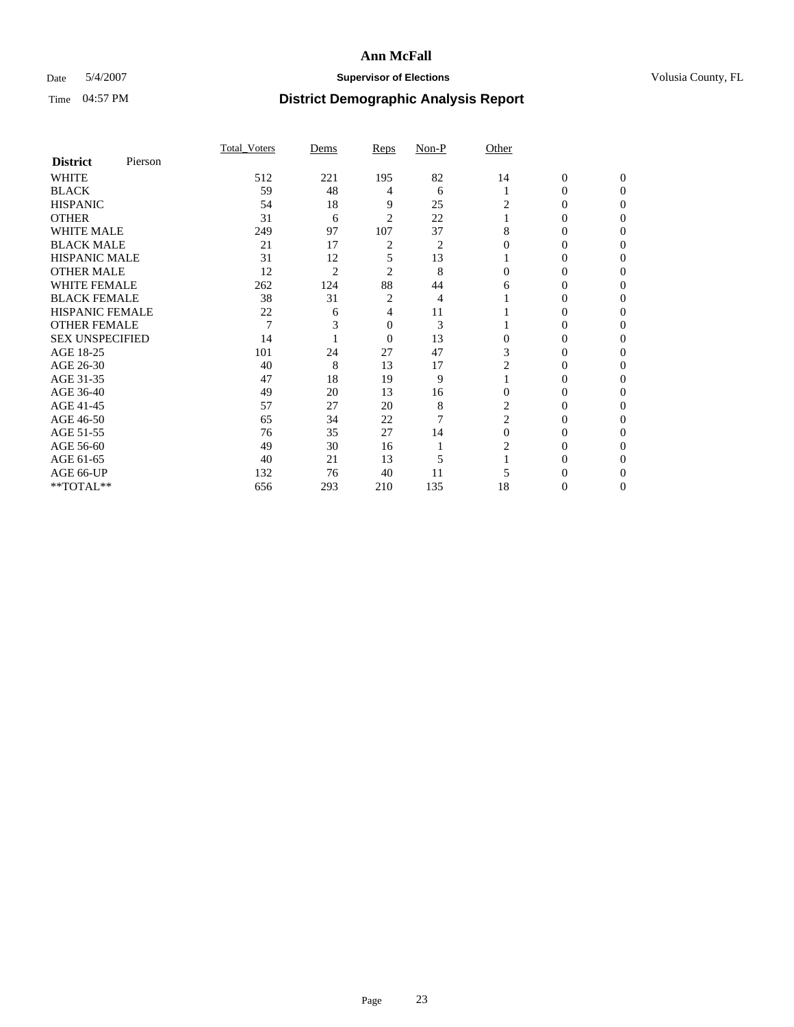### Date 5/4/2007 **Supervisor of Elections Supervisor of Elections** Volusia County, FL

|                        |         | <b>Total Voters</b> | Dems           | Reps           | Non-P | Other          |                  |              |  |
|------------------------|---------|---------------------|----------------|----------------|-------|----------------|------------------|--------------|--|
| <b>District</b>        | Pierson |                     |                |                |       |                |                  |              |  |
| <b>WHITE</b>           |         | 512                 | 221            | 195            | 82    | 14             | $\boldsymbol{0}$ | $\mathbf{0}$ |  |
| <b>BLACK</b>           |         | 59                  | 48             | 4              | 6     |                | 0                | $\Omega$     |  |
| <b>HISPANIC</b>        |         | 54                  | 18             | 9              | 25    | 2              | 0                | $\theta$     |  |
| <b>OTHER</b>           |         | 31                  | 6              | 2              | 22    |                | 0                | 0            |  |
| <b>WHITE MALE</b>      |         | 249                 | 97             | 107            | 37    | 8              | 0                |              |  |
| <b>BLACK MALE</b>      |         | 21                  | 17             | 2              | 2     |                | 0                |              |  |
| <b>HISPANIC MALE</b>   |         | 31                  | 12             | 5              | 13    |                | 0                |              |  |
| <b>OTHER MALE</b>      |         | 12                  | $\overline{2}$ | 2              | 8     | 0              | 0                |              |  |
| <b>WHITE FEMALE</b>    |         | 262                 | 124            | 88             | 44    | 6              | 0                |              |  |
| <b>BLACK FEMALE</b>    |         | 38                  | 31             | 2              | 4     |                | 0                | 0            |  |
| <b>HISPANIC FEMALE</b> |         | 22                  | 6              | 4              | 11    |                | 0                | 0            |  |
| <b>OTHER FEMALE</b>    |         | $\overline{7}$      |                | 0              | 3     |                | 0                | 0            |  |
| <b>SEX UNSPECIFIED</b> |         | 14                  |                | $\overline{0}$ | 13    | $\Omega$       | 0                |              |  |
| AGE 18-25              |         | 101                 | 24             | 27             | 47    | 3              | 0                |              |  |
| AGE 26-30              |         | 40                  | 8              | 13             | 17    | 2              | 0                |              |  |
| AGE 31-35              |         | 47                  | 18             | 19             | 9     |                | 0                |              |  |
| AGE 36-40              |         | 49                  | 20             | 13             | 16    | $\Omega$       | 0                | 0            |  |
| AGE 41-45              |         | 57                  | 27             | 20             | 8     | 2              | 0                |              |  |
| AGE 46-50              |         | 65                  | 34             | 22             | 7     | $\overline{c}$ | 0                | 0            |  |
| AGE 51-55              |         | 76                  | 35             | 27             | 14    | $\theta$       | 0                | 0            |  |
| AGE 56-60              |         | 49                  | 30             | 16             |       | 2              | 0                | 0            |  |
| AGE 61-65              |         | 40                  | 21             | 13             | 5     |                | 0                |              |  |
| AGE 66-UP              |         | 132                 | 76             | 40             | 11    |                |                  |              |  |
| **TOTAL**              |         | 656                 | 293            | 210            | 135   | 18             | 0                | 0            |  |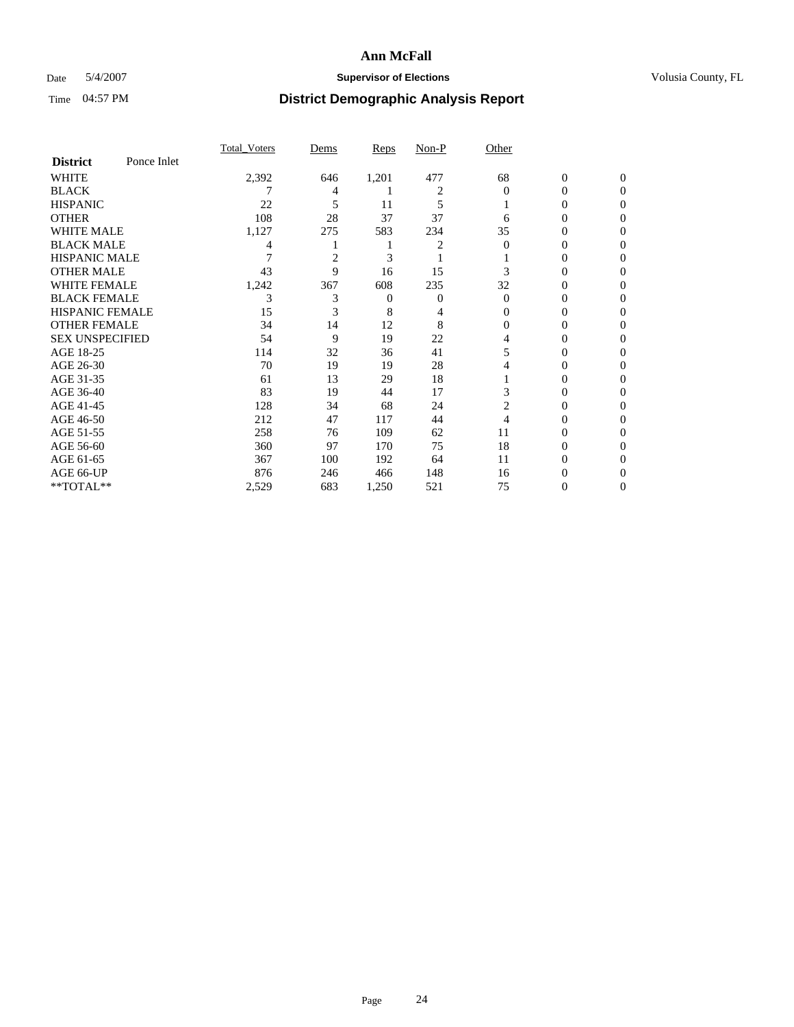### Date 5/4/2007 **Supervisor of Elections Supervisor of Elections** Volusia County, FL

|                        |             | <b>Total Voters</b> | Dems           | Reps  | Non-P | Other    |                  |              |  |
|------------------------|-------------|---------------------|----------------|-------|-------|----------|------------------|--------------|--|
| <b>District</b>        | Ponce Inlet |                     |                |       |       |          |                  |              |  |
| <b>WHITE</b>           |             | 2,392               | 646            | 1,201 | 477   | 68       | $\boldsymbol{0}$ | $\mathbf{0}$ |  |
| <b>BLACK</b>           |             |                     | 4              |       | 2     | $\Omega$ | 0                | $\Omega$     |  |
| <b>HISPANIC</b>        |             | 22                  | 5              | 11    | 5     |          | 0                | $\Omega$     |  |
| <b>OTHER</b>           |             | 108                 | 28             | 37    | 37    | 6        | 0                | $\theta$     |  |
| <b>WHITE MALE</b>      |             | 1,127               | 275            | 583   | 234   | 35       | 0                | 0            |  |
| <b>BLACK MALE</b>      |             | 4                   |                |       | 2     | 0        | 0                | 0            |  |
| <b>HISPANIC MALE</b>   |             |                     | $\overline{c}$ | 3     |       |          | 0                |              |  |
| <b>OTHER MALE</b>      |             | 43                  | 9              | 16    | 15    |          | $\theta$         | 0            |  |
| <b>WHITE FEMALE</b>    |             | 1,242               | 367            | 608   | 235   | 32       | 0                | 0            |  |
| <b>BLACK FEMALE</b>    |             | 3                   | 3              | 0     | 0     | $\Omega$ | 0                | 0            |  |
| <b>HISPANIC FEMALE</b> |             | 15                  |                | 8     |       | 0        | 0                | $\Omega$     |  |
| <b>OTHER FEMALE</b>    |             | 34                  | 14             | 12    | 8     | $\Omega$ | 0                | 0            |  |
| <b>SEX UNSPECIFIED</b> |             | 54                  | 9              | 19    | 22    | 4        | 0                | 0            |  |
| AGE 18-25              |             | 114                 | 32             | 36    | 41    | 5        | 0                |              |  |
| AGE 26-30              |             | 70                  | 19             | 19    | 28    | 4        | 0                | 0            |  |
| AGE 31-35              |             | 61                  | 13             | 29    | 18    |          | 0                |              |  |
| AGE 36-40              |             | 83                  | 19             | 44    | 17    | 3        | 0                | 0            |  |
| AGE 41-45              |             | 128                 | 34             | 68    | 24    | 2        | 0                | 0            |  |
| AGE 46-50              |             | 212                 | 47             | 117   | 44    | 4        | 0                | 0            |  |
| AGE 51-55              |             | 258                 | 76             | 109   | 62    | 11       | 0                | $\theta$     |  |
| AGE 56-60              |             | 360                 | 97             | 170   | 75    | 18       | 0                | 0            |  |
| AGE 61-65              |             | 367                 | 100            | 192   | 64    | 11       | 0                |              |  |
| AGE 66-UP              |             | 876                 | 246            | 466   | 148   | 16       | 0                |              |  |
| **TOTAL**              |             | 2,529               | 683            | 1,250 | 521   | 75       | 0                | 0            |  |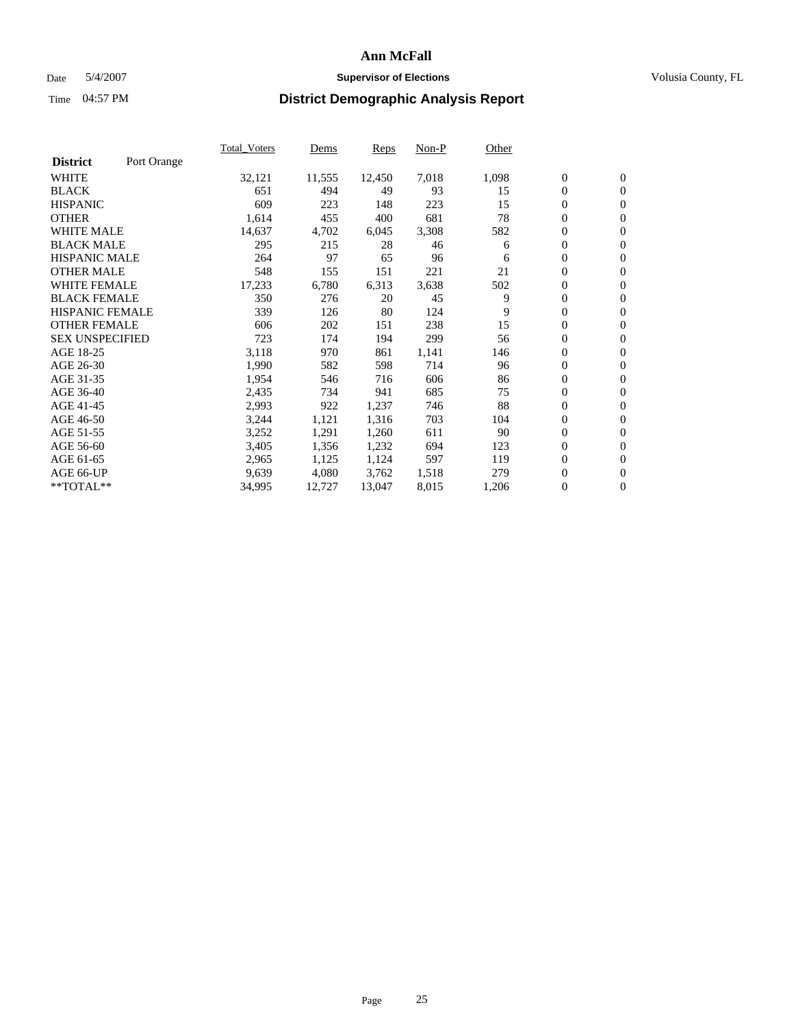#### Date 5/4/2007 **Supervisor of Elections Supervisor of Elections** Volusia County, FL

|                        |             | Total Voters | Dems   | <b>Reps</b> | Non-P | Other |                  |                |  |
|------------------------|-------------|--------------|--------|-------------|-------|-------|------------------|----------------|--|
| <b>District</b>        | Port Orange |              |        |             |       |       |                  |                |  |
| <b>WHITE</b>           |             | 32,121       | 11,555 | 12,450      | 7,018 | 1,098 | $\boldsymbol{0}$ | $\mathbf{0}$   |  |
| <b>BLACK</b>           |             | 651          | 494    | 49          | 93    | 15    | $\overline{0}$   | $\mathbf{0}$   |  |
| <b>HISPANIC</b>        |             | 609          | 223    | 148         | 223   | 15    | $\boldsymbol{0}$ | $\mathbf{0}$   |  |
| <b>OTHER</b>           |             | 1,614        | 455    | 400         | 681   | 78    | $\boldsymbol{0}$ | $\mathbf{0}$   |  |
| <b>WHITE MALE</b>      |             | 14,637       | 4,702  | 6,045       | 3,308 | 582   | 0                | $\mathbf{0}$   |  |
| <b>BLACK MALE</b>      |             | 295          | 215    | 28          | 46    | 6     | $\boldsymbol{0}$ | $\mathbf{0}$   |  |
| <b>HISPANIC MALE</b>   |             | 264          | 97     | 65          | 96    | 6     | $\overline{0}$   | $\mathbf{0}$   |  |
| <b>OTHER MALE</b>      |             | 548          | 155    | 151         | 221   | 21    | $\overline{0}$   | $\mathbf{0}$   |  |
| <b>WHITE FEMALE</b>    |             | 17,233       | 6,780  | 6,313       | 3,638 | 502   | $\mathbf{0}$     | $\mathbf{0}$   |  |
| <b>BLACK FEMALE</b>    |             | 350          | 276    | 20          | 45    | 9     | $\boldsymbol{0}$ | $\mathbf{0}$   |  |
| <b>HISPANIC FEMALE</b> |             | 339          | 126    | 80          | 124   | 9     | $\boldsymbol{0}$ | $\mathbf{0}$   |  |
| <b>OTHER FEMALE</b>    |             | 606          | 202    | 151         | 238   | 15    | 0                | $\mathbf{0}$   |  |
| <b>SEX UNSPECIFIED</b> |             | 723          | 174    | 194         | 299   | 56    | $\boldsymbol{0}$ | $\mathbf{0}$   |  |
| AGE 18-25              |             | 3,118        | 970    | 861         | 1,141 | 146   | $\boldsymbol{0}$ | $\mathbf{0}$   |  |
| AGE 26-30              |             | 1,990        | 582    | 598         | 714   | 96    | $\overline{0}$   | $\mathbf{0}$   |  |
| AGE 31-35              |             | 1,954        | 546    | 716         | 606   | 86    | $\overline{0}$   | $\mathbf{0}$   |  |
| AGE 36-40              |             | 2,435        | 734    | 941         | 685   | 75    | $\boldsymbol{0}$ | $\mathbf{0}$   |  |
| AGE 41-45              |             | 2,993        | 922    | 1,237       | 746   | 88    | $\boldsymbol{0}$ | $\mathbf{0}$   |  |
| AGE 46-50              |             | 3,244        | 1,121  | 1,316       | 703   | 104   | 0                | $\mathbf{0}$   |  |
| AGE 51-55              |             | 3,252        | 1,291  | 1,260       | 611   | 90    | $\boldsymbol{0}$ | $\mathbf{0}$   |  |
| AGE 56-60              |             | 3,405        | 1,356  | 1,232       | 694   | 123   | $\overline{0}$   | $\mathbf{0}$   |  |
| AGE 61-65              |             | 2,965        | 1,125  | 1,124       | 597   | 119   | $\mathbf{0}$     | $\mathbf{0}$   |  |
| AGE 66-UP              |             | 9,639        | 4,080  | 3,762       | 1,518 | 279   | $\boldsymbol{0}$ | $\mathbf{0}$   |  |
| **TOTAL**              |             | 34,995       | 12,727 | 13,047      | 8,015 | 1,206 | $\boldsymbol{0}$ | $\overline{0}$ |  |
|                        |             |              |        |             |       |       |                  |                |  |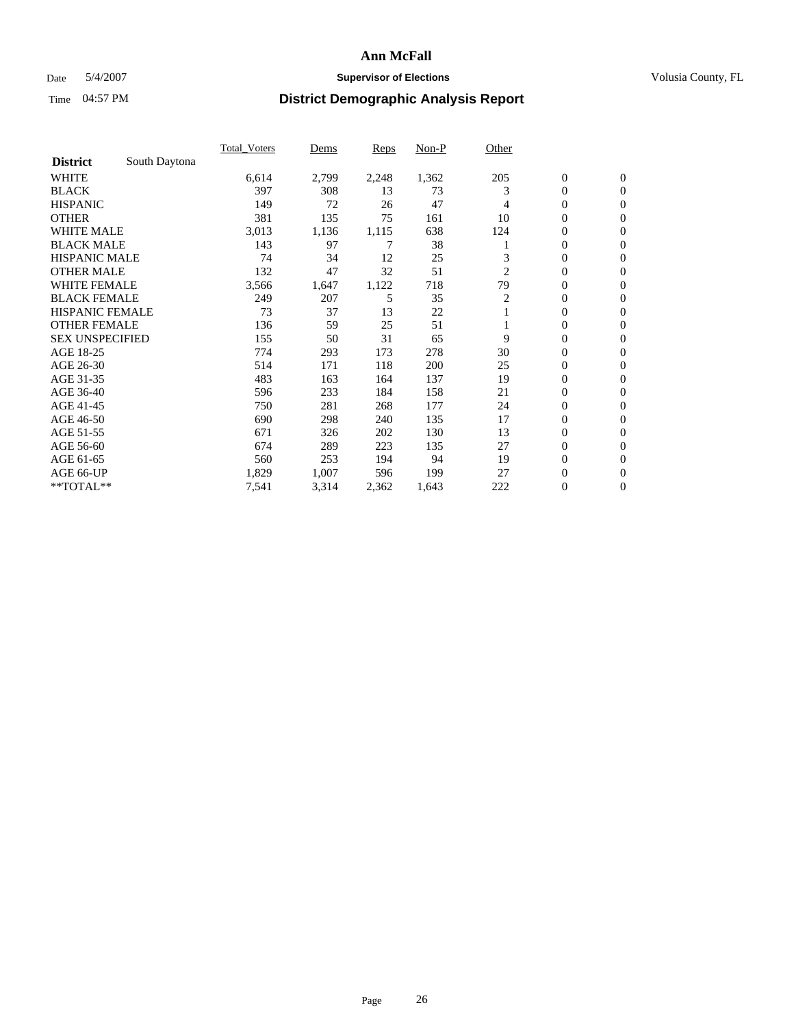### Date 5/4/2007 **Supervisor of Elections Supervisor of Elections** Volusia County, FL

|                        |               | Total Voters | Dems  | <b>Reps</b> | Non-P | Other |                  |                  |  |
|------------------------|---------------|--------------|-------|-------------|-------|-------|------------------|------------------|--|
| <b>District</b>        | South Daytona |              |       |             |       |       |                  |                  |  |
| <b>WHITE</b>           |               | 6,614        | 2,799 | 2,248       | 1,362 | 205   | $\boldsymbol{0}$ | $\boldsymbol{0}$ |  |
| <b>BLACK</b>           |               | 397          | 308   | 13          | 73    | 3     | $\overline{0}$   | $\mathbf{0}$     |  |
| <b>HISPANIC</b>        |               | 149          | 72    | 26          | 47    | 4     | $\overline{0}$   | $\mathbf{0}$     |  |
| <b>OTHER</b>           |               | 381          | 135   | 75          | 161   | 10    | $\overline{0}$   | $\mathbf{0}$     |  |
| <b>WHITE MALE</b>      |               | 3,013        | 1,136 | 1,115       | 638   | 124   | $\overline{0}$   | $\mathbf{0}$     |  |
| <b>BLACK MALE</b>      |               | 143          | 97    | 7           | 38    |       | $\boldsymbol{0}$ | $\mathbf{0}$     |  |
| <b>HISPANIC MALE</b>   |               | 74           | 34    | 12          | 25    | 3     | $\boldsymbol{0}$ | $\Omega$         |  |
| <b>OTHER MALE</b>      |               | 132          | 47    | 32          | 51    | 2     | $\boldsymbol{0}$ | $\mathbf{0}$     |  |
| <b>WHITE FEMALE</b>    |               | 3,566        | 1,647 | 1,122       | 718   | 79    | $\overline{0}$   | $\mathbf{0}$     |  |
| <b>BLACK FEMALE</b>    |               | 249          | 207   | 5           | 35    | 2     | $\overline{0}$   | $\mathbf{0}$     |  |
| <b>HISPANIC FEMALE</b> |               | 73           | 37    | 13          | 22    |       | $\overline{0}$   | $\mathbf{0}$     |  |
| <b>OTHER FEMALE</b>    |               | 136          | 59    | 25          | 51    |       | $\overline{0}$   | $\mathbf{0}$     |  |
| <b>SEX UNSPECIFIED</b> |               | 155          | 50    | 31          | 65    | 9     | $\boldsymbol{0}$ | $\mathbf{0}$     |  |
| AGE 18-25              |               | 774          | 293   | 173         | 278   | 30    | $\overline{0}$   | $\mathbf{0}$     |  |
| AGE 26-30              |               | 514          | 171   | 118         | 200   | 25    | $\boldsymbol{0}$ | $\mathbf{0}$     |  |
| AGE 31-35              |               | 483          | 163   | 164         | 137   | 19    | $\boldsymbol{0}$ | 0                |  |
| AGE 36-40              |               | 596          | 233   | 184         | 158   | 21    | $\boldsymbol{0}$ | $\mathbf{0}$     |  |
| AGE 41-45              |               | 750          | 281   | 268         | 177   | 24    | $\overline{0}$   | $\mathbf{0}$     |  |
| AGE 46-50              |               | 690          | 298   | 240         | 135   | 17    | $\overline{0}$   | $\mathbf{0}$     |  |
| AGE 51-55              |               | 671          | 326   | 202         | 130   | 13    | $\mathbf{0}$     | $\mathbf{0}$     |  |
| AGE 56-60              |               | 674          | 289   | 223         | 135   | 27    | $\overline{0}$   | $\mathbf{0}$     |  |
| AGE 61-65              |               | 560          | 253   | 194         | 94    | 19    | $\boldsymbol{0}$ | $\mathbf{0}$     |  |
| AGE 66-UP              |               | 1,829        | 1,007 | 596         | 199   | 27    | $\overline{0}$   | 0                |  |
| **TOTAL**              |               | 7,541        | 3,314 | 2,362       | 1,643 | 222   | $\boldsymbol{0}$ | $\boldsymbol{0}$ |  |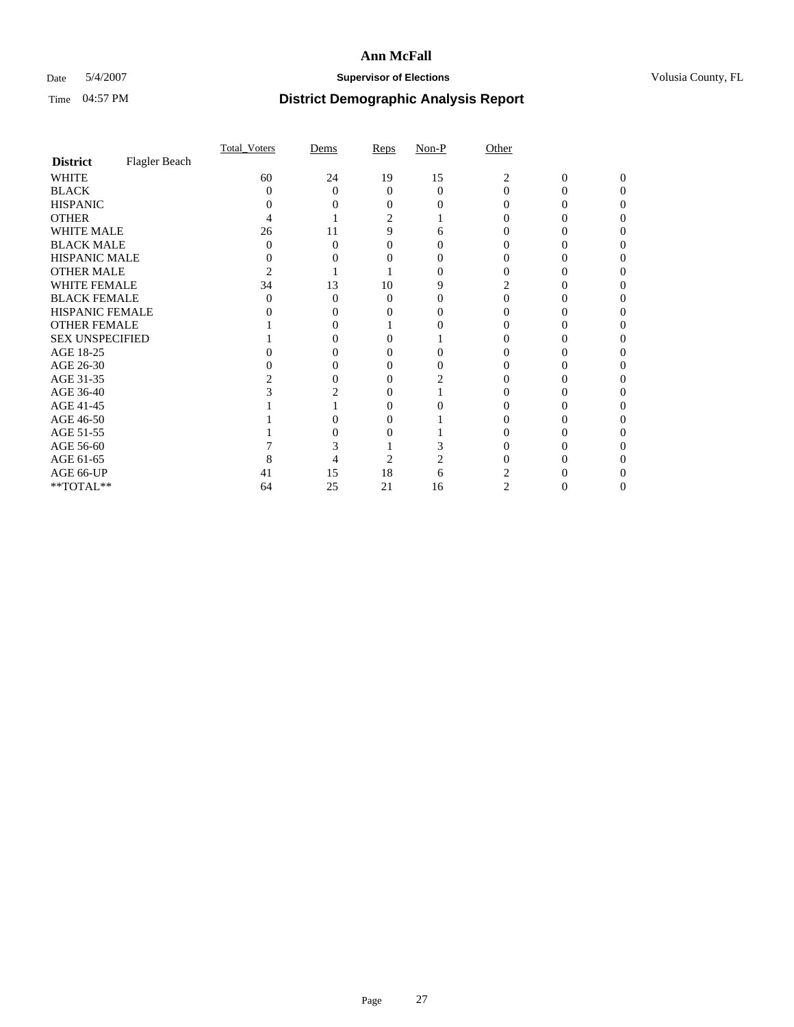### Date 5/4/2007 **Supervisor of Elections Supervisor of Elections** Volusia County, FL

|                        |               | Total Voters | Dems     | Reps           | $Non-P$  | Other    |        |          |
|------------------------|---------------|--------------|----------|----------------|----------|----------|--------|----------|
| <b>District</b>        | Flagler Beach |              |          |                |          |          |        |          |
| <b>WHITE</b>           |               | 60           | 24       | 19             | 15       | 2        | 0      | $\Omega$ |
| <b>BLACK</b>           |               | $\theta$     | $\Omega$ | $\Omega$       | $\Omega$ | $\Omega$ | 0      | 0        |
| <b>HISPANIC</b>        |               |              |          |                |          |          |        |          |
| <b>OTHER</b>           |               |              |          | 2              |          |          |        |          |
| WHITE MALE             |               | 26           | 11       | 9              | 6        |          |        |          |
| <b>BLACK MALE</b>      |               | 0            | 0        |                |          |          |        |          |
| HISPANIC MALE          |               |              |          |                |          |          |        |          |
| <b>OTHER MALE</b>      |               |              |          |                |          |          |        |          |
| WHITE FEMALE           |               | 34           | 13       | 10             | 9        |          |        |          |
| <b>BLACK FEMALE</b>    |               |              | 0        | 0              |          |          |        |          |
| HISPANIC FEMALE        |               |              |          |                |          |          |        |          |
| <b>OTHER FEMALE</b>    |               |              |          |                |          |          |        |          |
| <b>SEX UNSPECIFIED</b> |               |              |          |                |          |          |        |          |
| AGE 18-25              |               |              |          | 0              |          |          |        |          |
| AGE 26-30              |               |              |          |                |          |          |        |          |
| AGE 31-35              |               |              |          |                |          |          |        |          |
| AGE 36-40              |               |              |          |                |          |          |        |          |
| AGE 41-45              |               |              |          |                |          |          |        |          |
| AGE 46-50              |               |              |          |                |          |          |        |          |
| AGE 51-55              |               |              |          |                |          |          |        |          |
| AGE 56-60              |               |              |          |                |          |          |        |          |
| AGE 61-65              |               |              |          | $\overline{2}$ |          |          |        |          |
| AGE 66-UP              |               | 41           | 15       | 18             | 6        |          |        |          |
| $**TOTAL**$            |               | 64           | 25       | 21             | 16       | 2        | $_{0}$ | 0        |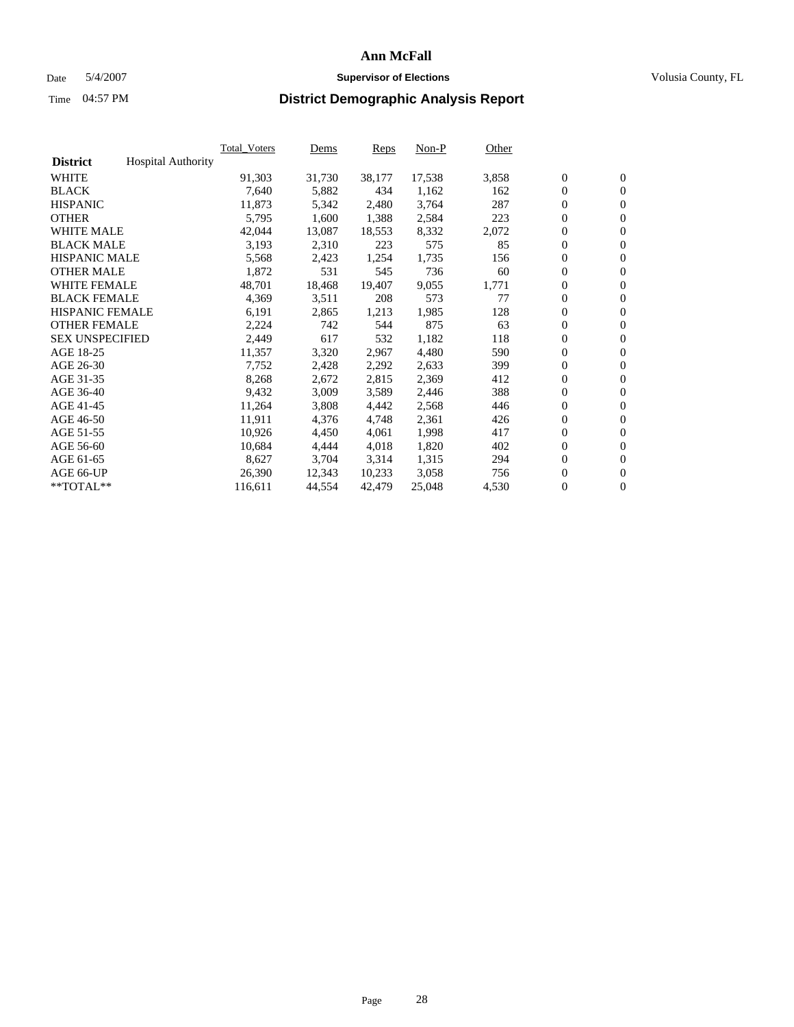#### Date 5/4/2007 **Supervisor of Elections Supervisor of Elections** Volusia County, FL

|                        |                           | Total Voters | Dems   | <b>Reps</b> | Non-P  | Other |                  |                  |  |
|------------------------|---------------------------|--------------|--------|-------------|--------|-------|------------------|------------------|--|
| <b>District</b>        | <b>Hospital Authority</b> |              |        |             |        |       |                  |                  |  |
| <b>WHITE</b>           |                           | 91,303       | 31,730 | 38,177      | 17,538 | 3,858 | $\overline{0}$   | $\mathbf{0}$     |  |
| <b>BLACK</b>           |                           | 7,640        | 5,882  | 434         | 1,162  | 162   | $\overline{0}$   | $\mathbf{0}$     |  |
| <b>HISPANIC</b>        |                           | 11,873       | 5,342  | 2,480       | 3,764  | 287   | $\boldsymbol{0}$ | $\mathbf{0}$     |  |
| <b>OTHER</b>           |                           | 5,795        | 1,600  | 1,388       | 2,584  | 223   | $\boldsymbol{0}$ | $\mathbf{0}$     |  |
| <b>WHITE MALE</b>      |                           | 42,044       | 13,087 | 18,553      | 8,332  | 2,072 | 0                | $\mathbf{0}$     |  |
| <b>BLACK MALE</b>      |                           | 3,193        | 2,310  | 223         | 575    | 85    | $\boldsymbol{0}$ | $\mathbf{0}$     |  |
| <b>HISPANIC MALE</b>   |                           | 5,568        | 2,423  | 1,254       | 1,735  | 156   | $\overline{0}$   | $\mathbf{0}$     |  |
| <b>OTHER MALE</b>      |                           | 1,872        | 531    | 545         | 736    | 60    | $\overline{0}$   | $\mathbf{0}$     |  |
| <b>WHITE FEMALE</b>    |                           | 48,701       | 18,468 | 19,407      | 9,055  | 1,771 | $\mathbf{0}$     | $\mathbf{0}$     |  |
| <b>BLACK FEMALE</b>    |                           | 4,369        | 3,511  | 208         | 573    | 77    | $\overline{0}$   | $\mathbf{0}$     |  |
| <b>HISPANIC FEMALE</b> |                           | 6,191        | 2,865  | 1,213       | 1,985  | 128   | $\boldsymbol{0}$ | $\mathbf{0}$     |  |
| <b>OTHER FEMALE</b>    |                           | 2,224        | 742    | 544         | 875    | 63    | 0                | $\mathbf{0}$     |  |
| <b>SEX UNSPECIFIED</b> |                           | 2,449        | 617    | 532         | 1,182  | 118   | $\boldsymbol{0}$ | $\mathbf{0}$     |  |
| AGE 18-25              |                           | 11,357       | 3,320  | 2,967       | 4,480  | 590   | $\boldsymbol{0}$ | $\mathbf{0}$     |  |
| AGE 26-30              |                           | 7,752        | 2,428  | 2,292       | 2,633  | 399   | $\overline{0}$   | $\mathbf{0}$     |  |
| AGE 31-35              |                           | 8,268        | 2,672  | 2,815       | 2,369  | 412   | $\overline{0}$   | $\mathbf{0}$     |  |
| AGE 36-40              |                           | 9,432        | 3,009  | 3,589       | 2,446  | 388   | $\boldsymbol{0}$ | $\mathbf{0}$     |  |
| AGE 41-45              |                           | 11,264       | 3,808  | 4,442       | 2,568  | 446   | $\boldsymbol{0}$ | $\mathbf{0}$     |  |
| AGE 46-50              |                           | 11,911       | 4,376  | 4,748       | 2,361  | 426   | 0                | $\mathbf{0}$     |  |
| AGE 51-55              |                           | 10,926       | 4,450  | 4,061       | 1,998  | 417   | $\boldsymbol{0}$ | $\mathbf{0}$     |  |
| AGE 56-60              |                           | 10,684       | 4,444  | 4,018       | 1,820  | 402   | $\overline{0}$   | $\mathbf{0}$     |  |
| AGE 61-65              |                           | 8,627        | 3,704  | 3,314       | 1,315  | 294   | $\mathbf{0}$     | $\boldsymbol{0}$ |  |
| AGE 66-UP              |                           | 26,390       | 12,343 | 10,233      | 3,058  | 756   | $\boldsymbol{0}$ | $\mathbf{0}$     |  |
| **TOTAL**              |                           | 116,611      | 44,554 | 42,479      | 25,048 | 4,530 | $\boldsymbol{0}$ | $\overline{0}$   |  |
|                        |                           |              |        |             |        |       |                  |                  |  |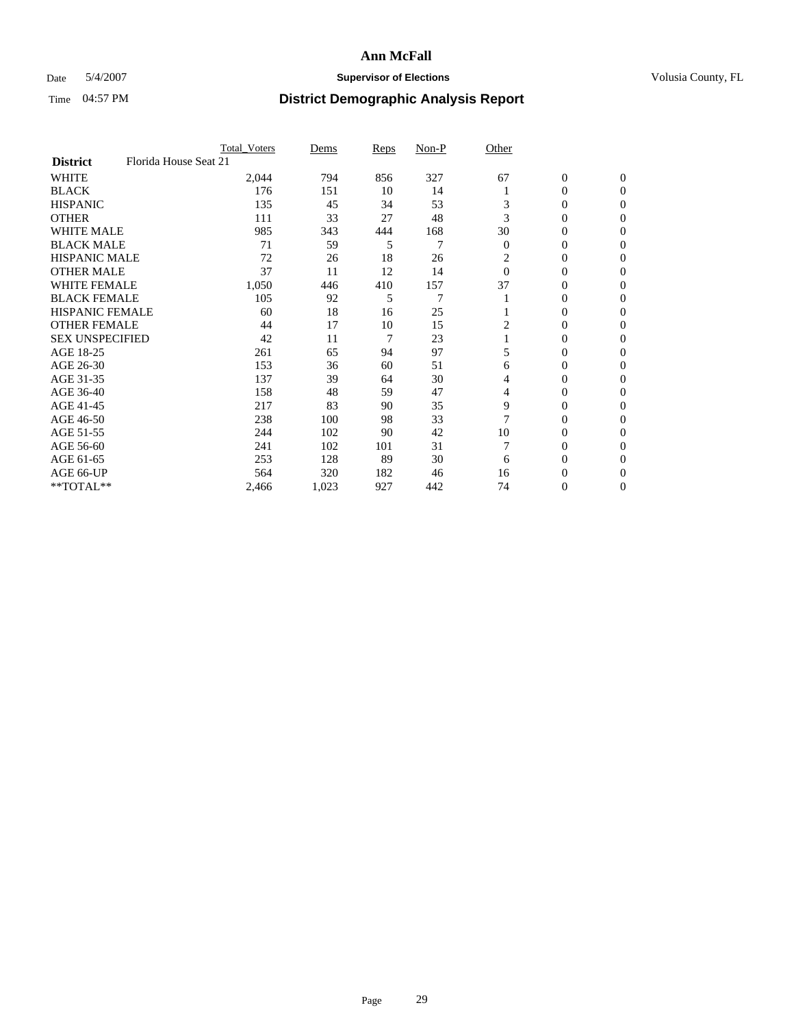### Date 5/4/2007 **Supervisor of Elections Supervisor of Elections** Volusia County, FL

|                                          | <b>Total Voters</b> | Dems  | Reps | Non-P          | Other          |                  |                |  |
|------------------------------------------|---------------------|-------|------|----------------|----------------|------------------|----------------|--|
| Florida House Seat 21<br><b>District</b> |                     |       |      |                |                |                  |                |  |
| <b>WHITE</b>                             | 2,044               | 794   | 856  | 327            | 67             | $\boldsymbol{0}$ | $\mathbf{0}$   |  |
| <b>BLACK</b>                             | 176                 | 151   | 10   | 14             |                | 0                | $\mathbf{0}$   |  |
| <b>HISPANIC</b>                          | 135                 | 45    | 34   | 53             | 3              | 0                | $\mathbf{0}$   |  |
| <b>OTHER</b>                             | 111                 | 33    | 27   | 48             | 3              | 0                | $\overline{0}$ |  |
| <b>WHITE MALE</b>                        | 985                 | 343   | 444  | 168            | 30             | 0                | $\Omega$       |  |
| <b>BLACK MALE</b>                        | 71                  | 59    | 5    | 7              | $\overline{0}$ | 0                | $\Omega$       |  |
| <b>HISPANIC MALE</b>                     | 72                  | 26    | 18   | 26             | 2              | 0                | $\Omega$       |  |
| <b>OTHER MALE</b>                        | 37                  | 11    | 12   | 14             | $\theta$       | 0                | 0              |  |
| <b>WHITE FEMALE</b>                      | 1,050               | 446   | 410  | 157            | 37             | 0                | 0              |  |
| <b>BLACK FEMALE</b>                      | 105                 | 92    | 5    | $\overline{7}$ |                | 0                | $\mathbf{0}$   |  |
| <b>HISPANIC FEMALE</b>                   | 60                  | 18    | 16   | 25             |                | 0                | $\Omega$       |  |
| <b>OTHER FEMALE</b>                      | 44                  | 17    | 10   | 15             | 2              | 0                | $\mathbf{0}$   |  |
| <b>SEX UNSPECIFIED</b>                   | 42                  | 11    | 7    | 23             |                | 0                | $\mathbf{0}$   |  |
| AGE 18-25                                | 261                 | 65    | 94   | 97             | 5              | 0                | 0              |  |
| AGE 26-30                                | 153                 | 36    | 60   | 51             | 6              | 0                | $\Omega$       |  |
| AGE 31-35                                | 137                 | 39    | 64   | 30             | 4              | 0                | 0              |  |
| AGE 36-40                                | 158                 | 48    | 59   | 47             | 4              | 0                | $\mathbf{0}$   |  |
| AGE 41-45                                | 217                 | 83    | 90   | 35             | 9              | 0                | $\Omega$       |  |
| AGE 46-50                                | 238                 | 100   | 98   | 33             |                | 0                | $\mathbf{0}$   |  |
| AGE 51-55                                | 244                 | 102   | 90   | 42             | 10             | 0                | $\Omega$       |  |
| AGE 56-60                                | 241                 | 102   | 101  | 31             |                | 0                | $\Omega$       |  |
| AGE 61-65                                | 253                 | 128   | 89   | 30             | 6              | 0                | 0              |  |
| AGE 66-UP                                | 564                 | 320   | 182  | 46             | 16             | 0                | 0              |  |
| **TOTAL**                                | 2,466               | 1,023 | 927  | 442            | 74             | 0                | 0              |  |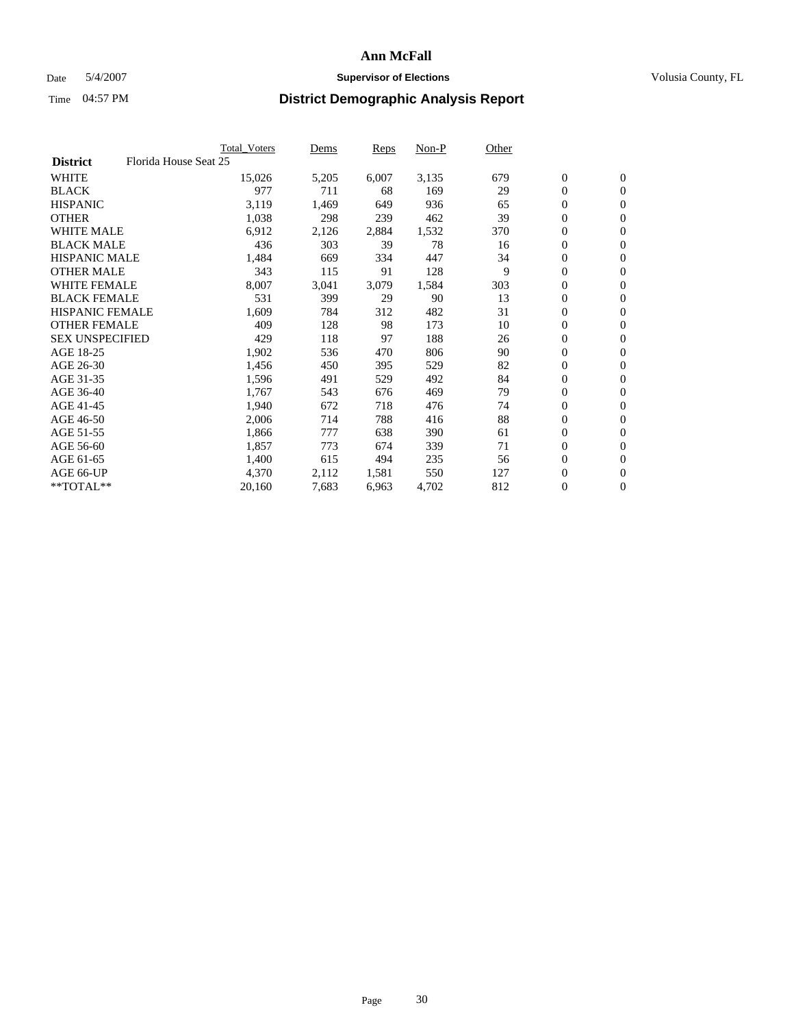#### Date 5/4/2007 **Supervisor of Elections Supervisor of Elections** Volusia County, FL

| Total_Voters                                                                                                                                                                                                 | Dems                  | <b>Reps</b> | Non-P | Other |                  |                |  |
|--------------------------------------------------------------------------------------------------------------------------------------------------------------------------------------------------------------|-----------------------|-------------|-------|-------|------------------|----------------|--|
|                                                                                                                                                                                                              |                       |             |       |       |                  |                |  |
| 15,026                                                                                                                                                                                                       | 5,205                 | 6,007       | 3,135 | 679   | $\overline{0}$   | $\mathbf{0}$   |  |
| 977                                                                                                                                                                                                          | 711                   | 68          | 169   | 29    | $\overline{0}$   | $\mathbf{0}$   |  |
| 3,119                                                                                                                                                                                                        | 1,469                 | 649         | 936   | 65    | $\boldsymbol{0}$ | $\mathbf{0}$   |  |
| 1,038                                                                                                                                                                                                        | 298                   | 239         | 462   | 39    | 0                | $\mathbf{0}$   |  |
| 6,912                                                                                                                                                                                                        | 2,126                 | 2,884       | 1,532 | 370   | 0                | $\mathbf{0}$   |  |
| 436                                                                                                                                                                                                          | 303                   | 39          | 78    | 16    | $\boldsymbol{0}$ | $\mathbf{0}$   |  |
| 1,484                                                                                                                                                                                                        | 669                   | 334         | 447   | 34    | $\overline{0}$   | $\mathbf{0}$   |  |
| 343                                                                                                                                                                                                          | 115                   | 91          | 128   | 9     | $\overline{0}$   | $\mathbf{0}$   |  |
| 8,007                                                                                                                                                                                                        | 3,041                 | 3,079       | 1,584 | 303   | $\overline{0}$   | $\mathbf{0}$   |  |
| 531                                                                                                                                                                                                          | 399                   | 29          | 90    | 13    | $\boldsymbol{0}$ | $\mathbf{0}$   |  |
| 1,609                                                                                                                                                                                                        | 784                   | 312         | 482   | 31    | $\boldsymbol{0}$ | $\mathbf{0}$   |  |
| 409                                                                                                                                                                                                          | 128                   | 98          | 173   | 10    | 0                | $\mathbf{0}$   |  |
| 429                                                                                                                                                                                                          | 118                   | 97          | 188   | 26    | $\boldsymbol{0}$ | $\mathbf{0}$   |  |
| 1,902                                                                                                                                                                                                        | 536                   | 470         | 806   | 90    | $\boldsymbol{0}$ | $\mathbf{0}$   |  |
| 1,456                                                                                                                                                                                                        | 450                   | 395         | 529   | 82    | $\overline{0}$   | $\mathbf{0}$   |  |
| 1,596                                                                                                                                                                                                        | 491                   | 529         | 492   | 84    | $\boldsymbol{0}$ | $\mathbf{0}$   |  |
| 1,767                                                                                                                                                                                                        | 543                   | 676         | 469   | 79    | $\boldsymbol{0}$ | $\mathbf{0}$   |  |
| 1,940                                                                                                                                                                                                        | 672                   | 718         | 476   | 74    | $\boldsymbol{0}$ | $\mathbf{0}$   |  |
| 2,006                                                                                                                                                                                                        | 714                   | 788         | 416   | 88    | 0                | $\mathbf{0}$   |  |
| 1,866                                                                                                                                                                                                        | 777                   | 638         | 390   | 61    | $\boldsymbol{0}$ | $\mathbf{0}$   |  |
| 1,857                                                                                                                                                                                                        | 773                   | 674         | 339   | 71    | $\overline{0}$   | $\mathbf{0}$   |  |
| 1,400                                                                                                                                                                                                        | 615                   | 494         | 235   | 56    | $\mathbf{0}$     | $\mathbf{0}$   |  |
| 4,370                                                                                                                                                                                                        | 2,112                 | 1,581       | 550   | 127   | $\boldsymbol{0}$ | $\mathbf{0}$   |  |
| 20,160                                                                                                                                                                                                       | 7,683                 | 6,963       | 4,702 | 812   | 0                | $\overline{0}$ |  |
| <b>WHITE MALE</b><br><b>BLACK MALE</b><br><b>HISPANIC MALE</b><br><b>OTHER MALE</b><br><b>WHITE FEMALE</b><br><b>BLACK FEMALE</b><br><b>HISPANIC FEMALE</b><br><b>OTHER FEMALE</b><br><b>SEX UNSPECIFIED</b> | Florida House Seat 25 |             |       |       |                  |                |  |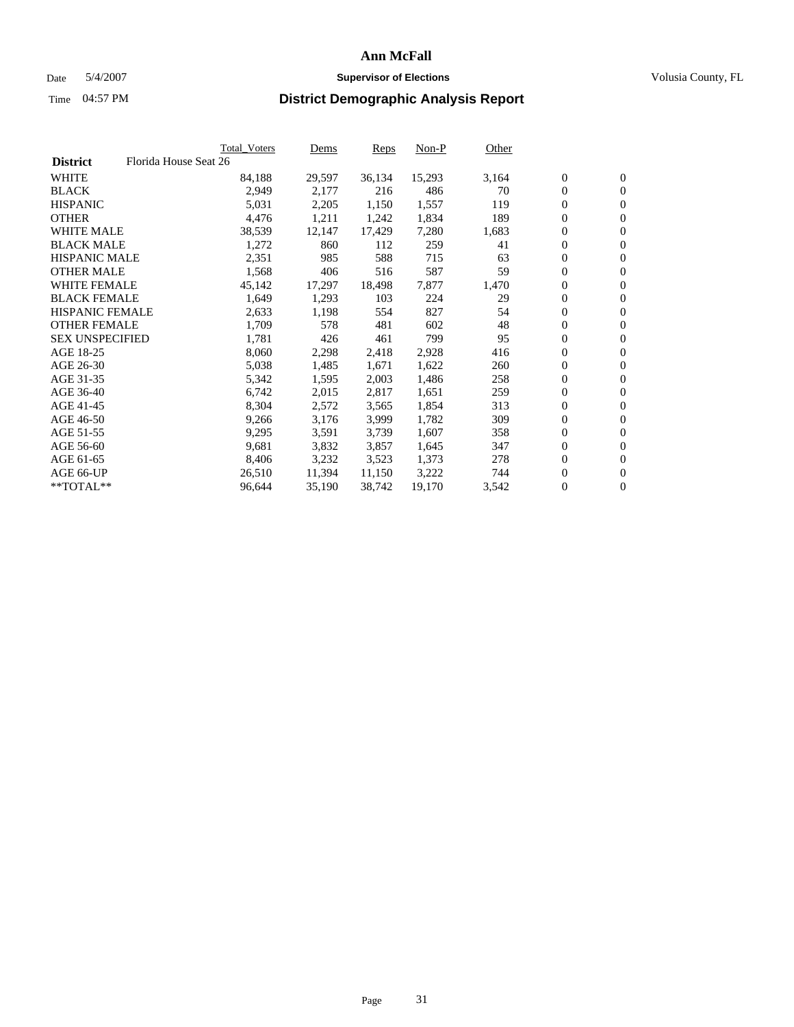### Date 5/4/2007 **Supervisor of Elections Supervisor of Elections** Volusia County, FL

|                        |                       | Total_Voters | Dems   | Reps   | Non-P  | Other |                  |                  |
|------------------------|-----------------------|--------------|--------|--------|--------|-------|------------------|------------------|
| <b>District</b>        | Florida House Seat 26 |              |        |        |        |       |                  |                  |
| <b>WHITE</b>           |                       | 84,188       | 29,597 | 36,134 | 15,293 | 3,164 | $\boldsymbol{0}$ | $\mathbf{0}$     |
| <b>BLACK</b>           |                       | 2,949        | 2,177  | 216    | 486    | 70    | $\overline{0}$   | $\mathbf{0}$     |
| <b>HISPANIC</b>        |                       | 5,031        | 2,205  | 1,150  | 1,557  | 119   | $\overline{0}$   | $\mathbf{0}$     |
| <b>OTHER</b>           |                       | 4,476        | 1,211  | 1,242  | 1,834  | 189   | $\overline{0}$   | $\overline{0}$   |
| <b>WHITE MALE</b>      |                       | 38,539       | 12,147 | 17,429 | 7,280  | 1,683 | $\overline{0}$   | $\mathbf{0}$     |
| <b>BLACK MALE</b>      |                       | 1,272        | 860    | 112    | 259    | 41    | $\boldsymbol{0}$ | $\mathbf{0}$     |
| <b>HISPANIC MALE</b>   |                       | 2,351        | 985    | 588    | 715    | 63    | 0                | $\overline{0}$   |
| <b>OTHER MALE</b>      |                       | 1,568        | 406    | 516    | 587    | 59    | 0                | $\mathbf{0}$     |
| <b>WHITE FEMALE</b>    |                       | 45,142       | 17,297 | 18,498 | 7,877  | 1,470 | 0                | $\mathbf{0}$     |
| <b>BLACK FEMALE</b>    |                       | 1,649        | 1,293  | 103    | 224    | 29    | $\overline{0}$   | $\mathbf{0}$     |
| <b>HISPANIC FEMALE</b> |                       | 2,633        | 1,198  | 554    | 827    | 54    | 0                | $\mathbf{0}$     |
| <b>OTHER FEMALE</b>    |                       | 1,709        | 578    | 481    | 602    | 48    | $\overline{0}$   | $\mathbf{0}$     |
| <b>SEX UNSPECIFIED</b> |                       | 1,781        | 426    | 461    | 799    | 95    | $\boldsymbol{0}$ | $\mathbf{0}$     |
| AGE 18-25              |                       | 8,060        | 2,298  | 2,418  | 2,928  | 416   | 0                | $\mathbf{0}$     |
| AGE 26-30              |                       | 5,038        | 1,485  | 1,671  | 1,622  | 260   | 0                | $\mathbf{0}$     |
| AGE 31-35              |                       | 5,342        | 1,595  | 2,003  | 1,486  | 258   | 0                | $\overline{0}$   |
| AGE 36-40              |                       | 6,742        | 2,015  | 2,817  | 1,651  | 259   | $\boldsymbol{0}$ | $\mathbf{0}$     |
| AGE 41-45              |                       | 8,304        | 2,572  | 3,565  | 1,854  | 313   | 0                | $\mathbf{0}$     |
| AGE 46-50              |                       | 9,266        | 3,176  | 3,999  | 1,782  | 309   | $\overline{0}$   | $\mathbf{0}$     |
| AGE 51-55              |                       | 9,295        | 3,591  | 3,739  | 1,607  | 358   | 0                | $\mathbf{0}$     |
| AGE 56-60              |                       | 9,681        | 3,832  | 3,857  | 1,645  | 347   | $\overline{0}$   | $\mathbf{0}$     |
| AGE 61-65              |                       | 8,406        | 3,232  | 3,523  | 1,373  | 278   | 0                | $\mathbf{0}$     |
| AGE 66-UP              |                       | 26,510       | 11,394 | 11,150 | 3,222  | 744   | 0                | $\bf{0}$         |
| $*$ TOTAL $**$         |                       | 96,644       | 35,190 | 38,742 | 19,170 | 3,542 | 0                | $\boldsymbol{0}$ |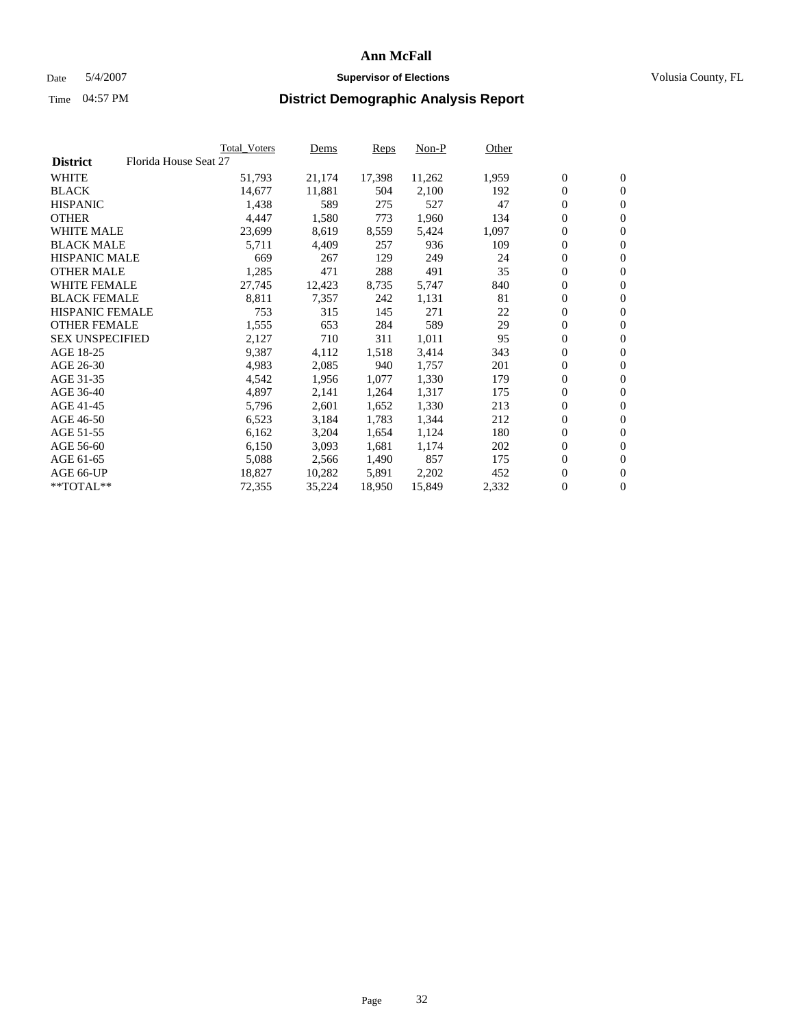#### Date 5/4/2007 **Supervisor of Elections Supervisor of Elections** Volusia County, FL

|                        |                       | Total_Voters | Dems   | <b>Reps</b> | Non-P  | Other |                  |                |
|------------------------|-----------------------|--------------|--------|-------------|--------|-------|------------------|----------------|
| <b>District</b>        | Florida House Seat 27 |              |        |             |        |       |                  |                |
| <b>WHITE</b>           |                       | 51,793       | 21,174 | 17,398      | 11,262 | 1,959 | $\overline{0}$   | $\mathbf{0}$   |
| <b>BLACK</b>           |                       | 14,677       | 11,881 | 504         | 2,100  | 192   | $\overline{0}$   | $\mathbf{0}$   |
| <b>HISPANIC</b>        |                       | 1,438        | 589    | 275         | 527    | 47    | $\boldsymbol{0}$ | $\mathbf{0}$   |
| <b>OTHER</b>           |                       | 4,447        | 1,580  | 773         | 1,960  | 134   | 0                | $\mathbf{0}$   |
| <b>WHITE MALE</b>      |                       | 23,699       | 8,619  | 8,559       | 5,424  | 1,097 | 0                | $\mathbf{0}$   |
| <b>BLACK MALE</b>      |                       | 5,711        | 4,409  | 257         | 936    | 109   | $\boldsymbol{0}$ | $\mathbf{0}$   |
| <b>HISPANIC MALE</b>   |                       | 669          | 267    | 129         | 249    | 24    | $\overline{0}$   | $\mathbf{0}$   |
| <b>OTHER MALE</b>      |                       | 1,285        | 471    | 288         | 491    | 35    | $\overline{0}$   | $\mathbf{0}$   |
| <b>WHITE FEMALE</b>    |                       | 27,745       | 12,423 | 8,735       | 5,747  | 840   | $\mathbf{0}$     | $\mathbf{0}$   |
| <b>BLACK FEMALE</b>    |                       | 8,811        | 7,357  | 242         | 1,131  | 81    | $\boldsymbol{0}$ | $\mathbf{0}$   |
| HISPANIC FEMALE        |                       | 753          | 315    | 145         | 271    | 22    | $\boldsymbol{0}$ | $\mathbf{0}$   |
| <b>OTHER FEMALE</b>    |                       | 1,555        | 653    | 284         | 589    | 29    | 0                | $\mathbf{0}$   |
| <b>SEX UNSPECIFIED</b> |                       | 2,127        | 710    | 311         | 1,011  | 95    | $\boldsymbol{0}$ | $\mathbf{0}$   |
| AGE 18-25              |                       | 9,387        | 4,112  | 1,518       | 3,414  | 343   | $\boldsymbol{0}$ | $\mathbf{0}$   |
| AGE 26-30              |                       | 4,983        | 2,085  | 940         | 1,757  | 201   | $\overline{0}$   | $\mathbf{0}$   |
| AGE 31-35              |                       | 4,542        | 1,956  | 1,077       | 1,330  | 179   | $\overline{0}$   | $\mathbf{0}$   |
| AGE 36-40              |                       | 4,897        | 2,141  | 1,264       | 1,317  | 175   | $\boldsymbol{0}$ | $\mathbf{0}$   |
| AGE 41-45              |                       | 5,796        | 2,601  | 1,652       | 1,330  | 213   | $\boldsymbol{0}$ | $\mathbf{0}$   |
| AGE 46-50              |                       | 6,523        | 3,184  | 1,783       | 1,344  | 212   | 0                | $\mathbf{0}$   |
| AGE 51-55              |                       | 6,162        | 3,204  | 1,654       | 1,124  | 180   | $\boldsymbol{0}$ | $\mathbf{0}$   |
| AGE 56-60              |                       | 6,150        | 3,093  | 1,681       | 1,174  | 202   | $\overline{0}$   | $\mathbf{0}$   |
| AGE 61-65              |                       | 5,088        | 2,566  | 1,490       | 857    | 175   | $\mathbf{0}$     | $\mathbf{0}$   |
| AGE 66-UP              |                       | 18,827       | 10,282 | 5,891       | 2,202  | 452   | $\boldsymbol{0}$ | $\mathbf{0}$   |
| **TOTAL**              |                       | 72,355       | 35,224 | 18,950      | 15,849 | 2,332 | 0                | $\overline{0}$ |
|                        |                       |              |        |             |        |       |                  |                |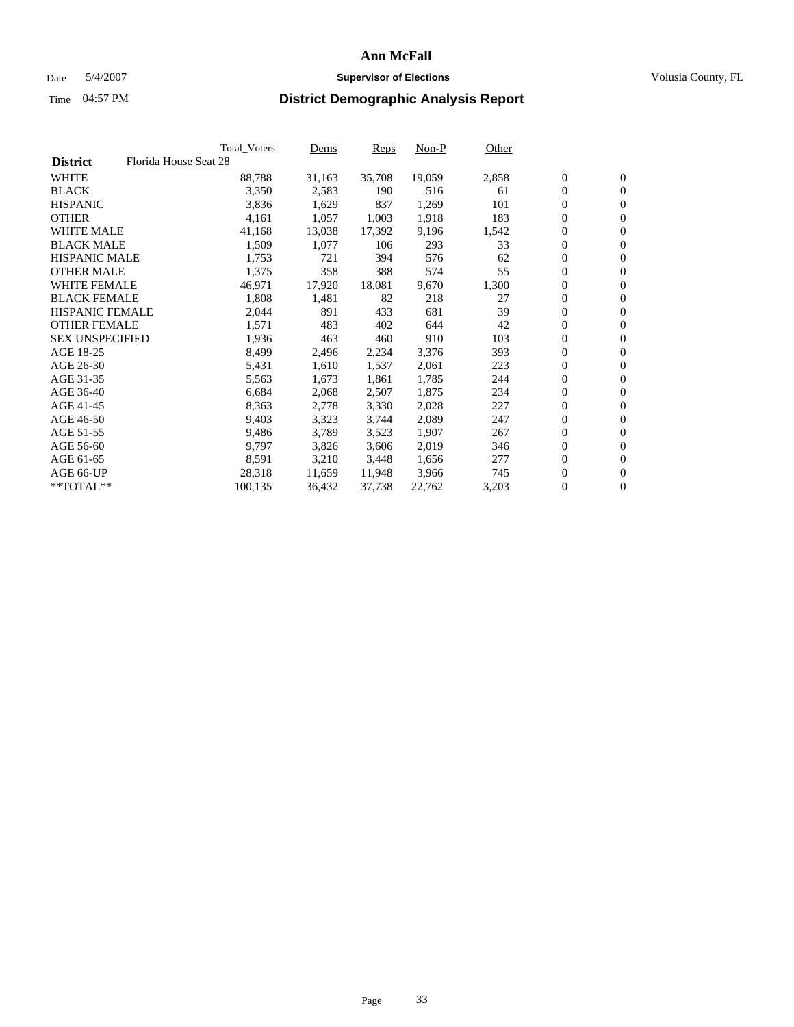#### Date 5/4/2007 **Supervisor of Elections Supervisor of Elections** Volusia County, FL

|                        | Total_Voters          | Dems   | <b>Reps</b> | Non-P  | Other |                  |                |  |
|------------------------|-----------------------|--------|-------------|--------|-------|------------------|----------------|--|
| <b>District</b>        | Florida House Seat 28 |        |             |        |       |                  |                |  |
| <b>WHITE</b>           | 88,788                | 31,163 | 35,708      | 19,059 | 2,858 | $\overline{0}$   | $\mathbf{0}$   |  |
| <b>BLACK</b>           | 3,350                 | 2,583  | 190         | 516    | 61    | $\overline{0}$   | $\mathbf{0}$   |  |
| <b>HISPANIC</b>        | 3,836                 | 1,629  | 837         | 1,269  | 101   | $\boldsymbol{0}$ | $\mathbf{0}$   |  |
| <b>OTHER</b>           | 4,161                 | 1,057  | 1,003       | 1,918  | 183   | 0                | $\mathbf{0}$   |  |
| WHITE MALE             | 41,168                | 13,038 | 17,392      | 9,196  | 1,542 | 0                | $\mathbf{0}$   |  |
| <b>BLACK MALE</b>      | 1,509                 | 1,077  | 106         | 293    | 33    | $\boldsymbol{0}$ | $\mathbf{0}$   |  |
| <b>HISPANIC MALE</b>   | 1,753                 | 721    | 394         | 576    | 62    | $\overline{0}$   | $\mathbf{0}$   |  |
| <b>OTHER MALE</b>      | 1,375                 | 358    | 388         | 574    | 55    | $\overline{0}$   | $\mathbf{0}$   |  |
| <b>WHITE FEMALE</b>    | 46,971                | 17,920 | 18,081      | 9,670  | 1,300 | $\mathbf{0}$     | $\mathbf{0}$   |  |
| <b>BLACK FEMALE</b>    | 1,808                 | 1,481  | 82          | 218    | 27    | $\overline{0}$   | $\mathbf{0}$   |  |
| HISPANIC FEMALE        | 2,044                 | 891    | 433         | 681    | 39    | $\boldsymbol{0}$ | $\mathbf{0}$   |  |
| <b>OTHER FEMALE</b>    | 1,571                 | 483    | 402         | 644    | 42    | 0                | $\mathbf{0}$   |  |
| <b>SEX UNSPECIFIED</b> | 1,936                 | 463    | 460         | 910    | 103   | $\boldsymbol{0}$ | $\mathbf{0}$   |  |
| AGE 18-25              | 8,499                 | 2,496  | 2,234       | 3,376  | 393   | 0                | $\mathbf{0}$   |  |
| AGE 26-30              | 5,431                 | 1,610  | 1,537       | 2,061  | 223   | $\overline{0}$   | $\mathbf{0}$   |  |
| AGE 31-35              | 5,563                 | 1,673  | 1,861       | 1,785  | 244   | $\overline{0}$   | $\mathbf{0}$   |  |
| AGE 36-40              | 6,684                 | 2,068  | 2,507       | 1,875  | 234   | $\boldsymbol{0}$ | $\mathbf{0}$   |  |
| AGE 41-45              | 8,363                 | 2,778  | 3,330       | 2,028  | 227   | $\boldsymbol{0}$ | $\mathbf{0}$   |  |
| AGE 46-50              | 9,403                 | 3,323  | 3,744       | 2,089  | 247   | 0                | $\mathbf{0}$   |  |
| AGE 51-55              | 9,486                 | 3,789  | 3,523       | 1,907  | 267   | $\boldsymbol{0}$ | $\mathbf{0}$   |  |
| AGE 56-60              | 9,797                 | 3,826  | 3,606       | 2,019  | 346   | $\overline{0}$   | $\mathbf{0}$   |  |
| AGE 61-65              | 8,591                 | 3,210  | 3,448       | 1,656  | 277   | $\mathbf{0}$     | $\mathbf{0}$   |  |
| AGE 66-UP              | 28,318                | 11,659 | 11,948      | 3,966  | 745   | $\boldsymbol{0}$ | $\mathbf{0}$   |  |
| **TOTAL**              | 100,135               | 36,432 | 37,738      | 22,762 | 3,203 | 0                | $\overline{0}$ |  |
|                        |                       |        |             |        |       |                  |                |  |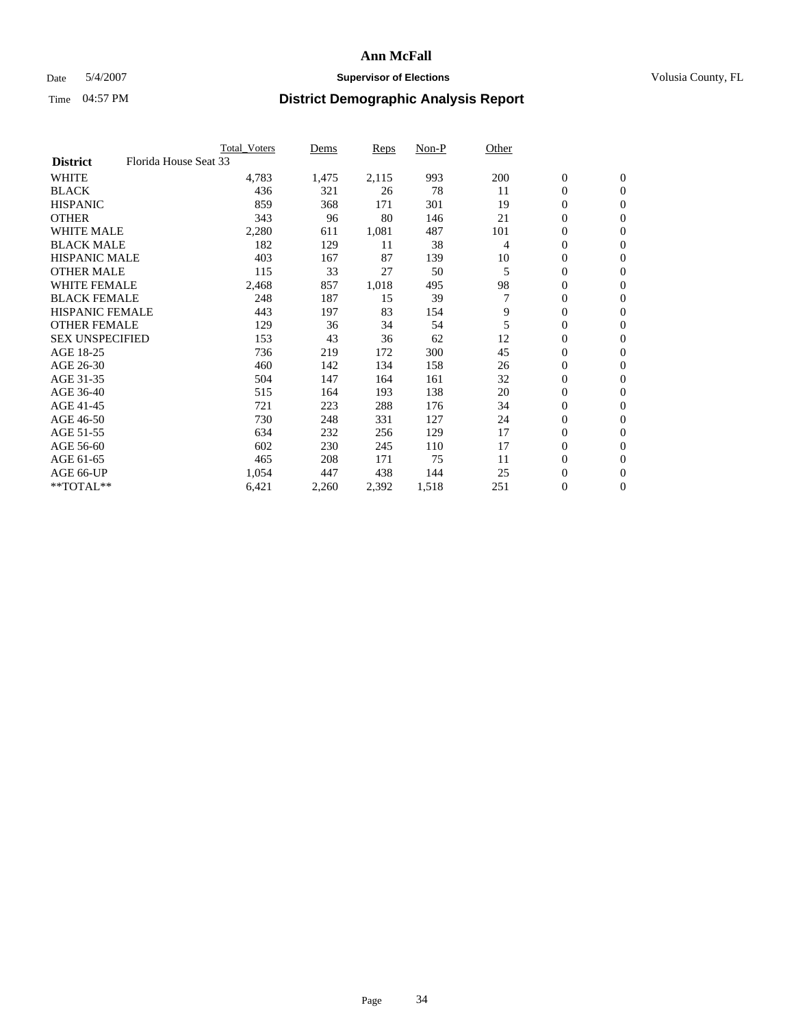### Date 5/4/2007 **Supervisor of Elections Supervisor of Elections** Volusia County, FL

|                                          | <b>Total Voters</b> | Dems  | Reps  | Non-P | Other |                  |                |  |
|------------------------------------------|---------------------|-------|-------|-------|-------|------------------|----------------|--|
| Florida House Seat 33<br><b>District</b> |                     |       |       |       |       |                  |                |  |
| <b>WHITE</b>                             | 4,783               | 1,475 | 2,115 | 993   | 200   | $\boldsymbol{0}$ | $\mathbf{0}$   |  |
| <b>BLACK</b>                             | 436                 | 321   | 26    | 78    | 11    | $\mathbf{0}$     | $\mathbf{0}$   |  |
| <b>HISPANIC</b>                          | 859                 | 368   | 171   | 301   | 19    | 0                | $\overline{0}$ |  |
| <b>OTHER</b>                             | 343                 | 96    | 80    | 146   | 21    | 0                | $\mathbf{0}$   |  |
| <b>WHITE MALE</b>                        | 2,280               | 611   | 1,081 | 487   | 101   | 0                | $\mathbf{0}$   |  |
| <b>BLACK MALE</b>                        | 182                 | 129   | 11    | 38    | 4     | 0                | $\mathbf{0}$   |  |
| <b>HISPANIC MALE</b>                     | 403                 | 167   | 87    | 139   | 10    | 0                | $\mathbf{0}$   |  |
| <b>OTHER MALE</b>                        | 115                 | 33    | 27    | 50    | 5     | $\mathbf{0}$     | $\mathbf{0}$   |  |
| <b>WHITE FEMALE</b>                      | 2,468               | 857   | 1,018 | 495   | 98    | 0                | $\mathbf{0}$   |  |
| <b>BLACK FEMALE</b>                      | 248                 | 187   | 15    | 39    | 7     | $\boldsymbol{0}$ | $\mathbf{0}$   |  |
| <b>HISPANIC FEMALE</b>                   | 443                 | 197   | 83    | 154   | 9     | 0                | $\mathbf{0}$   |  |
| <b>OTHER FEMALE</b>                      | 129                 | 36    | 34    | 54    | 5     | 0                | $\mathbf{0}$   |  |
| <b>SEX UNSPECIFIED</b>                   | 153                 | 43    | 36    | 62    | 12    | 0                | $\mathbf{0}$   |  |
| AGE 18-25                                | 736                 | 219   | 172   | 300   | 45    | 0                | $\mathbf{0}$   |  |
| AGE 26-30                                | 460                 | 142   | 134   | 158   | 26    | $\mathbf{0}$     | $\mathbf{0}$   |  |
| AGE 31-35                                | 504                 | 147   | 164   | 161   | 32    | 0                | $\mathbf{0}$   |  |
| AGE 36-40                                | 515                 | 164   | 193   | 138   | 20    | 0                | $\mathbf{0}$   |  |
| AGE 41-45                                | 721                 | 223   | 288   | 176   | 34    | 0                | $\mathbf{0}$   |  |
| AGE 46-50                                | 730                 | 248   | 331   | 127   | 24    | 0                | $\mathbf{0}$   |  |
| AGE 51-55                                | 634                 | 232   | 256   | 129   | 17    | $\boldsymbol{0}$ | $\mathbf{0}$   |  |
| AGE 56-60                                | 602                 | 230   | 245   | 110   | 17    | $\mathbf{0}$     | $\mathbf{0}$   |  |
| AGE 61-65                                | 465                 | 208   | 171   | 75    | 11    | $\mathbf{0}$     | $\mathbf{0}$   |  |
| AGE 66-UP                                | 1,054               | 447   | 438   | 144   | 25    | $\boldsymbol{0}$ | $\mathbf{0}$   |  |
| **TOTAL**                                | 6,421               | 2,260 | 2,392 | 1,518 | 251   | 0                | $\overline{0}$ |  |
|                                          |                     |       |       |       |       |                  |                |  |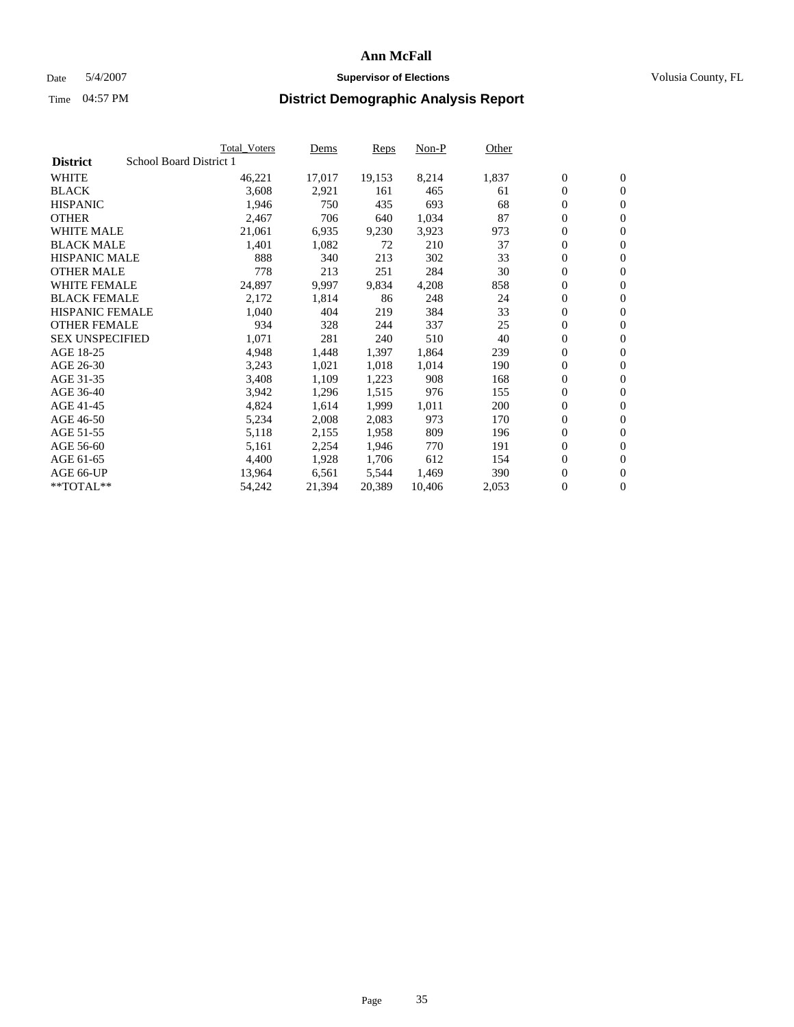#### Date 5/4/2007 **Supervisor of Elections Supervisor of Elections** Volusia County, FL

|                        |                         | Total_Voters | Dems   | <b>Reps</b> | Non-P  | Other |                  |                |  |
|------------------------|-------------------------|--------------|--------|-------------|--------|-------|------------------|----------------|--|
| <b>District</b>        | School Board District 1 |              |        |             |        |       |                  |                |  |
| <b>WHITE</b>           |                         | 46,221       | 17,017 | 19,153      | 8,214  | 1,837 | $\overline{0}$   | $\mathbf{0}$   |  |
| <b>BLACK</b>           |                         | 3,608        | 2,921  | 161         | 465    | 61    | $\overline{0}$   | $\mathbf{0}$   |  |
| <b>HISPANIC</b>        |                         | 1,946        | 750    | 435         | 693    | 68    | $\boldsymbol{0}$ | $\mathbf{0}$   |  |
| <b>OTHER</b>           |                         | 2,467        | 706    | 640         | 1,034  | 87    | $\boldsymbol{0}$ | $\mathbf{0}$   |  |
| <b>WHITE MALE</b>      |                         | 21,061       | 6,935  | 9,230       | 3,923  | 973   | 0                | $\mathbf{0}$   |  |
| <b>BLACK MALE</b>      |                         | 1,401        | 1,082  | 72          | 210    | 37    | $\boldsymbol{0}$ | $\mathbf{0}$   |  |
| <b>HISPANIC MALE</b>   |                         | 888          | 340    | 213         | 302    | 33    | $\overline{0}$   | $\mathbf{0}$   |  |
| <b>OTHER MALE</b>      |                         | 778          | 213    | 251         | 284    | 30    | $\overline{0}$   | $\mathbf{0}$   |  |
| <b>WHITE FEMALE</b>    |                         | 24,897       | 9,997  | 9,834       | 4,208  | 858   | $\mathbf{0}$     | $\mathbf{0}$   |  |
| <b>BLACK FEMALE</b>    |                         | 2,172        | 1,814  | 86          | 248    | 24    | $\boldsymbol{0}$ | $\mathbf{0}$   |  |
| <b>HISPANIC FEMALE</b> |                         | 1,040        | 404    | 219         | 384    | 33    | $\boldsymbol{0}$ | $\mathbf{0}$   |  |
| <b>OTHER FEMALE</b>    |                         | 934          | 328    | 244         | 337    | 25    | 0                | $\mathbf{0}$   |  |
| <b>SEX UNSPECIFIED</b> |                         | 1,071        | 281    | 240         | 510    | 40    | $\boldsymbol{0}$ | $\mathbf{0}$   |  |
| AGE 18-25              |                         | 4,948        | 1,448  | 1,397       | 1,864  | 239   | $\boldsymbol{0}$ | $\mathbf{0}$   |  |
| AGE 26-30              |                         | 3,243        | 1,021  | 1,018       | 1,014  | 190   | $\overline{0}$   | $\mathbf{0}$   |  |
| AGE 31-35              |                         | 3,408        | 1,109  | 1,223       | 908    | 168   | $\overline{0}$   | $\mathbf{0}$   |  |
| AGE 36-40              |                         | 3,942        | 1,296  | 1,515       | 976    | 155   | $\boldsymbol{0}$ | $\mathbf{0}$   |  |
| AGE 41-45              |                         | 4,824        | 1,614  | 1,999       | 1,011  | 200   | $\boldsymbol{0}$ | $\mathbf{0}$   |  |
| AGE 46-50              |                         | 5,234        | 2,008  | 2,083       | 973    | 170   | 0                | $\mathbf{0}$   |  |
| AGE 51-55              |                         | 5,118        | 2,155  | 1,958       | 809    | 196   | $\boldsymbol{0}$ | $\mathbf{0}$   |  |
| AGE 56-60              |                         | 5,161        | 2,254  | 1,946       | 770    | 191   | $\overline{0}$   | $\mathbf{0}$   |  |
| AGE 61-65              |                         | 4,400        | 1,928  | 1,706       | 612    | 154   | $\mathbf{0}$     | $\mathbf{0}$   |  |
| AGE 66-UP              |                         | 13,964       | 6,561  | 5,544       | 1,469  | 390   | $\boldsymbol{0}$ | $\mathbf{0}$   |  |
| **TOTAL**              |                         | 54,242       | 21,394 | 20,389      | 10,406 | 2,053 | 0                | $\overline{0}$ |  |
|                        |                         |              |        |             |        |       |                  |                |  |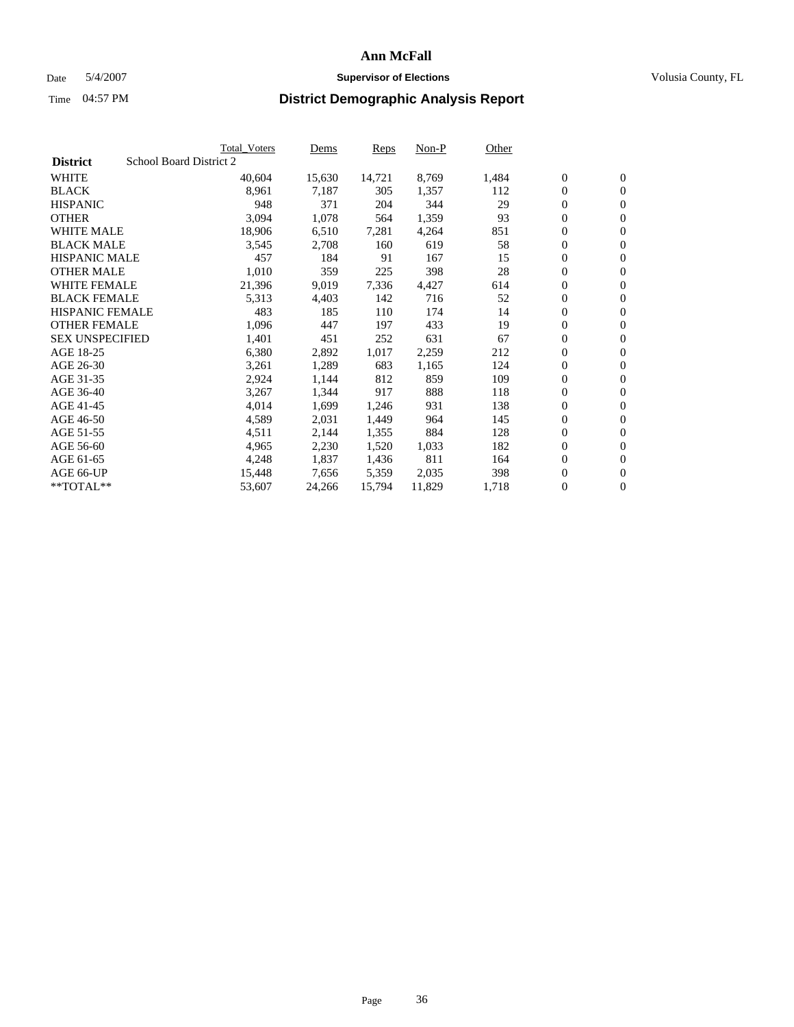#### Date 5/4/2007 **Supervisor of Elections Supervisor of Elections** Volusia County, FL

|                        | Total_Voters            | Dems   | <b>Reps</b> | Non-P  | Other |                  |                |  |
|------------------------|-------------------------|--------|-------------|--------|-------|------------------|----------------|--|
| <b>District</b>        | School Board District 2 |        |             |        |       |                  |                |  |
| <b>WHITE</b>           | 40,604                  | 15,630 | 14,721      | 8,769  | 1,484 | $\boldsymbol{0}$ | $\mathbf{0}$   |  |
| <b>BLACK</b>           | 8,961                   | 7,187  | 305         | 1,357  | 112   | $\overline{0}$   | $\mathbf{0}$   |  |
| <b>HISPANIC</b>        | 948                     | 371    | 204         | 344    | 29    | $\boldsymbol{0}$ | $\mathbf{0}$   |  |
| <b>OTHER</b>           | 3,094                   | 1,078  | 564         | 1,359  | 93    | $\boldsymbol{0}$ | $\mathbf{0}$   |  |
| <b>WHITE MALE</b>      | 18,906                  | 6,510  | 7,281       | 4,264  | 851   | 0                | $\mathbf{0}$   |  |
| <b>BLACK MALE</b>      | 3,545                   | 2,708  | 160         | 619    | 58    | $\boldsymbol{0}$ | $\mathbf{0}$   |  |
| <b>HISPANIC MALE</b>   | 457                     | 184    | 91          | 167    | 15    | $\overline{0}$   | $\mathbf{0}$   |  |
| <b>OTHER MALE</b>      | 1,010                   | 359    | 225         | 398    | 28    | $\overline{0}$   | $\mathbf{0}$   |  |
| <b>WHITE FEMALE</b>    | 21,396                  | 9,019  | 7,336       | 4,427  | 614   | $\overline{0}$   | $\mathbf{0}$   |  |
| <b>BLACK FEMALE</b>    | 5,313                   | 4,403  | 142         | 716    | 52    | $\boldsymbol{0}$ | $\mathbf{0}$   |  |
| <b>HISPANIC FEMALE</b> | 483                     | 185    | 110         | 174    | 14    | $\boldsymbol{0}$ | $\mathbf{0}$   |  |
| <b>OTHER FEMALE</b>    | 1,096                   | 447    | 197         | 433    | 19    | 0                | $\mathbf{0}$   |  |
| <b>SEX UNSPECIFIED</b> | 1,401                   | 451    | 252         | 631    | 67    | $\boldsymbol{0}$ | $\mathbf{0}$   |  |
| AGE 18-25              | 6,380                   | 2,892  | 1,017       | 2,259  | 212   | $\boldsymbol{0}$ | $\mathbf{0}$   |  |
| AGE 26-30              | 3,261                   | 1,289  | 683         | 1,165  | 124   | $\overline{0}$   | $\mathbf{0}$   |  |
| AGE 31-35              | 2,924                   | 1,144  | 812         | 859    | 109   | $\overline{0}$   | $\mathbf{0}$   |  |
| AGE 36-40              | 3,267                   | 1,344  | 917         | 888    | 118   | $\boldsymbol{0}$ | $\mathbf{0}$   |  |
| AGE 41-45              | 4,014                   | 1,699  | 1,246       | 931    | 138   | $\boldsymbol{0}$ | $\mathbf{0}$   |  |
| AGE 46-50              | 4,589                   | 2,031  | 1,449       | 964    | 145   | 0                | $\mathbf{0}$   |  |
| AGE 51-55              | 4,511                   | 2,144  | 1,355       | 884    | 128   | $\boldsymbol{0}$ | $\mathbf{0}$   |  |
| AGE 56-60              | 4,965                   | 2,230  | 1,520       | 1,033  | 182   | $\overline{0}$   | $\mathbf{0}$   |  |
| AGE 61-65              | 4,248                   | 1,837  | 1,436       | 811    | 164   | $\mathbf{0}$     | $\mathbf{0}$   |  |
| AGE 66-UP              | 15,448                  | 7,656  | 5,359       | 2,035  | 398   | $\boldsymbol{0}$ | $\mathbf{0}$   |  |
| **TOTAL**              | 53,607                  | 24,266 | 15,794      | 11,829 | 1,718 | $\boldsymbol{0}$ | $\overline{0}$ |  |
|                        |                         |        |             |        |       |                  |                |  |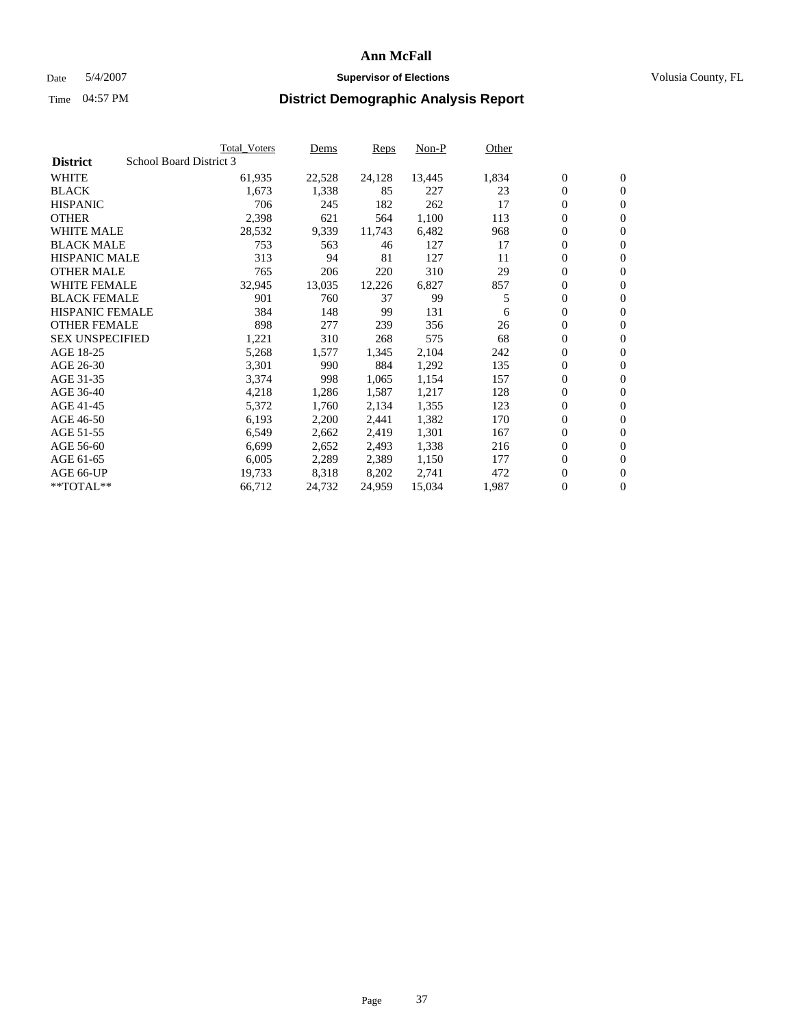### Date 5/4/2007 **Supervisor of Elections Supervisor of Elections** Volusia County, FL

|                        |                         | <b>Total_Voters</b> | Dems   | Reps   | Non-P  | Other |                  |                  |  |
|------------------------|-------------------------|---------------------|--------|--------|--------|-------|------------------|------------------|--|
| <b>District</b>        | School Board District 3 |                     |        |        |        |       |                  |                  |  |
| <b>WHITE</b>           |                         | 61,935              | 22,528 | 24,128 | 13,445 | 1,834 | $\boldsymbol{0}$ | $\mathbf{0}$     |  |
| <b>BLACK</b>           |                         | 1,673               | 1,338  | 85     | 227    | 23    | $\overline{0}$   | $\mathbf{0}$     |  |
| <b>HISPANIC</b>        |                         | 706                 | 245    | 182    | 262    | 17    | $\overline{0}$   | $\mathbf{0}$     |  |
| <b>OTHER</b>           |                         | 2,398               | 621    | 564    | 1,100  | 113   | 0                | $\overline{0}$   |  |
| <b>WHITE MALE</b>      |                         | 28,532              | 9,339  | 11,743 | 6,482  | 968   | $\overline{0}$   | $\mathbf{0}$     |  |
| <b>BLACK MALE</b>      |                         | 753                 | 563    | 46     | 127    | 17    | $\boldsymbol{0}$ | $\boldsymbol{0}$ |  |
| <b>HISPANIC MALE</b>   |                         | 313                 | 94     | 81     | 127    | 11    | 0                | $\mathbf{0}$     |  |
| <b>OTHER MALE</b>      |                         | 765                 | 206    | 220    | 310    | 29    | 0                | $\mathbf{0}$     |  |
| <b>WHITE FEMALE</b>    |                         | 32,945              | 13,035 | 12,226 | 6,827  | 857   | 0                | $\mathbf{0}$     |  |
| <b>BLACK FEMALE</b>    |                         | 901                 | 760    | 37     | 99     | 5     | $\overline{0}$   | $\mathbf{0}$     |  |
| <b>HISPANIC FEMALE</b> |                         | 384                 | 148    | 99     | 131    | 6     | 0                | $\mathbf{0}$     |  |
| <b>OTHER FEMALE</b>    |                         | 898                 | 277    | 239    | 356    | 26    | $\overline{0}$   | $\overline{0}$   |  |
| <b>SEX UNSPECIFIED</b> |                         | 1,221               | 310    | 268    | 575    | 68    | $\boldsymbol{0}$ | $\boldsymbol{0}$ |  |
| AGE 18-25              |                         | 5,268               | 1,577  | 1,345  | 2,104  | 242   | 0                | $\mathbf{0}$     |  |
| AGE 26-30              |                         | 3,301               | 990    | 884    | 1,292  | 135   | 0                | $\mathbf{0}$     |  |
| AGE 31-35              |                         | 3,374               | 998    | 1,065  | 1,154  | 157   | 0                | $\mathbf{0}$     |  |
| AGE 36-40              |                         | 4,218               | 1,286  | 1,587  | 1,217  | 128   | $\boldsymbol{0}$ | $\mathbf{0}$     |  |
| AGE 41-45              |                         | 5,372               | 1,760  | 2,134  | 1,355  | 123   | 0                | $\mathbf{0}$     |  |
| AGE 46-50              |                         | 6,193               | 2,200  | 2,441  | 1,382  | 170   | $\overline{0}$   | $\mathbf{0}$     |  |
| AGE 51-55              |                         | 6,549               | 2,662  | 2,419  | 1,301  | 167   | 0                | $\mathbf{0}$     |  |
| AGE 56-60              |                         | 6,699               | 2,652  | 2,493  | 1,338  | 216   | $\boldsymbol{0}$ | $\overline{0}$   |  |
| AGE 61-65              |                         | 6,005               | 2,289  | 2,389  | 1,150  | 177   | 0                | $\boldsymbol{0}$ |  |
| AGE 66-UP              |                         | 19,733              | 8,318  | 8,202  | 2,741  | 472   | 0                | $\bf{0}$         |  |
| $*$ TOTAL $**$         |                         | 66,712              | 24,732 | 24,959 | 15,034 | 1,987 | 0                | $\boldsymbol{0}$ |  |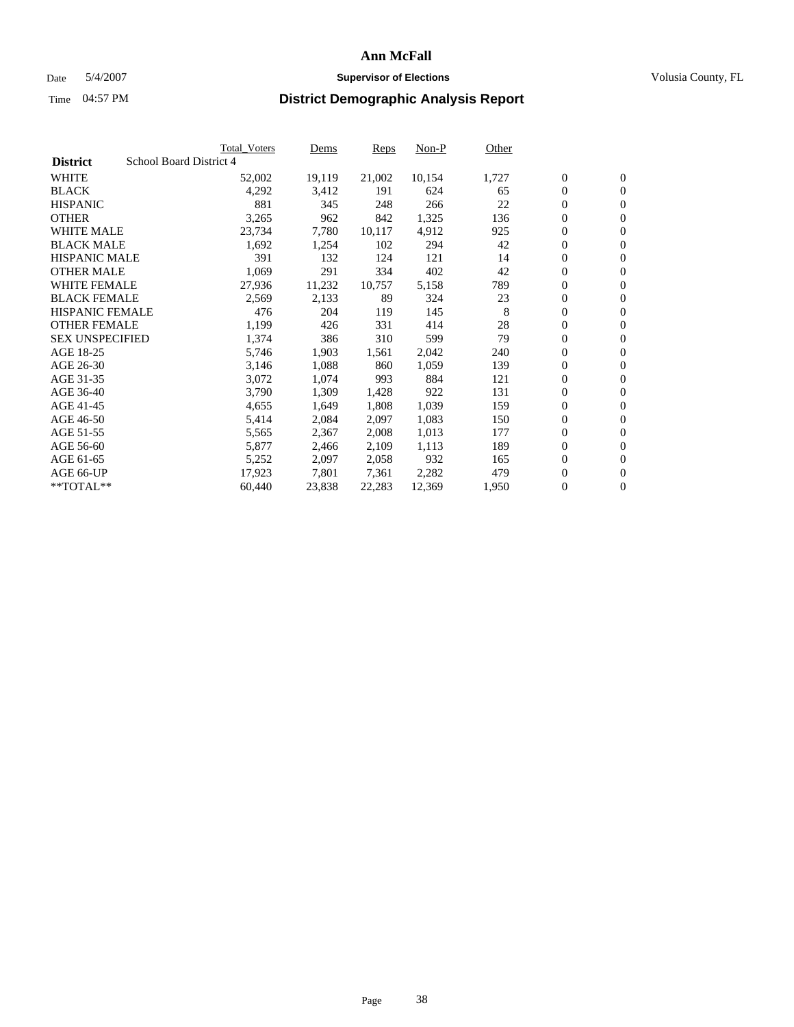#### Date 5/4/2007 **Supervisor of Elections Supervisor of Elections** Volusia County, FL

|                        |                         | <b>Total_Voters</b> | Dems   | <b>Reps</b> | Non-P  | Other |                  |                  |  |
|------------------------|-------------------------|---------------------|--------|-------------|--------|-------|------------------|------------------|--|
| <b>District</b>        | School Board District 4 |                     |        |             |        |       |                  |                  |  |
| <b>WHITE</b>           |                         | 52,002              | 19,119 | 21,002      | 10,154 | 1,727 | $\overline{0}$   | $\mathbf{0}$     |  |
| <b>BLACK</b>           |                         | 4,292               | 3,412  | 191         | 624    | 65    | $\overline{0}$   | $\mathbf{0}$     |  |
| <b>HISPANIC</b>        |                         | 881                 | 345    | 248         | 266    | 22    | $\boldsymbol{0}$ | $\mathbf{0}$     |  |
| <b>OTHER</b>           |                         | 3,265               | 962    | 842         | 1,325  | 136   | $\boldsymbol{0}$ | $\mathbf{0}$     |  |
| <b>WHITE MALE</b>      |                         | 23,734              | 7,780  | 10,117      | 4,912  | 925   | 0                | $\mathbf{0}$     |  |
| <b>BLACK MALE</b>      |                         | 1,692               | 1,254  | 102         | 294    | 42    | $\boldsymbol{0}$ | $\boldsymbol{0}$ |  |
| <b>HISPANIC MALE</b>   |                         | 391                 | 132    | 124         | 121    | 14    | $\overline{0}$   | $\mathbf{0}$     |  |
| <b>OTHER MALE</b>      |                         | 1,069               | 291    | 334         | 402    | 42    | $\overline{0}$   | $\mathbf{0}$     |  |
| <b>WHITE FEMALE</b>    |                         | 27,936              | 11,232 | 10,757      | 5,158  | 789   | $\overline{0}$   | $\mathbf{0}$     |  |
| <b>BLACK FEMALE</b>    |                         | 2,569               | 2,133  | 89          | 324    | 23    | $\boldsymbol{0}$ | $\mathbf{0}$     |  |
| <b>HISPANIC FEMALE</b> |                         | 476                 | 204    | 119         | 145    | 8     | $\boldsymbol{0}$ | $\boldsymbol{0}$ |  |
| <b>OTHER FEMALE</b>    |                         | 1,199               | 426    | 331         | 414    | 28    | 0                | $\mathbf{0}$     |  |
| <b>SEX UNSPECIFIED</b> |                         | 1,374               | 386    | 310         | 599    | 79    | $\boldsymbol{0}$ | $\mathbf{0}$     |  |
| AGE 18-25              |                         | 5,746               | 1,903  | 1,561       | 2,042  | 240   | $\boldsymbol{0}$ | $\mathbf{0}$     |  |
| AGE 26-30              |                         | 3,146               | 1,088  | 860         | 1,059  | 139   | $\overline{0}$   | $\mathbf{0}$     |  |
| AGE 31-35              |                         | 3,072               | 1,074  | 993         | 884    | 121   | $\overline{0}$   | $\mathbf{0}$     |  |
| AGE 36-40              |                         | 3,790               | 1,309  | 1,428       | 922    | 131   | $\boldsymbol{0}$ | $\mathbf{0}$     |  |
| AGE 41-45              |                         | 4,655               | 1,649  | 1,808       | 1,039  | 159   | $\boldsymbol{0}$ | $\mathbf{0}$     |  |
| AGE 46-50              |                         | 5,414               | 2,084  | 2,097       | 1,083  | 150   | 0                | $\mathbf{0}$     |  |
| AGE 51-55              |                         | 5,565               | 2,367  | 2,008       | 1,013  | 177   | $\boldsymbol{0}$ | $\boldsymbol{0}$ |  |
| AGE 56-60              |                         | 5,877               | 2,466  | 2,109       | 1,113  | 189   | $\overline{0}$   | $\mathbf{0}$     |  |
| AGE 61-65              |                         | 5,252               | 2,097  | 2,058       | 932    | 165   | $\mathbf{0}$     | $\mathbf{0}$     |  |
| AGE 66-UP              |                         | 17,923              | 7,801  | 7,361       | 2,282  | 479   | $\boldsymbol{0}$ | $\boldsymbol{0}$ |  |
| **TOTAL**              |                         | 60,440              | 23,838 | 22,283      | 12,369 | 1,950 | 0                | $\overline{0}$   |  |
|                        |                         |                     |        |             |        |       |                  |                  |  |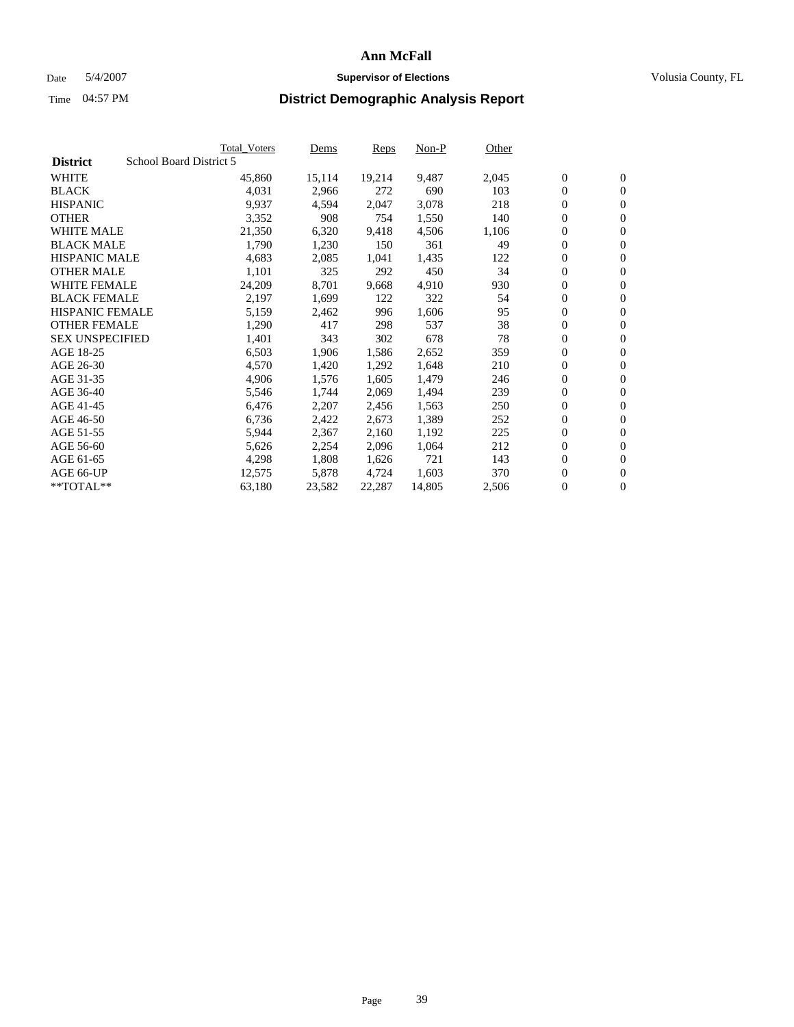#### Date 5/4/2007 **Supervisor of Elections Supervisor of Elections** Volusia County, FL

|                        |                         | <b>Total_Voters</b> | Dems   | <b>Reps</b> | Non-P  | Other |                  |                  |  |
|------------------------|-------------------------|---------------------|--------|-------------|--------|-------|------------------|------------------|--|
| <b>District</b>        | School Board District 5 |                     |        |             |        |       |                  |                  |  |
| <b>WHITE</b>           |                         | 45,860              | 15,114 | 19,214      | 9,487  | 2,045 | $\overline{0}$   | $\mathbf{0}$     |  |
| <b>BLACK</b>           |                         | 4,031               | 2,966  | 272         | 690    | 103   | $\overline{0}$   | $\mathbf{0}$     |  |
| <b>HISPANIC</b>        |                         | 9,937               | 4,594  | 2,047       | 3,078  | 218   | $\boldsymbol{0}$ | $\mathbf{0}$     |  |
| <b>OTHER</b>           |                         | 3,352               | 908    | 754         | 1,550  | 140   | $\boldsymbol{0}$ | $\mathbf{0}$     |  |
| <b>WHITE MALE</b>      |                         | 21,350              | 6,320  | 9,418       | 4,506  | 1,106 | 0                | $\mathbf{0}$     |  |
| <b>BLACK MALE</b>      |                         | 1,790               | 1,230  | 150         | 361    | 49    | $\boldsymbol{0}$ | $\boldsymbol{0}$ |  |
| <b>HISPANIC MALE</b>   |                         | 4,683               | 2,085  | 1,041       | 1,435  | 122   | $\overline{0}$   | $\mathbf{0}$     |  |
| <b>OTHER MALE</b>      |                         | 1,101               | 325    | 292         | 450    | 34    | $\overline{0}$   | $\mathbf{0}$     |  |
| <b>WHITE FEMALE</b>    |                         | 24,209              | 8,701  | 9,668       | 4,910  | 930   | $\mathbf{0}$     | $\mathbf{0}$     |  |
| <b>BLACK FEMALE</b>    |                         | 2,197               | 1,699  | 122         | 322    | 54    | $\boldsymbol{0}$ | $\mathbf{0}$     |  |
| <b>HISPANIC FEMALE</b> |                         | 5,159               | 2,462  | 996         | 1,606  | 95    | $\boldsymbol{0}$ | $\boldsymbol{0}$ |  |
| <b>OTHER FEMALE</b>    |                         | 1,290               | 417    | 298         | 537    | 38    | 0                | $\mathbf{0}$     |  |
| <b>SEX UNSPECIFIED</b> |                         | 1,401               | 343    | 302         | 678    | 78    | $\boldsymbol{0}$ | $\mathbf{0}$     |  |
| AGE 18-25              |                         | 6,503               | 1,906  | 1,586       | 2,652  | 359   | $\boldsymbol{0}$ | $\mathbf{0}$     |  |
| AGE 26-30              |                         | 4,570               | 1,420  | 1,292       | 1,648  | 210   | $\overline{0}$   | $\mathbf{0}$     |  |
| AGE 31-35              |                         | 4,906               | 1,576  | 1,605       | 1,479  | 246   | $\overline{0}$   | $\mathbf{0}$     |  |
| AGE 36-40              |                         | 5,546               | 1,744  | 2,069       | 1,494  | 239   | $\boldsymbol{0}$ | $\boldsymbol{0}$ |  |
| AGE 41-45              |                         | 6,476               | 2,207  | 2,456       | 1,563  | 250   | $\boldsymbol{0}$ | $\mathbf{0}$     |  |
| AGE 46-50              |                         | 6,736               | 2,422  | 2,673       | 1,389  | 252   | 0                | $\mathbf{0}$     |  |
| AGE 51-55              |                         | 5,944               | 2,367  | 2,160       | 1,192  | 225   | $\boldsymbol{0}$ | $\mathbf{0}$     |  |
| AGE 56-60              |                         | 5,626               | 2,254  | 2,096       | 1,064  | 212   | $\overline{0}$   | $\mathbf{0}$     |  |
| AGE 61-65              |                         | 4,298               | 1,808  | 1,626       | 721    | 143   | $\mathbf{0}$     | $\mathbf{0}$     |  |
| AGE 66-UP              |                         | 12,575              | 5,878  | 4,724       | 1,603  | 370   | $\boldsymbol{0}$ | $\mathbf{0}$     |  |
| **TOTAL**              |                         | 63,180              | 23,582 | 22,287      | 14,805 | 2,506 | 0                | $\overline{0}$   |  |
|                        |                         |                     |        |             |        |       |                  |                  |  |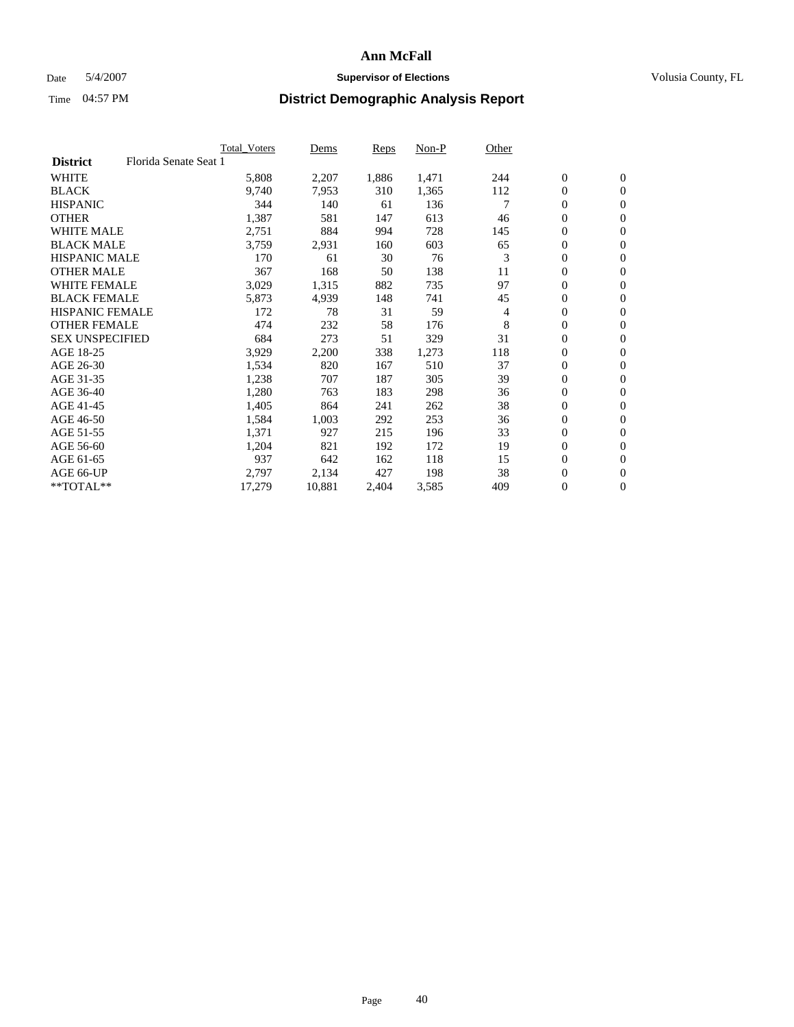#### Date 5/4/2007 **Supervisor of Elections Supervisor of Elections** Volusia County, FL

|                                          | <b>Total Voters</b> | Dems   | Reps  | Non-P | Other |                  |                |  |
|------------------------------------------|---------------------|--------|-------|-------|-------|------------------|----------------|--|
| Florida Senate Seat 1<br><b>District</b> |                     |        |       |       |       |                  |                |  |
| <b>WHITE</b>                             | 5,808               | 2,207  | 1,886 | 1,471 | 244   | $\mathbf{0}$     | $\mathbf{0}$   |  |
| <b>BLACK</b>                             | 9,740               | 7,953  | 310   | 1,365 | 112   | $\mathbf{0}$     | $\mathbf{0}$   |  |
| <b>HISPANIC</b>                          | 344                 | 140    | 61    | 136   |       | $\mathbf{0}$     | $\overline{0}$ |  |
| <b>OTHER</b>                             | 1,387               | 581    | 147   | 613   | 46    | 0                | $\mathbf{0}$   |  |
| <b>WHITE MALE</b>                        | 2,751               | 884    | 994   | 728   | 145   | 0                | $\mathbf{0}$   |  |
| <b>BLACK MALE</b>                        | 3,759               | 2,931  | 160   | 603   | 65    | 0                | $\mathbf{0}$   |  |
| <b>HISPANIC MALE</b>                     | 170                 | 61     | 30    | 76    | 3     | 0                | $\mathbf{0}$   |  |
| <b>OTHER MALE</b>                        | 367                 | 168    | 50    | 138   | 11    | $\mathbf{0}$     | $\mathbf{0}$   |  |
| <b>WHITE FEMALE</b>                      | 3,029               | 1,315  | 882   | 735   | 97    | 0                | $\mathbf{0}$   |  |
| <b>BLACK FEMALE</b>                      | 5,873               | 4,939  | 148   | 741   | 45    | $\mathbf{0}$     | $\mathbf{0}$   |  |
| <b>HISPANIC FEMALE</b>                   | 172                 | 78     | 31    | 59    | 4     | 0                | $\mathbf{0}$   |  |
| <b>OTHER FEMALE</b>                      | 474                 | 232    | 58    | 176   | 8     | 0                | $\mathbf{0}$   |  |
| <b>SEX UNSPECIFIED</b>                   | 684                 | 273    | 51    | 329   | 31    | 0                | $\mathbf{0}$   |  |
| AGE 18-25                                | 3,929               | 2,200  | 338   | 1,273 | 118   | 0                | $\mathbf{0}$   |  |
| AGE 26-30                                | 1,534               | 820    | 167   | 510   | 37    | $\mathbf{0}$     | $\mathbf{0}$   |  |
| AGE 31-35                                | 1,238               | 707    | 187   | 305   | 39    | 0                | $\mathbf{0}$   |  |
| AGE 36-40                                | 1,280               | 763    | 183   | 298   | 36    | 0                | $\mathbf{0}$   |  |
| AGE 41-45                                | 1,405               | 864    | 241   | 262   | 38    | 0                | $\mathbf{0}$   |  |
| AGE 46-50                                | 1,584               | 1,003  | 292   | 253   | 36    | 0                | $\mathbf{0}$   |  |
| AGE 51-55                                | 1,371               | 927    | 215   | 196   | 33    | $\boldsymbol{0}$ | $\mathbf{0}$   |  |
| AGE 56-60                                | 1,204               | 821    | 192   | 172   | 19    | 0                | $\mathbf{0}$   |  |
| AGE 61-65                                | 937                 | 642    | 162   | 118   | 15    | $\mathbf{0}$     | $\mathbf{0}$   |  |
| AGE 66-UP                                | 2,797               | 2,134  | 427   | 198   | 38    | $\boldsymbol{0}$ | $\mathbf{0}$   |  |
| **TOTAL**                                | 17,279              | 10,881 | 2,404 | 3,585 | 409   | 0                | $\mathbf{0}$   |  |
|                                          |                     |        |       |       |       |                  |                |  |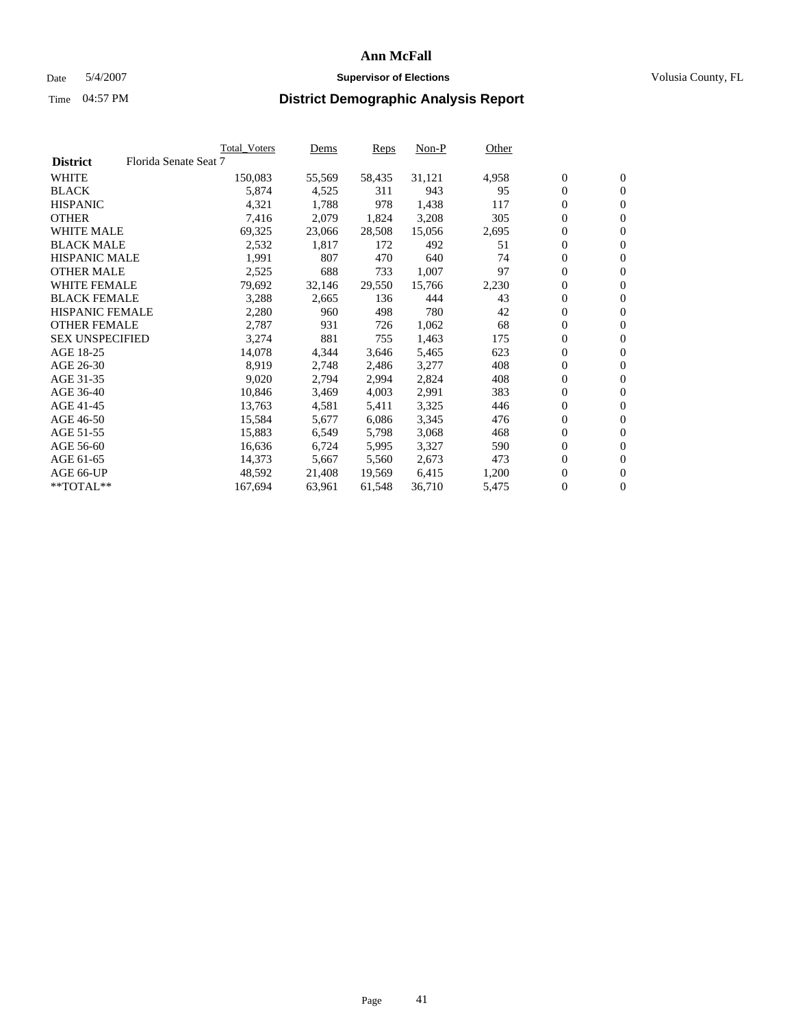#### Date 5/4/2007 **Supervisor of Elections Supervisor of Elections** Volusia County, FL

|                        |                       | Total_Voters | Dems   | <b>Reps</b> | Non-P  | Other |                  |                  |  |
|------------------------|-----------------------|--------------|--------|-------------|--------|-------|------------------|------------------|--|
| <b>District</b>        | Florida Senate Seat 7 |              |        |             |        |       |                  |                  |  |
| <b>WHITE</b>           |                       | 150,083      | 55,569 | 58,435      | 31,121 | 4,958 | $\boldsymbol{0}$ | $\mathbf{0}$     |  |
| <b>BLACK</b>           |                       | 5,874        | 4,525  | 311         | 943    | 95    | $\overline{0}$   | $\mathbf{0}$     |  |
| <b>HISPANIC</b>        |                       | 4,321        | 1,788  | 978         | 1,438  | 117   | $\boldsymbol{0}$ | $\mathbf{0}$     |  |
| <b>OTHER</b>           |                       | 7,416        | 2,079  | 1,824       | 3,208  | 305   | 0                | $\mathbf{0}$     |  |
| <b>WHITE MALE</b>      |                       | 69,325       | 23,066 | 28,508      | 15,056 | 2,695 | 0                | $\mathbf{0}$     |  |
| <b>BLACK MALE</b>      |                       | 2,532        | 1,817  | 172         | 492    | 51    | $\boldsymbol{0}$ | $\mathbf{0}$     |  |
| <b>HISPANIC MALE</b>   |                       | 1,991        | 807    | 470         | 640    | 74    | $\overline{0}$   | $\mathbf{0}$     |  |
| <b>OTHER MALE</b>      |                       | 2,525        | 688    | 733         | 1,007  | 97    | $\overline{0}$   | $\mathbf{0}$     |  |
| <b>WHITE FEMALE</b>    |                       | 79,692       | 32,146 | 29,550      | 15,766 | 2,230 | $\overline{0}$   | $\mathbf{0}$     |  |
| <b>BLACK FEMALE</b>    |                       | 3,288        | 2,665  | 136         | 444    | 43    | $\boldsymbol{0}$ | $\mathbf{0}$     |  |
| <b>HISPANIC FEMALE</b> |                       | 2,280        | 960    | 498         | 780    | 42    | $\boldsymbol{0}$ | $\mathbf{0}$     |  |
| <b>OTHER FEMALE</b>    |                       | 2,787        | 931    | 726         | 1,062  | 68    | 0                | $\mathbf{0}$     |  |
| <b>SEX UNSPECIFIED</b> |                       | 3,274        | 881    | 755         | 1,463  | 175   | $\boldsymbol{0}$ | $\mathbf{0}$     |  |
| AGE 18-25              |                       | 14,078       | 4,344  | 3,646       | 5,465  | 623   | $\boldsymbol{0}$ | $\mathbf{0}$     |  |
| AGE 26-30              |                       | 8,919        | 2,748  | 2,486       | 3,277  | 408   | $\overline{0}$   | $\mathbf{0}$     |  |
| AGE 31-35              |                       | 9,020        | 2,794  | 2,994       | 2,824  | 408   | $\overline{0}$   | $\mathbf{0}$     |  |
| AGE 36-40              |                       | 10,846       | 3,469  | 4,003       | 2,991  | 383   | $\boldsymbol{0}$ | $\mathbf{0}$     |  |
| AGE 41-45              |                       | 13,763       | 4,581  | 5,411       | 3,325  | 446   | $\boldsymbol{0}$ | $\mathbf{0}$     |  |
| AGE 46-50              |                       | 15,584       | 5,677  | 6,086       | 3,345  | 476   | 0                | $\mathbf{0}$     |  |
| AGE 51-55              |                       | 15,883       | 6,549  | 5,798       | 3,068  | 468   | $\boldsymbol{0}$ | $\mathbf{0}$     |  |
| AGE 56-60              |                       | 16,636       | 6,724  | 5,995       | 3,327  | 590   | $\overline{0}$   | $\mathbf{0}$     |  |
| AGE 61-65              |                       | 14,373       | 5,667  | 5,560       | 2,673  | 473   | $\mathbf{0}$     | $\boldsymbol{0}$ |  |
| AGE 66-UP              |                       | 48,592       | 21,408 | 19,569      | 6,415  | 1,200 | $\boldsymbol{0}$ | $\mathbf{0}$     |  |
| **TOTAL**              |                       | 167,694      | 63,961 | 61,548      | 36,710 | 5,475 | 0                | $\overline{0}$   |  |
|                        |                       |              |        |             |        |       |                  |                  |  |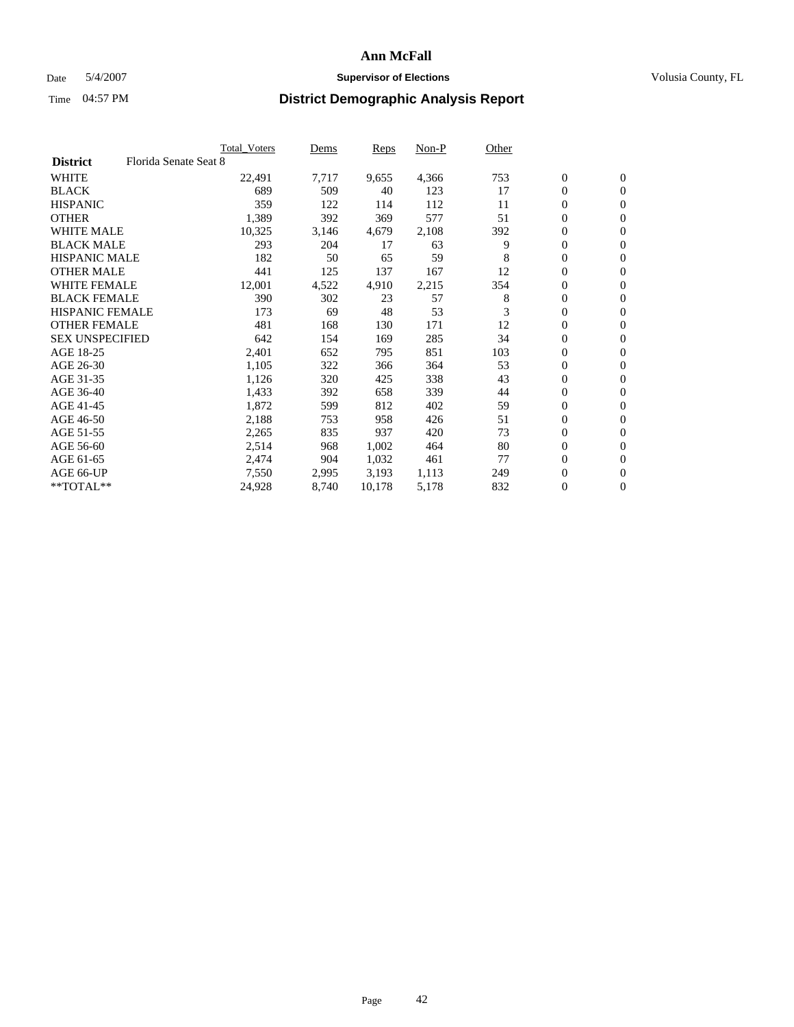### Date 5/4/2007 **Supervisor of Elections Supervisor of Elections** Volusia County, FL

|                        |                       | <b>Total Voters</b> | Dems  | Reps   | Non-P | Other |                  |                |  |
|------------------------|-----------------------|---------------------|-------|--------|-------|-------|------------------|----------------|--|
| <b>District</b>        | Florida Senate Seat 8 |                     |       |        |       |       |                  |                |  |
| <b>WHITE</b>           |                       | 22,491              | 7,717 | 9,655  | 4,366 | 753   | $\mathbf{0}$     | $\mathbf{0}$   |  |
| <b>BLACK</b>           |                       | 689                 | 509   | 40     | 123   | 17    | $\mathbf{0}$     | $\mathbf{0}$   |  |
| <b>HISPANIC</b>        |                       | 359                 | 122   | 114    | 112   | 11    | 0                | $\overline{0}$ |  |
| <b>OTHER</b>           |                       | 1,389               | 392   | 369    | 577   | 51    | 0                | $\mathbf{0}$   |  |
| <b>WHITE MALE</b>      |                       | 10,325              | 3,146 | 4,679  | 2,108 | 392   | 0                | $\mathbf{0}$   |  |
| <b>BLACK MALE</b>      |                       | 293                 | 204   | 17     | 63    | 9     | 0                | $\mathbf{0}$   |  |
| <b>HISPANIC MALE</b>   |                       | 182                 | 50    | 65     | 59    | 8     | 0                | $\mathbf{0}$   |  |
| <b>OTHER MALE</b>      |                       | 441                 | 125   | 137    | 167   | 12    | $\mathbf{0}$     | $\mathbf{0}$   |  |
| <b>WHITE FEMALE</b>    |                       | 12,001              | 4,522 | 4,910  | 2,215 | 354   | 0                | $\mathbf{0}$   |  |
| <b>BLACK FEMALE</b>    |                       | 390                 | 302   | 23     | 57    | 8     | $\boldsymbol{0}$ | $\mathbf{0}$   |  |
| <b>HISPANIC FEMALE</b> |                       | 173                 | 69    | 48     | 53    | 3     | 0                | $\mathbf{0}$   |  |
| <b>OTHER FEMALE</b>    |                       | 481                 | 168   | 130    | 171   | 12    | 0                | $\mathbf{0}$   |  |
| <b>SEX UNSPECIFIED</b> |                       | 642                 | 154   | 169    | 285   | 34    | 0                | $\mathbf{0}$   |  |
| AGE 18-25              |                       | 2,401               | 652   | 795    | 851   | 103   | 0                | $\mathbf{0}$   |  |
| AGE 26-30              |                       | 1,105               | 322   | 366    | 364   | 53    | $\mathbf{0}$     | $\mathbf{0}$   |  |
| AGE 31-35              |                       | 1,126               | 320   | 425    | 338   | 43    | 0                | $\mathbf{0}$   |  |
| AGE 36-40              |                       | 1,433               | 392   | 658    | 339   | 44    | 0                | $\mathbf{0}$   |  |
| AGE 41-45              |                       | 1,872               | 599   | 812    | 402   | 59    | 0                | $\mathbf{0}$   |  |
| AGE 46-50              |                       | 2,188               | 753   | 958    | 426   | 51    | 0                | $\mathbf{0}$   |  |
| AGE 51-55              |                       | 2,265               | 835   | 937    | 420   | 73    | $\boldsymbol{0}$ | $\mathbf{0}$   |  |
| AGE 56-60              |                       | 2,514               | 968   | 1,002  | 464   | 80    | 0                | $\mathbf{0}$   |  |
| AGE 61-65              |                       | 2,474               | 904   | 1,032  | 461   | 77    | $\mathbf{0}$     | $\mathbf{0}$   |  |
| AGE 66-UP              |                       | 7,550               | 2,995 | 3,193  | 1,113 | 249   | 0                | $\mathbf{0}$   |  |
| **TOTAL**              |                       | 24,928              | 8,740 | 10,178 | 5,178 | 832   | 0                | $\mathbf{0}$   |  |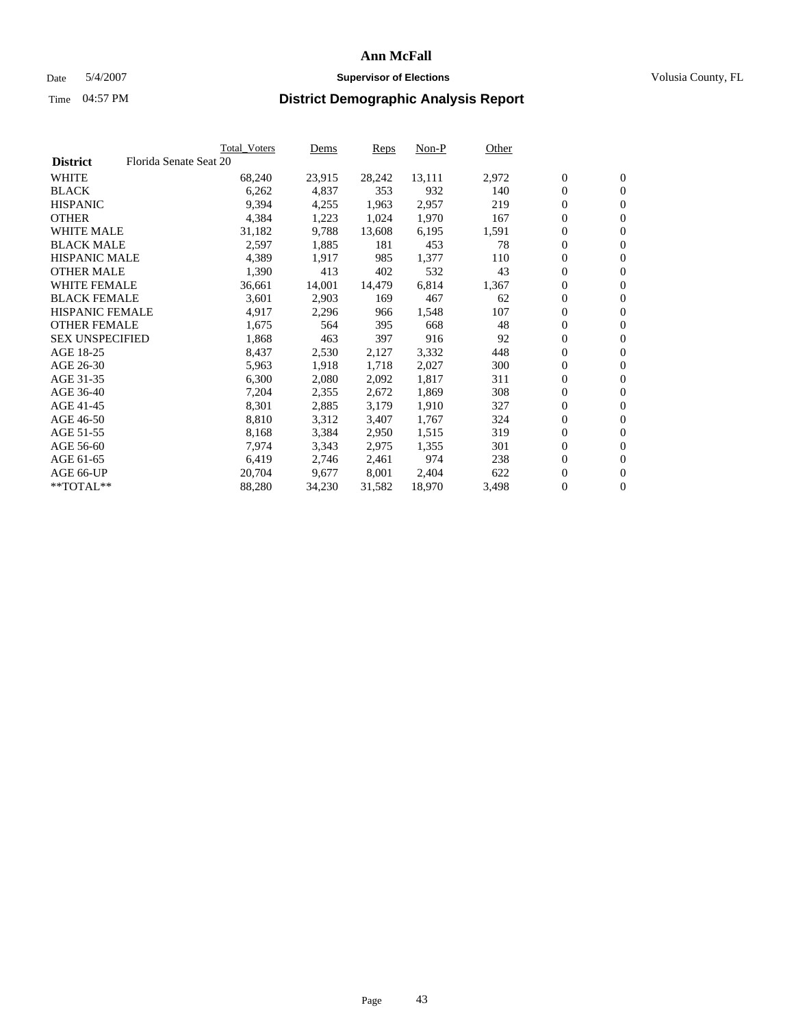#### Date 5/4/2007 **Supervisor of Elections Supervisor of Elections** Volusia County, FL

|                        | <b>Total_Voters</b>    | Dems   | <b>Reps</b> | Non-P  | Other |                  |                  |  |
|------------------------|------------------------|--------|-------------|--------|-------|------------------|------------------|--|
| <b>District</b>        | Florida Senate Seat 20 |        |             |        |       |                  |                  |  |
| <b>WHITE</b>           | 68,240                 | 23,915 | 28,242      | 13,111 | 2,972 | $\overline{0}$   | $\mathbf{0}$     |  |
| <b>BLACK</b>           | 6,262                  | 4,837  | 353         | 932    | 140   | $\overline{0}$   | $\mathbf{0}$     |  |
| <b>HISPANIC</b>        | 9,394                  | 4,255  | 1,963       | 2,957  | 219   | $\boldsymbol{0}$ | $\mathbf{0}$     |  |
| <b>OTHER</b>           | 4,384                  | 1,223  | 1,024       | 1,970  | 167   | $\boldsymbol{0}$ | $\mathbf{0}$     |  |
| <b>WHITE MALE</b>      | 31,182                 | 9,788  | 13,608      | 6,195  | 1,591 | 0                | $\mathbf{0}$     |  |
| <b>BLACK MALE</b>      | 2,597                  | 1,885  | 181         | 453    | 78    | $\boldsymbol{0}$ | $\mathbf{0}$     |  |
| <b>HISPANIC MALE</b>   | 4,389                  | 1,917  | 985         | 1,377  | 110   | $\overline{0}$   | $\mathbf{0}$     |  |
| <b>OTHER MALE</b>      | 1,390                  | 413    | 402         | 532    | 43    | $\overline{0}$   | $\mathbf{0}$     |  |
| <b>WHITE FEMALE</b>    | 36,661                 | 14,001 | 14,479      | 6,814  | 1,367 | $\mathbf{0}$     | $\mathbf{0}$     |  |
| <b>BLACK FEMALE</b>    | 3,601                  | 2,903  | 169         | 467    | 62    | $\boldsymbol{0}$ | $\mathbf{0}$     |  |
| <b>HISPANIC FEMALE</b> | 4,917                  | 2,296  | 966         | 1,548  | 107   | $\boldsymbol{0}$ | $\mathbf{0}$     |  |
| <b>OTHER FEMALE</b>    | 1,675                  | 564    | 395         | 668    | 48    | 0                | $\mathbf{0}$     |  |
| <b>SEX UNSPECIFIED</b> | 1,868                  | 463    | 397         | 916    | 92    | $\boldsymbol{0}$ | $\mathbf{0}$     |  |
| AGE 18-25              | 8,437                  | 2,530  | 2,127       | 3,332  | 448   | $\boldsymbol{0}$ | $\mathbf{0}$     |  |
| AGE 26-30              | 5,963                  | 1,918  | 1,718       | 2,027  | 300   | $\overline{0}$   | $\mathbf{0}$     |  |
| AGE 31-35              | 6,300                  | 2,080  | 2,092       | 1,817  | 311   | $\overline{0}$   | $\mathbf{0}$     |  |
| AGE 36-40              | 7,204                  | 2,355  | 2,672       | 1,869  | 308   | $\boldsymbol{0}$ | $\mathbf{0}$     |  |
| AGE 41-45              | 8,301                  | 2,885  | 3,179       | 1,910  | 327   | $\boldsymbol{0}$ | $\mathbf{0}$     |  |
| AGE 46-50              | 8,810                  | 3,312  | 3,407       | 1,767  | 324   | 0                | $\mathbf{0}$     |  |
| AGE 51-55              | 8,168                  | 3,384  | 2,950       | 1,515  | 319   | $\boldsymbol{0}$ | $\mathbf{0}$     |  |
| AGE 56-60              | 7,974                  | 3,343  | 2,975       | 1,355  | 301   | $\overline{0}$   | $\mathbf{0}$     |  |
| AGE 61-65              | 6,419                  | 2,746  | 2,461       | 974    | 238   | $\mathbf{0}$     | $\boldsymbol{0}$ |  |
| AGE 66-UP              | 20,704                 | 9,677  | 8,001       | 2,404  | 622   | $\boldsymbol{0}$ | $\mathbf{0}$     |  |
| **TOTAL**              | 88,280                 | 34,230 | 31,582      | 18,970 | 3,498 | 0                | $\overline{0}$   |  |
|                        |                        |        |             |        |       |                  |                  |  |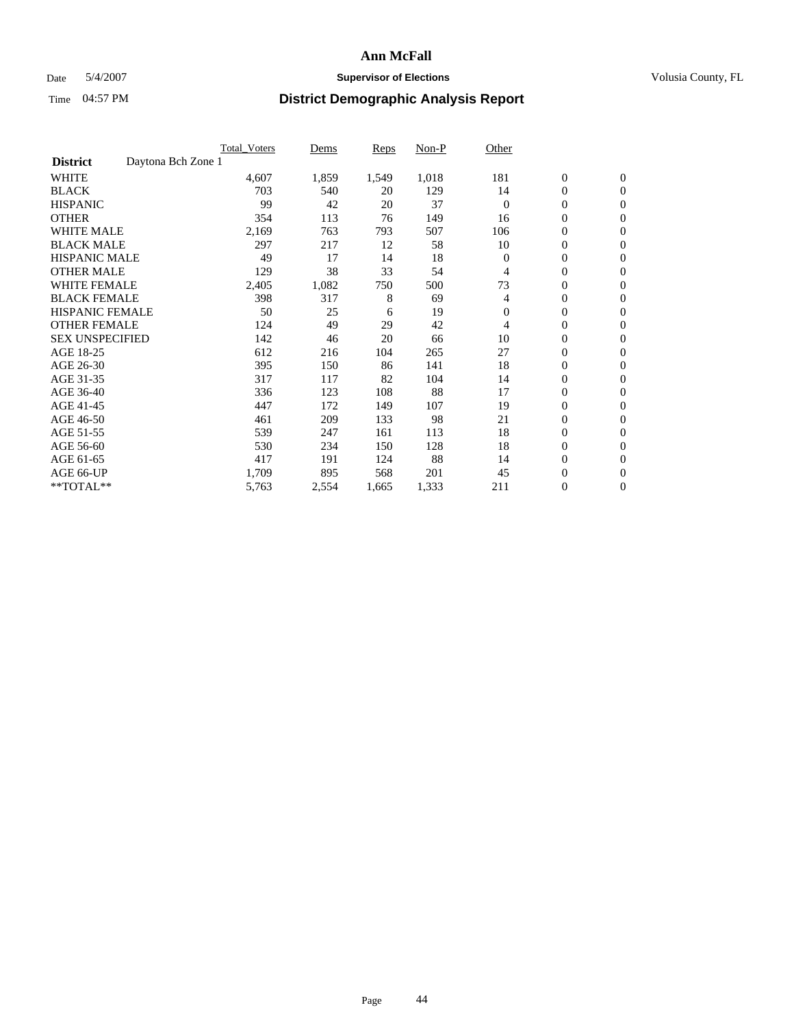### Date 5/4/2007 **Supervisor of Elections Supervisor of Elections** Volusia County, FL

|                                       | <b>Total Voters</b> | Dems  | Reps  | Non-P | Other        |                  |                  |  |
|---------------------------------------|---------------------|-------|-------|-------|--------------|------------------|------------------|--|
| Daytona Bch Zone 1<br><b>District</b> |                     |       |       |       |              |                  |                  |  |
| <b>WHITE</b>                          | 4,607               | 1,859 | 1,549 | 1,018 | 181          | $\boldsymbol{0}$ | $\boldsymbol{0}$ |  |
| <b>BLACK</b>                          | 703                 | 540   | 20    | 129   | 14           | $\mathbf{0}$     | $\mathbf{0}$     |  |
| <b>HISPANIC</b>                       | 99                  | 42    | 20    | 37    | $\Omega$     | $\mathbf{0}$     | $\mathbf{0}$     |  |
| <b>OTHER</b>                          | 354                 | 113   | 76    | 149   | 16           | 0                | $\mathbf{0}$     |  |
| <b>WHITE MALE</b>                     | 2,169               | 763   | 793   | 507   | 106          | 0                | $\mathbf{0}$     |  |
| <b>BLACK MALE</b>                     | 297                 | 217   | 12    | 58    | 10           | 0                | $\mathbf{0}$     |  |
| <b>HISPANIC MALE</b>                  | 49                  | 17    | 14    | 18    | $\Omega$     | 0                | $\mathbf{0}$     |  |
| <b>OTHER MALE</b>                     | 129                 | 38    | 33    | 54    | 4            | 0                | $\mathbf{0}$     |  |
| <b>WHITE FEMALE</b>                   | 2,405               | 1,082 | 750   | 500   | 73           | 0                | $\mathbf{0}$     |  |
| <b>BLACK FEMALE</b>                   | 398                 | 317   | 8     | 69    | 4            | $\mathbf{0}$     | $\mathbf{0}$     |  |
| <b>HISPANIC FEMALE</b>                | 50                  | 25    | 6     | 19    | $\mathbf{0}$ | 0                | $\mathbf{0}$     |  |
| <b>OTHER FEMALE</b>                   | 124                 | 49    | 29    | 42    | 4            | 0                | $\mathbf{0}$     |  |
| <b>SEX UNSPECIFIED</b>                | 142                 | 46    | 20    | 66    | 10           | 0                | $\mathbf{0}$     |  |
| AGE 18-25                             | 612                 | 216   | 104   | 265   | 27           | 0                | $\mathbf{0}$     |  |
| AGE 26-30                             | 395                 | 150   | 86    | 141   | 18           | 0                | $\mathbf{0}$     |  |
| AGE 31-35                             | 317                 | 117   | 82    | 104   | 14           | 0                | $\mathbf{0}$     |  |
| AGE 36-40                             | 336                 | 123   | 108   | 88    | 17           | $\boldsymbol{0}$ | $\mathbf{0}$     |  |
| AGE 41-45                             | 447                 | 172   | 149   | 107   | 19           | 0                | $\mathbf{0}$     |  |
| AGE 46-50                             | 461                 | 209   | 133   | 98    | 21           | $\mathbf{0}$     | $\mathbf{0}$     |  |
| AGE 51-55                             | 539                 | 247   | 161   | 113   | 18           | $\overline{0}$   | $\mathbf{0}$     |  |
| AGE 56-60                             | 530                 | 234   | 150   | 128   | 18           | 0                | $\mathbf{0}$     |  |
| AGE 61-65                             | 417                 | 191   | 124   | 88    | 14           | 0                | $\mathbf{0}$     |  |
| AGE 66-UP                             | 1,709               | 895   | 568   | 201   | 45           | 0                | 0                |  |
| **TOTAL**                             | 5,763               | 2,554 | 1,665 | 1,333 | 211          | 0                | $\boldsymbol{0}$ |  |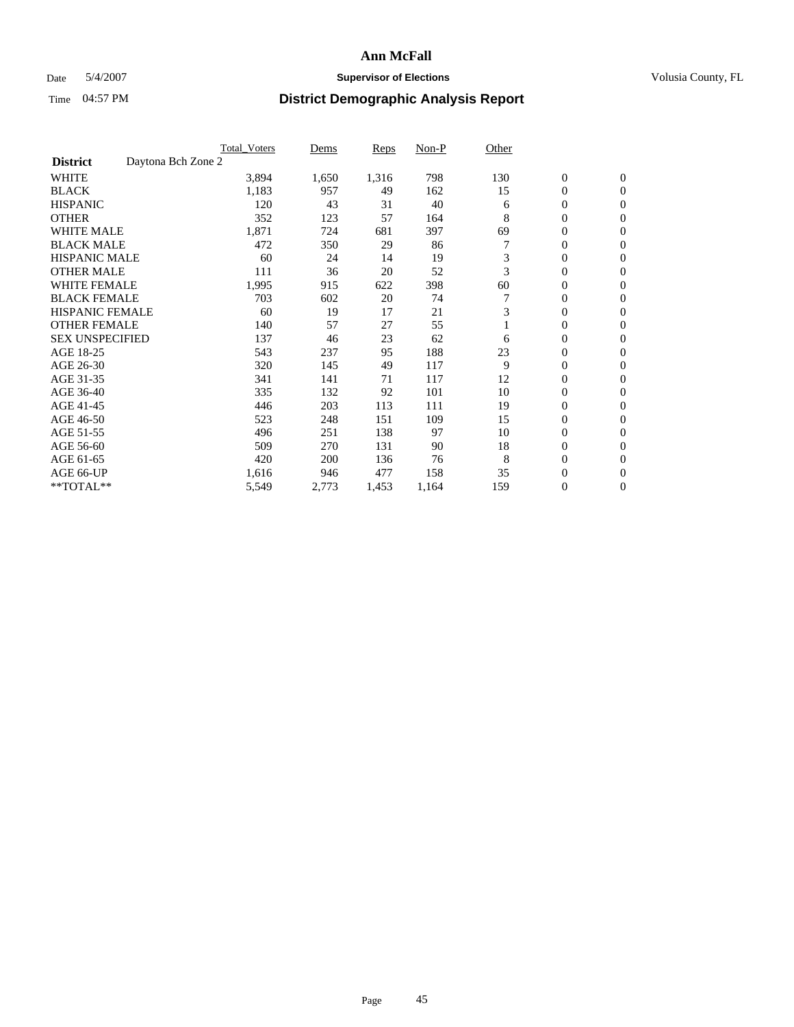### Date 5/4/2007 **Supervisor of Elections Supervisor of Elections** Volusia County, FL

|                                       | <b>Total Voters</b> | Dems  | Reps  | Non-P | Other |                  |                  |  |
|---------------------------------------|---------------------|-------|-------|-------|-------|------------------|------------------|--|
| Daytona Bch Zone 2<br><b>District</b> |                     |       |       |       |       |                  |                  |  |
| <b>WHITE</b>                          | 3,894               | 1,650 | 1,316 | 798   | 130   | $\boldsymbol{0}$ | $\boldsymbol{0}$ |  |
| <b>BLACK</b>                          | 1,183               | 957   | 49    | 162   | 15    | $\mathbf{0}$     | $\mathbf{0}$     |  |
| <b>HISPANIC</b>                       | 120                 | 43    | 31    | 40    | 6     | 0                | $\mathbf{0}$     |  |
| <b>OTHER</b>                          | 352                 | 123   | 57    | 164   | 8     | 0                | $\overline{0}$   |  |
| <b>WHITE MALE</b>                     | 1,871               | 724   | 681   | 397   | 69    | 0                | $\mathbf{0}$     |  |
| <b>BLACK MALE</b>                     | 472                 | 350   | 29    | 86    |       | 0                | 0                |  |
| <b>HISPANIC MALE</b>                  | 60                  | 24    | 14    | 19    | 3     | 0                | $\mathbf{0}$     |  |
| <b>OTHER MALE</b>                     | 111                 | 36    | 20    | 52    | 3     | 0                | $\mathbf{0}$     |  |
| <b>WHITE FEMALE</b>                   | 1,995               | 915   | 622   | 398   | 60    | 0                | $\mathbf{0}$     |  |
| <b>BLACK FEMALE</b>                   | 703                 | 602   | 20    | 74    |       | $\mathbf{0}$     | $\mathbf{0}$     |  |
| <b>HISPANIC FEMALE</b>                | 60                  | 19    | 17    | 21    | 3     | 0                | $\mathbf{0}$     |  |
| <b>OTHER FEMALE</b>                   | 140                 | 57    | 27    | 55    |       | 0                | $\mathbf{0}$     |  |
| <b>SEX UNSPECIFIED</b>                | 137                 | 46    | 23    | 62    | 6     | 0                | $\mathbf{0}$     |  |
| AGE 18-25                             | 543                 | 237   | 95    | 188   | 23    | 0                | $\mathbf{0}$     |  |
| AGE 26-30                             | 320                 | 145   | 49    | 117   | 9     | 0                | $\mathbf{0}$     |  |
| AGE 31-35                             | 341                 | 141   | 71    | 117   | 12    | 0                | $\mathbf{0}$     |  |
| AGE 36-40                             | 335                 | 132   | 92    | 101   | 10    | $\boldsymbol{0}$ | $\mathbf{0}$     |  |
| AGE 41-45                             | 446                 | 203   | 113   | 111   | 19    | 0                | $\mathbf{0}$     |  |
| AGE 46-50                             | 523                 | 248   | 151   | 109   | 15    | 0                | $\mathbf{0}$     |  |
| AGE 51-55                             | 496                 | 251   | 138   | 97    | 10    | 0                | $\mathbf{0}$     |  |
| AGE 56-60                             | 509                 | 270   | 131   | 90    | 18    | 0                | $\mathbf{0}$     |  |
| AGE 61-65                             | 420                 | 200   | 136   | 76    | 8     | 0                | $\mathbf{0}$     |  |
| AGE 66-UP                             | 1,616               | 946   | 477   | 158   | 35    | 0                | 0                |  |
| **TOTAL**                             | 5,549               | 2,773 | 1,453 | 1,164 | 159   | 0                | $\boldsymbol{0}$ |  |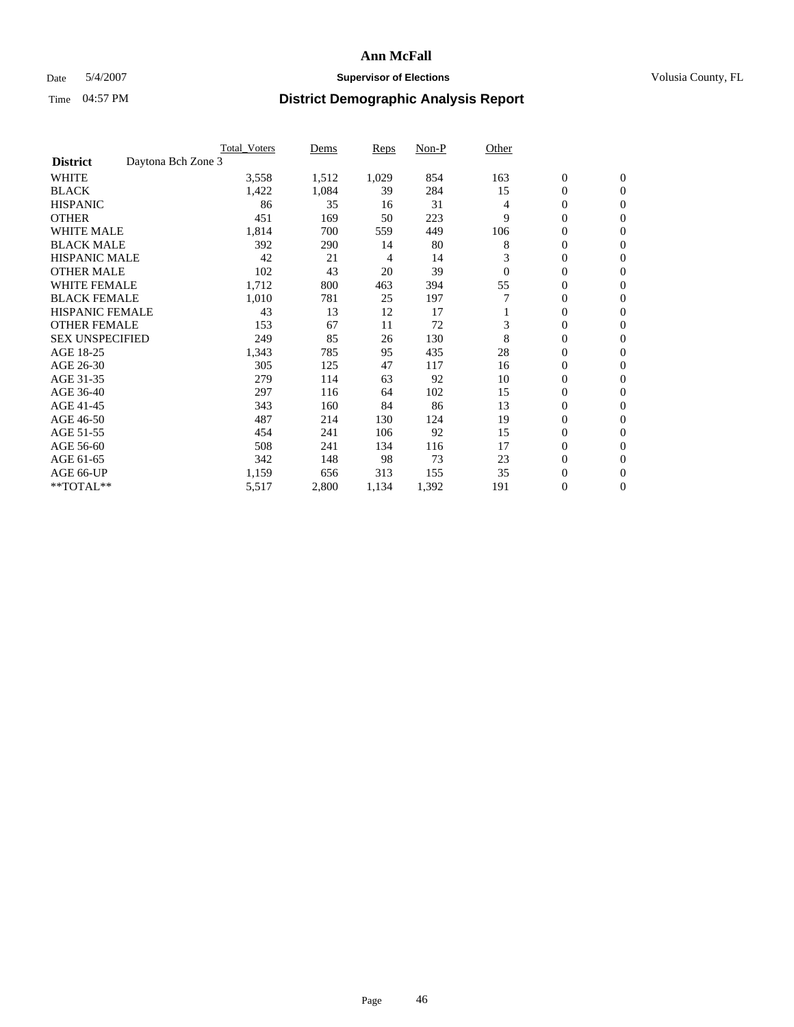### Date 5/4/2007 **Supervisor of Elections Supervisor of Elections** Volusia County, FL

|                                       | Total_Voters | Dems  | Reps  | Non-P | Other    |                  |                  |  |
|---------------------------------------|--------------|-------|-------|-------|----------|------------------|------------------|--|
| Daytona Bch Zone 3<br><b>District</b> |              |       |       |       |          |                  |                  |  |
| <b>WHITE</b>                          | 3,558        | 1,512 | 1,029 | 854   | 163      | $\boldsymbol{0}$ | $\mathbf{0}$     |  |
| <b>BLACK</b>                          | 1,422        | 1,084 | 39    | 284   | 15       | $\overline{0}$   | $\mathbf{0}$     |  |
| <b>HISPANIC</b>                       | 86           | 35    | 16    | 31    | 4        | $\overline{0}$   | $\mathbf{0}$     |  |
| <b>OTHER</b>                          | 451          | 169   | 50    | 223   | 9        | 0                | $\mathbf{0}$     |  |
| <b>WHITE MALE</b>                     | 1,814        | 700   | 559   | 449   | 106      | 0                | $\mathbf{0}$     |  |
| <b>BLACK MALE</b>                     | 392          | 290   | 14    | 80    | 8        | $\boldsymbol{0}$ | $\mathbf{0}$     |  |
| <b>HISPANIC MALE</b>                  | 42           | 21    | 4     | 14    | 3        | 0                | $\Omega$         |  |
| <b>OTHER MALE</b>                     | 102          | 43    | 20    | 39    | $\Omega$ | 0                | $\mathbf{0}$     |  |
| <b>WHITE FEMALE</b>                   | 1,712        | 800   | 463   | 394   | 55       | 0                | $\Omega$         |  |
| <b>BLACK FEMALE</b>                   | 1,010        | 781   | 25    | 197   |          | $\overline{0}$   | $\mathbf{0}$     |  |
| <b>HISPANIC FEMALE</b>                | 43           | 13    | 12    | 17    |          | 0                | $\mathbf{0}$     |  |
| <b>OTHER FEMALE</b>                   | 153          | 67    | 11    | 72    | 3        | $\overline{0}$   | $\mathbf{0}$     |  |
| <b>SEX UNSPECIFIED</b>                | 249          | 85    | 26    | 130   | 8        | $\boldsymbol{0}$ | $\mathbf{0}$     |  |
| AGE 18-25                             | 1,343        | 785   | 95    | 435   | 28       | 0                | $\mathbf{0}$     |  |
| AGE 26-30                             | 305          | 125   | 47    | 117   | 16       | 0                | $\mathbf{0}$     |  |
| AGE 31-35                             | 279          | 114   | 63    | 92    | 10       | 0                | $\mathbf{0}$     |  |
| AGE 36-40                             | 297          | 116   | 64    | 102   | 15       | $\boldsymbol{0}$ | $\mathbf{0}$     |  |
| AGE 41-45                             | 343          | 160   | 84    | 86    | 13       | $\mathbf{0}$     | $\mathbf{0}$     |  |
| AGE 46-50                             | 487          | 214   | 130   | 124   | 19       | $\overline{0}$   | $\mathbf{0}$     |  |
| AGE 51-55                             | 454          | 241   | 106   | 92    | 15       | $\overline{0}$   | $\mathbf{0}$     |  |
| AGE 56-60                             | 508          | 241   | 134   | 116   | 17       | $\boldsymbol{0}$ | $\mathbf{0}$     |  |
| AGE 61-65                             | 342          | 148   | 98    | 73    | 23       | 0                | $\mathbf{0}$     |  |
| AGE 66-UP                             | 1,159        | 656   | 313   | 155   | 35       | 0                | 0                |  |
| **TOTAL**                             | 5,517        | 2,800 | 1,134 | 1,392 | 191      | 0                | $\boldsymbol{0}$ |  |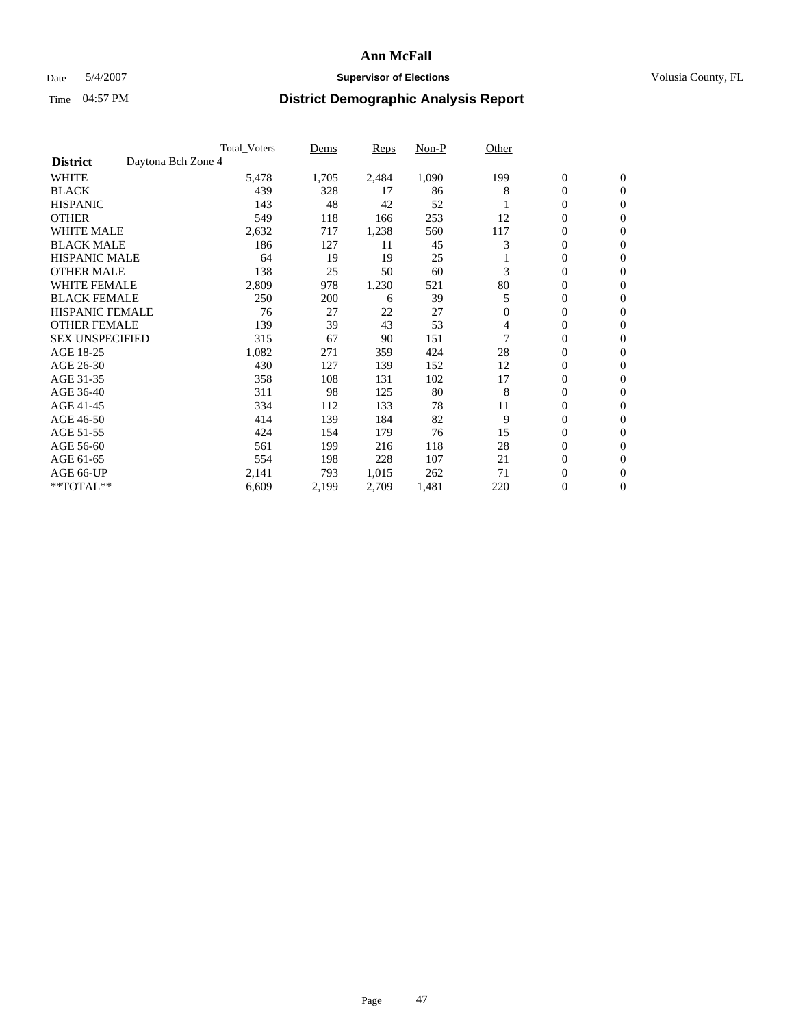### Date 5/4/2007 **Supervisor of Elections Supervisor of Elections** Volusia County, FL

|                                       | <b>Total Voters</b> | Dems  | Reps  | Non-P | Other    |                  |                  |  |
|---------------------------------------|---------------------|-------|-------|-------|----------|------------------|------------------|--|
| Daytona Bch Zone 4<br><b>District</b> |                     |       |       |       |          |                  |                  |  |
| <b>WHITE</b>                          | 5,478               | 1,705 | 2,484 | 1,090 | 199      | $\boldsymbol{0}$ | $\mathbf{0}$     |  |
| <b>BLACK</b>                          | 439                 | 328   | 17    | 86    | 8        | 0                | $\mathbf{0}$     |  |
| <b>HISPANIC</b>                       | 143                 | 48    | 42    | 52    |          | 0                | $\mathbf{0}$     |  |
| <b>OTHER</b>                          | 549                 | 118   | 166   | 253   | 12       | 0                | $\overline{0}$   |  |
| <b>WHITE MALE</b>                     | 2,632               | 717   | 1,238 | 560   | 117      | 0                | $\mathbf{0}$     |  |
| <b>BLACK MALE</b>                     | 186                 | 127   | 11    | 45    | 3        | 0                | $\mathbf{0}$     |  |
| <b>HISPANIC MALE</b>                  | 64                  | 19    | 19    | 25    |          | 0                | $\Omega$         |  |
| <b>OTHER MALE</b>                     | 138                 | 25    | 50    | 60    | 3        | 0                | 0                |  |
| <b>WHITE FEMALE</b>                   | 2,809               | 978   | 1,230 | 521   | 80       | 0                | $\Omega$         |  |
| <b>BLACK FEMALE</b>                   | 250                 | 200   | 6     | 39    | 5        | $\mathbf{0}$     | $\mathbf{0}$     |  |
| <b>HISPANIC FEMALE</b>                | 76                  | 27    | 22    | 27    | $\Omega$ | 0                | $\mathbf{0}$     |  |
| <b>OTHER FEMALE</b>                   | 139                 | 39    | 43    | 53    | 4        | 0                | $\mathbf{0}$     |  |
| <b>SEX UNSPECIFIED</b>                | 315                 | 67    | 90    | 151   | 7        | 0                | $\mathbf{0}$     |  |
| AGE 18-25                             | 1,082               | 271   | 359   | 424   | 28       | 0                | $\mathbf{0}$     |  |
| AGE 26-30                             | 430                 | 127   | 139   | 152   | 12       | 0                | $\mathbf{0}$     |  |
| AGE 31-35                             | 358                 | 108   | 131   | 102   | 17       | 0                | $\mathbf{0}$     |  |
| AGE 36-40                             | 311                 | 98    | 125   | 80    | 8        | $\mathbf{0}$     | $\mathbf{0}$     |  |
| AGE 41-45                             | 334                 | 112   | 133   | 78    | 11       | 0                | $\mathbf{0}$     |  |
| AGE 46-50                             | 414                 | 139   | 184   | 82    | 9        | 0                | $\mathbf{0}$     |  |
| AGE 51-55                             | 424                 | 154   | 179   | 76    | 15       | 0                | $\mathbf{0}$     |  |
| AGE 56-60                             | 561                 | 199   | 216   | 118   | 28       | 0                | $\mathbf{0}$     |  |
| AGE 61-65                             | 554                 | 198   | 228   | 107   | 21       | 0                | $\mathbf{0}$     |  |
| AGE 66-UP                             | 2,141               | 793   | 1,015 | 262   | 71       | 0                | 0                |  |
| **TOTAL**                             | 6,609               | 2,199 | 2,709 | 1,481 | 220      | 0                | $\boldsymbol{0}$ |  |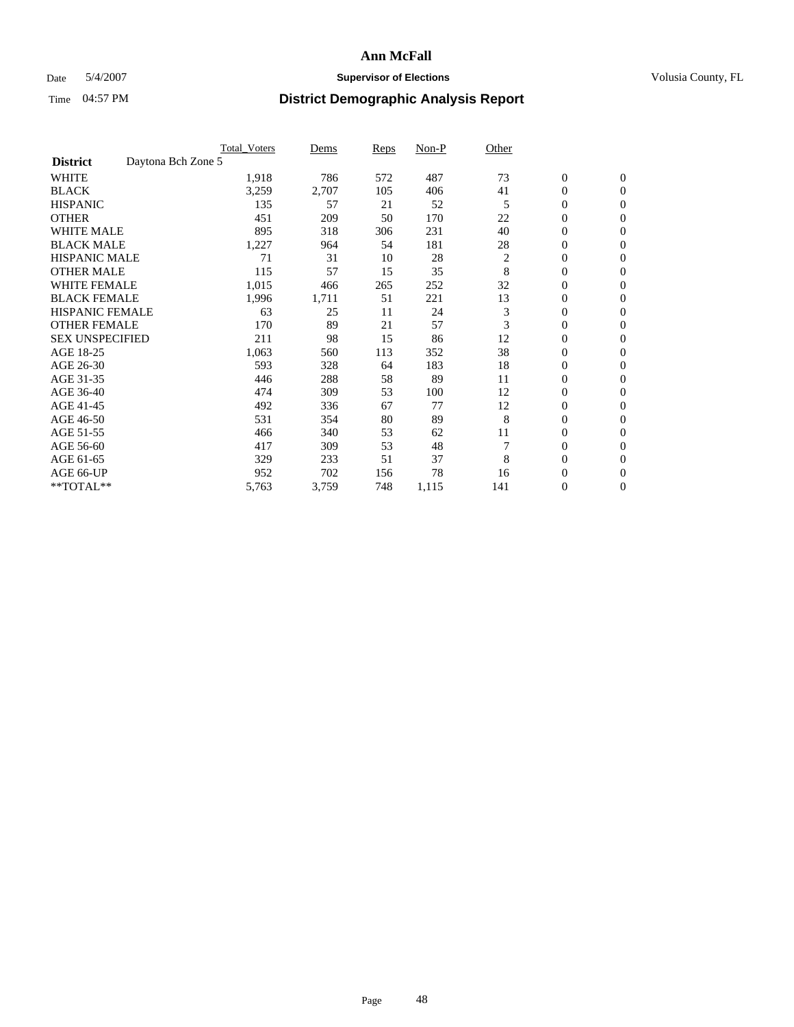### Date 5/4/2007 **Supervisor of Elections Supervisor of Elections** Volusia County, FL

|                                       | <b>Total Voters</b> | Dems  | Reps | Non-P | Other |                  |                  |  |
|---------------------------------------|---------------------|-------|------|-------|-------|------------------|------------------|--|
| Daytona Bch Zone 5<br><b>District</b> |                     |       |      |       |       |                  |                  |  |
| <b>WHITE</b>                          | 1,918               | 786   | 572  | 487   | 73    | $\boldsymbol{0}$ | $\boldsymbol{0}$ |  |
| <b>BLACK</b>                          | 3,259               | 2,707 | 105  | 406   | 41    | 0                | $\mathbf{0}$     |  |
| <b>HISPANIC</b>                       | 135                 | 57    | 21   | 52    | 5     | $\mathbf{0}$     | $\mathbf{0}$     |  |
| <b>OTHER</b>                          | 451                 | 209   | 50   | 170   | 22    | 0                | $\overline{0}$   |  |
| <b>WHITE MALE</b>                     | 895                 | 318   | 306  | 231   | 40    | 0                | $\mathbf{0}$     |  |
| <b>BLACK MALE</b>                     | 1,227               | 964   | 54   | 181   | 28    | 0                | 0                |  |
| <b>HISPANIC MALE</b>                  | 71                  | 31    | 10   | 28    | 2     | 0                | $\mathbf{0}$     |  |
| <b>OTHER MALE</b>                     | 115                 | 57    | 15   | 35    | 8     | 0                | $\mathbf{0}$     |  |
| <b>WHITE FEMALE</b>                   | 1,015               | 466   | 265  | 252   | 32    | 0                | $\mathbf{0}$     |  |
| <b>BLACK FEMALE</b>                   | 1,996               | 1,711 | 51   | 221   | 13    | $\mathbf{0}$     | $\mathbf{0}$     |  |
| <b>HISPANIC FEMALE</b>                | 63                  | 25    | 11   | 24    | 3     | 0                | $\mathbf{0}$     |  |
| <b>OTHER FEMALE</b>                   | 170                 | 89    | 21   | 57    | 3     | 0                | $\mathbf{0}$     |  |
| <b>SEX UNSPECIFIED</b>                | 211                 | 98    | 15   | 86    | 12    | 0                | $\mathbf{0}$     |  |
| AGE 18-25                             | 1,063               | 560   | 113  | 352   | 38    | 0                | $\mathbf{0}$     |  |
| AGE 26-30                             | 593                 | 328   | 64   | 183   | 18    | 0                | $\mathbf{0}$     |  |
| AGE 31-35                             | 446                 | 288   | 58   | 89    | 11    | 0                | $\mathbf{0}$     |  |
| AGE 36-40                             | 474                 | 309   | 53   | 100   | 12    | $\boldsymbol{0}$ | $\mathbf{0}$     |  |
| AGE 41-45                             | 492                 | 336   | 67   | 77    | 12    | 0                | $\mathbf{0}$     |  |
| AGE 46-50                             | 531                 | 354   | 80   | 89    | 8     | $\mathbf{0}$     | $\mathbf{0}$     |  |
| AGE 51-55                             | 466                 | 340   | 53   | 62    | 11    | 0                | $\mathbf{0}$     |  |
| AGE 56-60                             | 417                 | 309   | 53   | 48    |       | 0                | $\mathbf{0}$     |  |
| AGE 61-65                             | 329                 | 233   | 51   | 37    | 8     | 0                | $\mathbf{0}$     |  |
| AGE 66-UP                             | 952                 | 702   | 156  | 78    | 16    | 0                | 0                |  |
| **TOTAL**                             | 5,763               | 3,759 | 748  | 1,115 | 141   | 0                | $\boldsymbol{0}$ |  |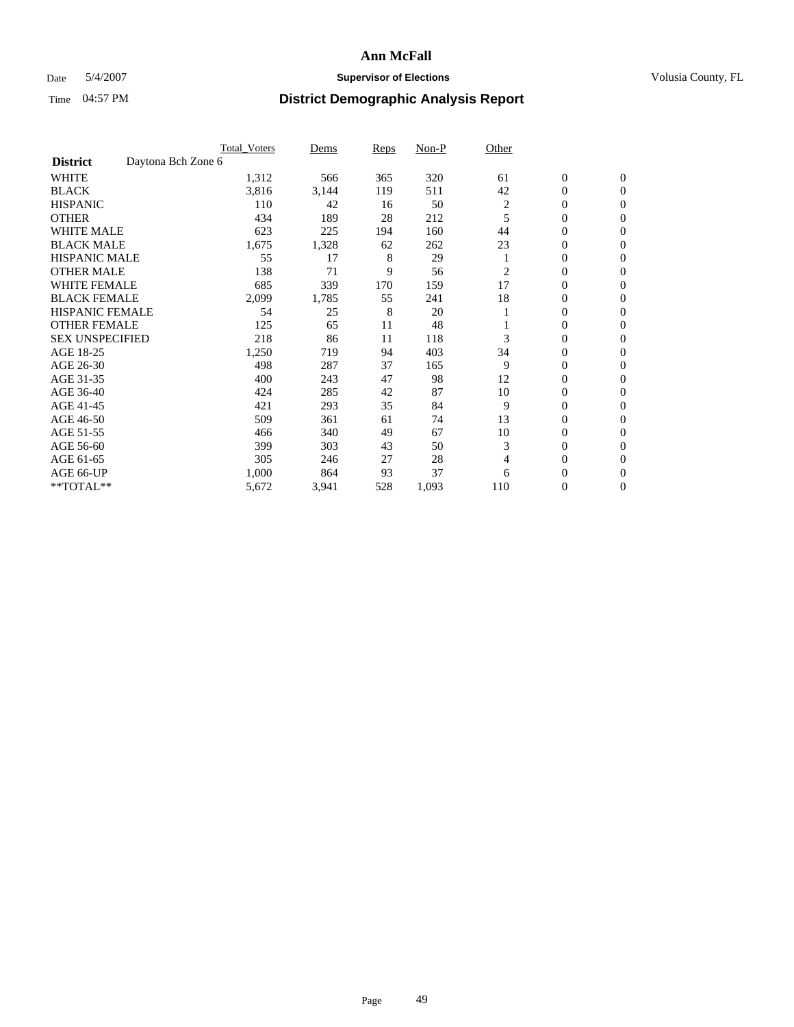### Date 5/4/2007 **Supervisor of Elections Supervisor of Elections** Volusia County, FL

|                                       | <b>Total Voters</b> | Dems  | Reps | Non-P | Other |                  |                  |  |
|---------------------------------------|---------------------|-------|------|-------|-------|------------------|------------------|--|
| Daytona Bch Zone 6<br><b>District</b> |                     |       |      |       |       |                  |                  |  |
| <b>WHITE</b>                          | 1,312               | 566   | 365  | 320   | 61    | $\boldsymbol{0}$ | $\mathbf{0}$     |  |
| <b>BLACK</b>                          | 3,816               | 3,144 | 119  | 511   | 42    | 0                | $\mathbf{0}$     |  |
| <b>HISPANIC</b>                       | 110                 | 42    | 16   | 50    | 2     | 0                | $\mathbf{0}$     |  |
| <b>OTHER</b>                          | 434                 | 189   | 28   | 212   | 5     | 0                | $\overline{0}$   |  |
| <b>WHITE MALE</b>                     | 623                 | 225   | 194  | 160   | 44    | 0                | $\mathbf{0}$     |  |
| <b>BLACK MALE</b>                     | 1,675               | 1,328 | 62   | 262   | 23    | 0                | $\mathbf{0}$     |  |
| <b>HISPANIC MALE</b>                  | 55                  | 17    | 8    | 29    |       | 0                | $\Omega$         |  |
| <b>OTHER MALE</b>                     | 138                 | 71    | 9    | 56    | 2     | 0                | 0                |  |
| <b>WHITE FEMALE</b>                   | 685                 | 339   | 170  | 159   | 17    | 0                | $\Omega$         |  |
| <b>BLACK FEMALE</b>                   | 2,099               | 1,785 | 55   | 241   | 18    | 0                | $\mathbf{0}$     |  |
| <b>HISPANIC FEMALE</b>                | 54                  | 25    | 8    | 20    |       | 0                | $\mathbf{0}$     |  |
| <b>OTHER FEMALE</b>                   | 125                 | 65    | 11   | 48    |       | 0                | $\mathbf{0}$     |  |
| <b>SEX UNSPECIFIED</b>                | 218                 | 86    | 11   | 118   | 3     | 0                | $\mathbf{0}$     |  |
| AGE 18-25                             | 1,250               | 719   | 94   | 403   | 34    | 0                | $\mathbf{0}$     |  |
| AGE 26-30                             | 498                 | 287   | 37   | 165   | 9     | 0                | $\mathbf{0}$     |  |
| AGE 31-35                             | 400                 | 243   | 47   | 98    | 12    | 0                | 0                |  |
| AGE 36-40                             | 424                 | 285   | 42   | 87    | 10    | 0                | $\mathbf{0}$     |  |
| AGE 41-45                             | 421                 | 293   | 35   | 84    | 9     | 0                | $\mathbf{0}$     |  |
| AGE 46-50                             | 509                 | 361   | 61   | 74    | 13    | 0                | $\mathbf{0}$     |  |
| AGE 51-55                             | 466                 | 340   | 49   | 67    | 10    | 0                | $\mathbf{0}$     |  |
| AGE 56-60                             | 399                 | 303   | 43   | 50    | 3     | 0                | $\mathbf{0}$     |  |
| AGE 61-65                             | 305                 | 246   | 27   | 28    | 4     | 0                | $\mathbf{0}$     |  |
| AGE 66-UP                             | 1,000               | 864   | 93   | 37    | 6     | 0                | 0                |  |
| **TOTAL**                             | 5,672               | 3,941 | 528  | 1,093 | 110   | 0                | $\boldsymbol{0}$ |  |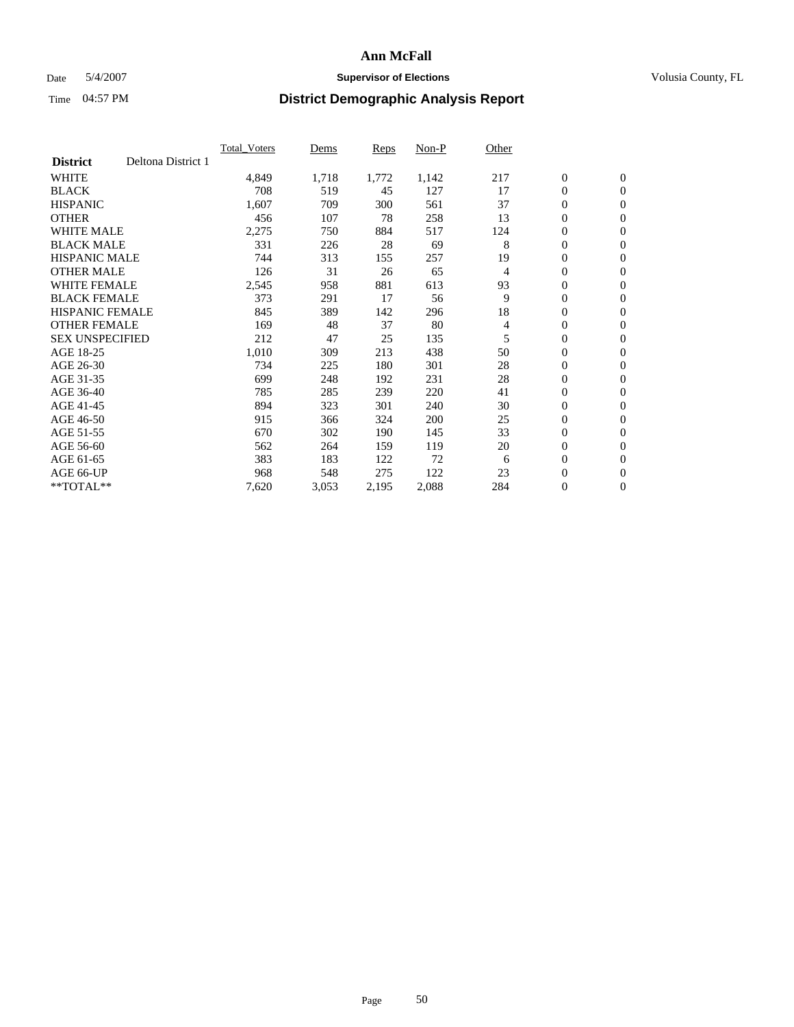### Date 5/4/2007 **Supervisor of Elections Supervisor of Elections** Volusia County, FL

|                        |                    | <b>Total Voters</b> | Dems  | Reps  | Non-P | Other |                  |                  |  |
|------------------------|--------------------|---------------------|-------|-------|-------|-------|------------------|------------------|--|
| <b>District</b>        | Deltona District 1 |                     |       |       |       |       |                  |                  |  |
| <b>WHITE</b>           |                    | 4,849               | 1,718 | 1,772 | 1,142 | 217   | $\boldsymbol{0}$ | $\boldsymbol{0}$ |  |
| <b>BLACK</b>           |                    | 708                 | 519   | 45    | 127   | 17    | $\mathbf{0}$     | $\mathbf{0}$     |  |
| <b>HISPANIC</b>        |                    | 1,607               | 709   | 300   | 561   | 37    | $\mathbf{0}$     | $\mathbf{0}$     |  |
| <b>OTHER</b>           |                    | 456                 | 107   | 78    | 258   | 13    | 0                | $\mathbf{0}$     |  |
| <b>WHITE MALE</b>      |                    | 2,275               | 750   | 884   | 517   | 124   | 0                | $\mathbf{0}$     |  |
| <b>BLACK MALE</b>      |                    | 331                 | 226   | 28    | 69    | 8     | 0                | $\mathbf{0}$     |  |
| <b>HISPANIC MALE</b>   |                    | 744                 | 313   | 155   | 257   | 19    | 0                | $\mathbf{0}$     |  |
| <b>OTHER MALE</b>      |                    | 126                 | 31    | 26    | 65    | 4     | 0                | $\mathbf{0}$     |  |
| <b>WHITE FEMALE</b>    |                    | 2,545               | 958   | 881   | 613   | 93    | 0                | $\mathbf{0}$     |  |
| <b>BLACK FEMALE</b>    |                    | 373                 | 291   | 17    | 56    | 9     | $\mathbf{0}$     | $\mathbf{0}$     |  |
| <b>HISPANIC FEMALE</b> |                    | 845                 | 389   | 142   | 296   | 18    | 0                | $\mathbf{0}$     |  |
| <b>OTHER FEMALE</b>    |                    | 169                 | 48    | 37    | 80    | 4     | $\overline{0}$   | $\mathbf{0}$     |  |
| <b>SEX UNSPECIFIED</b> |                    | 212                 | 47    | 25    | 135   | 5     | $\boldsymbol{0}$ | $\mathbf{0}$     |  |
| AGE 18-25              |                    | 1,010               | 309   | 213   | 438   | 50    | 0                | $\mathbf{0}$     |  |
| AGE 26-30              |                    | 734                 | 225   | 180   | 301   | 28    | 0                | $\mathbf{0}$     |  |
| AGE 31-35              |                    | 699                 | 248   | 192   | 231   | 28    | 0                | $\mathbf{0}$     |  |
| AGE 36-40              |                    | 785                 | 285   | 239   | 220   | 41    | $\boldsymbol{0}$ | $\mathbf{0}$     |  |
| AGE 41-45              |                    | 894                 | 323   | 301   | 240   | 30    | 0                | $\mathbf{0}$     |  |
| AGE 46-50              |                    | 915                 | 366   | 324   | 200   | 25    | $\mathbf{0}$     | $\mathbf{0}$     |  |
| AGE 51-55              |                    | 670                 | 302   | 190   | 145   | 33    | $\overline{0}$   | $\mathbf{0}$     |  |
| AGE 56-60              |                    | 562                 | 264   | 159   | 119   | 20    | $\boldsymbol{0}$ | $\mathbf{0}$     |  |
| AGE 61-65              |                    | 383                 | 183   | 122   | 72    | 6     | 0                | $\mathbf{0}$     |  |
| AGE 66-UP              |                    | 968                 | 548   | 275   | 122   | 23    | 0                | 0                |  |
| $*$ TOTAL $**$         |                    | 7,620               | 3,053 | 2,195 | 2,088 | 284   | 0                | $\boldsymbol{0}$ |  |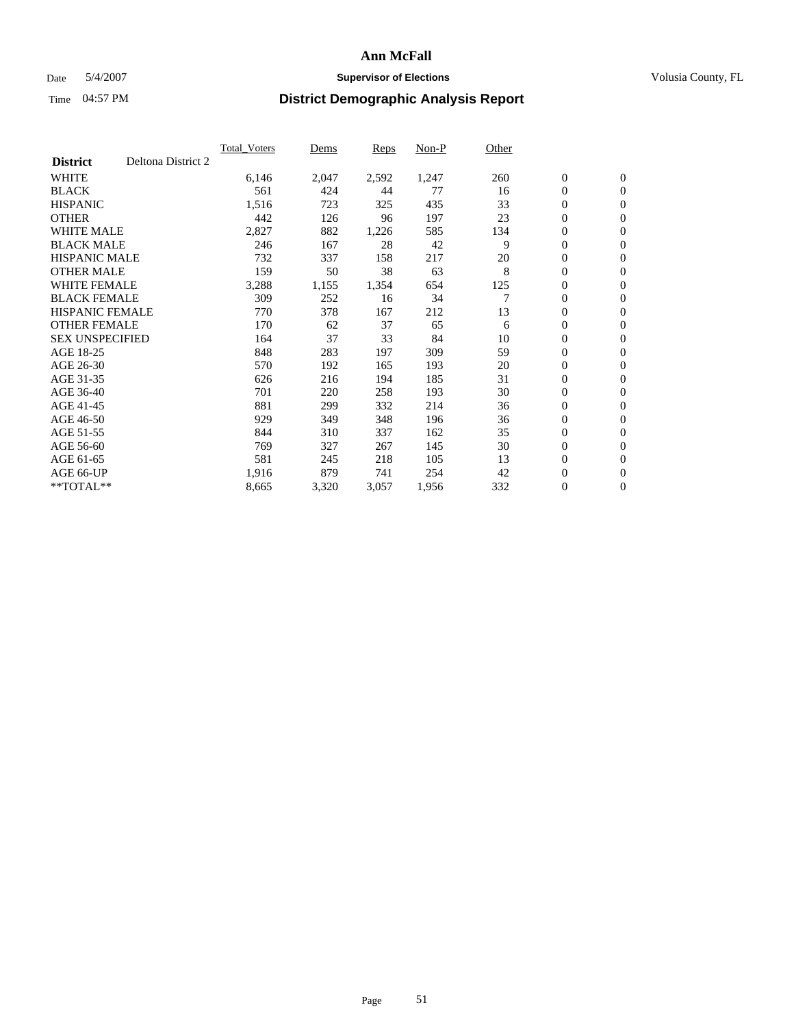### Date 5/4/2007 **Supervisor of Elections Supervisor of Elections** Volusia County, FL

|                        |                    | <b>Total Voters</b> | Dems  | Reps  | Non-P | Other |                  |                  |  |
|------------------------|--------------------|---------------------|-------|-------|-------|-------|------------------|------------------|--|
| <b>District</b>        | Deltona District 2 |                     |       |       |       |       |                  |                  |  |
| <b>WHITE</b>           |                    | 6,146               | 2,047 | 2,592 | 1,247 | 260   | $\boldsymbol{0}$ | $\boldsymbol{0}$ |  |
| <b>BLACK</b>           |                    | 561                 | 424   | 44    | 77    | 16    | $\mathbf{0}$     | $\mathbf{0}$     |  |
| <b>HISPANIC</b>        |                    | 1,516               | 723   | 325   | 435   | 33    | $\mathbf{0}$     | $\mathbf{0}$     |  |
| <b>OTHER</b>           |                    | 442                 | 126   | 96    | 197   | 23    | 0                | $\mathbf{0}$     |  |
| <b>WHITE MALE</b>      |                    | 2,827               | 882   | 1,226 | 585   | 134   | 0                | $\mathbf{0}$     |  |
| <b>BLACK MALE</b>      |                    | 246                 | 167   | 28    | 42    | 9     | 0                | $\mathbf{0}$     |  |
| <b>HISPANIC MALE</b>   |                    | 732                 | 337   | 158   | 217   | 20    | 0                | $\mathbf{0}$     |  |
| <b>OTHER MALE</b>      |                    | 159                 | 50    | 38    | 63    | 8     | 0                | $\mathbf{0}$     |  |
| <b>WHITE FEMALE</b>    |                    | 3,288               | 1,155 | 1,354 | 654   | 125   | 0                | $\mathbf{0}$     |  |
| <b>BLACK FEMALE</b>    |                    | 309                 | 252   | 16    | 34    |       | $\mathbf{0}$     | $\mathbf{0}$     |  |
| <b>HISPANIC FEMALE</b> |                    | 770                 | 378   | 167   | 212   | 13    | $\overline{0}$   | $\mathbf{0}$     |  |
| <b>OTHER FEMALE</b>    |                    | 170                 | 62    | 37    | 65    | 6     | $\mathbf{0}$     | $\mathbf{0}$     |  |
| <b>SEX UNSPECIFIED</b> |                    | 164                 | 37    | 33    | 84    | 10    | $\boldsymbol{0}$ | $\mathbf{0}$     |  |
| AGE 18-25              |                    | 848                 | 283   | 197   | 309   | 59    | 0                | $\mathbf{0}$     |  |
| AGE 26-30              |                    | 570                 | 192   | 165   | 193   | 20    | 0                | $\mathbf{0}$     |  |
| AGE 31-35              |                    | 626                 | 216   | 194   | 185   | 31    | 0                | $\mathbf{0}$     |  |
| AGE 36-40              |                    | 701                 | 220   | 258   | 193   | 30    | $\boldsymbol{0}$ | $\mathbf{0}$     |  |
| AGE 41-45              |                    | 881                 | 299   | 332   | 214   | 36    | 0                | $\mathbf{0}$     |  |
| AGE 46-50              |                    | 929                 | 349   | 348   | 196   | 36    | $\mathbf{0}$     | $\mathbf{0}$     |  |
| AGE 51-55              |                    | 844                 | 310   | 337   | 162   | 35    | $\overline{0}$   | $\mathbf{0}$     |  |
| AGE 56-60              |                    | 769                 | 327   | 267   | 145   | 30    | $\boldsymbol{0}$ | $\mathbf{0}$     |  |
| AGE 61-65              |                    | 581                 | 245   | 218   | 105   | 13    | 0                | $\mathbf{0}$     |  |
| AGE 66-UP              |                    | 1,916               | 879   | 741   | 254   | 42    | 0                | 0                |  |
| $*$ TOTAL $**$         |                    | 8,665               | 3,320 | 3,057 | 1,956 | 332   | $\boldsymbol{0}$ | $\boldsymbol{0}$ |  |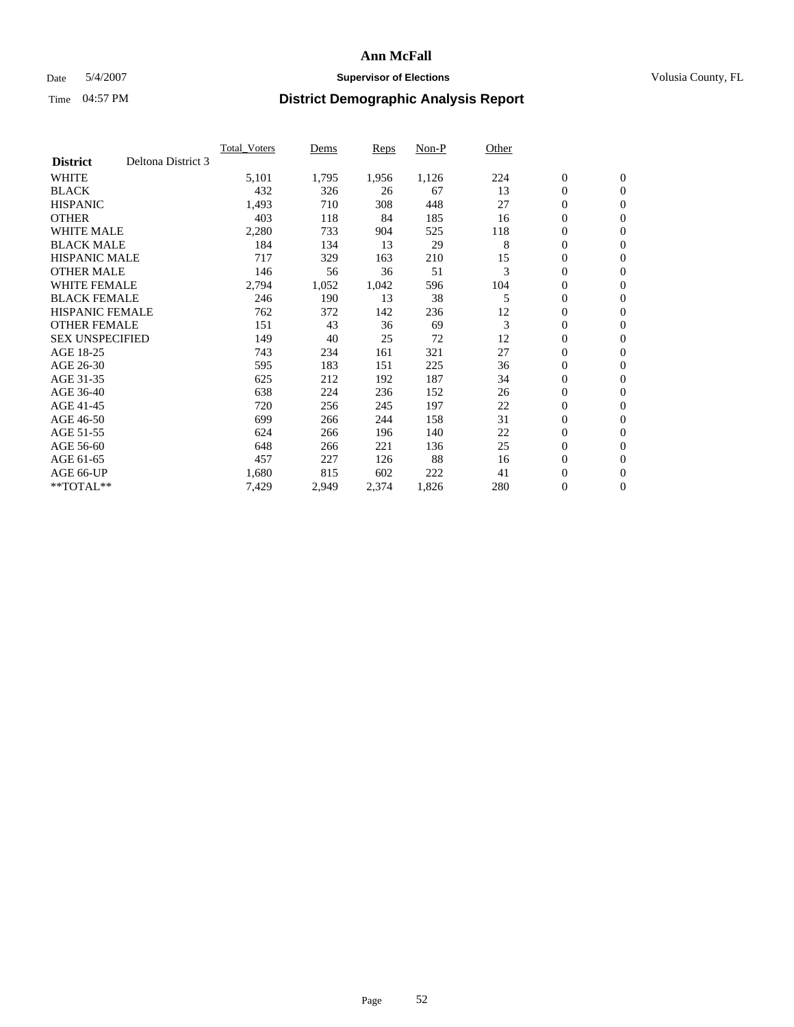### Date 5/4/2007 **Supervisor of Elections Supervisor of Elections** Volusia County, FL

|                        |                    | <b>Total Voters</b> | Dems  | Reps  | Non-P | Other |                  |                  |  |
|------------------------|--------------------|---------------------|-------|-------|-------|-------|------------------|------------------|--|
| <b>District</b>        | Deltona District 3 |                     |       |       |       |       |                  |                  |  |
| <b>WHITE</b>           |                    | 5,101               | 1,795 | 1,956 | 1,126 | 224   | $\boldsymbol{0}$ | $\boldsymbol{0}$ |  |
| <b>BLACK</b>           |                    | 432                 | 326   | 26    | 67    | 13    | $\mathbf{0}$     | $\mathbf{0}$     |  |
| <b>HISPANIC</b>        |                    | 1,493               | 710   | 308   | 448   | 27    | $\mathbf{0}$     | $\mathbf{0}$     |  |
| <b>OTHER</b>           |                    | 403                 | 118   | 84    | 185   | 16    | 0                | $\mathbf{0}$     |  |
| <b>WHITE MALE</b>      |                    | 2,280               | 733   | 904   | 525   | 118   | 0                | $\mathbf{0}$     |  |
| <b>BLACK MALE</b>      |                    | 184                 | 134   | 13    | 29    | 8     | 0                | $\mathbf{0}$     |  |
| <b>HISPANIC MALE</b>   |                    | 717                 | 329   | 163   | 210   | 15    | 0                | $\mathbf{0}$     |  |
| <b>OTHER MALE</b>      |                    | 146                 | 56    | 36    | 51    | 3     | 0                | $\mathbf{0}$     |  |
| <b>WHITE FEMALE</b>    |                    | 2,794               | 1,052 | 1,042 | 596   | 104   | 0                | $\mathbf{0}$     |  |
| <b>BLACK FEMALE</b>    |                    | 246                 | 190   | 13    | 38    | 5     | $\mathbf{0}$     | $\mathbf{0}$     |  |
| <b>HISPANIC FEMALE</b> |                    | 762                 | 372   | 142   | 236   | 12    | 0                | $\mathbf{0}$     |  |
| <b>OTHER FEMALE</b>    |                    | 151                 | 43    | 36    | 69    | 3     | $\overline{0}$   | $\mathbf{0}$     |  |
| <b>SEX UNSPECIFIED</b> |                    | 149                 | 40    | 25    | 72    | 12    | $\boldsymbol{0}$ | $\mathbf{0}$     |  |
| AGE 18-25              |                    | 743                 | 234   | 161   | 321   | 27    | 0                | $\mathbf{0}$     |  |
| AGE 26-30              |                    | 595                 | 183   | 151   | 225   | 36    | 0                | $\mathbf{0}$     |  |
| AGE 31-35              |                    | 625                 | 212   | 192   | 187   | 34    | 0                | $\mathbf{0}$     |  |
| AGE 36-40              |                    | 638                 | 224   | 236   | 152   | 26    | $\boldsymbol{0}$ | $\mathbf{0}$     |  |
| AGE 41-45              |                    | 720                 | 256   | 245   | 197   | 22    | 0                | $\mathbf{0}$     |  |
| AGE 46-50              |                    | 699                 | 266   | 244   | 158   | 31    | $\mathbf{0}$     | $\mathbf{0}$     |  |
| AGE 51-55              |                    | 624                 | 266   | 196   | 140   | 22    | $\overline{0}$   | $\mathbf{0}$     |  |
| AGE 56-60              |                    | 648                 | 266   | 221   | 136   | 25    | $\boldsymbol{0}$ | $\mathbf{0}$     |  |
| AGE 61-65              |                    | 457                 | 227   | 126   | 88    | 16    | 0                | $\mathbf{0}$     |  |
| AGE 66-UP              |                    | 1,680               | 815   | 602   | 222   | 41    | 0                | 0                |  |
| $*$ TOTAL $**$         |                    | 7,429               | 2,949 | 2,374 | 1,826 | 280   | $\boldsymbol{0}$ | $\boldsymbol{0}$ |  |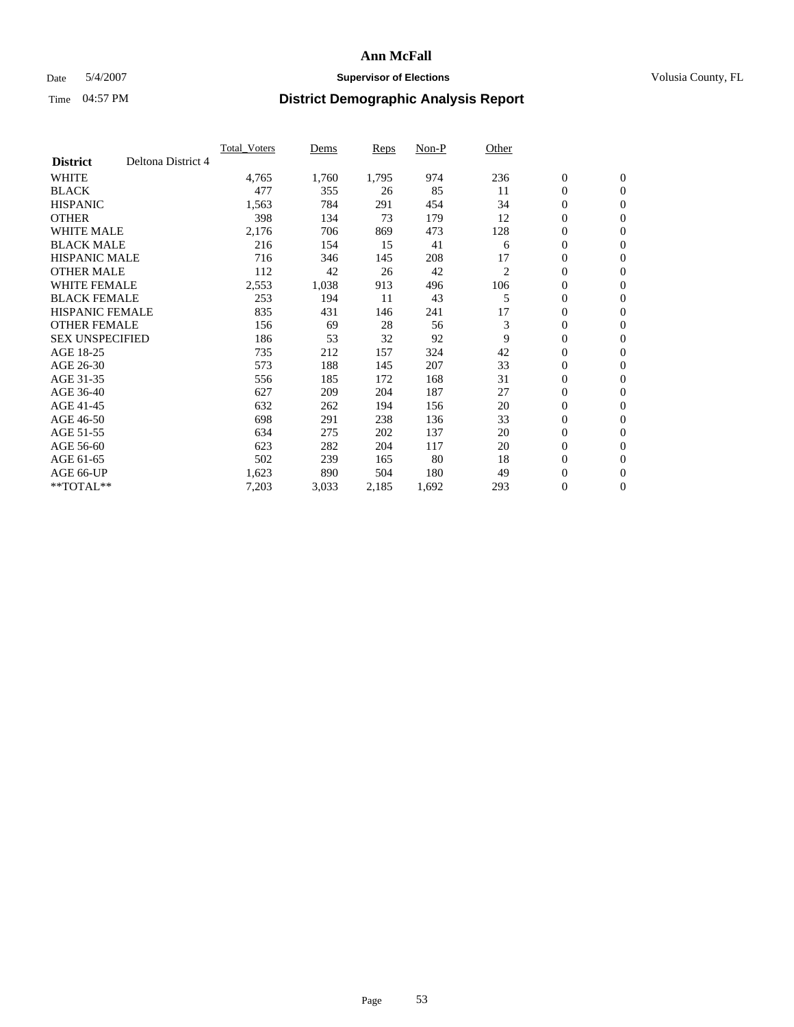### Date 5/4/2007 **Supervisor of Elections Supervisor of Elections** Volusia County, FL

| Deltona District 4<br>1,795<br>974<br>236<br>$\boldsymbol{0}$<br>$\mathbf{0}$<br>4,765<br>1,760<br>477<br>85<br>11<br>$\overline{0}$<br>$\mathbf{0}$<br>355<br>26<br>1,563<br>454<br>$\boldsymbol{0}$<br>784<br>291<br>34<br>$\mathbf{0}$<br>398<br>73<br>179<br>12<br>$\boldsymbol{0}$<br>134<br>$\mathbf{0}$<br><b>WHITE MALE</b><br>0<br>2,176<br>473<br>128<br>706<br>869<br>$\mathbf{0}$<br><b>BLACK MALE</b><br>216<br>$\boldsymbol{0}$<br>154<br>15<br>41<br>$\mathbf{0}$<br>6<br><b>HISPANIC MALE</b><br>17<br>716<br>208<br>$\overline{0}$<br>$\mathbf{0}$<br>346<br>145<br><b>OTHER MALE</b><br>42<br>2<br>$\overline{0}$<br>112<br>42<br>26<br>$\mathbf{0}$<br><b>WHITE FEMALE</b><br>2,553<br>1,038<br>106<br>0<br>$\mathbf{0}$<br>913<br>496<br><b>BLACK FEMALE</b><br>253<br>43<br>5<br>$\overline{0}$<br>11<br>$\mathbf{0}$<br>194<br><b>HISPANIC FEMALE</b><br>835<br>241<br>17<br>$\boldsymbol{0}$<br>431<br>146<br>$\mathbf{0}$<br>3<br><b>OTHER FEMALE</b><br>28<br>0<br>156<br>69<br>56<br>$\mathbf{0}$<br>9<br><b>SEX UNSPECIFIED</b><br>$\boldsymbol{0}$<br>186<br>53<br>32<br>92<br>$\mathbf{0}$<br>735<br>42<br>$\overline{0}$<br>212<br>157<br>324<br>$\mathbf{0}$<br>33<br>$\overline{0}$<br>573<br>188<br>207<br>$\mathbf{0}$<br>145<br>168<br>31<br>$\boldsymbol{0}$<br>556<br>185<br>172<br>$\mathbf{0}$<br>627<br>187<br>27<br>$\boldsymbol{0}$<br>209<br>204<br>$\mathbf{0}$<br>$\boldsymbol{0}$<br>632<br>156<br>20<br>262<br>194<br>$\mathbf{0}$<br>33<br>0<br>698<br>291<br>238<br>136<br>$\mathbf{0}$<br>137<br>20<br>$\boldsymbol{0}$<br>634<br>275<br>202<br>$\mathbf{0}$<br>117<br>20<br>$\overline{0}$<br>623<br>282<br>204<br>$\mathbf{0}$<br>80<br>18<br>$\mathbf{0}$<br>502<br>$\mathbf{0}$<br>239<br>165<br>1,623<br>180<br>49<br>$\boldsymbol{0}$<br>890<br>504<br>$\mathbf{0}$<br>7,203<br>0<br>$\overline{0}$<br>3,033<br>2,185<br>1,692<br>293 |                 | <b>Total_Voters</b> | Dems | <b>Reps</b> | Non-P | Other |  |  |
|-----------------------------------------------------------------------------------------------------------------------------------------------------------------------------------------------------------------------------------------------------------------------------------------------------------------------------------------------------------------------------------------------------------------------------------------------------------------------------------------------------------------------------------------------------------------------------------------------------------------------------------------------------------------------------------------------------------------------------------------------------------------------------------------------------------------------------------------------------------------------------------------------------------------------------------------------------------------------------------------------------------------------------------------------------------------------------------------------------------------------------------------------------------------------------------------------------------------------------------------------------------------------------------------------------------------------------------------------------------------------------------------------------------------------------------------------------------------------------------------------------------------------------------------------------------------------------------------------------------------------------------------------------------------------------------------------------------------------------------------------------------------------------------------------------------------------------------------------------------------------------------------------|-----------------|---------------------|------|-------------|-------|-------|--|--|
|                                                                                                                                                                                                                                                                                                                                                                                                                                                                                                                                                                                                                                                                                                                                                                                                                                                                                                                                                                                                                                                                                                                                                                                                                                                                                                                                                                                                                                                                                                                                                                                                                                                                                                                                                                                                                                                                                               | <b>District</b> |                     |      |             |       |       |  |  |
|                                                                                                                                                                                                                                                                                                                                                                                                                                                                                                                                                                                                                                                                                                                                                                                                                                                                                                                                                                                                                                                                                                                                                                                                                                                                                                                                                                                                                                                                                                                                                                                                                                                                                                                                                                                                                                                                                               | <b>WHITE</b>    |                     |      |             |       |       |  |  |
|                                                                                                                                                                                                                                                                                                                                                                                                                                                                                                                                                                                                                                                                                                                                                                                                                                                                                                                                                                                                                                                                                                                                                                                                                                                                                                                                                                                                                                                                                                                                                                                                                                                                                                                                                                                                                                                                                               | <b>BLACK</b>    |                     |      |             |       |       |  |  |
|                                                                                                                                                                                                                                                                                                                                                                                                                                                                                                                                                                                                                                                                                                                                                                                                                                                                                                                                                                                                                                                                                                                                                                                                                                                                                                                                                                                                                                                                                                                                                                                                                                                                                                                                                                                                                                                                                               | <b>HISPANIC</b> |                     |      |             |       |       |  |  |
|                                                                                                                                                                                                                                                                                                                                                                                                                                                                                                                                                                                                                                                                                                                                                                                                                                                                                                                                                                                                                                                                                                                                                                                                                                                                                                                                                                                                                                                                                                                                                                                                                                                                                                                                                                                                                                                                                               | <b>OTHER</b>    |                     |      |             |       |       |  |  |
|                                                                                                                                                                                                                                                                                                                                                                                                                                                                                                                                                                                                                                                                                                                                                                                                                                                                                                                                                                                                                                                                                                                                                                                                                                                                                                                                                                                                                                                                                                                                                                                                                                                                                                                                                                                                                                                                                               |                 |                     |      |             |       |       |  |  |
|                                                                                                                                                                                                                                                                                                                                                                                                                                                                                                                                                                                                                                                                                                                                                                                                                                                                                                                                                                                                                                                                                                                                                                                                                                                                                                                                                                                                                                                                                                                                                                                                                                                                                                                                                                                                                                                                                               |                 |                     |      |             |       |       |  |  |
|                                                                                                                                                                                                                                                                                                                                                                                                                                                                                                                                                                                                                                                                                                                                                                                                                                                                                                                                                                                                                                                                                                                                                                                                                                                                                                                                                                                                                                                                                                                                                                                                                                                                                                                                                                                                                                                                                               |                 |                     |      |             |       |       |  |  |
|                                                                                                                                                                                                                                                                                                                                                                                                                                                                                                                                                                                                                                                                                                                                                                                                                                                                                                                                                                                                                                                                                                                                                                                                                                                                                                                                                                                                                                                                                                                                                                                                                                                                                                                                                                                                                                                                                               |                 |                     |      |             |       |       |  |  |
|                                                                                                                                                                                                                                                                                                                                                                                                                                                                                                                                                                                                                                                                                                                                                                                                                                                                                                                                                                                                                                                                                                                                                                                                                                                                                                                                                                                                                                                                                                                                                                                                                                                                                                                                                                                                                                                                                               |                 |                     |      |             |       |       |  |  |
|                                                                                                                                                                                                                                                                                                                                                                                                                                                                                                                                                                                                                                                                                                                                                                                                                                                                                                                                                                                                                                                                                                                                                                                                                                                                                                                                                                                                                                                                                                                                                                                                                                                                                                                                                                                                                                                                                               |                 |                     |      |             |       |       |  |  |
|                                                                                                                                                                                                                                                                                                                                                                                                                                                                                                                                                                                                                                                                                                                                                                                                                                                                                                                                                                                                                                                                                                                                                                                                                                                                                                                                                                                                                                                                                                                                                                                                                                                                                                                                                                                                                                                                                               |                 |                     |      |             |       |       |  |  |
|                                                                                                                                                                                                                                                                                                                                                                                                                                                                                                                                                                                                                                                                                                                                                                                                                                                                                                                                                                                                                                                                                                                                                                                                                                                                                                                                                                                                                                                                                                                                                                                                                                                                                                                                                                                                                                                                                               |                 |                     |      |             |       |       |  |  |
|                                                                                                                                                                                                                                                                                                                                                                                                                                                                                                                                                                                                                                                                                                                                                                                                                                                                                                                                                                                                                                                                                                                                                                                                                                                                                                                                                                                                                                                                                                                                                                                                                                                                                                                                                                                                                                                                                               |                 |                     |      |             |       |       |  |  |
|                                                                                                                                                                                                                                                                                                                                                                                                                                                                                                                                                                                                                                                                                                                                                                                                                                                                                                                                                                                                                                                                                                                                                                                                                                                                                                                                                                                                                                                                                                                                                                                                                                                                                                                                                                                                                                                                                               | AGE 18-25       |                     |      |             |       |       |  |  |
|                                                                                                                                                                                                                                                                                                                                                                                                                                                                                                                                                                                                                                                                                                                                                                                                                                                                                                                                                                                                                                                                                                                                                                                                                                                                                                                                                                                                                                                                                                                                                                                                                                                                                                                                                                                                                                                                                               | AGE 26-30       |                     |      |             |       |       |  |  |
|                                                                                                                                                                                                                                                                                                                                                                                                                                                                                                                                                                                                                                                                                                                                                                                                                                                                                                                                                                                                                                                                                                                                                                                                                                                                                                                                                                                                                                                                                                                                                                                                                                                                                                                                                                                                                                                                                               | AGE 31-35       |                     |      |             |       |       |  |  |
|                                                                                                                                                                                                                                                                                                                                                                                                                                                                                                                                                                                                                                                                                                                                                                                                                                                                                                                                                                                                                                                                                                                                                                                                                                                                                                                                                                                                                                                                                                                                                                                                                                                                                                                                                                                                                                                                                               | AGE 36-40       |                     |      |             |       |       |  |  |
|                                                                                                                                                                                                                                                                                                                                                                                                                                                                                                                                                                                                                                                                                                                                                                                                                                                                                                                                                                                                                                                                                                                                                                                                                                                                                                                                                                                                                                                                                                                                                                                                                                                                                                                                                                                                                                                                                               | AGE 41-45       |                     |      |             |       |       |  |  |
|                                                                                                                                                                                                                                                                                                                                                                                                                                                                                                                                                                                                                                                                                                                                                                                                                                                                                                                                                                                                                                                                                                                                                                                                                                                                                                                                                                                                                                                                                                                                                                                                                                                                                                                                                                                                                                                                                               | AGE 46-50       |                     |      |             |       |       |  |  |
|                                                                                                                                                                                                                                                                                                                                                                                                                                                                                                                                                                                                                                                                                                                                                                                                                                                                                                                                                                                                                                                                                                                                                                                                                                                                                                                                                                                                                                                                                                                                                                                                                                                                                                                                                                                                                                                                                               | AGE 51-55       |                     |      |             |       |       |  |  |
|                                                                                                                                                                                                                                                                                                                                                                                                                                                                                                                                                                                                                                                                                                                                                                                                                                                                                                                                                                                                                                                                                                                                                                                                                                                                                                                                                                                                                                                                                                                                                                                                                                                                                                                                                                                                                                                                                               | AGE 56-60       |                     |      |             |       |       |  |  |
|                                                                                                                                                                                                                                                                                                                                                                                                                                                                                                                                                                                                                                                                                                                                                                                                                                                                                                                                                                                                                                                                                                                                                                                                                                                                                                                                                                                                                                                                                                                                                                                                                                                                                                                                                                                                                                                                                               | AGE 61-65       |                     |      |             |       |       |  |  |
|                                                                                                                                                                                                                                                                                                                                                                                                                                                                                                                                                                                                                                                                                                                                                                                                                                                                                                                                                                                                                                                                                                                                                                                                                                                                                                                                                                                                                                                                                                                                                                                                                                                                                                                                                                                                                                                                                               | AGE 66-UP       |                     |      |             |       |       |  |  |
|                                                                                                                                                                                                                                                                                                                                                                                                                                                                                                                                                                                                                                                                                                                                                                                                                                                                                                                                                                                                                                                                                                                                                                                                                                                                                                                                                                                                                                                                                                                                                                                                                                                                                                                                                                                                                                                                                               | **TOTAL**       |                     |      |             |       |       |  |  |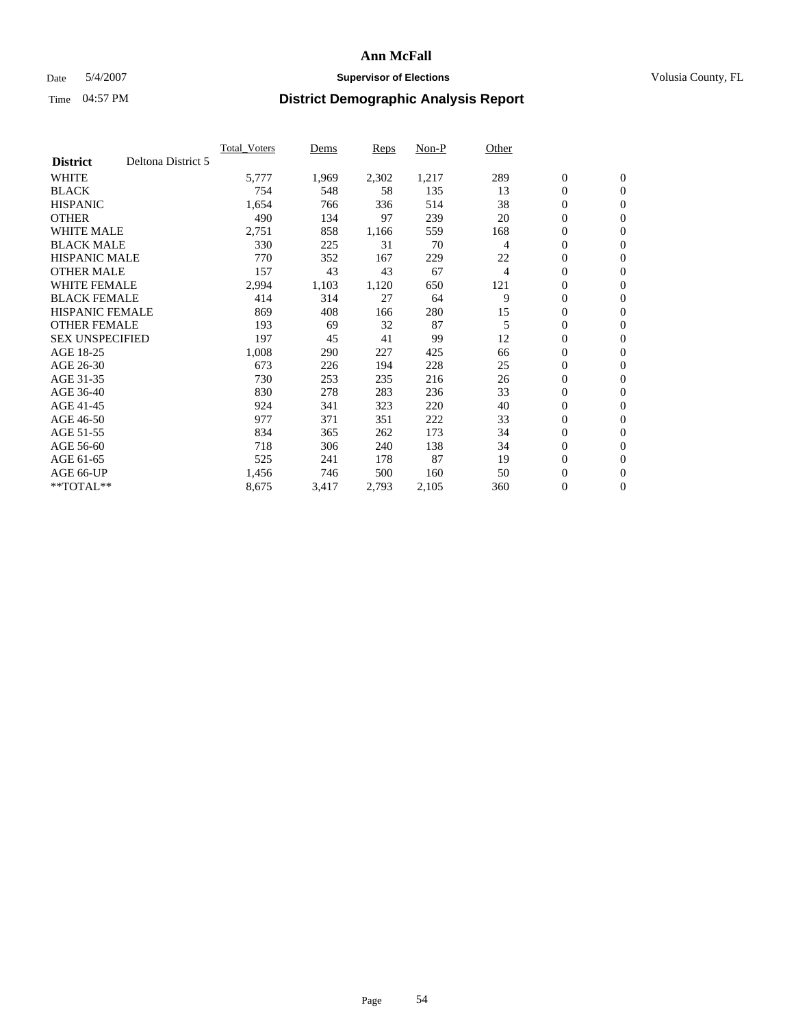### Date 5/4/2007 **Supervisor of Elections Supervisor of Elections** Volusia County, FL

|                        |                    | <b>Total Voters</b> | Dems  | Reps  | Non-P | Other          |                  |                |  |
|------------------------|--------------------|---------------------|-------|-------|-------|----------------|------------------|----------------|--|
| <b>District</b>        | Deltona District 5 |                     |       |       |       |                |                  |                |  |
| <b>WHITE</b>           |                    | 5,777               | 1,969 | 2,302 | 1,217 | 289            | $\boldsymbol{0}$ | $\mathbf{0}$   |  |
| <b>BLACK</b>           |                    | 754                 | 548   | 58    | 135   | 13             | $\mathbf{0}$     | $\mathbf{0}$   |  |
| <b>HISPANIC</b>        |                    | 1,654               | 766   | 336   | 514   | 38             | 0                | $\mathbf{0}$   |  |
| <b>OTHER</b>           |                    | 490                 | 134   | 97    | 239   | 20             | 0                | $\mathbf{0}$   |  |
| <b>WHITE MALE</b>      |                    | 2,751               | 858   | 1,166 | 559   | 168            | 0                | $\mathbf{0}$   |  |
| <b>BLACK MALE</b>      |                    | 330                 | 225   | 31    | 70    | 4              | 0                | $\mathbf{0}$   |  |
| <b>HISPANIC MALE</b>   |                    | 770                 | 352   | 167   | 229   | 22             | 0                | $\mathbf{0}$   |  |
| <b>OTHER MALE</b>      |                    | 157                 | 43    | 43    | 67    | $\overline{4}$ | $\mathbf{0}$     | $\mathbf{0}$   |  |
| <b>WHITE FEMALE</b>    |                    | 2,994               | 1,103 | 1,120 | 650   | 121            | 0                | $\mathbf{0}$   |  |
| <b>BLACK FEMALE</b>    |                    | 414                 | 314   | 27    | 64    | 9              | $\mathbf{0}$     | $\mathbf{0}$   |  |
| <b>HISPANIC FEMALE</b> |                    | 869                 | 408   | 166   | 280   | 15             | 0                | $\mathbf{0}$   |  |
| <b>OTHER FEMALE</b>    |                    | 193                 | 69    | 32    | 87    | 5              | 0                | $\mathbf{0}$   |  |
| <b>SEX UNSPECIFIED</b> |                    | 197                 | 45    | 41    | 99    | 12             | 0                | $\mathbf{0}$   |  |
| AGE 18-25              |                    | 1,008               | 290   | 227   | 425   | 66             | 0                | $\mathbf{0}$   |  |
| AGE 26-30              |                    | 673                 | 226   | 194   | 228   | 25             | $\mathbf{0}$     | $\mathbf{0}$   |  |
| AGE 31-35              |                    | 730                 | 253   | 235   | 216   | 26             | 0                | $\mathbf{0}$   |  |
| AGE 36-40              |                    | 830                 | 278   | 283   | 236   | 33             | 0                | $\mathbf{0}$   |  |
| AGE 41-45              |                    | 924                 | 341   | 323   | 220   | 40             | 0                | $\mathbf{0}$   |  |
| AGE 46-50              |                    | 977                 | 371   | 351   | 222   | 33             | 0                | $\mathbf{0}$   |  |
| AGE 51-55              |                    | 834                 | 365   | 262   | 173   | 34             | $\boldsymbol{0}$ | $\mathbf{0}$   |  |
| AGE 56-60              |                    | 718                 | 306   | 240   | 138   | 34             | 0                | $\mathbf{0}$   |  |
| AGE 61-65              |                    | 525                 | 241   | 178   | 87    | 19             | $\mathbf{0}$     | $\mathbf{0}$   |  |
| AGE 66-UP              |                    | 1,456               | 746   | 500   | 160   | 50             | $\boldsymbol{0}$ | $\mathbf{0}$   |  |
| $*$ TOTAL $**$         |                    | 8,675               | 3,417 | 2,793 | 2,105 | 360            | 0                | $\overline{0}$ |  |
|                        |                    |                     |       |       |       |                |                  |                |  |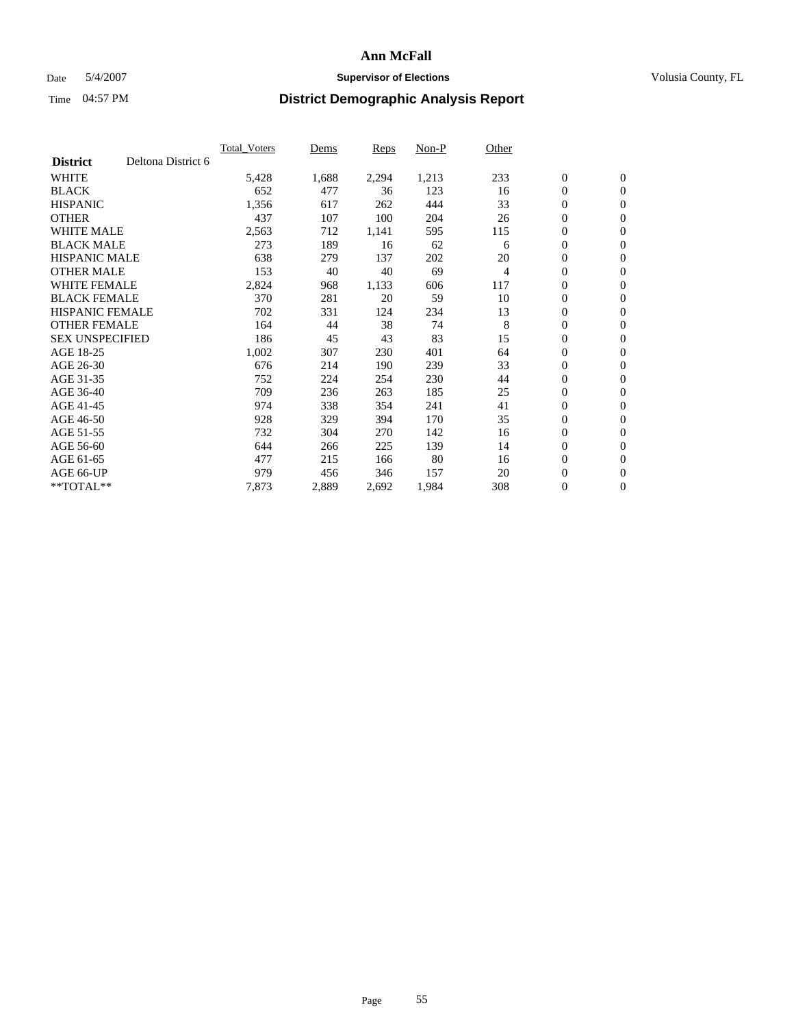### Date 5/4/2007 **Supervisor of Elections Supervisor of Elections** Volusia County, FL

|                        |                    | <b>Total Voters</b> | Dems  | Reps  | Non-P | Other |                  |                  |  |
|------------------------|--------------------|---------------------|-------|-------|-------|-------|------------------|------------------|--|
| <b>District</b>        | Deltona District 6 |                     |       |       |       |       |                  |                  |  |
| <b>WHITE</b>           |                    | 5,428               | 1,688 | 2,294 | 1,213 | 233   | $\boldsymbol{0}$ | $\boldsymbol{0}$ |  |
| <b>BLACK</b>           |                    | 652                 | 477   | 36    | 123   | 16    | $\mathbf{0}$     | $\mathbf{0}$     |  |
| <b>HISPANIC</b>        |                    | 1,356               | 617   | 262   | 444   | 33    | $\mathbf{0}$     | $\mathbf{0}$     |  |
| <b>OTHER</b>           |                    | 437                 | 107   | 100   | 204   | 26    | 0                | $\mathbf{0}$     |  |
| <b>WHITE MALE</b>      |                    | 2,563               | 712   | 1,141 | 595   | 115   | 0                | $\mathbf{0}$     |  |
| <b>BLACK MALE</b>      |                    | 273                 | 189   | 16    | 62    | 6     | $\boldsymbol{0}$ | $\mathbf{0}$     |  |
| <b>HISPANIC MALE</b>   |                    | 638                 | 279   | 137   | 202   | 20    | 0                | $\mathbf{0}$     |  |
| <b>OTHER MALE</b>      |                    | 153                 | 40    | 40    | 69    | 4     | 0                | $\mathbf{0}$     |  |
| <b>WHITE FEMALE</b>    |                    | 2,824               | 968   | 1,133 | 606   | 117   | 0                | $\mathbf{0}$     |  |
| <b>BLACK FEMALE</b>    |                    | 370                 | 281   | 20    | 59    | 10    | $\boldsymbol{0}$ | $\mathbf{0}$     |  |
| <b>HISPANIC FEMALE</b> |                    | 702                 | 331   | 124   | 234   | 13    | $\overline{0}$   | $\mathbf{0}$     |  |
| <b>OTHER FEMALE</b>    |                    | 164                 | 44    | 38    | 74    | 8     | $\mathbf{0}$     | $\mathbf{0}$     |  |
| <b>SEX UNSPECIFIED</b> |                    | 186                 | 45    | 43    | 83    | 15    | $\boldsymbol{0}$ | $\boldsymbol{0}$ |  |
| AGE 18-25              |                    | 1,002               | 307   | 230   | 401   | 64    | 0                | $\mathbf{0}$     |  |
| AGE 26-30              |                    | 676                 | 214   | 190   | 239   | 33    | 0                | $\mathbf{0}$     |  |
| AGE 31-35              |                    | 752                 | 224   | 254   | 230   | 44    | 0                | $\mathbf{0}$     |  |
| AGE 36-40              |                    | 709                 | 236   | 263   | 185   | 25    | $\boldsymbol{0}$ | $\mathbf{0}$     |  |
| AGE 41-45              |                    | 974                 | 338   | 354   | 241   | 41    | 0                | $\mathbf{0}$     |  |
| AGE 46-50              |                    | 928                 | 329   | 394   | 170   | 35    | $\mathbf{0}$     | $\mathbf{0}$     |  |
| AGE 51-55              |                    | 732                 | 304   | 270   | 142   | 16    | $\overline{0}$   | $\mathbf{0}$     |  |
| AGE 56-60              |                    | 644                 | 266   | 225   | 139   | 14    | $\boldsymbol{0}$ | $\mathbf{0}$     |  |
| AGE 61-65              |                    | 477                 | 215   | 166   | 80    | 16    | 0                | $\mathbf{0}$     |  |
| AGE 66-UP              |                    | 979                 | 456   | 346   | 157   | 20    | 0                | $\mathbf{0}$     |  |
| $*$ TOTAL $**$         |                    | 7,873               | 2,889 | 2,692 | 1,984 | 308   | $\boldsymbol{0}$ | $\boldsymbol{0}$ |  |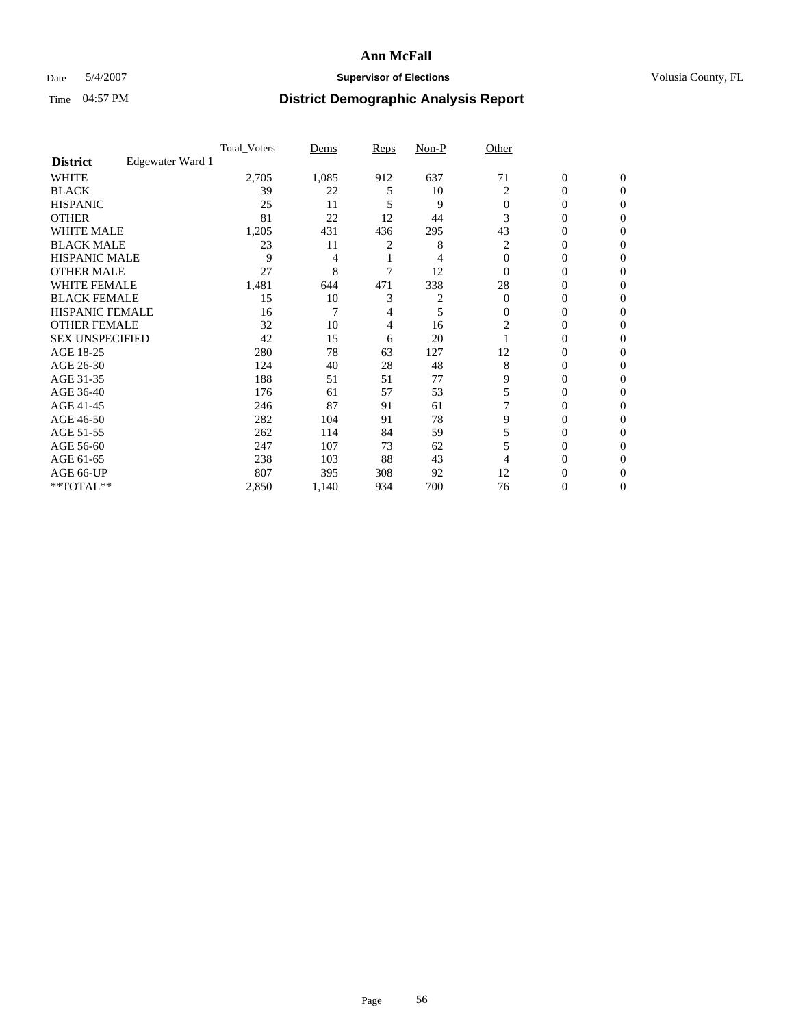### Date 5/4/2007 **Supervisor of Elections Supervisor of Elections** Volusia County, FL

|                        |                  | <b>Total Voters</b> | Dems  | Reps | Non-P | Other    |                  |              |  |
|------------------------|------------------|---------------------|-------|------|-------|----------|------------------|--------------|--|
| <b>District</b>        | Edgewater Ward 1 |                     |       |      |       |          |                  |              |  |
| <b>WHITE</b>           |                  | 2,705               | 1,085 | 912  | 637   | 71       | $\boldsymbol{0}$ | $\mathbf{0}$ |  |
| <b>BLACK</b>           |                  | 39                  | 22    | 5    | 10    | 2        | 0                | $\mathbf{0}$ |  |
| <b>HISPANIC</b>        |                  | 25                  | 11    | 5    | 9     | $\Omega$ | 0                | $\Omega$     |  |
| <b>OTHER</b>           |                  | 81                  | 22    | 12   | 44    | 3        | $\overline{0}$   | $\theta$     |  |
| <b>WHITE MALE</b>      |                  | 1,205               | 431   | 436  | 295   | 43       | 0                | 0            |  |
| <b>BLACK MALE</b>      |                  | 23                  | 11    | 2    | 8     | 2        | 0                | 0            |  |
| <b>HISPANIC MALE</b>   |                  | 9                   | 4     |      |       | $\Omega$ | 0                | 0            |  |
| <b>OTHER MALE</b>      |                  | 27                  | 8     | 7    | 12    | $\Omega$ | 0                | 0            |  |
| WHITE FEMALE           |                  | 1,481               | 644   | 471  | 338   | 28       | 0                | 0            |  |
| <b>BLACK FEMALE</b>    |                  | 15                  | 10    | 3    | 2     | $\Omega$ | 0                | 0            |  |
| <b>HISPANIC FEMALE</b> |                  | 16                  | 7     | 4    | 5     | 0        | 0                | $\Omega$     |  |
| <b>OTHER FEMALE</b>    |                  | 32                  | 10    | 4    | 16    | 2        | 0                | $\theta$     |  |
| <b>SEX UNSPECIFIED</b> |                  | 42                  | 15    | 6    | 20    |          | 0                | $\theta$     |  |
| AGE 18-25              |                  | 280                 | 78    | 63   | 127   | 12       | 0                | $_{0}$       |  |
| AGE 26-30              |                  | 124                 | 40    | 28   | 48    | 8        | 0                | 0            |  |
| AGE 31-35              |                  | 188                 | 51    | 51   | 77    | 9        | 0                | 0            |  |
| AGE 36-40              |                  | 176                 | 61    | 57   | 53    |          | 0                | 0            |  |
| AGE 41-45              |                  | 246                 | 87    | 91   | 61    |          | 0                | 0            |  |
| AGE 46-50              |                  | 282                 | 104   | 91   | 78    | 9        | 0                | $\Omega$     |  |
| AGE 51-55              |                  | 262                 | 114   | 84   | 59    |          | 0                | $\theta$     |  |
| AGE 56-60              |                  | 247                 | 107   | 73   | 62    | 5        | 0                | $\theta$     |  |
| AGE 61-65              |                  | 238                 | 103   | 88   | 43    |          | 0                | 0            |  |
| AGE 66-UP              |                  | 807                 | 395   | 308  | 92    | 12       | 0                |              |  |
| **TOTAL**              |                  | 2,850               | 1,140 | 934  | 700   | 76       | 0                | 0            |  |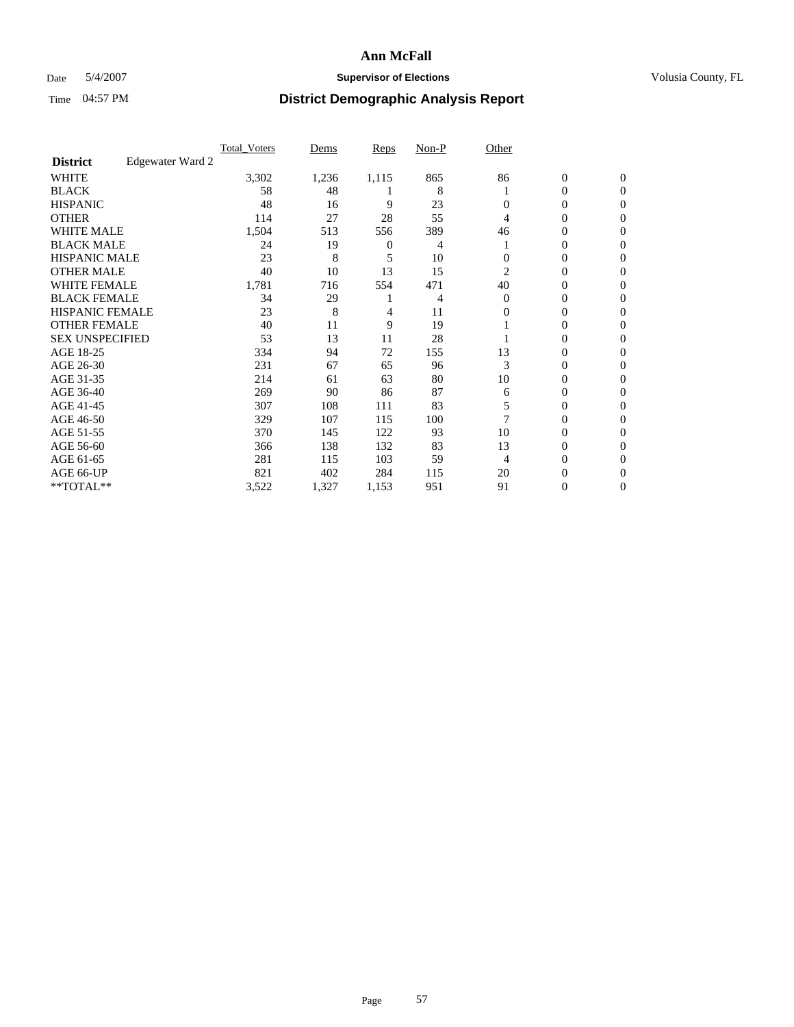### Date 5/4/2007 **Supervisor of Elections Supervisor of Elections** Volusia County, FL

|                        |                  | <b>Total Voters</b> | Dems  | Reps  | Non-P | Other    |                  |                  |  |
|------------------------|------------------|---------------------|-------|-------|-------|----------|------------------|------------------|--|
| <b>District</b>        | Edgewater Ward 2 |                     |       |       |       |          |                  |                  |  |
| <b>WHITE</b>           |                  | 3,302               | 1,236 | 1,115 | 865   | 86       | $\boldsymbol{0}$ | $\mathbf{0}$     |  |
| <b>BLACK</b>           |                  | 58                  | 48    |       | 8     |          | 0                | $\mathbf{0}$     |  |
| <b>HISPANIC</b>        |                  | 48                  | 16    | 9     | 23    | $\Omega$ | 0                | $\mathbf{0}$     |  |
| <b>OTHER</b>           |                  | 114                 | 27    | 28    | 55    | 4        | 0                | $\boldsymbol{0}$ |  |
| <b>WHITE MALE</b>      |                  | 1,504               | 513   | 556   | 389   | 46       | 0                | $\theta$         |  |
| <b>BLACK MALE</b>      |                  | 24                  | 19    | 0     | 4     |          | 0                | $\Omega$         |  |
| <b>HISPANIC MALE</b>   |                  | 23                  | 8     | 5     | 10    | 0        | 0                | 0                |  |
| <b>OTHER MALE</b>      |                  | 40                  | 10    | 13    | 15    | 2        | 0                | 0                |  |
| WHITE FEMALE           |                  | 1,781               | 716   | 554   | 471   | 40       | 0                | 0                |  |
| <b>BLACK FEMALE</b>    |                  | 34                  | 29    |       | 4     | $\Omega$ | 0                | $\mathbf{0}$     |  |
| <b>HISPANIC FEMALE</b> |                  | 23                  | 8     | 4     | 11    | 0        | 0                | $\Omega$         |  |
| <b>OTHER FEMALE</b>    |                  | 40                  | 11    | 9     | 19    |          | 0                | $\boldsymbol{0}$ |  |
| <b>SEX UNSPECIFIED</b> |                  | 53                  | 13    | 11    | 28    |          | 0                | $\Omega$         |  |
| AGE 18-25              |                  | 334                 | 94    | 72    | 155   | 13       | 0                | 0                |  |
| AGE 26-30              |                  | 231                 | 67    | 65    | 96    | 3        | 0                | $\Omega$         |  |
| AGE 31-35              |                  | 214                 | 61    | 63    | 80    | 10       | 0                | 0                |  |
| AGE 36-40              |                  | 269                 | 90    | 86    | 87    | 6        | 0                | $\mathbf{0}$     |  |
| AGE 41-45              |                  | 307                 | 108   | 111   | 83    |          | 0                | 0                |  |
| AGE 46-50              |                  | 329                 | 107   | 115   | 100   |          | 0                | $\mathbf{0}$     |  |
| AGE 51-55              |                  | 370                 | 145   | 122   | 93    | 10       | 0                | $\Omega$         |  |
| AGE 56-60              |                  | 366                 | 138   | 132   | 83    | 13       | 0                | $\theta$         |  |
| AGE 61-65              |                  | 281                 | 115   | 103   | 59    | 4        | 0                | 0                |  |
| AGE 66-UP              |                  | 821                 | 402   | 284   | 115   | 20       | 0                | $_{0}$           |  |
| **TOTAL**              |                  | 3,522               | 1,327 | 1,153 | 951   | 91       | 0                | $\mathbf{0}$     |  |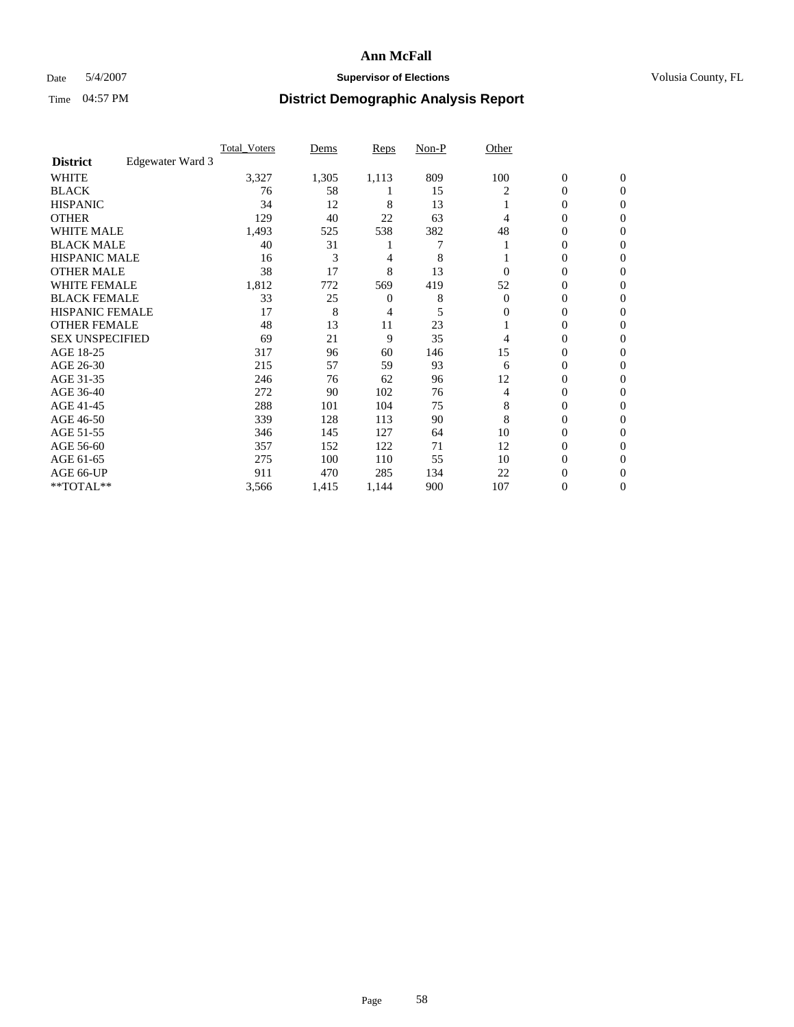### Date 5/4/2007 **Supervisor of Elections Supervisor of Elections** Volusia County, FL

|                        |                  | <b>Total Voters</b> | Dems  | Reps  | Non-P | Other    |                  |                  |  |
|------------------------|------------------|---------------------|-------|-------|-------|----------|------------------|------------------|--|
| <b>District</b>        | Edgewater Ward 3 |                     |       |       |       |          |                  |                  |  |
| <b>WHITE</b>           |                  | 3,327               | 1,305 | 1,113 | 809   | 100      | $\boldsymbol{0}$ | $\mathbf{0}$     |  |
| <b>BLACK</b>           |                  | 76                  | 58    |       | 15    | 2        | 0                | $\mathbf{0}$     |  |
| <b>HISPANIC</b>        |                  | 34                  | 12    | 8     | 13    |          | 0                | $\mathbf{0}$     |  |
| <b>OTHER</b>           |                  | 129                 | 40    | 22    | 63    | 4        | 0                | $\boldsymbol{0}$ |  |
| <b>WHITE MALE</b>      |                  | 1,493               | 525   | 538   | 382   | 48       | 0                | $\theta$         |  |
| <b>BLACK MALE</b>      |                  | 40                  | 31    |       | 7     |          | 0                | $\Omega$         |  |
| <b>HISPANIC MALE</b>   |                  | 16                  | 3     | 4     | 8     |          | 0                | 0                |  |
| <b>OTHER MALE</b>      |                  | 38                  | 17    | 8     | 13    | 0        | 0                | 0                |  |
| WHITE FEMALE           |                  | 1,812               | 772   | 569   | 419   | 52       | 0                | 0                |  |
| <b>BLACK FEMALE</b>    |                  | 33                  | 25    | 0     | 8     | $\Omega$ | 0                | $\mathbf{0}$     |  |
| <b>HISPANIC FEMALE</b> |                  | 17                  | 8     | 4     | 5     | 0        | 0                | $\Omega$         |  |
| <b>OTHER FEMALE</b>    |                  | 48                  | 13    | 11    | 23    |          | 0                | $\theta$         |  |
| <b>SEX UNSPECIFIED</b> |                  | 69                  | 21    | 9     | 35    | 4        | 0                | $\Omega$         |  |
| AGE 18-25              |                  | 317                 | 96    | 60    | 146   | 15       | 0                | 0                |  |
| AGE 26-30              |                  | 215                 | 57    | 59    | 93    | 6        | 0                | $\Omega$         |  |
| AGE 31-35              |                  | 246                 | 76    | 62    | 96    | 12       | 0                | 0                |  |
| AGE 36-40              |                  | 272                 | 90    | 102   | 76    | 4        | 0                | $\mathbf{0}$     |  |
| AGE 41-45              |                  | 288                 | 101   | 104   | 75    | 8        | 0                | 0                |  |
| AGE 46-50              |                  | 339                 | 128   | 113   | 90    | 8        | 0                | $\mathbf{0}$     |  |
| AGE 51-55              |                  | 346                 | 145   | 127   | 64    | 10       | 0                | $\Omega$         |  |
| AGE 56-60              |                  | 357                 | 152   | 122   | 71    | 12       | 0                | $\theta$         |  |
| AGE 61-65              |                  | 275                 | 100   | 110   | 55    | 10       | 0                | 0                |  |
| AGE 66-UP              |                  | 911                 | 470   | 285   | 134   | 22       | 0                | $_{0}$           |  |
| **TOTAL**              |                  | 3,566               | 1,415 | 1,144 | 900   | 107      | 0                | $\mathbf{0}$     |  |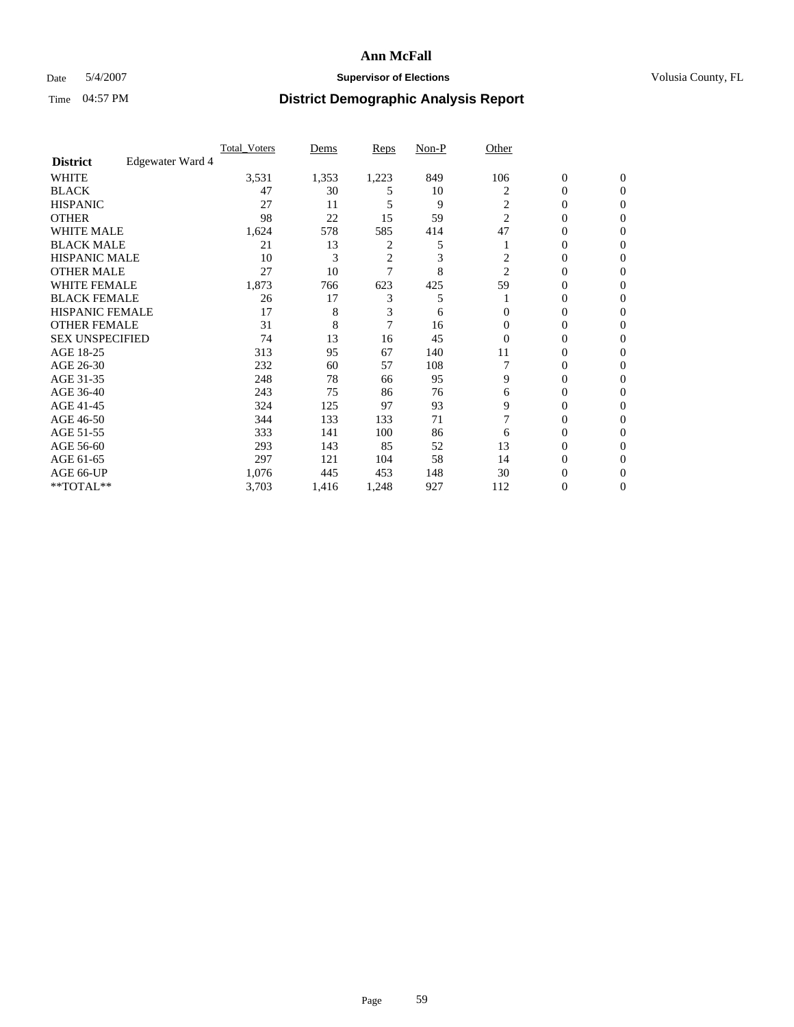### Date 5/4/2007 **Supervisor of Elections Supervisor of Elections** Volusia County, FL

|                        |                  | Total Voters | Dems  | <b>Reps</b>    | Non-P | Other          |                  |                |  |
|------------------------|------------------|--------------|-------|----------------|-------|----------------|------------------|----------------|--|
| <b>District</b>        | Edgewater Ward 4 |              |       |                |       |                |                  |                |  |
| <b>WHITE</b>           |                  | 3,531        | 1,353 | 1,223          | 849   | 106            | $\boldsymbol{0}$ | $\mathbf{0}$   |  |
| <b>BLACK</b>           |                  | 47           | 30    | 5              | 10    | 2              | $\overline{0}$   | $\mathbf{0}$   |  |
| <b>HISPANIC</b>        |                  | 27           | 11    | 5              | 9     | 2              | $\mathbf{0}$     | $\mathbf{0}$   |  |
| <b>OTHER</b>           |                  | 98           | 22    | 15             | 59    | $\overline{2}$ | $\overline{0}$   | $\overline{0}$ |  |
| <b>WHITE MALE</b>      |                  | 1,624        | 578   | 585            | 414   | 47             | $\mathbf{0}$     | $\Omega$       |  |
| <b>BLACK MALE</b>      |                  | 21           | 13    | $\overline{c}$ | 5     |                | 0                | 0              |  |
| <b>HISPANIC MALE</b>   |                  | 10           | 3     | $\overline{2}$ | 3     | 2              | $\mathbf{0}$     | 0              |  |
| <b>OTHER MALE</b>      |                  | 27           | 10    | 7              | 8     | 2              | $\overline{0}$   | 0              |  |
| <b>WHITE FEMALE</b>    |                  | 1,873        | 766   | 623            | 425   | 59             | $\Omega$         | 0              |  |
| <b>BLACK FEMALE</b>    |                  | 26           | 17    | 3              | 5     |                | $\overline{0}$   | $\mathbf{0}$   |  |
| <b>HISPANIC FEMALE</b> |                  | 17           | 8     | 3              | 6     | $\Omega$       | $\Omega$         | $\Omega$       |  |
| <b>OTHER FEMALE</b>    |                  | 31           | 8     | 7              | 16    | $\Omega$       | $\mathbf{0}$     | $\Omega$       |  |
| <b>SEX UNSPECIFIED</b> |                  | 74           | 13    | 16             | 45    | $\Omega$       | $\mathbf{0}$     | $\Omega$       |  |
| AGE 18-25              |                  | 313          | 95    | 67             | 140   | 11             | $\mathbf{0}$     | 0              |  |
| AGE 26-30              |                  | 232          | 60    | 57             | 108   |                | $\overline{0}$   | $\Omega$       |  |
| AGE 31-35              |                  | 248          | 78    | 66             | 95    | 9              | $\mathbf{0}$     | 0              |  |
| AGE 36-40              |                  | 243          | 75    | 86             | 76    | 6              | $\overline{0}$   | 0              |  |
| AGE 41-45              |                  | 324          | 125   | 97             | 93    | 9              | $\mathbf{0}$     | 0              |  |
| AGE 46-50              |                  | 344          | 133   | 133            | 71    |                | $\mathbf{0}$     | $\mathbf{0}$   |  |
| AGE 51-55              |                  | 333          | 141   | 100            | 86    | 6              | $\mathbf{0}$     | $\Omega$       |  |
| AGE 56-60              |                  | 293          | 143   | 85             | 52    | 13             | $\overline{0}$   | $\Omega$       |  |
| AGE 61-65              |                  | 297          | 121   | 104            | 58    | 14             | $\overline{0}$   | 0              |  |
| AGE 66-UP              |                  | 1,076        | 445   | 453            | 148   | 30             | 0                |                |  |
| **TOTAL**              |                  | 3,703        | 1,416 | 1,248          | 927   | 112            | $\boldsymbol{0}$ | $\overline{0}$ |  |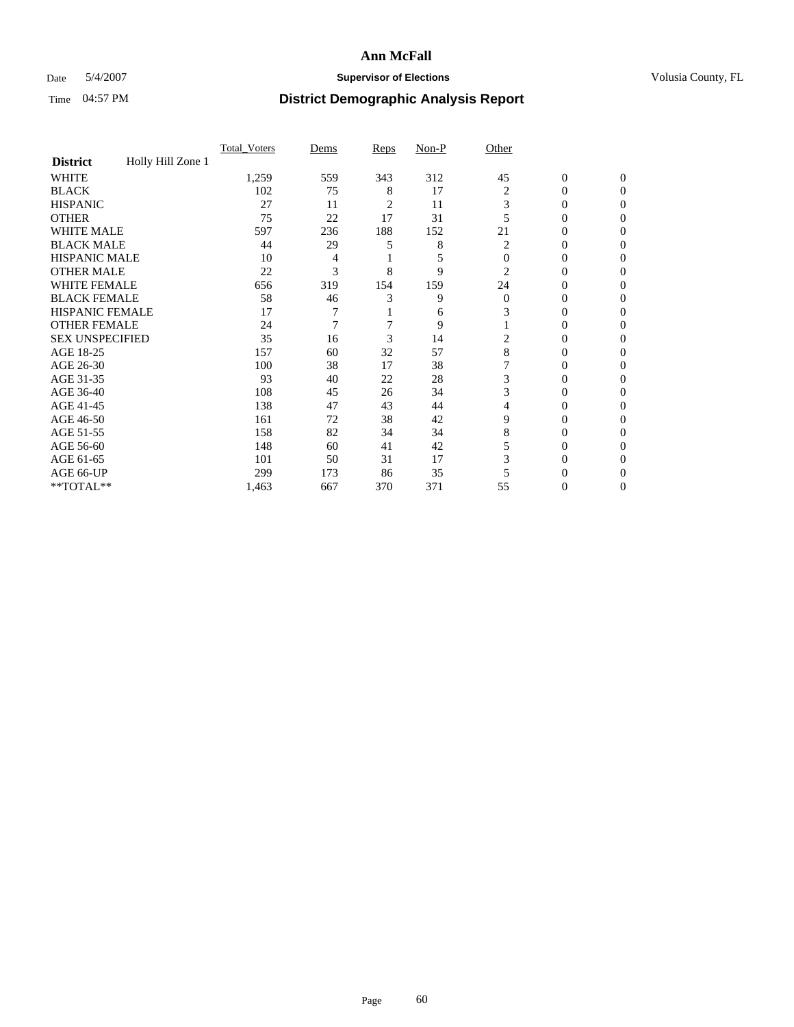### Date 5/4/2007 **Supervisor of Elections Supervisor of Elections** Volusia County, FL

|                        |                   | Total Voters | Dems | <b>Reps</b> | Non-P | Other    |                  |              |  |
|------------------------|-------------------|--------------|------|-------------|-------|----------|------------------|--------------|--|
| <b>District</b>        | Holly Hill Zone 1 |              |      |             |       |          |                  |              |  |
| <b>WHITE</b>           |                   | 1,259        | 559  | 343         | 312   | 45       | $\boldsymbol{0}$ | $\mathbf{0}$ |  |
| <b>BLACK</b>           |                   | 102          | 75   | 8           | 17    | 2        | 0                | $\Omega$     |  |
| <b>HISPANIC</b>        |                   | 27           | 11   | 2           | 11    | 3        | 0                | $\Omega$     |  |
| <b>OTHER</b>           |                   | 75           | 22   | 17          | 31    |          | 0                | $\Omega$     |  |
| <b>WHITE MALE</b>      |                   | 597          | 236  | 188         | 152   | 21       | 0                | 0            |  |
| <b>BLACK MALE</b>      |                   | 44           | 29   | 5           | 8     | 2        | 0                | 0            |  |
| <b>HISPANIC MALE</b>   |                   | 10           | 4    |             |       | $\Omega$ | 0                | 0            |  |
| <b>OTHER MALE</b>      |                   | 22           | 3    | 8           | 9     | 2        | 0                | 0            |  |
| WHITE FEMALE           |                   | 656          | 319  | 154         | 159   | 24       | 0                | 0            |  |
| <b>BLACK FEMALE</b>    |                   | 58           | 46   | 3           | 9     | $\Omega$ | 0                | 0            |  |
| <b>HISPANIC FEMALE</b> |                   | 17           |      |             | 6     |          | 0                | 0            |  |
| <b>OTHER FEMALE</b>    |                   | 24           | 7    |             | 9     |          | 0                | $\Omega$     |  |
| <b>SEX UNSPECIFIED</b> |                   | 35           | 16   | 3           | 14    | 2        | 0                | $\Omega$     |  |
| AGE 18-25              |                   | 157          | 60   | 32          | 57    | 8        | 0                | $_{0}$       |  |
| AGE 26-30              |                   | 100          | 38   | 17          | 38    |          | 0                | 0            |  |
| AGE 31-35              |                   | 93           | 40   | 22          | 28    | 3        | 0                | 0            |  |
| AGE 36-40              |                   | 108          | 45   | 26          | 34    | 3        | 0                | 0            |  |
| AGE 41-45              |                   | 138          | 47   | 43          | 44    | 4        | 0                | 0            |  |
| AGE 46-50              |                   | 161          | 72   | 38          | 42    | 9        | 0                | $\Omega$     |  |
| AGE 51-55              |                   | 158          | 82   | 34          | 34    | 8        | 0                | $\Omega$     |  |
| AGE 56-60              |                   | 148          | 60   | 41          | 42    | 5        | 0                | $\Omega$     |  |
| AGE 61-65              |                   | 101          | 50   | 31          | 17    | 3        | 0                | 0            |  |
| AGE 66-UP              |                   | 299          | 173  | 86          | 35    |          |                  |              |  |
| **TOTAL**              |                   | 1,463        | 667  | 370         | 371   | 55       | 0                | 0            |  |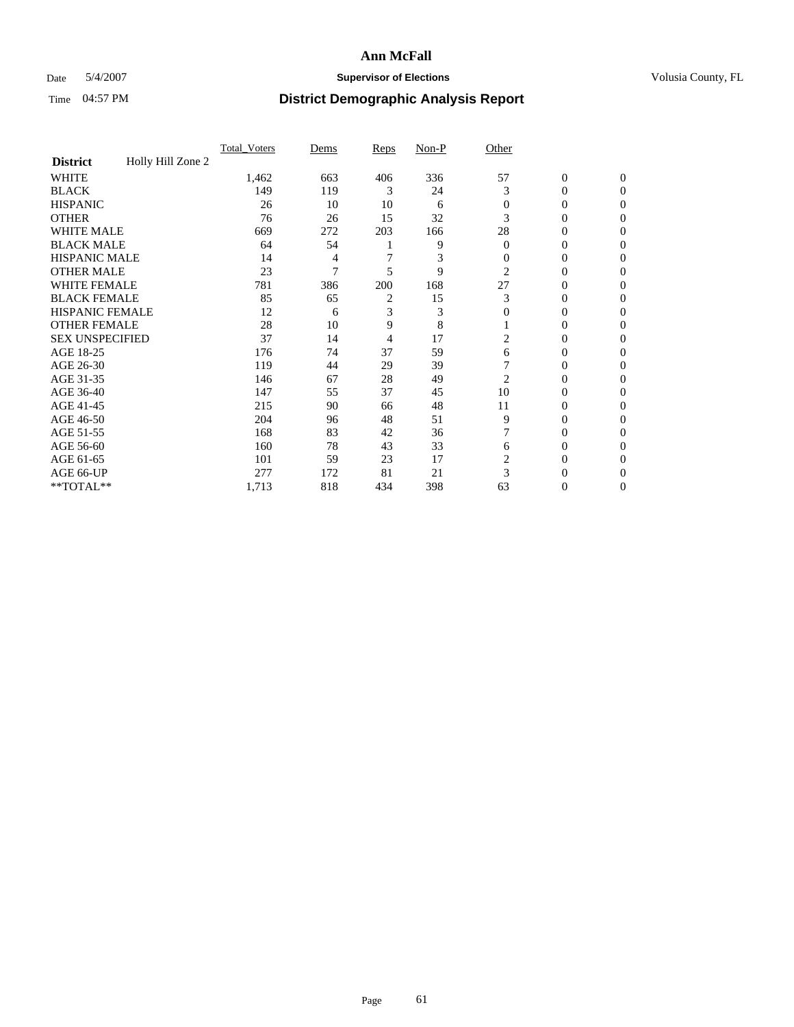### Date 5/4/2007 **Supervisor of Elections Supervisor of Elections** Volusia County, FL

|                        |                   | Total Voters | Dems | <b>Reps</b> | Non-P | Other    |                  |                |  |
|------------------------|-------------------|--------------|------|-------------|-------|----------|------------------|----------------|--|
| <b>District</b>        | Holly Hill Zone 2 |              |      |             |       |          |                  |                |  |
| <b>WHITE</b>           |                   | 1,462        | 663  | 406         | 336   | 57       | $\boldsymbol{0}$ | $\mathbf{0}$   |  |
| <b>BLACK</b>           |                   | 149          | 119  | 3           | 24    | 3        | 0                | $\mathbf{0}$   |  |
| <b>HISPANIC</b>        |                   | 26           | 10   | 10          | 6     | 0        | 0                | $\Omega$       |  |
| <b>OTHER</b>           |                   | 76           | 26   | 15          | 32    | 3        | 0                | $\Omega$       |  |
| <b>WHITE MALE</b>      |                   | 669          | 272  | 203         | 166   | 28       | 0                | 0              |  |
| <b>BLACK MALE</b>      |                   | 64           | 54   |             | 9     | $\Omega$ | 0                | 0              |  |
| <b>HISPANIC MALE</b>   |                   | 14           | 4    |             | 3     | 0        | 0                | 0              |  |
| <b>OTHER MALE</b>      |                   | 23           | 7    | 5           | 9     | 2        | $\overline{0}$   | 0              |  |
| WHITE FEMALE           |                   | 781          | 386  | 200         | 168   | 27       | 0                | 0              |  |
| <b>BLACK FEMALE</b>    |                   | 85           | 65   | 2           | 15    | 3        | 0                | 0              |  |
| <b>HISPANIC FEMALE</b> |                   | 12           | 6    | 3           | 3     | 0        | 0                | $\Omega$       |  |
| <b>OTHER FEMALE</b>    |                   | 28           | 10   | 9           | 8     |          | 0                | $\Omega$       |  |
| <b>SEX UNSPECIFIED</b> |                   | 37           | 14   | 4           | 17    | 2        | 0                | $\Omega$       |  |
| AGE 18-25              |                   | 176          | 74   | 37          | 59    | 6        | 0                | $\theta$       |  |
| AGE 26-30              |                   | 119          | 44   | 29          | 39    |          | 0                | 0              |  |
| AGE 31-35              |                   | 146          | 67   | 28          | 49    | 2        | 0                | 0              |  |
| AGE 36-40              |                   | 147          | 55   | 37          | 45    | 10       | 0                | 0              |  |
| AGE 41-45              |                   | 215          | 90   | 66          | 48    | 11       | 0                | 0              |  |
| AGE 46-50              |                   | 204          | 96   | 48          | 51    | 9        | 0                | $\Omega$       |  |
| AGE 51-55              |                   | 168          | 83   | 42          | 36    |          | 0                | $\Omega$       |  |
| AGE 56-60              |                   | 160          | 78   | 43          | 33    | 6        | 0                | $\Omega$       |  |
| AGE 61-65              |                   | 101          | 59   | 23          | 17    | 2        | 0                | 0              |  |
| AGE 66-UP              |                   | 277          | 172  | 81          | 21    | 3        |                  |                |  |
| **TOTAL**              |                   | 1,713        | 818  | 434         | 398   | 63       | 0                | $\overline{0}$ |  |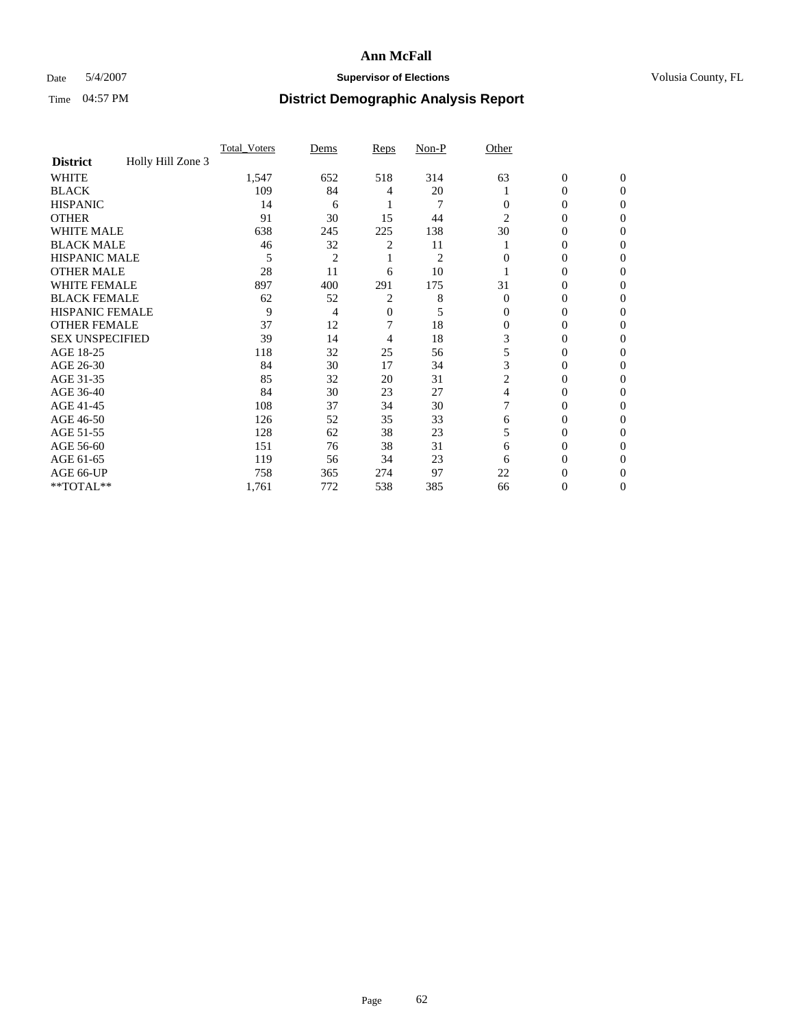### Date 5/4/2007 **Supervisor of Elections Supervisor of Elections** Volusia County, FL

|                                      | Total Voters | Dems           | <b>Reps</b> | Non-P          | Other          |                  |              |  |
|--------------------------------------|--------------|----------------|-------------|----------------|----------------|------------------|--------------|--|
| Holly Hill Zone 3<br><b>District</b> |              |                |             |                |                |                  |              |  |
| <b>WHITE</b>                         | 1,547        | 652            | 518         | 314            | 63             | $\boldsymbol{0}$ | $\mathbf{0}$ |  |
| <b>BLACK</b>                         | 109          | 84             | 4           | 20             |                | 0                | $\mathbf{0}$ |  |
| <b>HISPANIC</b>                      | 14           | 6              |             | 7              | 0              | 0                | $\Omega$     |  |
| <b>OTHER</b>                         | 91           | 30             | 15          | 44             | $\overline{2}$ | 0                | $\Omega$     |  |
| <b>WHITE MALE</b>                    | 638          | 245            | 225         | 138            | 30             | 0                | 0            |  |
| <b>BLACK MALE</b>                    | 46           | 32             | 2           | 11             |                | 0                | 0            |  |
| <b>HISPANIC MALE</b>                 | 5            | $\overline{2}$ |             | $\overline{2}$ |                | 0                | 0            |  |
| <b>OTHER MALE</b>                    | 28           | 11             | 6           | 10             |                | 0                | 0            |  |
| WHITE FEMALE                         | 897          | 400            | 291         | 175            | 31             | 0                | 0            |  |
| <b>BLACK FEMALE</b>                  | 62           | 52             | 2           | 8              | $\Omega$       | 0                | 0            |  |
| <b>HISPANIC FEMALE</b>               | 9            | 4              | 0           | 5              | 0              | 0                | $\Omega$     |  |
| <b>OTHER FEMALE</b>                  | 37           | 12             |             | 18             | $\Omega$       | 0                | $\Omega$     |  |
| <b>SEX UNSPECIFIED</b>               | 39           | 14             | 4           | 18             | 3              | 0                | $\Omega$     |  |
| AGE 18-25                            | 118          | 32             | 25          | 56             | 5              | 0                | $_{0}$       |  |
| AGE 26-30                            | 84           | 30             | 17          | 34             | 3              | 0                | 0            |  |
| AGE 31-35                            | 85           | 32             | 20          | 31             | 2              | 0                | 0            |  |
| AGE 36-40                            | 84           | 30             | 23          | 27             | 4              | 0                | 0            |  |
| AGE 41-45                            | 108          | 37             | 34          | 30             |                | 0                | 0            |  |
| AGE 46-50                            | 126          | 52             | 35          | 33             | 6              | 0                | $\Omega$     |  |
| AGE 51-55                            | 128          | 62             | 38          | 23             | 5              | 0                | $\Omega$     |  |
| AGE 56-60                            | 151          | 76             | 38          | 31             | 6              | 0                | $\Omega$     |  |
| AGE 61-65                            | 119          | 56             | 34          | 23             | 6              | 0                | 0            |  |
| AGE 66-UP                            | 758          | 365            | 274         | 97             | 22             |                  |              |  |
| **TOTAL**                            | 1,761        | 772            | 538         | 385            | 66             | 0                | 0            |  |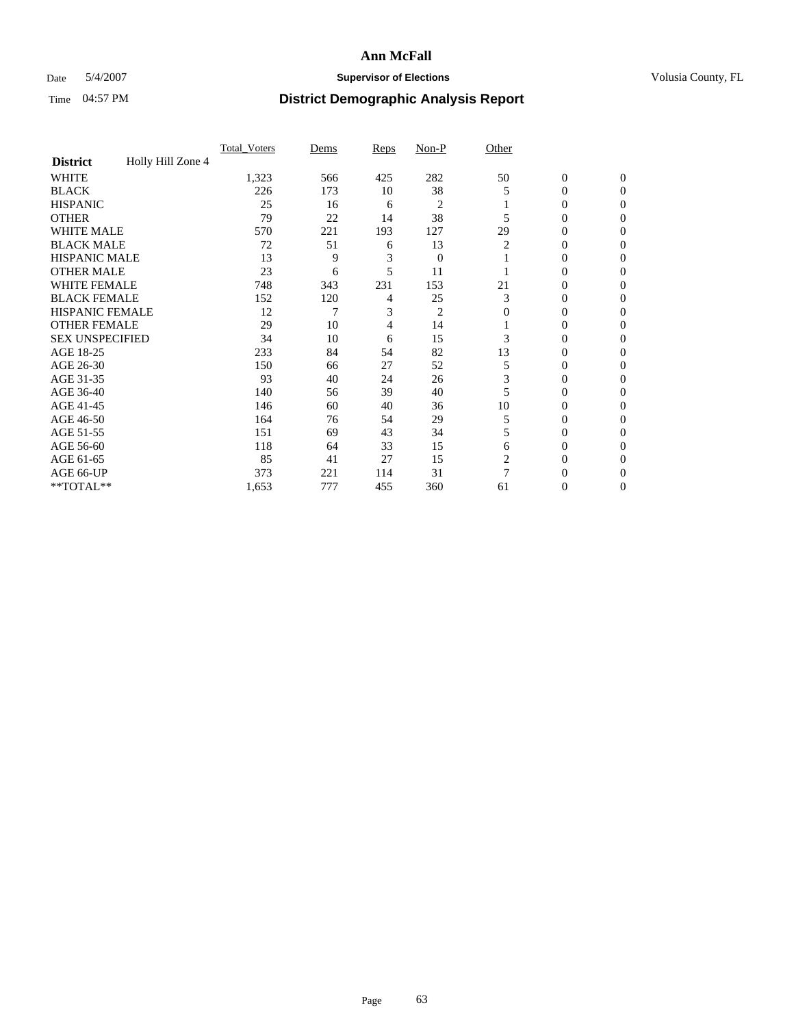### Date 5/4/2007 **Supervisor of Elections Supervisor of Elections** Volusia County, FL

|                        |                   | Total Voters | Dems | <b>Reps</b> | Non-P          | Other |                  |                |  |
|------------------------|-------------------|--------------|------|-------------|----------------|-------|------------------|----------------|--|
| <b>District</b>        | Holly Hill Zone 4 |              |      |             |                |       |                  |                |  |
| <b>WHITE</b>           |                   | 1,323        | 566  | 425         | 282            | 50    | $\boldsymbol{0}$ | $\mathbf{0}$   |  |
| <b>BLACK</b>           |                   | 226          | 173  | 10          | 38             | 5     | 0                | $\mathbf{0}$   |  |
| <b>HISPANIC</b>        |                   | 25           | 16   | 6           | $\overline{c}$ |       | 0                | $\Omega$       |  |
| <b>OTHER</b>           |                   | 79           | 22   | 14          | 38             |       | $\overline{0}$   | $\Omega$       |  |
| <b>WHITE MALE</b>      |                   | 570          | 221  | 193         | 127            | 29    | 0                | 0              |  |
| <b>BLACK MALE</b>      |                   | 72           | 51   | 6           | 13             | 2     | 0                | 0              |  |
| <b>HISPANIC MALE</b>   |                   | 13           | 9    | 3           | $\mathbf{0}$   |       | 0                | 0              |  |
| <b>OTHER MALE</b>      |                   | 23           | 6    | 5           | 11             |       | 0                | 0              |  |
| WHITE FEMALE           |                   | 748          | 343  | 231         | 153            | 21    | 0                | 0              |  |
| <b>BLACK FEMALE</b>    |                   | 152          | 120  | 4           | 25             | 3     | $\overline{0}$   | $\bf{0}$       |  |
| <b>HISPANIC FEMALE</b> |                   | 12           | 7    | 3           | $\overline{c}$ | 0     | 0                | $\Omega$       |  |
| <b>OTHER FEMALE</b>    |                   | 29           | 10   | 4           | 14             |       | 0                | $\Omega$       |  |
| <b>SEX UNSPECIFIED</b> |                   | 34           | 10   | 6           | 15             | 3     | 0                | $\Omega$       |  |
| AGE 18-25              |                   | 233          | 84   | 54          | 82             | 13    | 0                | 0              |  |
| AGE 26-30              |                   | 150          | 66   | 27          | 52             | 5     | 0                | 0              |  |
| AGE 31-35              |                   | 93           | 40   | 24          | 26             | 3     | 0                | 0              |  |
| AGE 36-40              |                   | 140          | 56   | 39          | 40             |       | $\overline{0}$   | 0              |  |
| AGE 41-45              |                   | 146          | 60   | 40          | 36             | 10    | 0                | 0              |  |
| AGE 46-50              |                   | 164          | 76   | 54          | 29             | 5     | 0                | $\Omega$       |  |
| AGE 51-55              |                   | 151          | 69   | 43          | 34             | 5     | 0                | $\Omega$       |  |
| AGE 56-60              |                   | 118          | 64   | 33          | 15             | 6     | 0                | $\Omega$       |  |
| AGE 61-65              |                   | 85           | 41   | 27          | 15             | 2     | 0                | 0              |  |
| AGE 66-UP              |                   | 373          | 221  | 114         | 31             | 7     | 0                | $\theta$       |  |
| **TOTAL**              |                   | 1,653        | 777  | 455         | 360            | 61    | 0                | $\overline{0}$ |  |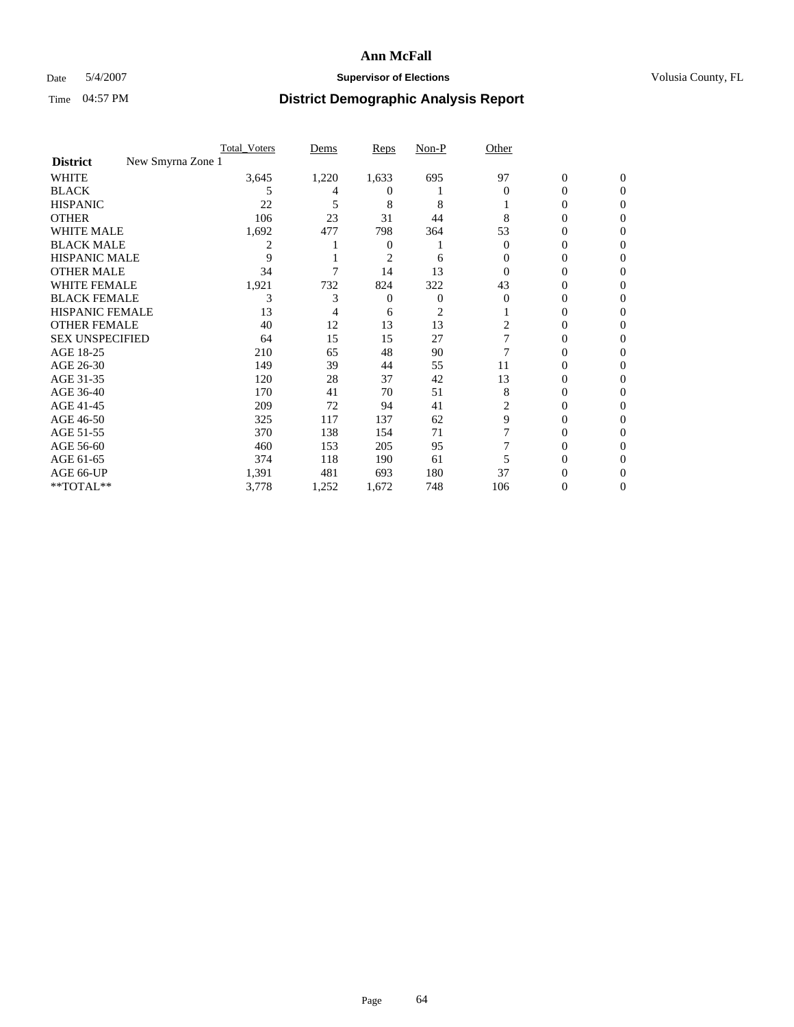### Date 5/4/2007 **Supervisor of Elections Supervisor of Elections** Volusia County, FL

|                                      | Total Voters | Dems  | <b>Reps</b> | Non-P | Other    |                |              |  |
|--------------------------------------|--------------|-------|-------------|-------|----------|----------------|--------------|--|
| New Smyrna Zone 1<br><b>District</b> |              |       |             |       |          |                |              |  |
| <b>WHITE</b>                         | 3,645        | 1,220 | 1,633       | 695   | 97       | $\overline{0}$ | $\mathbf{0}$ |  |
| <b>BLACK</b>                         | 5            |       | $^{(1)}$    |       | $\Omega$ | 0              | $\Omega$     |  |
| <b>HISPANIC</b>                      | 22           | 5     | 8           | 8     |          | 0              | $\Omega$     |  |
| <b>OTHER</b>                         | 106          | 23    | 31          | 44    |          | 0              | 0            |  |
| <b>WHITE MALE</b>                    | 1,692        | 477   | 798         | 364   | 53       | 0              | 0            |  |
| <b>BLACK MALE</b>                    | 2            |       | 0           |       | 0        | 0              | 0            |  |
| <b>HISPANIC MALE</b>                 | 9            |       | 2           | 6     |          | 0              |              |  |
| <b>OTHER MALE</b>                    | 34           |       | 14          | 13    |          | 0              | 0            |  |
| WHITE FEMALE                         | 1,921        | 732   | 824         | 322   | 43       | 0              | 0            |  |
| <b>BLACK FEMALE</b>                  | 3            | 3     | 0           | 0     | 0        | 0              | 0            |  |
| <b>HISPANIC FEMALE</b>               | 13           |       | 6           | 2     |          |                | 0            |  |
| <b>OTHER FEMALE</b>                  | 40           | 12    | 13          | 13    | 2        | 0              | 0            |  |
| <b>SEX UNSPECIFIED</b>               | 64           | 15    | 15          | 27    |          | 0              | 0            |  |
| AGE 18-25                            | 210          | 65    | 48          | 90    |          | 0              | $\theta$     |  |
| AGE 26-30                            | 149          | 39    | 44          | 55    | 11       | 0              | $\theta$     |  |
| AGE 31-35                            | 120          | 28    | 37          | 42    | 13       | 0              |              |  |
| AGE 36-40                            | 170          | 41    | 70          | 51    | 8        | 0              | 0            |  |
| AGE 41-45                            | 209          | 72    | 94          | 41    |          | 0              | 0            |  |
| AGE 46-50                            | 325          | 117   | 137         | 62    | 9        | 0              | 0            |  |
| AGE 51-55                            | 370          | 138   | 154         | 71    |          | 0              | $\Omega$     |  |
| AGE 56-60                            | 460          | 153   | 205         | 95    |          | 0              | 0            |  |
| AGE 61-65                            | 374          | 118   | 190         | 61    |          | 0              |              |  |
| AGE 66-UP                            | 1,391        | 481   | 693         | 180   | 37       |                |              |  |
| **TOTAL**                            | 3,778        | 1,252 | 1,672       | 748   | 106      | 0              | 0            |  |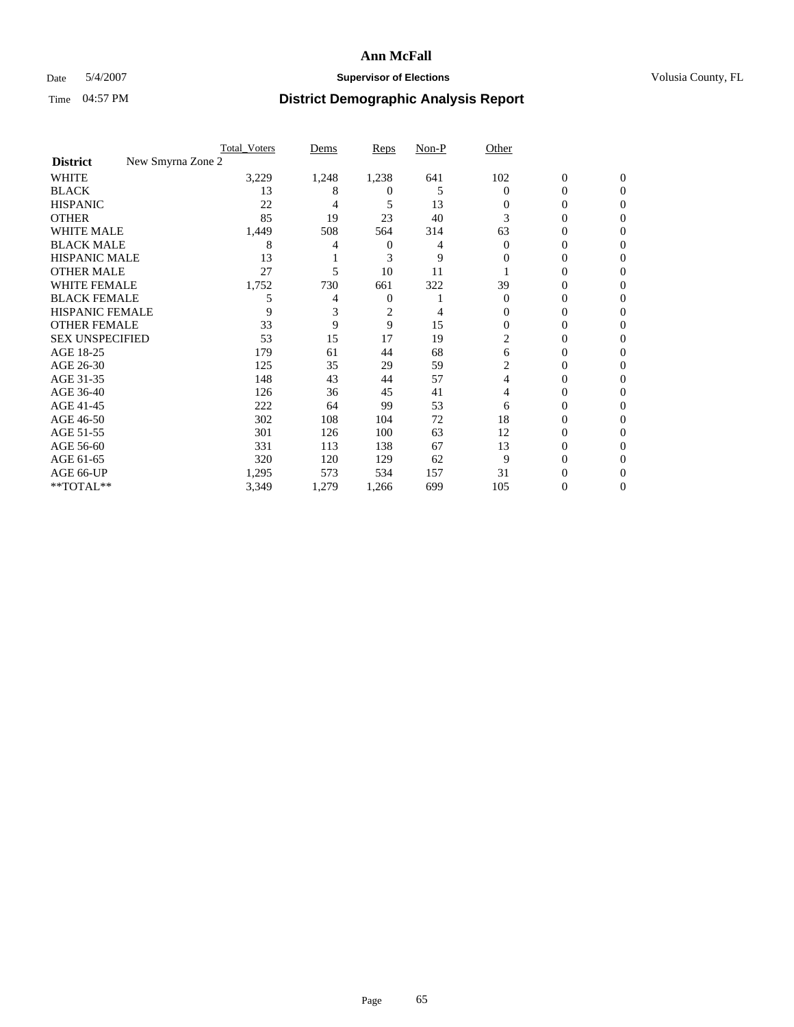### Date 5/4/2007 **Supervisor of Elections Supervisor of Elections** Volusia County, FL

|                                      | <b>Total Voters</b> | Dems  | Reps           | Non-P | Other    |                  |                |  |
|--------------------------------------|---------------------|-------|----------------|-------|----------|------------------|----------------|--|
| New Smyrna Zone 2<br><b>District</b> |                     |       |                |       |          |                  |                |  |
| <b>WHITE</b>                         | 3,229               | 1,248 | 1,238          | 641   | 102      | $\boldsymbol{0}$ | $\mathbf{0}$   |  |
| <b>BLACK</b>                         | 13                  | 8     | $^{(1)}$       | 5     | $\Omega$ | 0                | $\overline{0}$ |  |
| <b>HISPANIC</b>                      | 22                  | 4     | 5              | 13    | 0        | 0                | $\Omega$       |  |
| <b>OTHER</b>                         | 85                  | 19    | 23             | 40    | 3        | 0                | $\theta$       |  |
| <b>WHITE MALE</b>                    | 1,449               | 508   | 564            | 314   | 63       | 0                | 0              |  |
| <b>BLACK MALE</b>                    | 8                   |       | 0              | 4     | $\Omega$ | 0                | 0              |  |
| <b>HISPANIC MALE</b>                 | 13                  |       | 3              | 9     | 0        | 0                |                |  |
| <b>OTHER MALE</b>                    | 27                  | 5     | 10             | 11    |          | 0                | 0              |  |
| WHITE FEMALE                         | 1,752               | 730   | 661            | 322   | 39       | 0                | 0              |  |
| <b>BLACK FEMALE</b>                  | 5                   | 4     | 0              |       | $\Omega$ | 0                | 0              |  |
| <b>HISPANIC FEMALE</b>               | 9                   |       | $\overline{c}$ |       | 0        | 0                | $\theta$       |  |
| <b>OTHER FEMALE</b>                  | 33                  | 9     | 9              | 15    | $\Omega$ | 0                | $\theta$       |  |
| <b>SEX UNSPECIFIED</b>               | 53                  | 15    | 17             | 19    | 2        | 0                | 0              |  |
| AGE 18-25                            | 179                 | 61    | 44             | 68    | 6        | 0                |                |  |
| AGE 26-30                            | 125                 | 35    | 29             | 59    | 2        | 0                | 0              |  |
| AGE 31-35                            | 148                 | 43    | 44             | 57    | 4        | 0                |                |  |
| AGE 36-40                            | 126                 | 36    | 45             | 41    | 4        | 0                | 0              |  |
| AGE 41-45                            | 222                 | 64    | 99             | 53    | 6        | 0                | 0              |  |
| AGE 46-50                            | 302                 | 108   | 104            | 72    | 18       | 0                | 0              |  |
| AGE 51-55                            | 301                 | 126   | 100            | 63    | 12       | 0                | $\theta$       |  |
| AGE 56-60                            | 331                 | 113   | 138            | 67    | 13       | 0                | $\theta$       |  |
| AGE 61-65                            | 320                 | 120   | 129            | 62    | 9        | 0                | 0              |  |
| AGE 66-UP                            | 1,295               | 573   | 534            | 157   | 31       | 0                |                |  |
| **TOTAL**                            | 3,349               | 1,279 | 1,266          | 699   | 105      | 0                | 0              |  |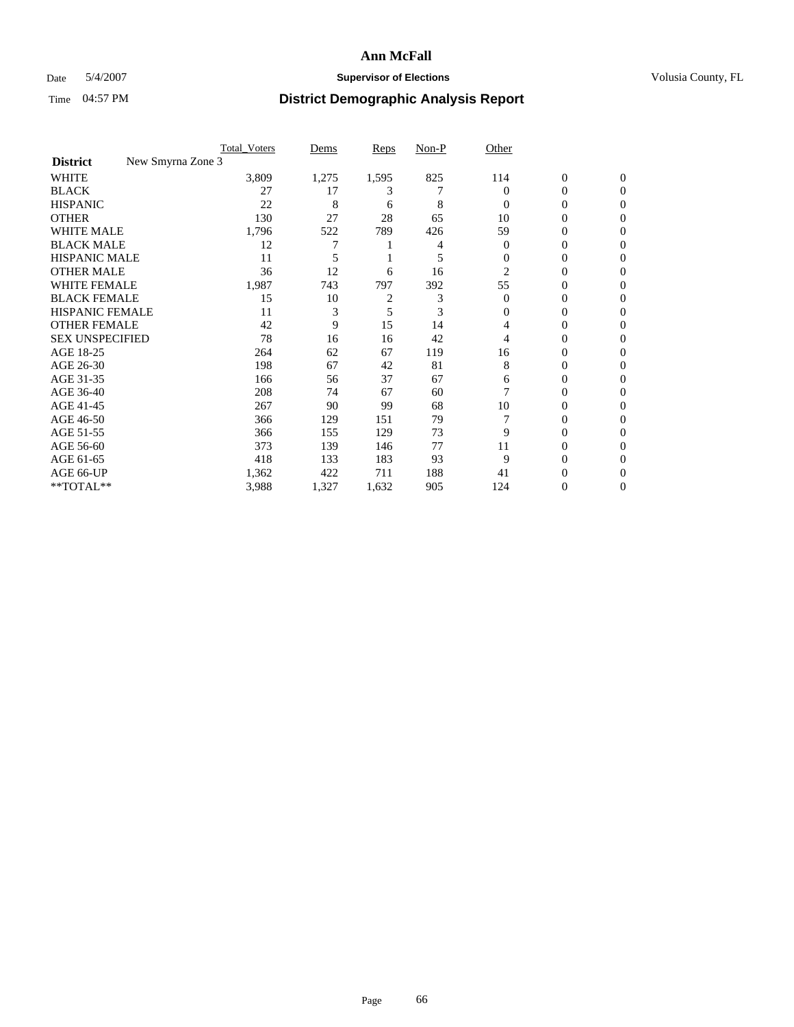### Date 5/4/2007 **Supervisor of Elections Supervisor of Elections** Volusia County, FL

|                                      | <b>Total Voters</b> | Dems  | Reps           | Non-P | Other    |                  |              |  |
|--------------------------------------|---------------------|-------|----------------|-------|----------|------------------|--------------|--|
| New Smyrna Zone 3<br><b>District</b> |                     |       |                |       |          |                  |              |  |
| <b>WHITE</b>                         | 3,809               | 1,275 | 1,595          | 825   | 114      | $\boldsymbol{0}$ | $\mathbf{0}$ |  |
| <b>BLACK</b>                         | 27                  | 17    | 3              |       | $\Omega$ | 0                | $\mathbf{0}$ |  |
| <b>HISPANIC</b>                      | 22                  | 8     | 6              | 8     | $\Omega$ | 0                | $\Omega$     |  |
| <b>OTHER</b>                         | 130                 | 27    | 28             | 65    | 10       | $\overline{0}$   | $\theta$     |  |
| <b>WHITE MALE</b>                    | 1,796               | 522   | 789            | 426   | 59       | 0                | 0            |  |
| <b>BLACK MALE</b>                    | 12                  | 7     |                |       | $\Omega$ | 0                | 0            |  |
| <b>HISPANIC MALE</b>                 | 11                  |       |                | 5     | 0        | 0                |              |  |
| <b>OTHER MALE</b>                    | 36                  | 12    | 6              | 16    | 2        | 0                | 0            |  |
| WHITE FEMALE                         | 1,987               | 743   | 797            | 392   | 55       | 0                | 0            |  |
| <b>BLACK FEMALE</b>                  | 15                  | 10    | $\overline{c}$ | 3     | $\Omega$ | 0                | 0            |  |
| <b>HISPANIC FEMALE</b>               | 11                  | 3     | 5              | 3     | $\Omega$ | 0                | $\Omega$     |  |
| <b>OTHER FEMALE</b>                  | 42                  | 9     | 15             | 14    | 4        | 0                | $\theta$     |  |
| <b>SEX UNSPECIFIED</b>               | 78                  | 16    | 16             | 42    | 4        | 0                | $\theta$     |  |
| AGE 18-25                            | 264                 | 62    | 67             | 119   | 16       | 0                | $_{0}$       |  |
| AGE 26-30                            | 198                 | 67    | 42             | 81    | 8        | 0                | 0            |  |
| AGE 31-35                            | 166                 | 56    | 37             | 67    | 6        | 0                | 0            |  |
| AGE 36-40                            | 208                 | 74    | 67             | 60    |          | 0                | 0            |  |
| AGE 41-45                            | 267                 | 90    | 99             | 68    | 10       | 0                | 0            |  |
| AGE 46-50                            | 366                 | 129   | 151            | 79    |          | 0                | $\Omega$     |  |
| AGE 51-55                            | 366                 | 155   | 129            | 73    | 9        | 0                | $\theta$     |  |
| AGE 56-60                            | 373                 | 139   | 146            | 77    | 11       | 0                | $\theta$     |  |
| AGE 61-65                            | 418                 | 133   | 183            | 93    | 9        | 0                | 0            |  |
| AGE 66-UP                            | 1,362               | 422   | 711            | 188   | 41       | 0                |              |  |
| **TOTAL**                            | 3,988               | 1,327 | 1,632          | 905   | 124      | 0                | 0            |  |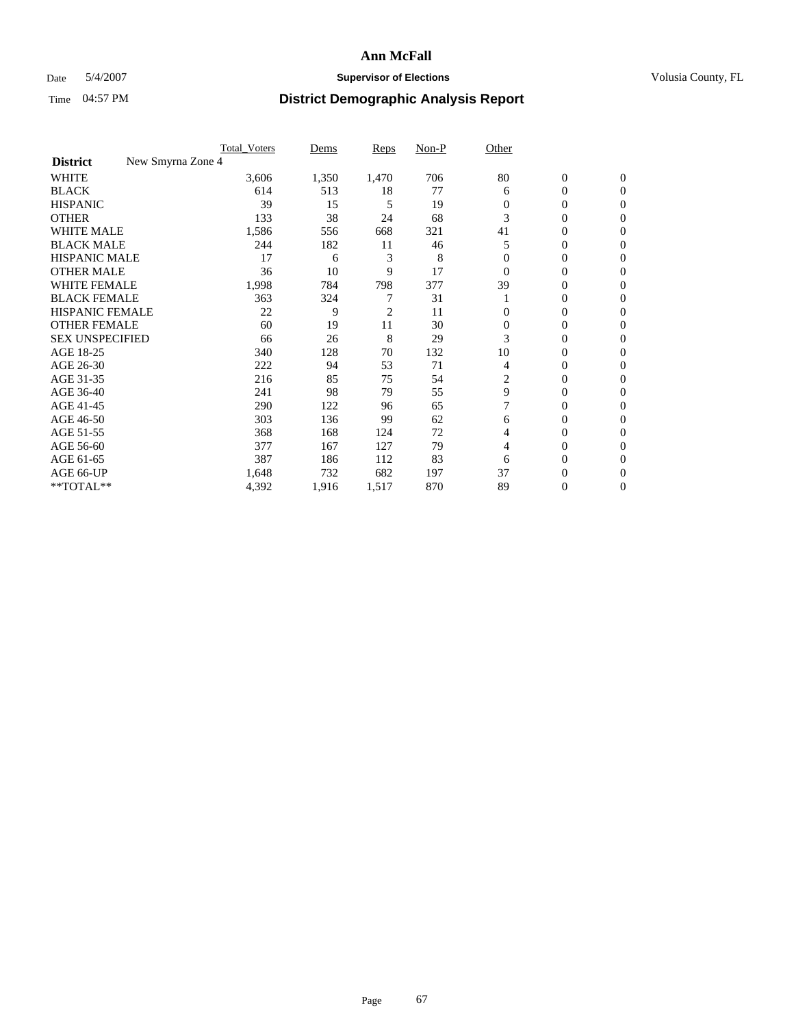### Date 5/4/2007 **Supervisor of Elections Supervisor of Elections** Volusia County, FL

|                                      | Total Voters | Dems  | <b>Reps</b> | Non-P | Other    |                  |                |  |
|--------------------------------------|--------------|-------|-------------|-------|----------|------------------|----------------|--|
| New Smyrna Zone 4<br><b>District</b> |              |       |             |       |          |                  |                |  |
| <b>WHITE</b>                         | 3,606        | 1,350 | 1,470       | 706   | 80       | $\boldsymbol{0}$ | $\mathbf{0}$   |  |
| <b>BLACK</b>                         | 614          | 513   | 18          | 77    | 6        | 0                | $\mathbf{0}$   |  |
| <b>HISPANIC</b>                      | 39           | 15    | 5           | 19    | 0        | 0                | $\Omega$       |  |
| <b>OTHER</b>                         | 133          | 38    | 24          | 68    | 3        | $\overline{0}$   | $\Omega$       |  |
| <b>WHITE MALE</b>                    | 1,586        | 556   | 668         | 321   | 41       | 0                | $\Omega$       |  |
| <b>BLACK MALE</b>                    | 244          | 182   | 11          | 46    | 5        | 0                | 0              |  |
| <b>HISPANIC MALE</b>                 | 17           | 6     | 3           | 8     |          | 0                | 0              |  |
| <b>OTHER MALE</b>                    | 36           | 10    | 9           | 17    | $\Omega$ | 0                | 0              |  |
| WHITE FEMALE                         | 1,998        | 784   | 798         | 377   | 39       | 0                | 0              |  |
| <b>BLACK FEMALE</b>                  | 363          | 324   |             | 31    |          | 0                | $\mathbf{0}$   |  |
| <b>HISPANIC FEMALE</b>               | 22           | 9     | 2           | 11    | 0        | 0                | $\Omega$       |  |
| <b>OTHER FEMALE</b>                  | 60           | 19    | 11          | 30    | $\Omega$ | 0                | $\Omega$       |  |
| <b>SEX UNSPECIFIED</b>               | 66           | 26    | 8           | 29    | 3        | 0                | $\Omega$       |  |
| AGE 18-25                            | 340          | 128   | 70          | 132   | 10       | 0                | 0              |  |
| AGE 26-30                            | 222          | 94    | 53          | 71    | 4        | 0                | $\Omega$       |  |
| AGE 31-35                            | 216          | 85    | 75          | 54    | 2        | 0                | 0              |  |
| AGE 36-40                            | 241          | 98    | 79          | 55    | 9        | 0                | 0              |  |
| AGE 41-45                            | 290          | 122   | 96          | 65    |          | 0                | 0              |  |
| AGE 46-50                            | 303          | 136   | 99          | 62    | 6        | 0                | $\mathbf{0}$   |  |
| AGE 51-55                            | 368          | 168   | 124         | 72    | 4        | 0                | $\Omega$       |  |
| AGE 56-60                            | 377          | 167   | 127         | 79    | 4        | 0                | $\Omega$       |  |
| AGE 61-65                            | 387          | 186   | 112         | 83    | 6        | 0                | 0              |  |
| AGE 66-UP                            | 1,648        | 732   | 682         | 197   | 37       | 0                | $\theta$       |  |
| **TOTAL**                            | 4,392        | 1,916 | 1,517       | 870   | 89       | 0                | $\overline{0}$ |  |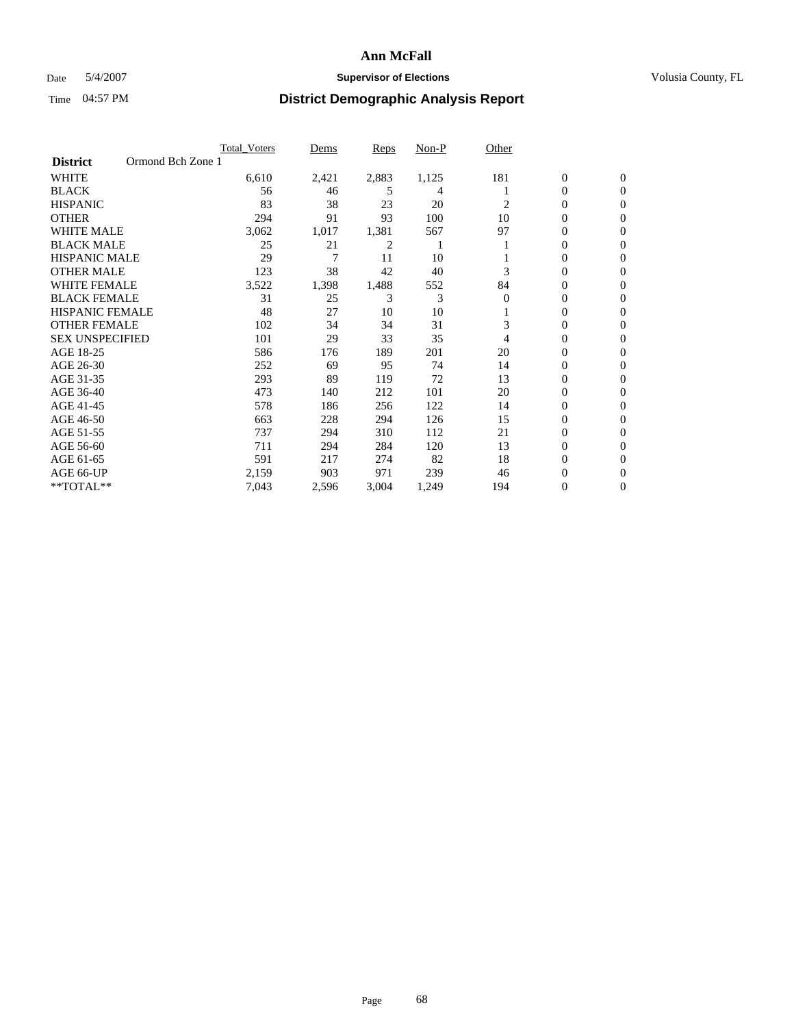### Date 5/4/2007 **Supervisor of Elections Supervisor of Elections** Volusia County, FL

|                        | <b>Total Voters</b> | Dems  | Reps  | Non-P | Other    |                  |                |  |
|------------------------|---------------------|-------|-------|-------|----------|------------------|----------------|--|
| <b>District</b>        | Ormond Bch Zone 1   |       |       |       |          |                  |                |  |
| <b>WHITE</b>           | 6,610               | 2,421 | 2,883 | 1,125 | 181      | $\boldsymbol{0}$ | $\mathbf{0}$   |  |
| <b>BLACK</b>           | 56                  | 46    | 5     | 4     |          | 0                | $\mathbf{0}$   |  |
| <b>HISPANIC</b>        | 83                  | 38    | 23    | 20    | 2        | 0                | $\mathbf{0}$   |  |
| <b>OTHER</b>           | 294                 | 91    | 93    | 100   | 10       | 0                | $\overline{0}$ |  |
| <b>WHITE MALE</b>      | 3,062               | 1,017 | 1,381 | 567   | 97       | 0                | $\mathbf{0}$   |  |
| <b>BLACK MALE</b>      | 25                  | 21    | 2     |       |          | 0                | $\mathbf{0}$   |  |
| <b>HISPANIC MALE</b>   | 29                  | 7     | 11    | 10    |          | 0                | $\Omega$       |  |
| <b>OTHER MALE</b>      | 123                 | 38    | 42    | 40    | 3        | 0                | 0              |  |
| <b>WHITE FEMALE</b>    | 3,522               | 1,398 | 1,488 | 552   | 84       | 0                | $\Omega$       |  |
| <b>BLACK FEMALE</b>    | 31                  | 25    | 3     | 3     | $\Omega$ | 0                | $\mathbf{0}$   |  |
| <b>HISPANIC FEMALE</b> | 48                  | 27    | 10    | 10    |          | 0                | $\mathbf{0}$   |  |
| <b>OTHER FEMALE</b>    | 102                 | 34    | 34    | 31    | 3        | 0                | $\mathbf{0}$   |  |
| <b>SEX UNSPECIFIED</b> | 101                 | 29    | 33    | 35    | 4        | 0                | $\mathbf{0}$   |  |
| AGE 18-25              | 586                 | 176   | 189   | 201   | 20       | 0                | 0              |  |
| AGE 26-30              | 252                 | 69    | 95    | 74    | 14       | 0                | $\mathbf{0}$   |  |
| AGE 31-35              | 293                 | 89    | 119   | 72    | 13       | 0                | 0              |  |
| AGE 36-40              | 473                 | 140   | 212   | 101   | 20       | 0                | $\mathbf{0}$   |  |
| AGE 41-45              | 578                 | 186   | 256   | 122   | 14       | 0                | $\mathbf{0}$   |  |
| AGE 46-50              | 663                 | 228   | 294   | 126   | 15       | 0                | $\mathbf{0}$   |  |
| AGE 51-55              | 737                 | 294   | 310   | 112   | 21       | 0                | $\mathbf{0}$   |  |
| AGE 56-60              | 711                 | 294   | 284   | 120   | 13       | 0                | $\mathbf{0}$   |  |
| AGE 61-65              | 591                 | 217   | 274   | 82    | 18       | 0                | $\mathbf{0}$   |  |
| AGE 66-UP              | 2,159               | 903   | 971   | 239   | 46       | 0                | 0              |  |
| **TOTAL**              | 7,043               | 2,596 | 3,004 | 1,249 | 194      | 0                | 0              |  |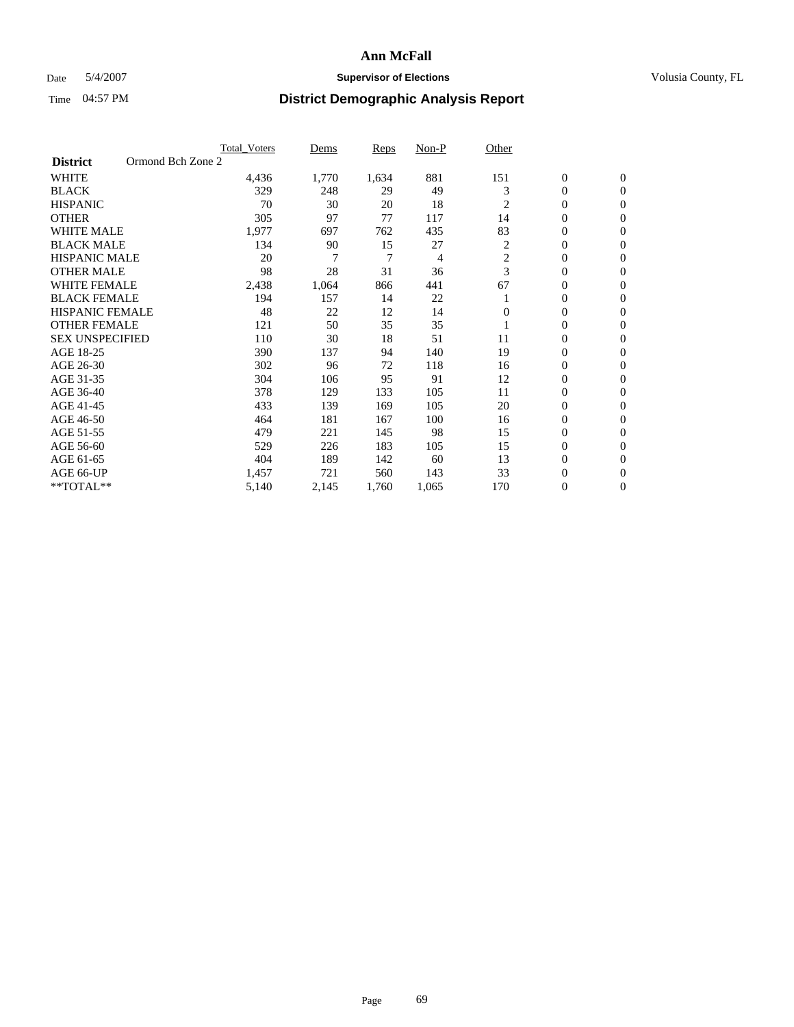### Date 5/4/2007 **Supervisor of Elections Supervisor of Elections** Volusia County, FL

|                        | <b>Total Voters</b> | Dems  | Reps  | Non-P | Other    |                  |                  |  |
|------------------------|---------------------|-------|-------|-------|----------|------------------|------------------|--|
| <b>District</b>        | Ormond Bch Zone 2   |       |       |       |          |                  |                  |  |
| <b>WHITE</b>           | 4,436               | 1,770 | 1,634 | 881   | 151      | $\boldsymbol{0}$ | $\boldsymbol{0}$ |  |
| <b>BLACK</b>           | 329                 | 248   | 29    | 49    | 3        | $\mathbf{0}$     | $\mathbf{0}$     |  |
| <b>HISPANIC</b>        | 70                  | 30    | 20    | 18    | 2        | $\mathbf{0}$     | $\mathbf{0}$     |  |
| <b>OTHER</b>           | 305                 | 97    | 77    | 117   | 14       | 0                | $\overline{0}$   |  |
| <b>WHITE MALE</b>      | 1,977               | 697   | 762   | 435   | 83       | 0                | $\mathbf{0}$     |  |
| <b>BLACK MALE</b>      | 134                 | 90    | 15    | 27    | 2        | 0                | $\mathbf{0}$     |  |
| <b>HISPANIC MALE</b>   | 20                  | 7     | 7     | 4     | 2        | 0                | $\Omega$         |  |
| <b>OTHER MALE</b>      | 98                  | 28    | 31    | 36    | 3        | 0                | $\mathbf{0}$     |  |
| <b>WHITE FEMALE</b>    | 2,438               | 1,064 | 866   | 441   | 67       | 0                | $\Omega$         |  |
| <b>BLACK FEMALE</b>    | 194                 | 157   | 14    | 22    |          | $\mathbf{0}$     | $\mathbf{0}$     |  |
| <b>HISPANIC FEMALE</b> | 48                  | 22    | 12    | 14    | $\Omega$ | 0                | $\mathbf{0}$     |  |
| <b>OTHER FEMALE</b>    | 121                 | 50    | 35    | 35    |          | 0                | $\mathbf{0}$     |  |
| <b>SEX UNSPECIFIED</b> | 110                 | 30    | 18    | 51    | 11       | 0                | $\mathbf{0}$     |  |
| AGE 18-25              | 390                 | 137   | 94    | 140   | 19       | 0                | $\mathbf{0}$     |  |
| AGE 26-30              | 302                 | 96    | 72    | 118   | 16       | 0                | $\mathbf{0}$     |  |
| AGE 31-35              | 304                 | 106   | 95    | 91    | 12       | 0                | $\mathbf{0}$     |  |
| AGE 36-40              | 378                 | 129   | 133   | 105   | 11       | $\boldsymbol{0}$ | $\mathbf{0}$     |  |
| AGE 41-45              | 433                 | 139   | 169   | 105   | 20       | 0                | $\mathbf{0}$     |  |
| AGE 46-50              | 464                 | 181   | 167   | 100   | 16       | $\mathbf{0}$     | $\mathbf{0}$     |  |
| AGE 51-55              | 479                 | 221   | 145   | 98    | 15       | 0                | $\mathbf{0}$     |  |
| AGE 56-60              | 529                 | 226   | 183   | 105   | 15       | $\boldsymbol{0}$ | $\mathbf{0}$     |  |
| AGE 61-65              | 404                 | 189   | 142   | 60    | 13       | 0                | $\mathbf{0}$     |  |
| AGE 66-UP              | 1,457               | 721   | 560   | 143   | 33       | 0                | 0                |  |
| **TOTAL**              | 5,140               | 2,145 | 1,760 | 1,065 | 170      | 0                | $\boldsymbol{0}$ |  |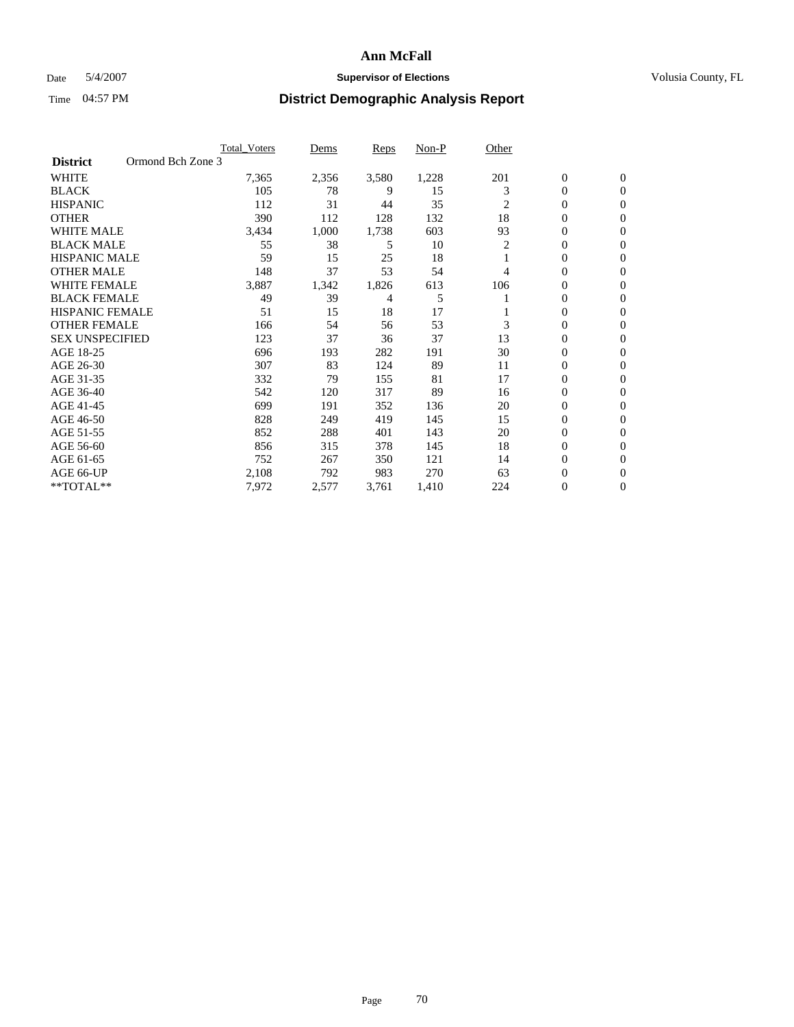### Date 5/4/2007 **Supervisor of Elections Supervisor of Elections** Volusia County, FL

|                        | <b>Total Voters</b> | Dems  | Reps  | Non-P | Other          |                  |                  |  |
|------------------------|---------------------|-------|-------|-------|----------------|------------------|------------------|--|
| <b>District</b>        | Ormond Bch Zone 3   |       |       |       |                |                  |                  |  |
| <b>WHITE</b>           | 7,365               | 2,356 | 3,580 | 1,228 | 201            | $\boldsymbol{0}$ | $\mathbf{0}$     |  |
| <b>BLACK</b>           | 105                 | 78    | 9     | 15    | 3              | 0                | $\mathbf{0}$     |  |
| <b>HISPANIC</b>        | 112                 | 31    | 44    | 35    | $\overline{2}$ | 0                | $\mathbf{0}$     |  |
| <b>OTHER</b>           | 390                 | 112   | 128   | 132   | 18             | 0                | $\overline{0}$   |  |
| <b>WHITE MALE</b>      | 3,434               | 1,000 | 1,738 | 603   | 93             | 0                | $\mathbf{0}$     |  |
| <b>BLACK MALE</b>      | 55                  | 38    | 5     | 10    | 2              | 0                | $\mathbf{0}$     |  |
| <b>HISPANIC MALE</b>   | 59                  | 15    | 25    | 18    |                | 0                | $\Omega$         |  |
| <b>OTHER MALE</b>      | 148                 | 37    | 53    | 54    | 4              | 0                | 0                |  |
| <b>WHITE FEMALE</b>    | 3,887               | 1,342 | 1,826 | 613   | 106            | 0                | $\Omega$         |  |
| <b>BLACK FEMALE</b>    | 49                  | 39    | 4     | 5     |                | 0                | $\mathbf{0}$     |  |
| <b>HISPANIC FEMALE</b> | 51                  | 15    | 18    | 17    |                | 0                | $\mathbf{0}$     |  |
| <b>OTHER FEMALE</b>    | 166                 | 54    | 56    | 53    | 3              | 0                | $\mathbf{0}$     |  |
| <b>SEX UNSPECIFIED</b> | 123                 | 37    | 36    | 37    | 13             | 0                | $\overline{0}$   |  |
| AGE 18-25              | 696                 | 193   | 282   | 191   | 30             | 0                | $\overline{0}$   |  |
| AGE 26-30              | 307                 | 83    | 124   | 89    | 11             | 0                | $\overline{0}$   |  |
| AGE 31-35              | 332                 | 79    | 155   | 81    | 17             | 0                | $\overline{0}$   |  |
| AGE 36-40              | 542                 | 120   | 317   | 89    | 16             | 0                | $\overline{0}$   |  |
| AGE 41-45              | 699                 | 191   | 352   | 136   | 20             | 0                | $\overline{0}$   |  |
| AGE 46-50              | 828                 | 249   | 419   | 145   | 15             | 0                | $\mathbf{0}$     |  |
| AGE 51-55              | 852                 | 288   | 401   | 143   | 20             | 0                | $\mathbf{0}$     |  |
| AGE 56-60              | 856                 | 315   | 378   | 145   | 18             | 0                | $\overline{0}$   |  |
| AGE 61-65              | 752                 | 267   | 350   | 121   | 14             | 0                | $\overline{0}$   |  |
| AGE 66-UP              | 2,108               | 792   | 983   | 270   | 63             | 0                | 0                |  |
| **TOTAL**              | 7,972               | 2,577 | 3,761 | 1,410 | 224            | 0                | $\boldsymbol{0}$ |  |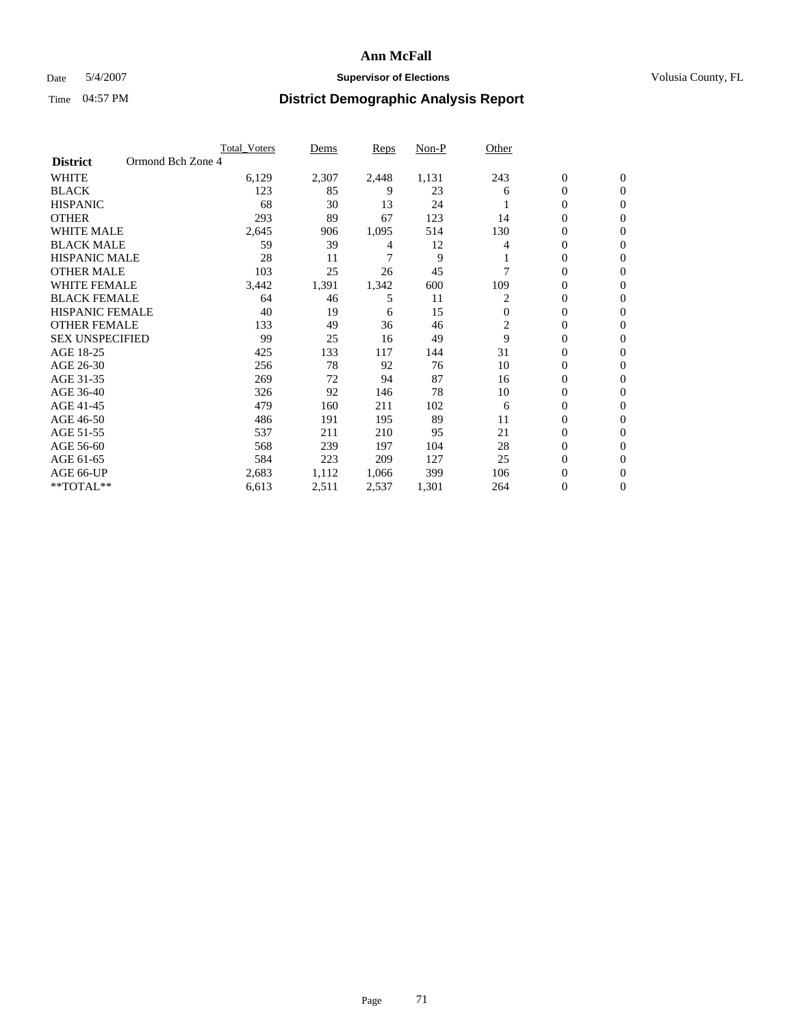### Date 5/4/2007 **Supervisor of Elections Supervisor of Elections** Volusia County, FL

|                                      | <b>Total_Voters</b> | Dems  | Reps  | Non-P | Other          |                  |                |  |
|--------------------------------------|---------------------|-------|-------|-------|----------------|------------------|----------------|--|
| Ormond Bch Zone 4<br><b>District</b> |                     |       |       |       |                |                  |                |  |
| <b>WHITE</b>                         | 6,129               | 2,307 | 2,448 | 1,131 | 243            | $\boldsymbol{0}$ | $\mathbf{0}$   |  |
| <b>BLACK</b>                         | 123                 | 85    | 9     | 23    | 6              | $\overline{0}$   | $\mathbf{0}$   |  |
| <b>HISPANIC</b>                      | 68                  | 30    | 13    | 24    |                | 0                | $\mathbf{0}$   |  |
| <b>OTHER</b>                         | 293                 | 89    | 67    | 123   | 14             | $\overline{0}$   | $\overline{0}$ |  |
| <b>WHITE MALE</b>                    | 2,645               | 906   | 1,095 | 514   | 130            | 0                | $\overline{0}$ |  |
| <b>BLACK MALE</b>                    | 59                  | 39    | 4     | 12    |                | 0                | $\overline{0}$ |  |
| <b>HISPANIC MALE</b>                 | 28                  | 11    | 7     | 9     |                | 0                | $\Omega$       |  |
| <b>OTHER MALE</b>                    | 103                 | 25    | 26    | 45    |                | 0                | 0              |  |
| <b>WHITE FEMALE</b>                  | 3,442               | 1,391 | 1,342 | 600   | 109            | 0                | $\Omega$       |  |
| <b>BLACK FEMALE</b>                  | 64                  | 46    | 5     | 11    | 2              | $\overline{0}$   | $\mathbf{0}$   |  |
| <b>HISPANIC FEMALE</b>               | 40                  | 19    | 6     | 15    | $\Omega$       | 0                | $\mathbf{0}$   |  |
| <b>OTHER FEMALE</b>                  | 133                 | 49    | 36    | 46    | $\overline{c}$ | 0                | $\overline{0}$ |  |
| <b>SEX UNSPECIFIED</b>               | 99                  | 25    | 16    | 49    | 9              | 0                | $\overline{0}$ |  |
| AGE 18-25                            | 425                 | 133   | 117   | 144   | 31             | 0                | $\Omega$       |  |
| AGE 26-30                            | 256                 | 78    | 92    | 76    | 10             | 0                | $\overline{0}$ |  |
| AGE 31-35                            | 269                 | 72    | 94    | 87    | 16             | 0                | 0              |  |
| AGE 36-40                            | 326                 | 92    | 146   | 78    | 10             | $\overline{0}$   | $\mathbf{0}$   |  |
| AGE 41-45                            | 479                 | 160   | 211   | 102   | 6              | 0                | $\mathbf{0}$   |  |
| AGE 46-50                            | 486                 | 191   | 195   | 89    | 11             | 0                | $\mathbf{0}$   |  |
| AGE 51-55                            | 537                 | 211   | 210   | 95    | 21             | 0                | $\Omega$       |  |
| AGE 56-60                            | 568                 | 239   | 197   | 104   | 28             | 0                | $\Omega$       |  |
| AGE 61-65                            | 584                 | 223   | 209   | 127   | 25             | 0                | $\Omega$       |  |
| AGE 66-UP                            | 2,683               | 1,112 | 1,066 | 399   | 106            | 0                | 0              |  |
| **TOTAL**                            | 6,613               | 2,511 | 2,537 | 1,301 | 264            | 0                | 0              |  |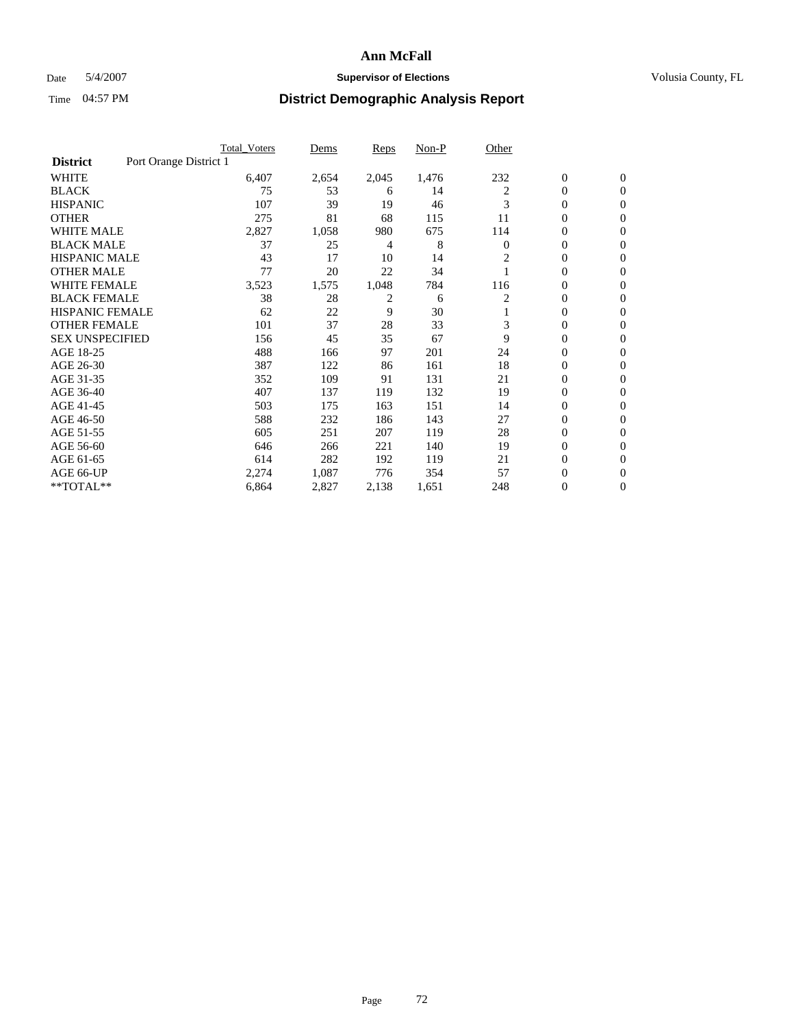### Date 5/4/2007 **Supervisor of Elections Supervisor of Elections** Volusia County, FL

|                                           | Total Voters | Dems  | Reps  | $Non-P$ | Other        |                  |                  |  |
|-------------------------------------------|--------------|-------|-------|---------|--------------|------------------|------------------|--|
| Port Orange District 1<br><b>District</b> |              |       |       |         |              |                  |                  |  |
| <b>WHITE</b>                              | 6,407        | 2,654 | 2,045 | 1,476   | 232          | $\boldsymbol{0}$ | $\mathbf{0}$     |  |
| <b>BLACK</b>                              | 75           | 53    | 6     | 14      | 2            | $\overline{0}$   | $\mathbf{0}$     |  |
| <b>HISPANIC</b>                           | 107          | 39    | 19    | 46      | 3            | $\mathbf{0}$     | $\mathbf{0}$     |  |
| <b>OTHER</b>                              | 275          | 81    | 68    | 115     | 11           | 0                | $\overline{0}$   |  |
| <b>WHITE MALE</b>                         | 2,827        | 1,058 | 980   | 675     | 114          | 0                | $\mathbf{0}$     |  |
| <b>BLACK MALE</b>                         | 37           | 25    | 4     | 8       | $\mathbf{0}$ | 0                | $\mathbf{0}$     |  |
| <b>HISPANIC MALE</b>                      | 43           | 17    | 10    | 14      | 2            | 0                | $\Omega$         |  |
| <b>OTHER MALE</b>                         | 77           | 20    | 22    | 34      |              | 0                | $\mathbf{0}$     |  |
| WHITE FEMALE                              | 3,523        | 1,575 | 1,048 | 784     | 116          | 0                | $\Omega$         |  |
| <b>BLACK FEMALE</b>                       | 38           | 28    | 2     | 6       | 2            | $\overline{0}$   | $\mathbf{0}$     |  |
| <b>HISPANIC FEMALE</b>                    | 62           | 22    | 9     | 30      |              | 0                | $\mathbf{0}$     |  |
| <b>OTHER FEMALE</b>                       | 101          | 37    | 28    | 33      | 3            | 0                | $\mathbf{0}$     |  |
| <b>SEX UNSPECIFIED</b>                    | 156          | 45    | 35    | 67      | 9            | 0                | $\mathbf{0}$     |  |
| AGE 18-25                                 | 488          | 166   | 97    | 201     | 24           | 0                | $\mathbf{0}$     |  |
| AGE 26-30                                 | 387          | 122   | 86    | 161     | 18           | 0                | $\mathbf{0}$     |  |
| AGE 31-35                                 | 352          | 109   | 91    | 131     | 21           | 0                | $\mathbf{0}$     |  |
| AGE 36-40                                 | 407          | 137   | 119   | 132     | 19           | $\overline{0}$   | $\mathbf{0}$     |  |
| AGE 41-45                                 | 503          | 175   | 163   | 151     | 14           | 0                | $\mathbf{0}$     |  |
| AGE 46-50                                 | 588          | 232   | 186   | 143     | 27           | $\overline{0}$   | $\mathbf{0}$     |  |
| AGE 51-55                                 | 605          | 251   | 207   | 119     | 28           | 0                | $\mathbf{0}$     |  |
| AGE 56-60                                 | 646          | 266   | 221   | 140     | 19           | $\overline{0}$   | $\overline{0}$   |  |
| AGE 61-65                                 | 614          | 282   | 192   | 119     | 21           | 0                | $\overline{0}$   |  |
| AGE 66-UP                                 | 2,274        | 1,087 | 776   | 354     | 57           | 0                | 0                |  |
| **TOTAL**                                 | 6,864        | 2,827 | 2,138 | 1,651   | 248          | 0                | $\boldsymbol{0}$ |  |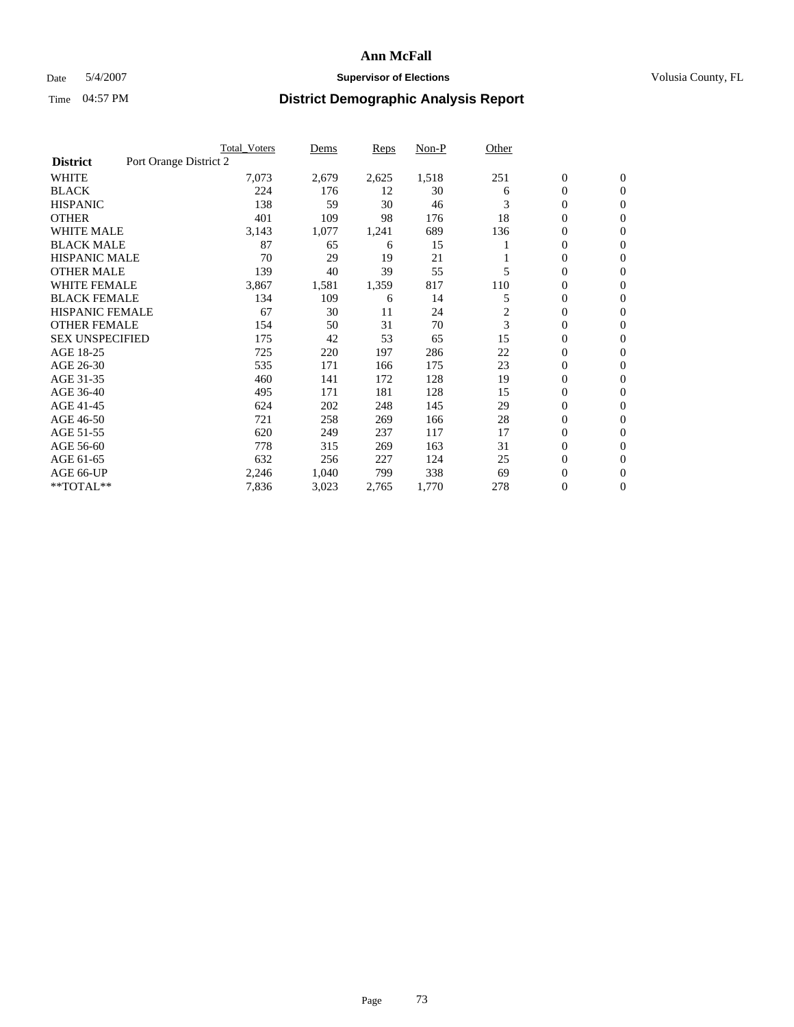## **Ann McFall**

## Date 5/4/2007 **Supervisor of Elections Supervisor of Elections** Volusia County, FL

# Time 04:57 PM **District Demographic Analysis Report**

|                                           | <b>Total Voters</b> | Dems  | Reps  | Non-P | Other |                  |                  |  |
|-------------------------------------------|---------------------|-------|-------|-------|-------|------------------|------------------|--|
| Port Orange District 2<br><b>District</b> |                     |       |       |       |       |                  |                  |  |
| <b>WHITE</b>                              | 7,073               | 2,679 | 2,625 | 1,518 | 251   | $\boldsymbol{0}$ | $\boldsymbol{0}$ |  |
| <b>BLACK</b>                              | 224                 | 176   | 12    | 30    | 6     | $\mathbf{0}$     | $\mathbf{0}$     |  |
| <b>HISPANIC</b>                           | 138                 | 59    | 30    | 46    | 3     | $\mathbf{0}$     | $\mathbf{0}$     |  |
| <b>OTHER</b>                              | 401                 | 109   | 98    | 176   | 18    | 0                | $\overline{0}$   |  |
| <b>WHITE MALE</b>                         | 3,143               | 1,077 | 1,241 | 689   | 136   | 0                | $\mathbf{0}$     |  |
| <b>BLACK MALE</b>                         | 87                  | 65    | 6     | 15    |       | 0                | 0                |  |
| <b>HISPANIC MALE</b>                      | 70                  | 29    | 19    | 21    |       | 0                | $\mathbf{0}$     |  |
| <b>OTHER MALE</b>                         | 139                 | 40    | 39    | 55    | 5     | 0                | $\mathbf{0}$     |  |
| <b>WHITE FEMALE</b>                       | 3,867               | 1,581 | 1,359 | 817   | 110   | 0                | $\mathbf{0}$     |  |
| <b>BLACK FEMALE</b>                       | 134                 | 109   | 6     | 14    | 5     | $\mathbf{0}$     | $\mathbf{0}$     |  |
| <b>HISPANIC FEMALE</b>                    | 67                  | 30    | 11    | 24    | 2     | 0                | $\mathbf{0}$     |  |
| <b>OTHER FEMALE</b>                       | 154                 | 50    | 31    | 70    | 3     | 0                | $\mathbf{0}$     |  |
| <b>SEX UNSPECIFIED</b>                    | 175                 | 42    | 53    | 65    | 15    | $\boldsymbol{0}$ | $\mathbf{0}$     |  |
| AGE 18-25                                 | 725                 | 220   | 197   | 286   | 22    | 0                | $\mathbf{0}$     |  |
| AGE 26-30                                 | 535                 | 171   | 166   | 175   | 23    | 0                | $\mathbf{0}$     |  |
| AGE 31-35                                 | 460                 | 141   | 172   | 128   | 19    | 0                | $\mathbf{0}$     |  |
| AGE 36-40                                 | 495                 | 171   | 181   | 128   | 15    | $\boldsymbol{0}$ | $\mathbf{0}$     |  |
| AGE 41-45                                 | 624                 | 202   | 248   | 145   | 29    | 0                | $\mathbf{0}$     |  |
| AGE 46-50                                 | 721                 | 258   | 269   | 166   | 28    | $\mathbf{0}$     | $\mathbf{0}$     |  |
| AGE 51-55                                 | 620                 | 249   | 237   | 117   | 17    | 0                | $\mathbf{0}$     |  |
| AGE 56-60                                 | 778                 | 315   | 269   | 163   | 31    | 0                | $\mathbf{0}$     |  |
| AGE 61-65                                 | 632                 | 256   | 227   | 124   | 25    | 0                | $\mathbf{0}$     |  |
| AGE 66-UP                                 | 2,246               | 1,040 | 799   | 338   | 69    | 0                | 0                |  |
| **TOTAL**                                 | 7,836               | 3,023 | 2,765 | 1,770 | 278   | 0                | $\boldsymbol{0}$ |  |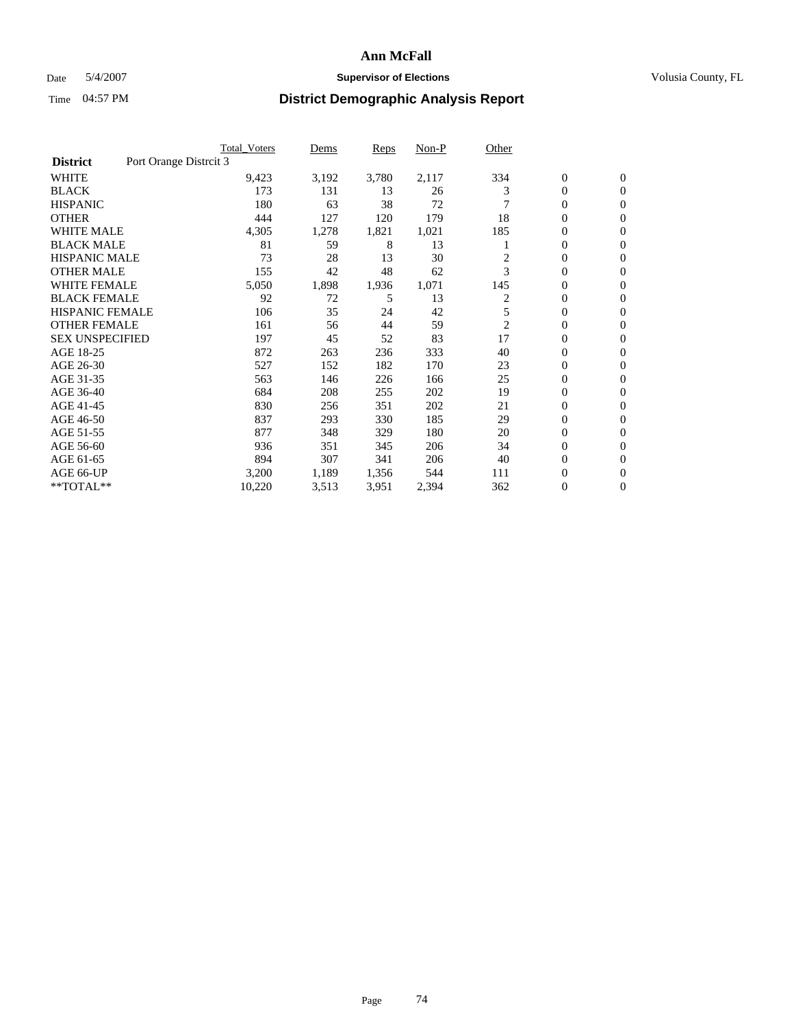## **Ann McFall**

## Date 5/4/2007 **Supervisor of Elections Supervisor of Elections** Volusia County, FL

# Time 04:57 PM **District Demographic Analysis Report**

|                                           | <b>Total Voters</b> | Dems  | Reps  | Non-P | Other        |                  |                  |  |
|-------------------------------------------|---------------------|-------|-------|-------|--------------|------------------|------------------|--|
| Port Orange Distrcit 3<br><b>District</b> |                     |       |       |       |              |                  |                  |  |
| <b>WHITE</b>                              | 9,423               | 3,192 | 3,780 | 2,117 | 334          | $\boldsymbol{0}$ | $\boldsymbol{0}$ |  |
| <b>BLACK</b>                              | 173                 | 131   | 13    | 26    | 3            | $\mathbf{0}$     | $\mathbf{0}$     |  |
| <b>HISPANIC</b>                           | 180                 | 63    | 38    | 72    |              | $\mathbf{0}$     | $\mathbf{0}$     |  |
| <b>OTHER</b>                              | 444                 | 127   | 120   | 179   | 18           | 0                | $\overline{0}$   |  |
| <b>WHITE MALE</b>                         | 4,305               | 1,278 | 1,821 | 1,021 | 185          | 0                | $\mathbf{0}$     |  |
| <b>BLACK MALE</b>                         | 81                  | 59    | 8     | 13    |              | 0                | $\boldsymbol{0}$ |  |
| <b>HISPANIC MALE</b>                      | 73                  | 28    | 13    | 30    | 2            | 0                | $\mathbf{0}$     |  |
| <b>OTHER MALE</b>                         | 155                 | 42    | 48    | 62    | 3            | 0                | $\mathbf{0}$     |  |
| <b>WHITE FEMALE</b>                       | 5,050               | 1,898 | 1,936 | 1,071 | 145          | 0                | $\mathbf{0}$     |  |
| <b>BLACK FEMALE</b>                       | 92                  | 72    | 5     | 13    | 2            | $\mathbf{0}$     | $\mathbf{0}$     |  |
| <b>HISPANIC FEMALE</b>                    | 106                 | 35    | 24    | 42    | 5            | 0                | $\mathbf{0}$     |  |
| <b>OTHER FEMALE</b>                       | 161                 | 56    | 44    | 59    | $\mathbf{2}$ | 0                | $\mathbf{0}$     |  |
| <b>SEX UNSPECIFIED</b>                    | 197                 | 45    | 52    | 83    | 17           | $\boldsymbol{0}$ | $\mathbf{0}$     |  |
| AGE 18-25                                 | 872                 | 263   | 236   | 333   | 40           | 0                | $\mathbf{0}$     |  |
| AGE 26-30                                 | 527                 | 152   | 182   | 170   | 23           | 0                | $\mathbf{0}$     |  |
| AGE 31-35                                 | 563                 | 146   | 226   | 166   | 25           | 0                | $\mathbf{0}$     |  |
| AGE 36-40                                 | 684                 | 208   | 255   | 202   | 19           | $\boldsymbol{0}$ | $\mathbf{0}$     |  |
| AGE 41-45                                 | 830                 | 256   | 351   | 202   | 21           | 0                | $\mathbf{0}$     |  |
| AGE 46-50                                 | 837                 | 293   | 330   | 185   | 29           | $\mathbf{0}$     | $\mathbf{0}$     |  |
| AGE 51-55                                 | 877                 | 348   | 329   | 180   | 20           | 0                | $\mathbf{0}$     |  |
| AGE 56-60                                 | 936                 | 351   | 345   | 206   | 34           | 0                | $\mathbf{0}$     |  |
| AGE 61-65                                 | 894                 | 307   | 341   | 206   | 40           | 0                | $\mathbf{0}$     |  |
| AGE 66-UP                                 | 3,200               | 1,189 | 1,356 | 544   | 111          | 0                | 0                |  |
| **TOTAL**                                 | 10,220              | 3,513 | 3,951 | 2,394 | 362          | $\boldsymbol{0}$ | $\boldsymbol{0}$ |  |